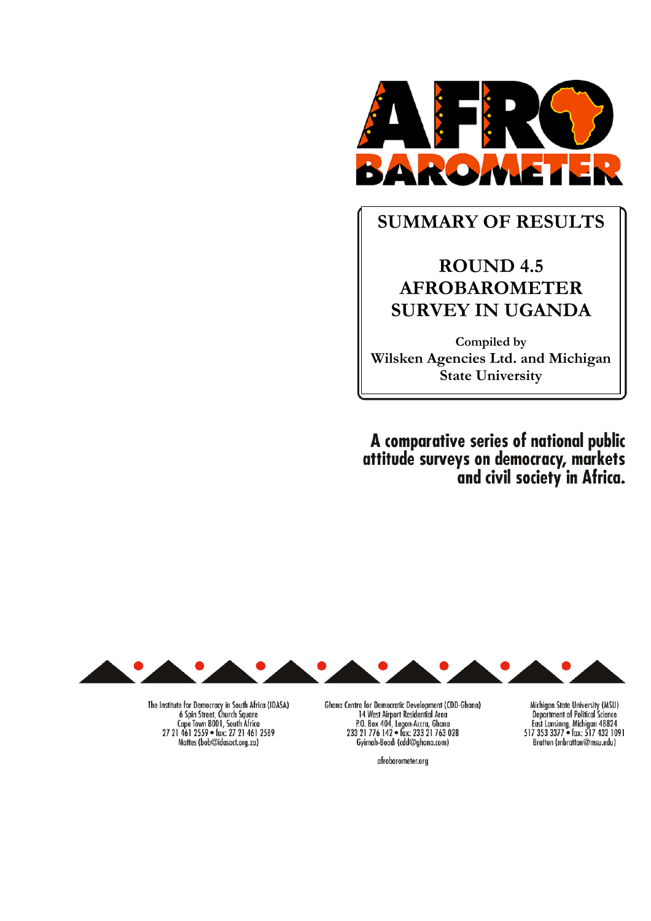

# **SUMMARY OF RESULTS**

# **ROUND 4.5 AFROBAROMETER SURVEY IN UGANDA**

**Compiled by Wilsken Agencies Ltd. and Michigan State University** 

A comparative series of national public attitude surveys on democracy, markets and civil society in Africa.



The Institute for Democracy in South Africa (IDASA)<br>6 Spin Street, Church Square<br>Cape Town 8001, South Africa 27 21 461 2559 · fax: 27 21 461 2589 Mattes (bob@idasact.org.za)

Ghana Centre for Democratic Development (CDD-Ghana) 14 West Airport Residential Area P.O. Box 404, Legon-Accra, Ghana<br>233 21 776 142 • fax: 233 21 763 028 Gyimah-Boadi (cdd@ghana.com)

Michigan State University (MSU)<br>Department of Political Science East Lansinng, Michigan 48824<br>517 353 3377 • fax: 517 432 1091 Bratton (mbratton@msu.edu)

afrobarometer.org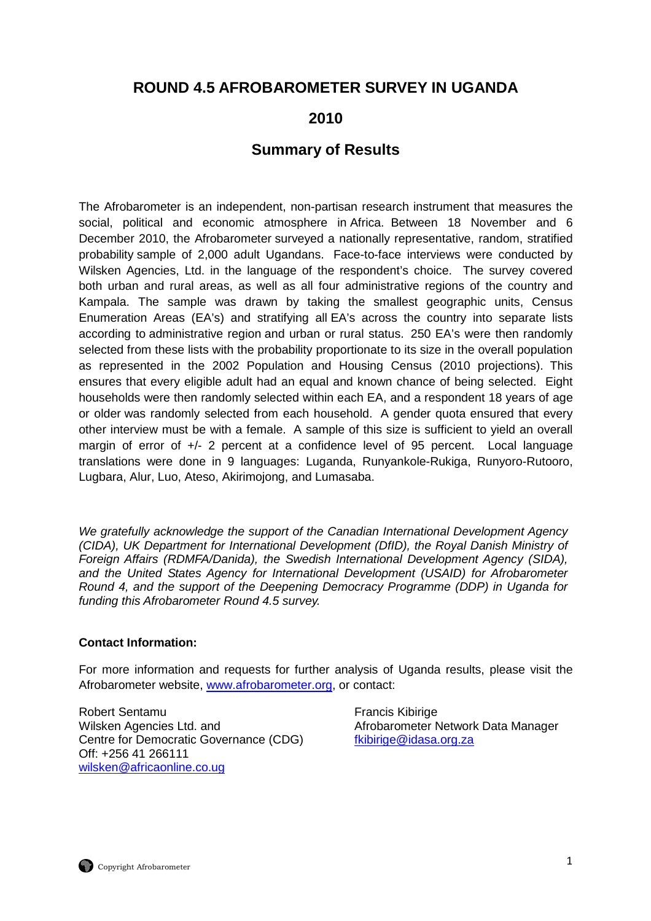# **ROUND 4.5 AFROBAROMETER SURVEY IN UGANDA**

# **2010**

# **Summary of Results**

The Afrobarometer is an independent, non-partisan research instrument that measures the social, political and economic atmosphere in Africa. Between 18 November and 6 December 2010, the Afrobarometer surveyed a nationally representative, random, stratified probability sample of 2,000 adult Ugandans. Face-to-face interviews were conducted by Wilsken Agencies, Ltd. in the language of the respondent's choice. The survey covered both urban and rural areas, as well as all four administrative regions of the country and Kampala. The sample was drawn by taking the smallest geographic units, Census Enumeration Areas (EA's) and stratifying all EA's across the country into separate lists according to administrative region and urban or rural status. 250 EA's were then randomly selected from these lists with the probability proportionate to its size in the overall population as represented in the 2002 Population and Housing Census (2010 projections). This ensures that every eligible adult had an equal and known chance of being selected. Eight households were then randomly selected within each EA, and a respondent 18 years of age or older was randomly selected from each household. A gender quota ensured that every other interview must be with a female. A sample of this size is sufficient to yield an overall margin of error of +/- 2 percent at a confidence level of 95 percent. Local language translations were done in 9 languages: Luganda, Runyankole-Rukiga, Runyoro-Rutooro, Lugbara, Alur, Luo, Ateso, Akirimojong, and Lumasaba.

We gratefully acknowledge the support of the Canadian International Development Agency (CIDA), UK Department for International Development (DfID), the Royal Danish Ministry of Foreign Affairs (RDMFA/Danida), the Swedish International Development Agency (SIDA), and the United States Agency for International Development (USAID) for Afrobarometer Round 4, and the support of the Deepening Democracy Programme (DDP) in Uganda for funding this Afrobarometer Round 4.5 survey.

#### **Contact Information:**

For more information and requests for further analysis of Uganda results, please visit the Afrobarometer website, www.afrobarometer.org, or contact:

Robert Sentamu **Francis Kibirige** Wilsken Agencies Ltd. and **Afrobarometer Network Data Manager** Network Data Manager Centre for Democratic Governance (CDG) fkibirige@idasa.org.za Off: +256 41 266111 wilsken@africaonline.co.ug

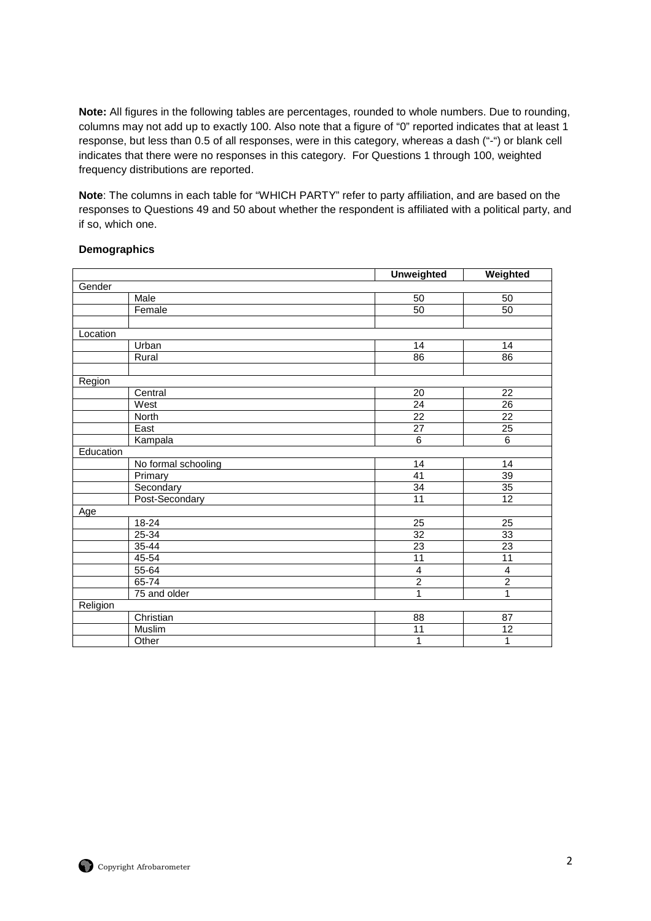**Note:** All figures in the following tables are percentages, rounded to whole numbers. Due to rounding, columns may not add up to exactly 100. Also note that a figure of "0" reported indicates that at least 1 response, but less than 0.5 of all responses, were in this category, whereas a dash ("-") or blank cell indicates that there were no responses in this category. For Questions 1 through 100, weighted frequency distributions are reported.

**Note**: The columns in each table for "WHICH PARTY" refer to party affiliation, and are based on the responses to Questions 49 and 50 about whether the respondent is affiliated with a political party, and if so, which one.

#### **Demographics**

|           |                     | <b>Unweighted</b>       | Weighted                |
|-----------|---------------------|-------------------------|-------------------------|
| Gender    |                     |                         |                         |
|           | Male                | 50                      | 50                      |
|           | Female              | 50                      | 50                      |
|           |                     |                         |                         |
| Location  |                     |                         |                         |
|           | Urban               | 14                      | 14                      |
|           | Rural               | 86                      | 86                      |
|           |                     |                         |                         |
| Region    |                     |                         |                         |
|           | Central             | 20                      | 22                      |
|           | West                | $\overline{24}$         | $\overline{26}$         |
|           | North               | 22                      | $\overline{22}$         |
|           | East                | $\overline{27}$         | $\overline{25}$         |
|           | Kampala             | $\overline{6}$          | $\overline{6}$          |
| Education |                     |                         |                         |
|           | No formal schooling | 14                      | 14                      |
|           | Primary             | 41                      | 39                      |
|           | Secondary           | $\overline{34}$         | $\overline{35}$         |
|           | Post-Secondary      | $\overline{11}$         | 12                      |
| Age       |                     |                         |                         |
|           | $18 - 24$           | $\overline{25}$         | $\overline{25}$         |
|           | 25-34               | $\overline{32}$         | 33                      |
|           | 35-44               | $\overline{23}$         | $\overline{23}$         |
|           | 45-54               | $\overline{11}$         | $\overline{11}$         |
|           | 55-64               | $\overline{\mathbf{r}}$ | $\overline{\mathbf{4}}$ |
|           | 65-74               | $\overline{2}$          | $\overline{2}$          |
|           | 75 and older        | 1                       | 1                       |
| Religion  |                     |                         |                         |
|           | Christian           | 88                      | 87                      |
|           | Muslim              | 11                      | $\overline{12}$         |
|           | Other               | 1                       | 1                       |

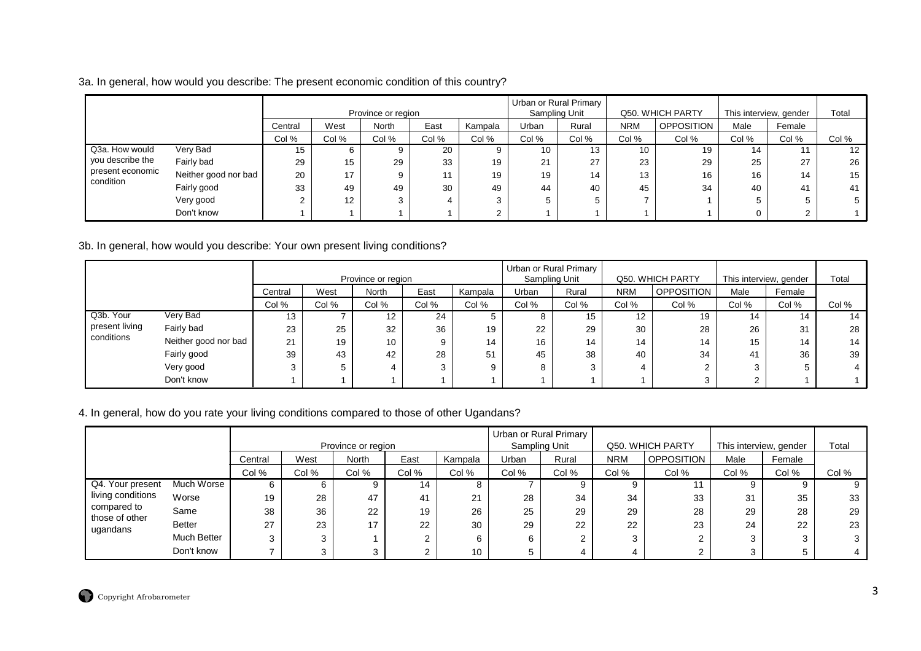## 3a. In general, how would you describe: The present economic condition of this country?

|                  |                      |         |       | Province or region |       |         |       | Urban or Rural Primary<br>Sampling Unit |            | Q50. WHICH PARTY  | This interview, gender |        | Total |
|------------------|----------------------|---------|-------|--------------------|-------|---------|-------|-----------------------------------------|------------|-------------------|------------------------|--------|-------|
|                  |                      | Central | West  | North              | East  | Kampala | Urban | Rural                                   | <b>NRM</b> | <b>OPPOSITION</b> | Male                   | Female |       |
|                  |                      | Col %   | Col % | Col %              | Col % | Col %   | Col % | Col %                                   | Col %      | Col %             | Col %                  | Col %  | Col % |
| Q3a. How would   | Very Bad             | 15      | 6     | 9                  | 20    | 9       | 10    | 13                                      | 10         | 19                | 14                     |        | 12    |
| you describe the | Fairly bad           | 29      | 15    | 29                 | 33    | 19      | 21    | 27                                      | 23         | 29                | 25                     | 27     | 26    |
| present economic | Neither good nor bad | 20      | 17    | 9                  |       | 19      | 19    | 14                                      | 13         | 16                | 16                     | 14     | 15    |
| condition        | Fairly good          | 33      | 49    | 49                 | 30    | 49      | 44    | 40                                      | 45         | 34                | 40                     | 41     | 41    |
|                  | Very good            |         | 12    | 3                  |       | 3       | 5     |                                         |            |                   |                        |        |       |
|                  | Don't know           |         |       |                    |       | C       |       |                                         |            |                   |                        |        |       |

3b. In general, how would you describe: Your own present living conditions?

|                |                      |         |       |                    |       |         |       | Urban or Rural Primary |            |                  |                        |        |       |
|----------------|----------------------|---------|-------|--------------------|-------|---------|-------|------------------------|------------|------------------|------------------------|--------|-------|
|                |                      |         |       | Province or region |       |         |       | Sampling Unit          |            | Q50. WHICH PARTY | This interview, gender |        | Total |
|                |                      | Central | West  | North              | East  | Kampala | Urban | Rural                  | <b>NRM</b> | OPPOSITION       | Male                   | Female |       |
|                |                      | Col %   | Col % | Col %              | Col % | Col %   | Col % | Col %                  | Col %      | Col %            | Col %                  | Col %  | Col % |
| Q3b. Your      | Very Bad             | 13      |       | 12                 | 24    |         |       | 15                     | 12         | 19               | 14                     | 14     | 14    |
| present living | Fairly bad           | 23      | 25    | 32                 | 36    | 19      | 22    | 29                     | 30         | 28               | 26                     | 31     | 28    |
| conditions     | Neither good nor bad | 21      | 19    | 10                 | 9     | 14      | 16    | 14                     | 14         | 14               | 15                     | 14     | 14    |
|                | Fairly good          | 39      | 43    | 42                 | 28    | 51      | 45    | 38                     | 40         | 34               | 41                     | 36     | 39    |
|                | Very good            | 3       |       |                    | 3     |         |       |                        |            |                  | 3                      |        |       |
|                | Don't know           |         |       |                    |       |         |       |                        |            |                  | $\sim$                 |        |       |

# 4. In general, how do you rate your living conditions compared to those of other Ugandans?

|                               |               |         |       |                    |       |         |       | Urban or Rural Primary |            |                   |                        |        |       |
|-------------------------------|---------------|---------|-------|--------------------|-------|---------|-------|------------------------|------------|-------------------|------------------------|--------|-------|
|                               |               |         |       | Province or region |       |         |       | Sampling Unit          |            | Q50. WHICH PARTY  | This interview, gender |        | Total |
|                               |               | Central | West  | North              | East  | Kampala | Urban | Rural                  | <b>NRM</b> | <b>OPPOSITION</b> | Male                   | Female |       |
|                               |               | Col %   | Col % | Col %              | Col % | Col %   | Col % | Col %                  | Col %      | Col %             | Col %                  | Col %  | Col % |
| Q4. Your present              | Much Worse    |         |       |                    | 14    |         |       |                        | 9          |                   |                        | 9      |       |
| living conditions             | Worse         | 19      | 28    | 47                 | 41    | 21      | 28    | 34                     | 34         | 33                | 31                     | 35     | 33    |
| compared to<br>those of other | Same          | 38      | 36    | 22                 | 19    | 26      | 25    | 29                     | 29         | 28                | 29                     | 28     | 29    |
| ugandans                      | <b>Better</b> | 27      | 23    | 17                 | 22    | 30      | 29    | 22                     | 22         | 23                | 24                     | 22     | 23    |
|                               | Much Better   |         |       |                    |       | 6       | 6     |                        | 3          |                   |                        | ົ      |       |
|                               | Don't know    |         |       |                    |       | 10      |       |                        |            |                   |                        |        |       |

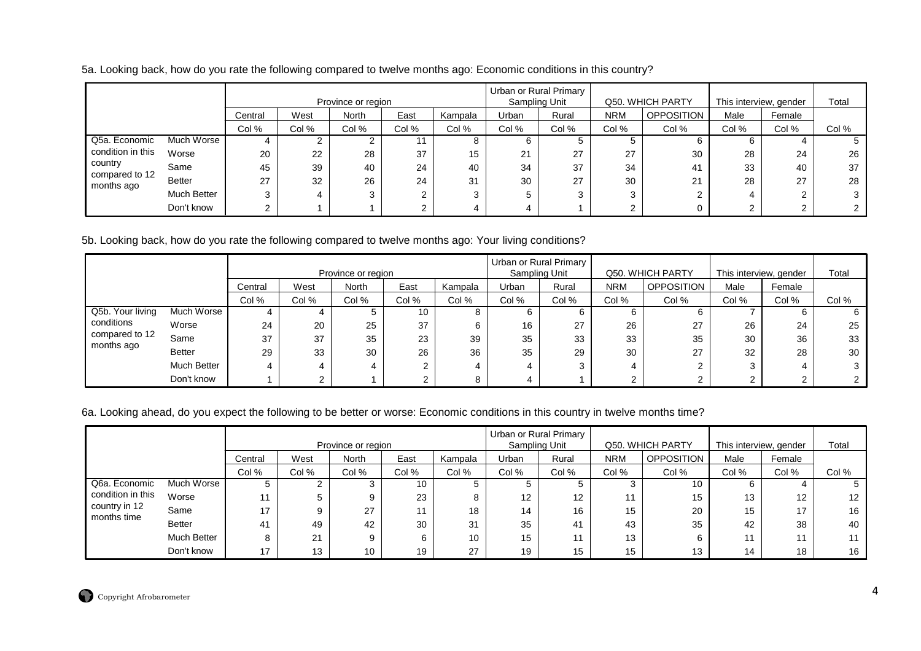|                              |               |         |       | Province or region |       |         |       | Urban or Rural Primary<br>Sampling Unit |            | Q50. WHICH PARTY  |       | This interview, gender | Total |
|------------------------------|---------------|---------|-------|--------------------|-------|---------|-------|-----------------------------------------|------------|-------------------|-------|------------------------|-------|
|                              |               | Central | West  | North              | East  | Kampala | Urban | Rural                                   | <b>NRM</b> | <b>OPPOSITION</b> | Male  | Female                 |       |
|                              |               | Col %   | Col % | Col %              | Col % | Col %   | Col % | Col %                                   | Col %      | Col %             | Col % | Col %                  | Col % |
| Q5a. Economic                | Much Worse    |         |       |                    |       |         | 6     |                                         |            |                   |       |                        |       |
| condition in this            | Worse         | 20      | 22    | 28                 | 37    | 15      | 21    | 27                                      | 27         | 30                | 28    | 24                     | 26    |
| country                      | Same          | 45      | 39    | 40                 | 24    | 40      | 34    | 37                                      | 34         | 41                | 33    | 40                     | 37    |
| compared to 12<br>months ago | <b>Better</b> | 27      | 32    | 26                 | 24    | 31      | 30    | 27                                      | 30         | 21                | 28    | 27                     | 28    |
|                              | Much Better   |         | 4     |                    | ◠     |         | 5     |                                         | 3          |                   |       | ◠                      |       |
|                              | Don't know    |         |       |                    | ົ     |         | 4     |                                         | $\sim$     |                   |       |                        |       |

5b. Looking back, how do you rate the following compared to twelve months ago: Your living conditions?

|                  |               |         |       | Province or region |       |         |       | Urban or Rural Primary<br>Sampling Unit |            | Q50, WHICH PARTY | This interview, gender |        | Total |
|------------------|---------------|---------|-------|--------------------|-------|---------|-------|-----------------------------------------|------------|------------------|------------------------|--------|-------|
|                  |               | Central | West  | North              | East  | Kampala | Urban | Rural                                   | <b>NRM</b> | OPPOSITION       | Male                   | Female |       |
|                  |               | Col %   | Col % | Col %              | Col % | Col %   | Col % | Col %                                   | Col %      | Col %            | Col %                  | Col %  | Col % |
| Q5b. Your living | Much Worse    |         |       |                    | 10    | 8       |       |                                         | 6          |                  |                        |        | 6     |
| conditions       | Worse         | 24      | 20    | 25                 | 37    | 6       | 16    | 27                                      | 26         | 27               | 26                     | 24     | 25    |
| compared to 12   | Same          | 37      | 37    | 35                 | 23    | 39      | 35    | 33                                      | 33         | 35               | 30                     | 36     | 33    |
| months ago       | <b>Better</b> | 29      | 33    | 30                 | 26    | 36      | 35    | 29                                      | 30         | 27               | 32                     | 28     | 30    |
|                  | Much Better   |         |       | 4                  |       |         |       |                                         | 4          |                  |                        | 4      |       |
|                  | Don't know    |         |       |                    |       | 8       |       |                                         | ⌒          |                  |                        |        |       |

# 6a. Looking ahead, do you expect the following to be better or worse: Economic conditions in this country in twelve months time?

|                              |               |         |       |                    |       |         |               | Urban or Rural Primary |            |                   |                        |                   |                   |
|------------------------------|---------------|---------|-------|--------------------|-------|---------|---------------|------------------------|------------|-------------------|------------------------|-------------------|-------------------|
|                              |               |         |       | Province or region |       |         | Sampling Unit |                        |            | Q50, WHICH PARTY  | This interview, gender |                   | Total             |
|                              |               | Central | West  | North              | East  | Kampala | Urban         | Rural                  | <b>NRM</b> | <b>OPPOSITION</b> | Male                   | Female            |                   |
|                              |               | Col %   | Col % | Col %              | Col % | Col %   | Col %         | Col %                  | Col %      | Col %             | Col %                  | Col %             | Col %             |
| Q6a. Economic                | Much Worse    | 5       | C.    |                    | 10    |         |               |                        | ົ          | 10                |                        |                   |                   |
| condition in this            | Worse         |         | 5     | 9                  | 23    |         | 12            | 12                     | 11         | 15                | 13                     | $12 \overline{ }$ | $12 \overline{ }$ |
| country in 12<br>months time | Same          | 17      |       | 27                 | 11    | 18      | 14            | 16                     | 15         | 20                | 15                     | 17                | 16                |
|                              | <b>Better</b> | 41      | 49    | 42                 | 30    | 31      | 35            | 41                     | 43         | 35                | 42                     | 38                | 40                |
|                              | Much Better   | 8       | 21    | 9                  | 6     | 10      | 15            |                        | 13         |                   |                        | 11                |                   |
|                              | Don't know    | 17      | 13    | 10                 | 19    | 27      | 19            | 15                     | 15         | 13                | 14                     | 18                | 16                |

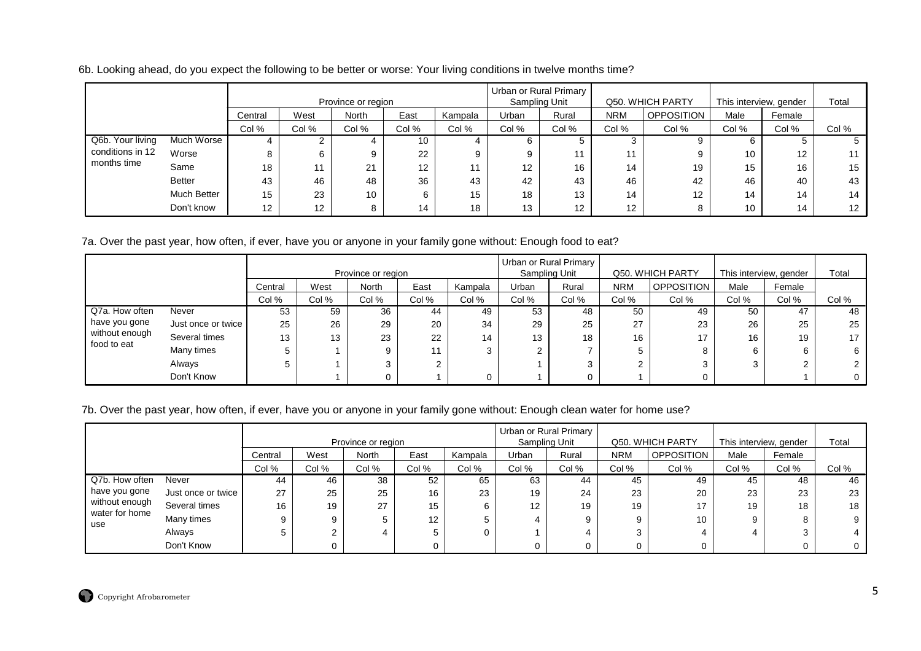6b. Looking ahead, do you expect the following to be better or worse: Your living conditions in twelve months time?

|                  |               |                   |       | Province or region |       |         | Urban or Rural Primary | Sampling Unit     |            | Q50. WHICH PARTY  |       | This interview, gender | Total |
|------------------|---------------|-------------------|-------|--------------------|-------|---------|------------------------|-------------------|------------|-------------------|-------|------------------------|-------|
|                  |               | Central           | West  | North              | East  | Kampala | Urban                  | Rural             | <b>NRM</b> | <b>OPPOSITION</b> | Male  | Female                 |       |
|                  |               | Col %             | Col % | Col %              | Col % | Col %   | Col %                  | Col %             | Col %      | Col %             | Col % | Col %                  | Col % |
| Q6b. Your living | Much Worse    |                   |       |                    | 10    |         | b                      |                   | 3          |                   |       |                        |       |
| conditions in 12 | Worse         | 8                 |       | 9                  | 22    | 9       | 9                      | 11                | 11         |                   | 10    | 12                     | 11    |
| months time      | Same          | 18                | 11    | 21                 | 12    | 11      | $12 \overline{ }$      | 16                | 14         | 19                | 15    | 16                     | 15    |
|                  | <b>Better</b> | 43                | 46    | 48                 | 36    | 43      | 42                     | 43                | 46         | 42                | 46    | 40                     | 43    |
|                  | Much Better   | 15                | 23    | 10                 | 6     | 15      | 18                     | 13                | 14         | 12                | 14    | 14                     | 14    |
|                  | Don't know    | $12 \overline{ }$ | 12    | 8                  | 14    | 18      | 13                     | $12 \overline{ }$ | 12         |                   | 10    | 14                     | 12    |

7a. Over the past year, how often, if ever, have you or anyone in your family gone without: Enough food to eat?

|                               |                    |         |       |                    |       |         | Urban or Rural Primary |               |            |                   |                        |        |                      |
|-------------------------------|--------------------|---------|-------|--------------------|-------|---------|------------------------|---------------|------------|-------------------|------------------------|--------|----------------------|
|                               |                    |         |       | Province or region |       |         |                        | Sampling Unit |            | Q50, WHICH PARTY  | This interview, gender |        | Total                |
|                               |                    | Central | West  | <b>North</b>       | East  | Kampala | Urban                  | Rural         | <b>NRM</b> | <b>OPPOSITION</b> | Male                   | Female |                      |
|                               |                    | Col %   | Col % | Col %              | Col % | Col %   | Col %                  | Col %         | Col %      | Col %             | Col %                  | Col %  | Col %                |
| Q7a. How often                | Never              | 53      | 59    | 36                 | 44    | 49      | 53                     | 48            | 50         | 49                | 50                     | 47     | 48                   |
| have you gone                 | Just once or twice | 25      | 26    | 29                 | 20    | 34      | 29                     | 25            | 27         | 23                | 26                     | 25     | 25                   |
| without enough<br>food to eat | Several times      | 13      | 13    | 23                 | 22    | 14      | 13                     | 18            | 16         | 17                | 16                     | 19     | 17                   |
|                               | Many times         |         |       | 9                  |       |         |                        |               |            |                   | 6                      |        | 6                    |
|                               | Always             |         |       |                    |       |         |                        | 3             |            |                   | 3                      |        | $\mathbf{2}^{\circ}$ |
|                               | Don't Know         |         |       |                    |       |         |                        |               |            |                   |                        |        | $\mathbf{0}$         |

#### 7b. Over the past year, how often, if ever, have you or anyone in your family gone without: Enough clean water for home use?

|                                  |                    |         |       |                    |                   |         |               | Urban or Rural Primary |            |                   |                        |        |       |
|----------------------------------|--------------------|---------|-------|--------------------|-------------------|---------|---------------|------------------------|------------|-------------------|------------------------|--------|-------|
|                                  |                    |         |       | Province or region |                   |         | Sampling Unit |                        |            | Q50. WHICH PARTY  | This interview, gender |        | Total |
|                                  |                    | Central | West  | <b>North</b>       | East              | Kampala | Urban         | Rural                  | <b>NRM</b> | <b>OPPOSITION</b> | Male                   | Female |       |
|                                  |                    | Col %   | Col % | Col %              | Col %             | Col %   | Col %         | Col %                  | Col %      | Col %             | Col %                  | Col %  | Col % |
| Q7b. How often                   | Never              | 44      | 46    | 38                 | 52                | 65      | 63            | 44                     | 45         | 49                | 45                     | 48     | 46    |
| have you gone                    | Just once or twice | 27      | 25    | 25                 | 16                | 23      | 19            | 24                     | 23         | 20                | 23                     | 23     | 23    |
| without enough<br>water for home | Several times      | 16      | 19    | 27                 | 15                | 6       | 12            | 19                     | 19         | 17                | 19                     | 18     | 18    |
| use                              | Many times         | 9       |       |                    | $12 \overline{ }$ | b       |               |                        |            | 10                | 9                      |        |       |
|                                  | Always             |         |       |                    |                   | 0       |               |                        |            |                   |                        |        |       |
|                                  | Don't Know         |         |       |                    |                   |         |               |                        |            |                   |                        |        |       |

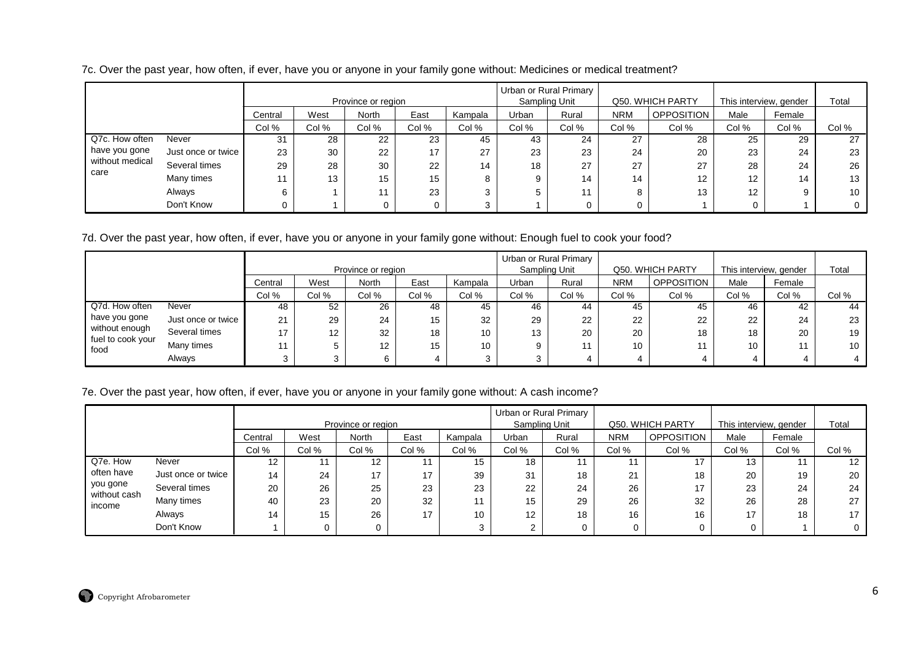|  |  | 7c. Over the past year, how often, if ever, have you or anyone in your family gone without: Medicines or medical treatment? |
|--|--|-----------------------------------------------------------------------------------------------------------------------------|
|  |  |                                                                                                                             |

|                 |                    |         |       | Province or region |       |         |       | Urban or Rural Primary<br>Sampling Unit |            | Q50. WHICH PARTY  | This interview, gender |        | Total |
|-----------------|--------------------|---------|-------|--------------------|-------|---------|-------|-----------------------------------------|------------|-------------------|------------------------|--------|-------|
|                 |                    | Central | West  | <b>North</b>       | East  | Kampala | Urban | Rural                                   | <b>NRM</b> | <b>OPPOSITION</b> | Male                   | Female |       |
|                 |                    | Col %   | Col % | Col %              | Col % | Col %   | Col % | Col %                                   | Col %      | Col %             | Col %                  | Col %  | Col % |
| Q7c. How often  | Never              | 31      | 28    | 22                 | 23    | 45      | 43    | 24                                      | 27         | 28                | 25                     | 29     | 27    |
| have you gone   | Just once or twice | 23      | 30    | 22                 | 17    | 27      | 23    | 23                                      | 24         | 20                | 23                     | 24     | 23    |
| without medical | Several times      | 29      | 28    | 30                 | 22    | 14      | 18    | 27                                      | 27         | 27                | 28                     | 24     | 26    |
| care            | Many times         |         | 13    | 15                 | 15    | 8       |       | 14                                      | 14         | $12 \overline{ }$ | 12 <sup>°</sup>        | 14     | 13    |
|                 | Always             |         |       | 11                 | 23    | 3       |       | 11                                      |            | 13                | 12                     | 9      | 10    |
|                 | Don't Know         |         |       |                    |       | 3       |       | 0                                       |            |                   |                        |        |       |

7d. Over the past year, how often, if ever, have you or anyone in your family gone without: Enough fuel to cook your food?

|                                     |                    |         |                   | Province or region |       |                 |       | Urban or Rural Primary<br>Sampling Unit |            | Q50. WHICH PARTY  | This interview, gender |        | Total |
|-------------------------------------|--------------------|---------|-------------------|--------------------|-------|-----------------|-------|-----------------------------------------|------------|-------------------|------------------------|--------|-------|
|                                     |                    | Central | West              | North              | East  | Kampala         | Urban | Rural                                   | <b>NRM</b> | <b>OPPOSITION</b> | Male                   | Female |       |
|                                     |                    | Col %   | Col %             | Col %              | Col % | Col %           | Col % | Col %                                   | Col %      | Col %             | Col %                  | Col %  | Col % |
| Q7d. How often                      | Never              | 48      | 52                | 26                 | 48    | 45              | 46    | 44                                      | 45         | 45                | 46                     | 42     | 44    |
| have you gone                       | Just once or twice | 21      | 29                | 24                 | 15    | 32              | 29    | 22                                      | 22         | 22                | 22                     | 24     | 23    |
| without enough<br>fuel to cook your | Several times      | 17      | $12 \overline{ }$ | 32                 | 18    | 10 <sup>1</sup> | 13    | 20                                      | 20         | 18                | 18                     | 20     | 19    |
| food                                | Many times         |         | 5                 | 12                 | 15    | 10 <sup>1</sup> |       |                                         | 10         |                   | 10 <sup>1</sup>        | 11     | 10    |
|                                     | Always             |         | 3                 |                    |       |                 |       | 4                                       |            |                   |                        |        |       |

## 7e. Over the past year, how often, if ever, have you or anyone in your family gone without: A cash income?

|                          |                    |         |       | Province or region |       |         |       | Urban or Rural Primary<br>Sampling Unit |            | Q50. WHICH PARTY  |       | This interview, gender | Total |
|--------------------------|--------------------|---------|-------|--------------------|-------|---------|-------|-----------------------------------------|------------|-------------------|-------|------------------------|-------|
|                          |                    | Central | West  | <b>North</b>       | East  | Kampala | Urban | Rural                                   | <b>NRM</b> | <b>OPPOSITION</b> | Male  | Female                 |       |
|                          |                    | Col %   | Col % | Col %              | Col % | Col %   | Col % | Col %                                   | Col %      | Col %             | Col % | Col %                  | Col % |
| Q7e. How                 | Never              | 12      |       | 12.                |       | 15      | 18    |                                         |            |                   | 13    |                        | 12    |
| often have               | Just once or twice | 14      | 24    | 17                 | 17    | 39      | 31    | 18                                      | 21         | 18                | 20    | 19                     | 20    |
| you gone<br>without cash | Several times      | 20      | 26    | 25                 | 23    | 23      | 22    | 24                                      | 26         | 17                | 23    | 24                     | 24    |
| income                   | Many times         | 40      | 23    | 20                 | 32    |         | 15    | 29                                      | 26         | 32                | 26    | 28                     | 27    |
|                          | Always             | 14      | 15    | 26                 | 17    | 10      | 12    | 18                                      | 16         | 16                | 17    | 18                     |       |
|                          | Don't Know         |         |       | 0                  |       |         |       | 0                                       |            |                   | 0     |                        |       |

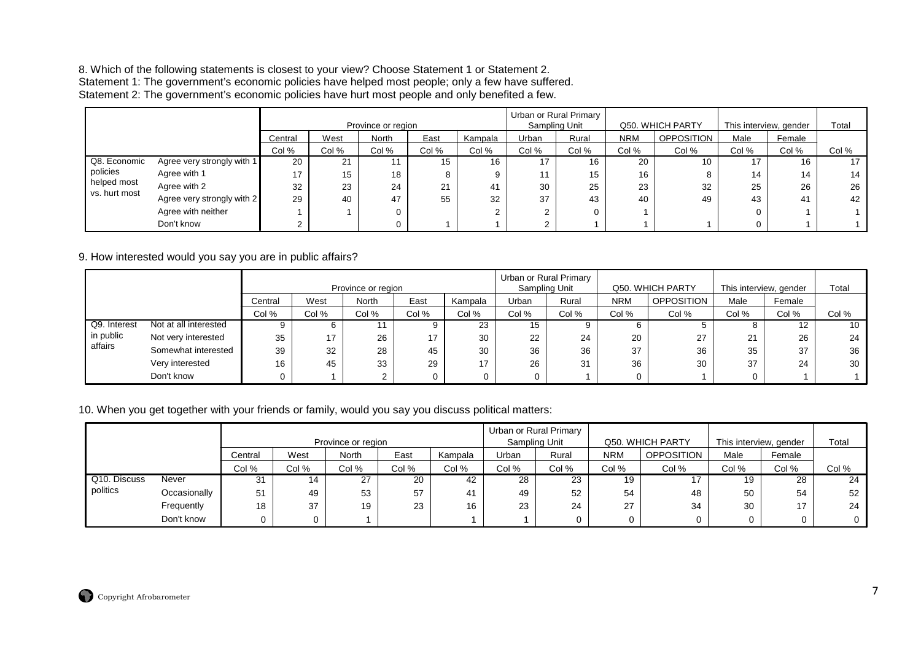# 8. Which of the following statements is closest to your view? Choose Statement 1 or Statement 2.<br>Statement 1: The government's economic policies have helped most people; only a few have suffered.<br>Statement 2: The governmen

|                              |                            |         |       | Province or region |       |         |        | Urban or Rural Primary<br>Sampling Unit |            | Q50. WHICH PARTY | This interview, gender |        | Total |
|------------------------------|----------------------------|---------|-------|--------------------|-------|---------|--------|-----------------------------------------|------------|------------------|------------------------|--------|-------|
|                              |                            | Central | West  | North              | East  | Kampala | Urban  | Rural                                   | <b>NRM</b> | OPPOSITION       | Male                   | Female |       |
|                              |                            | Col %   | Col % | Col %              | Col % | Col %   | Col %  | Col %                                   | Col %      | Col %            | Col %                  | Col %  | Col % |
| Q8. Economic                 | Agree very strongly with 1 | 20      | 21    |                    | 15    | 16      | 17     | 16                                      | 20         | 10               | 17                     | 16     | 17    |
| policies                     | Agree with 1               | 17      | 15    | 18                 | 8     |         | 11     | 15                                      | 16         |                  | 14                     | 14     | 14    |
| helped most<br>vs. hurt most | Agree with 2               | 32      | 23    | 24                 | 21    | 41      | 30     | 25                                      | 23         | 32               | 25                     | 26     | 26    |
|                              | Agree very strongly with 2 | 29      | 40    | 47                 | 55    | 32      | 37     | 43                                      | 40         | 49               | 43                     | 41     | 42    |
|                              | Agree with neither         |         |       |                    |       |         | ◠<br>∠ |                                         |            |                  |                        |        |       |
|                              | Don't know                 |         |       |                    |       |         |        |                                         |            |                  |                        |        |       |

9. How interested would you say you are in public affairs?

|              |                       |         |       |                    |       |         |       | Urban or Rural Primary<br>Sampling Unit |            |                  |                        |        | Total |
|--------------|-----------------------|---------|-------|--------------------|-------|---------|-------|-----------------------------------------|------------|------------------|------------------------|--------|-------|
|              |                       |         |       | Province or region |       |         |       |                                         |            | Q50. WHICH PARTY | This interview, gender |        |       |
|              |                       | Central | West  | North              | East  | Kampala | Urban | Rural                                   | <b>NRM</b> | OPPOSITION       | Male                   | Female |       |
|              |                       | Col %   | Col % | Col %              | Col % | Col %   | Col % | Col %                                   | Col %      | Col %            | Col %                  | Col %  | Col % |
| Q9. Interest | Not at all interested |         |       |                    |       | 23      | 15    |                                         |            |                  |                        |        | 10    |
| in public    | Not very interested   | 35      | 17    | 26                 | 17    | 30      | 22    | 24                                      | 20         | 27<br>21         | 21                     | 26     | 24    |
| affairs      | Somewhat interested   | 39      | 32    | 28                 | 45    | 30      | 36    | 36                                      | 37         | 36               | 35                     | 37     | 36    |
|              | Very interested       | 16      | 45    | 33                 | 29    | 17      | 26    | 31                                      | 36         | 30               | 37                     | 24     | 30    |
|              | Don't know            |         |       |                    |       |         |       |                                         |            |                  |                        |        |       |

#### 10. When you get together with your friends or family, would you say you discuss political matters:

|              |              |         |       |                    |       |         |       | Urban or Rural Primary |            |                   |                        |        |       |
|--------------|--------------|---------|-------|--------------------|-------|---------|-------|------------------------|------------|-------------------|------------------------|--------|-------|
|              |              |         |       | Province or region |       |         |       | Sampling Unit          |            | Q50, WHICH PARTY  | This interview, gender |        | Total |
|              |              | Central | West  | North              | East  | Kampala | Urban | Rural                  | <b>NRM</b> | <b>OPPOSITION</b> | Male                   | Female |       |
|              |              | Col %   | Col % | Col %              | Col % | Col %   | Col % | Col %                  | Col %      | Col %             | Col %                  | Col %  | Col % |
| Q10. Discuss | Never        | 31      | 14    | 27<br>$\epsilon$   | 20    | 42      | 28    | 23                     | 19         | 17                | 19                     | 28     | 24    |
| politics     | Occasionally | 51      | 49    | 53                 | 57    | 41      | 49    | 52                     | 54         | 48                | 50                     | 54     | 52    |
|              | Frequently   | 18      | 37    | 19                 | 23    | 16      | 23    | 24                     | 27         | 34                | 30                     | 17     | 24    |
|              | Don't know   |         | 0     |                    |       |         |       |                        | 0          | υ                 |                        |        |       |

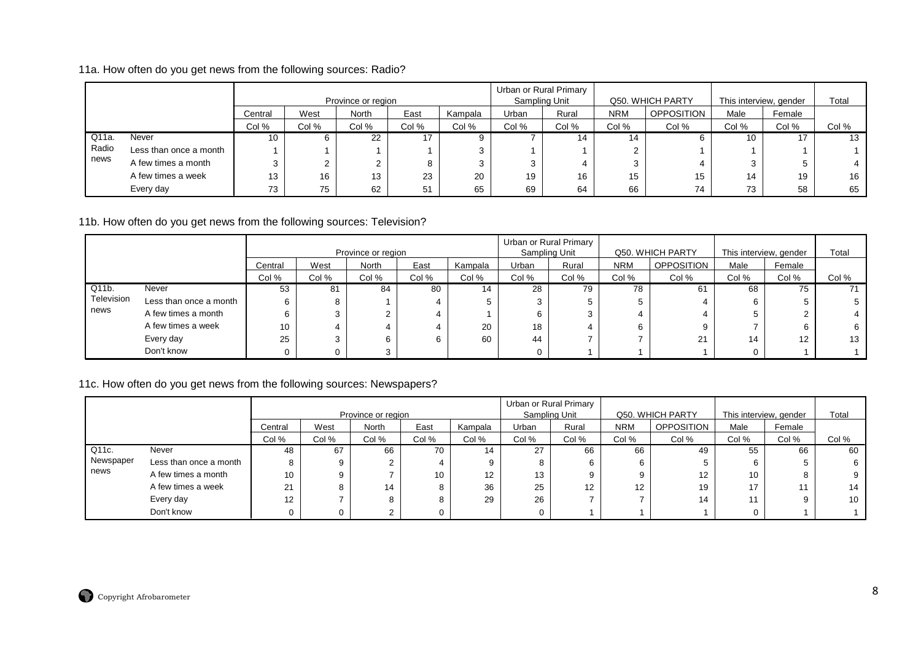## 11a. How often do you get news from the following sources: Radio?

|       |                        |         |       | Province or region |       |         |       | Urban or Rural Primary<br>Sampling Unit |            | Q50. WHICH PARTY  | This interview, gender |        | Total |
|-------|------------------------|---------|-------|--------------------|-------|---------|-------|-----------------------------------------|------------|-------------------|------------------------|--------|-------|
|       |                        | Central | West  | <b>North</b>       | East  | Kampala | Urban | Rural                                   | <b>NRM</b> | <b>OPPOSITION</b> | Male                   | Female |       |
|       |                        | Col %   | Col % | Col %              | Col % | Col %   | Col % | Col %                                   | Col %      | Col %             | Col %                  | Col %  | Col % |
| Q11a. | Never                  | 10      |       | 22                 | 47    |         |       | 14                                      | 14         |                   | 10                     | 17     | 13    |
| Radio | Less than once a month |         |       |                    |       | 3       |       |                                         |            |                   |                        |        |       |
| news  | A few times a month    | C       |       | ∠                  |       | 3       |       |                                         |            |                   |                        |        |       |
|       | A few times a week     | 13      | 16    | 13                 | 23    | 20      | 19    | 16                                      | 15         | 15                | 14                     | 19     | 16    |
|       | Every day              | 73      | 75    | 62                 | -51   | 65      | 69    | 64                                      | 66         | 74                | 73                     | 58     | 65    |

#### 11b. How often do you get news from the following sources: Television?

|            |                        |         |       |                    |       |         |       | Urban or Rural Primary |            |                   |                        |        |       |
|------------|------------------------|---------|-------|--------------------|-------|---------|-------|------------------------|------------|-------------------|------------------------|--------|-------|
|            |                        |         |       | Province or region |       |         |       | Sampling Unit          |            | Q50, WHICH PARTY  | This interview, gender |        | Total |
|            |                        | Central | West  | North              | East  | Kampala | Urban | Rural                  | <b>NRM</b> | <b>OPPOSITION</b> | Male                   | Female |       |
|            |                        | Col %   | Col % | Col %              | Col % | Col %   | Col % | Col %                  | Col %      | Col %             | Col %                  | Col %  | Col % |
| Q11b.      | Never                  | 53      | 81    | 84                 | 80    | 14      | 28    | 79                     | 78         | 61                | 68                     | 75     |       |
| Television | Less than once a month |         | 8     |                    |       |         |       | 5                      |            |                   |                        |        |       |
| news       | A few times a month    |         | 3     |                    |       |         | b     | 3                      |            |                   |                        |        |       |
|            | A few times a week     | 10      | 4     |                    |       | 20      | 18    |                        |            | 9                 |                        |        | 6     |
|            | Every day              | 25      | 3     |                    |       | 60      | 44    |                        |            | 21                | 14                     | 12     | 13    |
|            | Don't know             |         | 0     |                    |       |         |       |                        |            |                   |                        |        |       |

# 11c. How often do you get news from the following sources: Newspapers?

|           |                        |         |       | Province or region |       |         |       | Urban or Rural Primary<br>Sampling Unit |            | Q50. WHICH PARTY  | This interview, gender |        | Total |
|-----------|------------------------|---------|-------|--------------------|-------|---------|-------|-----------------------------------------|------------|-------------------|------------------------|--------|-------|
|           |                        | Central | West  | <b>North</b>       | East  | Kampala | Urban | Rural                                   | <b>NRM</b> | <b>OPPOSITION</b> | Male                   | Female |       |
|           |                        | Col %   | Col % | Col %              | Col % | Col %   | Col % | Col %                                   | Col %      | Col %             | Col %                  | Col %  | Col % |
| Q11c.     | Never                  | 48      | 67    | 66                 | 70    | 14      | 27    | 66                                      | 66         | 49                | 55                     | 66     | 60    |
| Newspaper | Less than once a month |         |       |                    |       |         |       |                                         | 6          |                   |                        |        |       |
| news      | A few times a month    | 10      |       |                    | 10    | 12      | 13    |                                         |            | $12 \overline{ }$ | 10                     |        |       |
|           | A few times a week     | 21      |       | 14                 |       | 36      | 25    | 12                                      | 12         | 19                | 17                     |        | 14    |
|           | Every day              | 12      |       |                    |       | 29      | 26    |                                         |            | 14                |                        |        | 10    |
|           | Don't know             |         |       |                    |       |         |       |                                         |            |                   |                        |        |       |

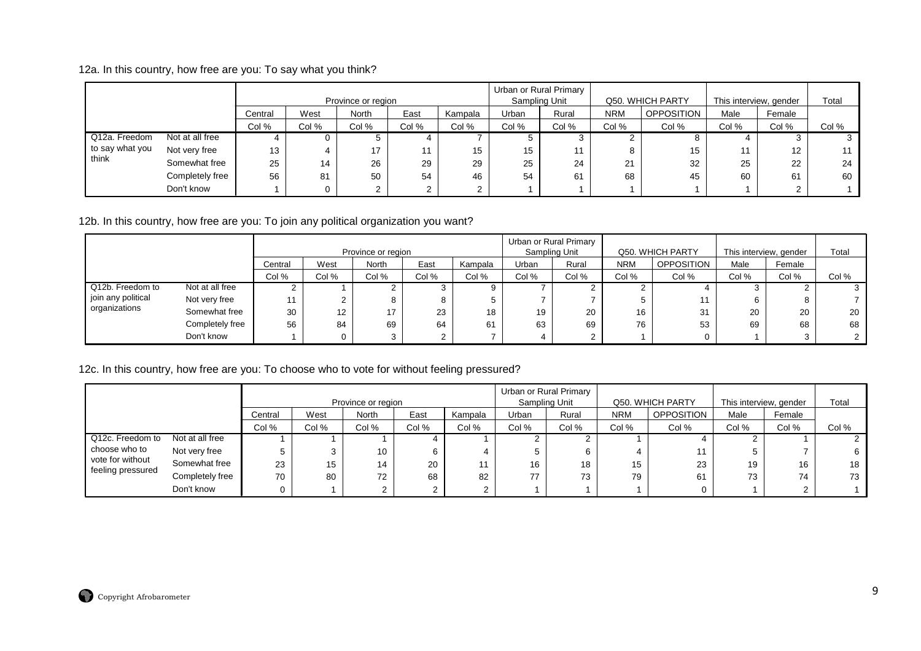12a. In this country, how free are you: To say what you think?

|                 |                 |         |       | Province or region |       |             |       | Urban or Rural Primary<br>Sampling Unit |            | Q50. WHICH PARTY  | This interview, gender |        | Total |
|-----------------|-----------------|---------|-------|--------------------|-------|-------------|-------|-----------------------------------------|------------|-------------------|------------------------|--------|-------|
|                 |                 | Central | West  | <b>North</b>       | East  | Kampala     | Urban | Rural                                   | <b>NRM</b> | <b>OPPOSITION</b> | Male                   | Female |       |
|                 |                 | Col %   | Col % | Col %              | Col % | Col %       | Col % | Col %                                   | Col %      | Col %             | Col %                  | Col %  | Col % |
| Q12a. Freedom   | Not at all free |         | O     | 5                  |       |             |       |                                         |            |                   |                        |        |       |
| to say what you | Not very free   | 13      |       | 17                 | 11    | 15          | 15    | 11                                      | 8          | 15                | 11                     | 12     |       |
| think           | Somewhat free   | 25      | 14    | 26                 | 29    | 29          | 25    | 24                                      | 21         | 32                | 25                     | 22     | 24    |
|                 | Completely free | 56      | 81    | 50                 | 54    | 46          | 54    | 61                                      | 68         | 45                | 60                     | 61     | 60    |
|                 | Don't know      |         |       | C<br>∠             | C     | ົ<br>$\sim$ |       |                                         |            |                   |                        | $\sim$ |       |

12b. In this country, how free are you: To join any political organization you want?

|                      |                 |         |                                  |                    |      |         |       | Urban or Rural Primary |            |                   |       |                        |       |
|----------------------|-----------------|---------|----------------------------------|--------------------|------|---------|-------|------------------------|------------|-------------------|-------|------------------------|-------|
|                      |                 |         |                                  | Province or region |      |         |       | Sampling Unit          |            | Q50. WHICH PARTY  |       | This interview, gender | Total |
|                      |                 | Central | West                             | North              | East | Kampala | Urban | Rural                  | <b>NRM</b> | <b>OPPOSITION</b> | Male  | Female                 |       |
|                      |                 | Col %   | Col %<br>Col %<br>Col %<br>Col % |                    |      |         |       | Col %                  | Col %      | Col %             | Col % | Col %                  | Col % |
| Q12b. Freedom to     | Not at all free |         |                                  |                    |      |         |       |                        |            |                   |       |                        |       |
| I join any political | Not very free   | 11      |                                  |                    | Õ    |         |       |                        |            |                   |       |                        |       |
| organizations        | Somewhat free   | 30      | 12                               | 17                 | 23   | 18      | 19    | 20                     | 16         | 31                | 20    | 20                     | 20    |
|                      | Completely free | 56      | 84                               | 69                 | 64   | 61      | 63    | 69                     | 76         | 53                | 69    | 68                     | 68    |
|                      | Don't know      |         |                                  |                    |      |         |       |                        |            |                   |       |                        |       |

12c. In this country, how free are you: To choose who to vote for without feeling pressured?

|                   |                 |         |       | Province or region |       |         |       | Urban or Rural Primary<br>Sampling Unit |            | Q50. WHICH PARTY  | This interview, gender |        | Total |
|-------------------|-----------------|---------|-------|--------------------|-------|---------|-------|-----------------------------------------|------------|-------------------|------------------------|--------|-------|
|                   |                 | Central | West  | North              | East  | Kampala | Urban | Rural                                   | <b>NRM</b> | <b>OPPOSITION</b> | Male                   | Female |       |
|                   |                 | Col %   | Col % | Col %              | Col % | Col %   | Col % | Col %                                   | Col %      | Col %             | Col %                  | Col %  | Col % |
| Q12c. Freedom to  | Not at all free |         |       |                    |       |         |       | ົ                                       |            |                   |                        |        |       |
| choose who to     | Not very free   |         |       | 10                 |       |         |       | 6                                       |            |                   |                        |        |       |
| vote for without  | Somewhat free   | 23      | 15    | 14                 | 20    |         | 16    | 18                                      | 15         | 23                | 19                     | 16     | 18    |
| feeling pressured | Completely free | 70      | 80    | 72                 | 68    | 82      | 77    | 73                                      | 79         | 61                | 73                     | 74     | 73    |
|                   | Don't know      |         |       | <sup>o</sup>       |       |         |       |                                         |            |                   |                        |        |       |

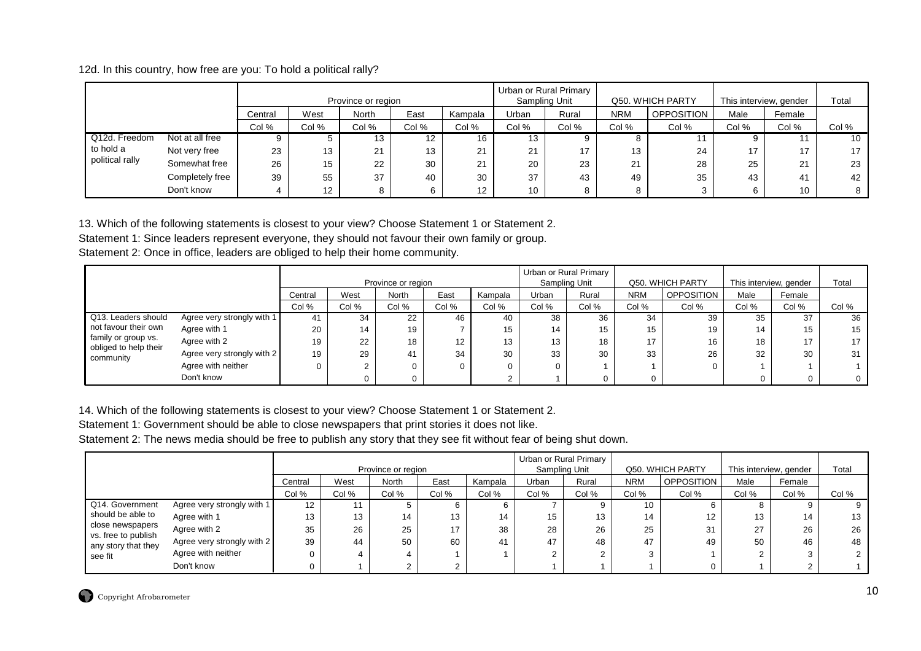12d. In this country, how free are you: To hold a political rally?

|                 |                 |         |       | Province or region |       |                   | Urban or Rural Primary | Sampling Unit |            | Q50, WHICH PARTY  | This interview, gender |        | Total |
|-----------------|-----------------|---------|-------|--------------------|-------|-------------------|------------------------|---------------|------------|-------------------|------------------------|--------|-------|
|                 |                 | Central | West  | North              | East  | Kampala           | Urban                  | Rural         | <b>NRM</b> | <b>OPPOSITION</b> | Male                   | Female |       |
|                 |                 | Col %   | Col % | Col %              | Col % | Col %             | Col %                  | Col %         | Col %      | Col %             | Col %                  | Col %  | Col % |
| Q12d. Freedom   | Not at all free | 9       |       | 13                 | 12    | 16                | 13                     |               | 8          |                   |                        | 11     | 10    |
| to hold a       | Not very free   | 23      | 13    | 21                 | 13    | 21                | 21                     | 17            | 13         | 24                | 17                     | 17     | 17    |
| political rally | Somewhat free   | 26      | 15    | 22                 | 30    | 21                | 20                     | 23            | 21         | 28                | 25                     | 21     | 23    |
|                 | Completely free | 39      | 55    | 37                 | 40    | 30                | 37                     | 43            | 49         | 35                | 43                     | 41     | 42    |
|                 | Don't know      |         | 12    | ۰                  |       | $12 \overline{ }$ | 10                     |               | 8          |                   |                        | 10     |       |

13. Which of the following statements is closest to your view? Choose Statement 1 or Statement 2.

Statement 1: Since leaders represent everyone, they should not favour their own family or group.

Statement 2: Once in office, leaders are obliged to help their home community.

|                                              |                            |         |       |                    |       |         |       | Urban or Rural Primary |            |                  |       |                        |                 |
|----------------------------------------------|----------------------------|---------|-------|--------------------|-------|---------|-------|------------------------|------------|------------------|-------|------------------------|-----------------|
|                                              |                            |         |       | Province or region |       |         |       | Sampling Unit          |            | Q50. WHICH PARTY |       | This interview, gender | Total           |
|                                              |                            | Central | West  | North              | East  | Kampala | Urban | Rural                  | <b>NRM</b> | OPPOSITION       | Male  | Female                 |                 |
|                                              |                            | Col %   | Col % | Col %              | Col % | Col %   | Col % | Col %                  | Col %      | Col %            | Col % | Col %                  | Col %           |
| Q13. Leaders should                          | Agree very strongly with 1 | 41      | 34    | 22                 | 46    | 40      | 38    | 36                     | 34         | 39               | 35    | 37                     | 36              |
| not favour their own                         | Agree with 1               | 20      | 14    | 19                 |       | 15      | 14    | 15                     | 15         | 19               | 14    | 15                     | 15              |
| family or group vs.<br>obliged to help their | Agree with 2               | 19      | 22    | 18                 | 12    | 13      | 13    | 18                     | 17         | 16               | 18    | 17                     | 17 <sub>1</sub> |
| community                                    | Agree very strongly with 2 | 19      | 29    |                    | 34    | 30      | 33    | 30                     | 33         | 26               | 32    | 30                     | 31 <sub>1</sub> |
|                                              | Agree with neither         | 0       |       |                    | 0     |         |       |                        |            |                  |       |                        |                 |
|                                              | Don't know                 |         |       |                    |       |         |       | $\Omega$               |            |                  |       | ∩                      | $\mathbf{0}$    |

14. Which of the following statements is closest to your view? Choose Statement 1 or Statement 2.

Statement 1: Government should be able to close newspapers that print stories it does not like.

Statement 2: The news media should be free to publish any story that they see fit without fear of being shut down.

|                                         |                            |         |       |                    |       |         |               | Urban or Rural Primary |            |                  |                        |        |       |
|-----------------------------------------|----------------------------|---------|-------|--------------------|-------|---------|---------------|------------------------|------------|------------------|------------------------|--------|-------|
|                                         |                            |         |       | Province or region |       |         | Sampling Unit |                        |            | Q50. WHICH PARTY | This interview, gender |        | Total |
|                                         |                            | Central | West  | North              | East  | Kampala | Jrban         | Rural                  | <b>NRM</b> | OPPOSITION       | Male                   | Female |       |
|                                         |                            | Col %   | Col % | Col %              | Col % | Col %   | Col %         | Col %                  | Col %      | Col %            | Col %                  | Col %  | Col % |
| Q14. Government                         | Agree very strongly with 1 | 12      | 11    |                    |       | 6.      |               |                        | 10         |                  |                        |        |       |
| should be able to                       | Agree with 1               | 13      | 13    | 14                 | 13    | 14      | 15            | 13                     | 14         | 12               | 13                     | 14     | 13    |
| close newspapers<br>vs. free to publish | Agree with 2               | 35      | 26    | 25                 | 17    | 38      | 28            | 26                     | 25         | 31               | 27                     | 26     | 26    |
| any story that they                     | Agree very strongly with 2 | 39      | 44    | 50                 | 60    | 41      | 47            | 48                     | 47         | 49               | 50                     | 46     | 48    |
| see fit                                 | Agree with neither         |         |       |                    |       |         |               |                        |            |                  |                        |        |       |
|                                         | Don't know                 |         |       |                    |       |         |               |                        |            |                  |                        |        |       |

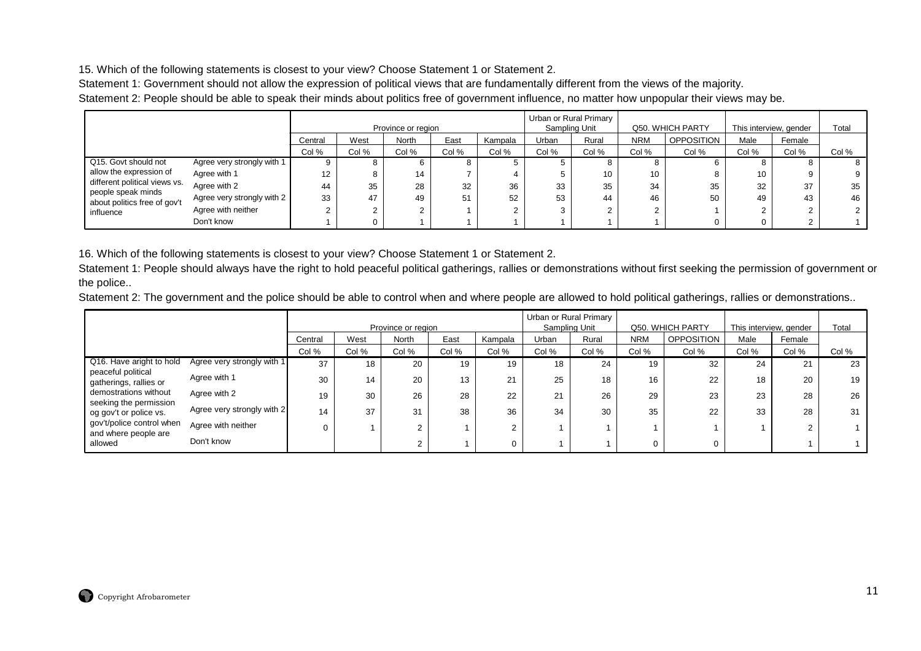15. Which of the following statements is closest to your view? Choose Statement 1 or Statement 2.

Statement 1: Government should not allow the expression of political views that are fundamentally different from the views of the majority.

Statement 2: People should be able to speak their minds about politics free of government influence, no matter how unpopular their views may be.

|                                                       |                            |         |       | Province or region |       |         | Urban or Rural Primary | Sampling Unit |                 | Q50. WHICH PARTY  | This interview, gender |        | Total |
|-------------------------------------------------------|----------------------------|---------|-------|--------------------|-------|---------|------------------------|---------------|-----------------|-------------------|------------------------|--------|-------|
|                                                       |                            | Central | West  | <b>North</b>       | East  | Kampala | Urban                  | Rural         | <b>NRM</b>      | <b>OPPOSITION</b> | Male                   | Female |       |
|                                                       |                            | Col %   | Col % | Col %              | Col % | Col %   | Col %                  | Col %         | Col %           | Col %             | Col %                  | Col %  | Col % |
| Q15. Govt should not                                  | Agree very strongly with 1 |         |       |                    |       |         |                        |               |                 |                   |                        |        |       |
| allow the expression of                               | Agree with 1               | 12      |       | 14                 |       |         |                        | 10            | 10 <sup>°</sup> | 8                 | 10                     |        | 9     |
| different political views vs.<br>I people speak minds | Agree with 2               | 44      | 35    | 28                 | 32    | 36      | 33                     | 35            | 34              | 35                | 32                     | 37     | 35    |
| about politics free of gov't                          | Agree very strongly with 2 | 33      | 47    | 49                 | 51    | 52      | 53                     | 44            | 46              | 50                | 49                     | 43     | 46    |
| influence                                             | Agree with neither         |         |       | ◠<br>∠             |       |         |                        |               |                 |                   |                        |        |       |
|                                                       | Don't know                 |         |       |                    |       |         |                        |               |                 |                   |                        |        |       |

16. Which of the following statements is closest to your view? Choose Statement 1 or Statement 2.

Statement 1: People should always have the right to hold peaceful political gatherings, rallies or demonstrations without first seeking the permission of government or the police..

Statement 2: The government and the police should be able to control when and where people are allowed to hold political gatherings, rallies or demonstrations..

|                                                   |                            |         |       | Province or region |       |            |       | Urban or Rural Primary<br>Sampling Unit |            | Q50. WHICH PARTY  |       | This interview, gender | Total |
|---------------------------------------------------|----------------------------|---------|-------|--------------------|-------|------------|-------|-----------------------------------------|------------|-------------------|-------|------------------------|-------|
|                                                   |                            | Central | West  | <b>North</b>       | East  | Kampala    | Urban | Rural                                   | <b>NRM</b> | <b>OPPOSITION</b> | Male  | Female                 |       |
|                                                   |                            | Col %   | Col % | Col %              | Col % | Col %      | Col % | Col %                                   | Col %      | Col %             | Col % | Col %                  | Col % |
| Q16. Have aright to hold                          | Agree very strongly with 1 | 37      | 18    | 20                 | 19    | 19         | 18    | 24                                      | 19         | 32                | 24    | 21                     | 23    |
| peaceful political<br>gatherings, rallies or      | Agree with 1               | 30      | 14    | 20                 | 13    | 21         | 25    | 18                                      | 16         | 22                | 18    | 20                     | 19    |
| demostrations without<br>seeking the permission   | Agree with 2               | 19      | 30    | 26                 | 28    | 22         | 21    | 26                                      | 29         | 23                | 23    | 28                     | 26    |
| og gov't or police vs.                            | Agree very strongly with 2 | 14      | 37    | 31                 | 38    | 36         | 34    | 30                                      | 35         | 22                | 33    | 28                     | 31    |
| gov't/police control when<br>and where people are | Agree with neither         |         |       | $\sim$             |       | $\sqrt{2}$ |       |                                         |            |                   |       |                        |       |
| allowed                                           | Don't know                 |         |       | $\sim$             |       |            |       |                                         |            |                   |       |                        |       |

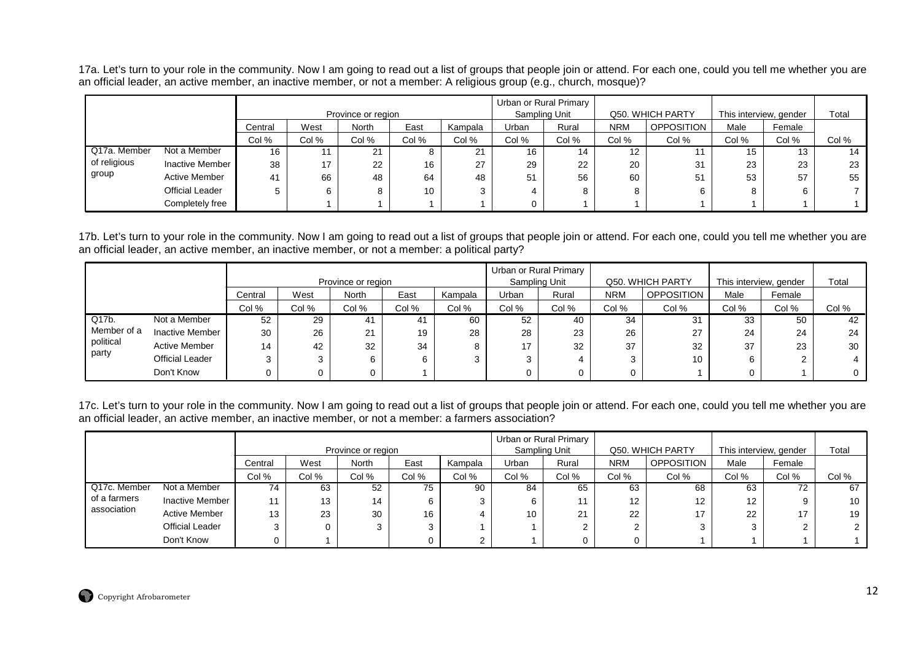17a. Let's turn to your role in the community. Now I am going to read out a list of groups that people join or attend. For each one, could you tell me whether you are an official leader, an active member, an inactive member, or not a member: A religious group (e.g., church, mosque)?

|              |                        |         |       | Province or region |       |            | Urban or Rural Primary | Sampling Unit |            | Q50, WHICH PARTY  | This interview, gender |        | Total |
|--------------|------------------------|---------|-------|--------------------|-------|------------|------------------------|---------------|------------|-------------------|------------------------|--------|-------|
|              |                        | Central | West  | <b>North</b>       | East  | Kampala    | Urban                  | Rural         | <b>NRM</b> | <b>OPPOSITION</b> | Male                   | Female |       |
|              |                        | Col %   | Col % | Col %              | Col % | Col %      | Col %                  | Col %         | Col %      | Col %             | Col %                  | Col %  | Col % |
| Q17a. Member | Not a Member           | 16      |       | 21                 |       | $^{\circ}$ | 16                     | 14            | 12         |                   | 15                     | 13     | 14    |
| of religious | Inactive Member        | 38      | 17    | 22                 | 16    | 27         | 29                     | 22            | 20         | 31                | 23                     | 23     | 23    |
| group        | <b>Active Member</b>   | 41      | 66    | 48                 | 64    | 48         | 51                     | 56            | 60         | 51                | 53                     | 57     | 55    |
|              | <b>Official Leader</b> |         | 6.    | 8                  | 10    | 3          |                        |               |            | 6                 | 8                      | 6      |       |
|              | Completely free        |         |       |                    |       |            |                        |               |            |                   |                        |        |       |

17b. Let's turn to your role in the community. Now I am going to read out a list of groups that people join or attend. For each one, could you tell me whether you are an official leader, an active member, an inactive member, or not a member: a political party?

|             |                        |         |         | Province or region   |       |         | Urban or Rural Primary | Sampling Unit |            | Q50. WHICH PARTY  | This interview, gender |        | Total |
|-------------|------------------------|---------|---------|----------------------|-------|---------|------------------------|---------------|------------|-------------------|------------------------|--------|-------|
|             |                        | Central | West    | North                | East  | Kampala | Urban                  | Rural         | <b>NRM</b> | <b>OPPOSITION</b> | Male                   | Female |       |
|             |                        | Col %   | Col %   | Col %                | Col % | Col %   | Col %                  | Col %         | Col %      | Col %             | Col %                  | Col %  | Col % |
| Q17b.       | Not a Member           | 52      | 29      | 41                   | 41    | 60      | 52                     | 40            | 34         | 31                | 33                     | 50     | 42    |
| Member of a | Inactive Member        | 30      | 26      | $\Omega$<br>$\sim$ 1 | 19    | 28      | 28                     | 23            | 26         | 27                | 24                     | 24     | 24    |
| political   | <b>Active Member</b>   | 14      | 42      | 32                   | 34    |         | 17                     | 32            | 37         | 32                | 37                     | 23     | 30    |
| party       | <b>Official Leader</b> |         | ົ<br>۰J | 6                    | 6     |         |                        |               | ົ          | 10                | 6                      |        |       |
|             | Don't Know             |         |         | O                    |       |         |                        |               |            |                   | 0                      |        |       |

17c. Let's turn to your role in the community. Now I am going to read out a list of groups that people join or attend. For each one, could you tell me whether you are<br>an official leader, an active member, an inactive membe

|              |                        |         |       | Province or region |       |         | Urban or Rural Primary | Sampling Unit |            | Q50, WHICH PARTY  | This interview, gender |        | Total |
|--------------|------------------------|---------|-------|--------------------|-------|---------|------------------------|---------------|------------|-------------------|------------------------|--------|-------|
|              |                        | Central | West  | <b>North</b>       | East  | Kampala | Urban                  | Rural         | <b>NRM</b> | <b>OPPOSITION</b> | Male                   | Female |       |
|              |                        | Col %   | Col % | Col %              | Col % | Col %   | Col %                  | Col %         | Col %      | Col %             | Col %                  | Col %  | Col % |
| Q17c. Member | Not a Member           | 74      | 63    | 52                 | 75    | 90      | 84                     | 65            | 63         | 68                | 63                     | 72     | 67    |
| of a farmers | Inactive Member        | 11      | 13    | 14                 | 6     | 3       |                        |               | 12         | 12 <sup>°</sup>   | 12                     | 9      | 10    |
| association  | Active Member          | 13      | 23    | 30                 | 16    | 4       | 10                     | 21            | 22         | 17                | 22                     | 17     | 19    |
|              | <b>Official Leader</b> | 3       |       | 3                  | ◠     |         |                        |               |            |                   |                        |        |       |
|              | Don't Know             |         |       |                    |       | ົ       |                        |               |            |                   |                        |        |       |

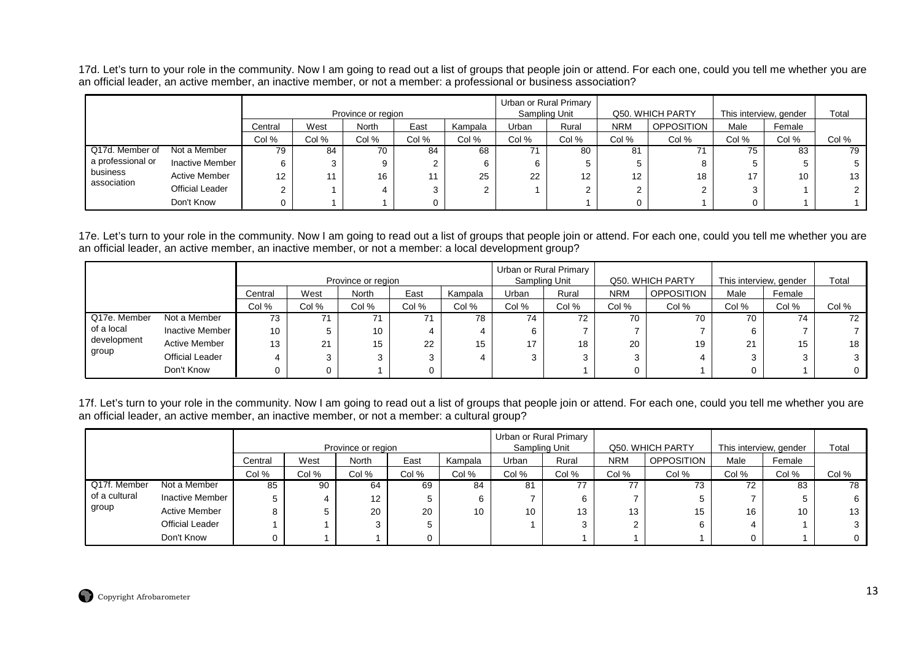17d. Let's turn to your role in the community. Now I am going to read out a list of groups that people join or attend. For each one, could you tell me whether you are an official leader, an active member, an inactive member, or not a member: a professional or business association?

|                   |                        |         |       | Province or region |       |         | Urban or Rural Primary | Sampling Unit |            | Q50. WHICH PARTY  | This interview, gender |        | Total |
|-------------------|------------------------|---------|-------|--------------------|-------|---------|------------------------|---------------|------------|-------------------|------------------------|--------|-------|
|                   |                        | Central | West  | <b>North</b>       | East  | Kampala | Urban                  | Rural         | <b>NRM</b> | <b>OPPOSITION</b> | Male                   | Female |       |
|                   |                        | Col %   | Col % | Col %              | Col % | Col %   | Col %                  | Col %         | Col %      | Col %             | Col %                  | Col %  | Col % |
| Q17d. Member of   | Not a Member           | 79      | 84    | 70                 | 84    | 68      |                        | 80            | 81         |                   | 75                     | 83     | 79    |
| a professional or | <b>Inactive Member</b> | 6       |       | 9                  |       | 6       |                        | 5             |            |                   |                        |        |       |
| business          | <b>Active Member</b>   | 12      |       | 16                 |       | 25      | 22                     | 12            | 12         | 18                |                        | 10     | 13    |
| association       | <b>Official Leader</b> | ⌒       |       |                    |       | ◠       |                        | 2             |            |                   | 3                      |        |       |
|                   | Don't Know             |         |       |                    |       |         |                        |               |            |                   | 0                      |        |       |

17e. Let's turn to your role in the community. Now I am going to read out a list of groups that people join or attend. For each one, could you tell me whether you are an official leader, an active member, an inactive member, or not a member: a local development group?

|              |                        |         |       | Province or region |       |         | Urban or Rural Primary<br>Sampling Unit |       |            | Q50, WHICH PARTY  | This interview, gender |        | Total |
|--------------|------------------------|---------|-------|--------------------|-------|---------|-----------------------------------------|-------|------------|-------------------|------------------------|--------|-------|
|              |                        | Central | West  | <b>North</b>       | East  | Kampala | Urban                                   | Rural | <b>NRM</b> | <b>OPPOSITION</b> | Male                   | Female |       |
|              |                        | Col %   | Col % | Col %              | Col % | Col %   | Col %                                   | Col % | Col %      | Col %             | Col %                  | Col %  | Col % |
| Q17e. Member | Not a Member           | 73      | 74    | 71                 |       | 78      | 74                                      | 72    | 70         | 70                | 70                     | 74     | 72    |
| of a local   | Inactive Member        | 10      |       | 10                 |       | 4       | 6                                       |       |            |                   |                        |        |       |
| development  | <b>Active Member</b>   | 13      | 21    | 15                 | 22    | 15      | 17                                      | 18    | 20         | 19                | 21                     | 15     | 18    |
| group        | <b>Official Leader</b> | 4       |       | 3                  | ◠     | 4       |                                         |       |            |                   |                        |        |       |
|              | Don't Know             |         |       |                    |       |         |                                         |       |            |                   |                        |        |       |

17f. Let's turn to your role in the community. Now I am going to read out a list of groups that people join or attend. For each one, could you tell me whether you are an official leader, an active member, an inactive member, or not a member: a cultural group?

|               |                        |         |       | Province or region |       |         | Urban or Rural Primary<br>Sampling Unit |       |            | Q50. WHICH PARTY  | This interview, gender |        | Total |
|---------------|------------------------|---------|-------|--------------------|-------|---------|-----------------------------------------|-------|------------|-------------------|------------------------|--------|-------|
|               |                        | Central | West  | <b>North</b>       | East  | Kampala | Urban                                   | Rural | <b>NRM</b> | <b>OPPOSITION</b> | Male                   | Female |       |
|               |                        | Col %   | Col % | Col %              | Col % | Col %   | Col %                                   | Col % | Col %      | Col %             | Col %                  | Col %  | Col % |
| Q17f. Member  | Not a Member           | 85      | 90    | 64                 | 69    | 84      | 81                                      | 77    | 77         | د ،               | 72                     | 83     | 78    |
| of a cultural | <b>Inactive Member</b> |         |       | $12 \overline{ }$  |       |         |                                         | 6     |            |                   |                        |        |       |
| group         | <b>Active Member</b>   |         |       | 20                 | 20    | 10      | 10                                      | 13    | 13         | 15                | 16                     | 10     | 13    |
|               | <b>Official Leader</b> |         |       |                    |       |         |                                         |       |            |                   | 4                      |        |       |
|               | Don't Know             |         |       |                    |       |         |                                         |       |            |                   | 0                      |        |       |

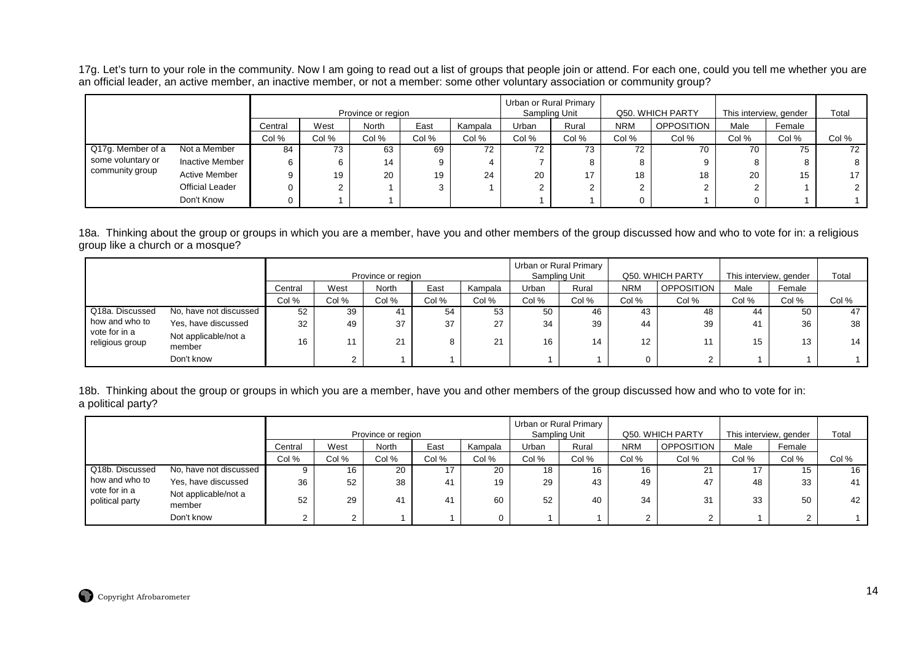17g. Let's turn to your role in the community. Now I am going to read out a list of groups that people join or attend. For each one, could you tell me whether you are an official leader, an active member, an inactive member, or not a member: some other voluntary association or community group?

|                   |                        |         |       | Province or region |       |         | Sampling Unit | Urban or Rural Primary |            | Q50. WHICH PARTY  | This interview, gender |        | Total |
|-------------------|------------------------|---------|-------|--------------------|-------|---------|---------------|------------------------|------------|-------------------|------------------------|--------|-------|
|                   |                        | Central | West  | North              | East  | Kampala | Urban         | Rural                  | <b>NRM</b> | <b>OPPOSITION</b> | Male                   | Female |       |
|                   |                        | Col %   | Col % | Col %              | Col % | Col %   | Col %         | Col %                  | Col %      | Col %             | Col %                  | Col %  | Col % |
| Q17g. Member of a | Not a Member           | 84      | 73    | 63                 | 69    | 72      | 72            | 73                     | 72         | 70                | 70                     | 75     | 72    |
| some voluntary or | <b>Inactive Member</b> |         | 6     | 14                 | 9     |         |               | 8                      | 8          |                   | 8                      |        |       |
| community group   | <b>Active Member</b>   |         | 19    | 20                 | 19    | 24      | 20            | 17                     | 18         | 18                | 20                     | 15     | 17    |
|                   | <b>Official Leader</b> |         |       |                    | 3     |         |               | ົ                      | ⌒          |                   | ົ<br>∠                 |        |       |
|                   | Don't Know             |         |       |                    |       |         |               |                        |            |                   |                        |        |       |

18a. Thinking about the group or groups in which you are a member, have you and other members of the group discussed how and who to vote for in: a religious group like a church or a mosque?

|                                        |                                |         |      | Province or region |      |                  | Sampling Unit | Urban or Rural Primary |            | Q50. WHICH PARTY  | This interview, gender |        | Total |
|----------------------------------------|--------------------------------|---------|------|--------------------|------|------------------|---------------|------------------------|------------|-------------------|------------------------|--------|-------|
|                                        |                                | Central | West | North              | East | Kampala          | Urban         | Rural                  | <b>NRM</b> | <b>OPPOSITION</b> | Male                   | Female |       |
| Col %<br>Col %<br>Col %<br>Col %<br>52 |                                |         |      |                    |      | Col %            | Col %         | Col %                  | Col %      | Col %             | Col %                  | Col %  | Col % |
| Q18a. Discussed                        | No, have not discussed         | 39      | 41   | 54                 | 53   | 50               | 46            | 43                     | 48         | 44                | 50                     | 47     |       |
| how and who to                         | Yes, have discussed            | 32      | 49   | 37                 | 37   | 27               | 34            | 39                     | 44         | 39                | 41                     | 36     | 38    |
| vote for in a<br>religious group       | Not applicable/not a<br>member | 16      |      | 21                 |      | $^{\circ}$<br>∠⊣ | 16            | 14                     | 12         |                   | 15                     | 13     | 14    |
|                                        | Don't know                     |         |      |                    |      |                  |               |                        |            | $\sim$            |                        |        |       |

18b. Thinking about the group or groups in which you are a member, have you and other members of the group discussed how and who to vote for in: a political party?

|                                  |                                |         |       | Province or region |       |          | Sampling Unit | Urban or Rural Primary |            | Q50. WHICH PARTY | This interview, gender |        | Total |
|----------------------------------|--------------------------------|---------|-------|--------------------|-------|----------|---------------|------------------------|------------|------------------|------------------------|--------|-------|
|                                  |                                | Central | West  | <b>North</b>       | East  | Kampala  | Urban         | Rural                  | <b>NRM</b> | OPPOSITION       | Male                   | Female |       |
|                                  |                                | Col %   | Col % | Col %              | Col % | Col %    | Col %         | Col %                  | Col %      | Col %            | Col %                  | Col %  | Col % |
| Q18b. Discussed                  | No, have not discussed         |         | 16    | 20                 |       | 20       | 18            | 16                     | 16         | 21               |                        | 15     | 16    |
| how and who to                   | Yes, have discussed            | 36      | 52    | 38                 | 41    | 19       | 29            | 43                     | 49         | 47               | 48                     | 33     | 41    |
| vote for in a<br>political party | Not applicable/not a<br>member | 52      | 29    | 41                 | 41    | 60       | 52            | 40                     | 34         | 31               | 33                     | 50     | 42    |
|                                  | Don't know                     |         |       |                    |       | $\Omega$ |               |                        |            | $\sim$           |                        |        |       |

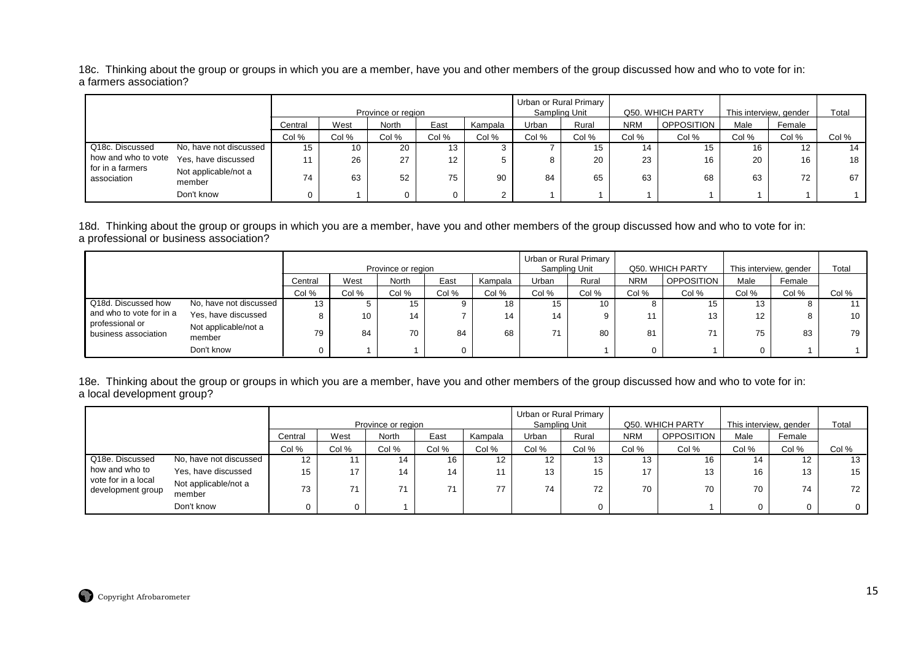18c. Thinking about the group or groups in which you are a member, have you and other members of the group discussed how and who to vote for in: a farmers association?

|                                 |                                |         |       | Province or region |       |         |       | Urban or Rural Primary<br>Sampling Unit |            | Q50. WHICH PARTY  | This interview, gender |        | Total |
|---------------------------------|--------------------------------|---------|-------|--------------------|-------|---------|-------|-----------------------------------------|------------|-------------------|------------------------|--------|-------|
|                                 |                                | Central | West  | North              | East  | Kampala | Urban | Rural                                   | <b>NRM</b> | <b>OPPOSITION</b> | Male                   | Female |       |
|                                 |                                | Col %   | Col % | Col %              | Col % | Col %   | Col % | Col %                                   | Col %      | Col %             | Col %                  | Col %  | Col % |
| Q18c. Discussed                 | No, have not discussed         | 15      | 10    | 20                 | 13    |         |       | 15                                      | 14         | 15                | 16                     | 12     | 14    |
| how and who to vote             | Yes, have discussed            |         | 26    | 27                 | 12    | 5       |       | 20                                      | 23         | 16                | 20                     | 16     | 18    |
| for in a farmers<br>association | Not applicable/not a<br>member | 74      | 63    | 52                 | 75    | 90      | 84    | 65                                      | 63         | 68                | 63                     | 72     | 67    |
|                                 | Don't know                     |         |       |                    |       | 2       |       |                                         |            |                   |                        |        |       |

18d. Thinking about the group or groups in which you are a member, have you and other members of the group discussed how and who to vote for in: a professional or business association?

|                                         |                                |          |       | Province or region |       |         |       | Urban or Rural Primary<br>Sampling Unit |            | Q50. WHICH PARTY  | This interview, gender |        | Total |
|-----------------------------------------|--------------------------------|----------|-------|--------------------|-------|---------|-------|-----------------------------------------|------------|-------------------|------------------------|--------|-------|
|                                         |                                | Central  | West  | <b>North</b>       | East  | Kampala | Urban | Rural                                   | <b>NRM</b> | <b>OPPOSITION</b> | Male                   | Female |       |
|                                         |                                | Col %    | Col % | Col %              | Col % | Col %   | Col % | Col %                                   | Col %      | Col %             | Col %                  | Col %  | Col % |
| Q18d. Discussed how                     | No, have not discussed         | 13       |       | 15                 |       | 18      | 15    | 10                                      | 8          | 15                | 10                     |        | 11    |
| and who to vote for in a                | Yes, have discussed            | Õ        | 10    | 14                 |       | 14      | 14    |                                         | 11         | 13                | 12                     |        | 10    |
| professional or<br>business association | Not applicable/not a<br>member | 79       | 84    | 70                 | 84    | 68      | 74    | 80                                      | 81         |                   | 75                     | 83     | 79    |
|                                         | Don't know                     | $\Omega$ |       |                    | 0     |         |       |                                         | 0          |                   |                        |        |       |

18e. Thinking about the group or groups in which you are a member, have you and other members of the group discussed how and who to vote for in: a local development group?

|                                          |                                |         |       | Province or region |       |         |                   | Urban or Rural Primary<br>Sampling Unit |            | Q50. WHICH PARTY | This interview, gender |        | Total        |
|------------------------------------------|--------------------------------|---------|-------|--------------------|-------|---------|-------------------|-----------------------------------------|------------|------------------|------------------------|--------|--------------|
|                                          |                                | Central | West  | North              | East  | Kampala | Urban             | Rural                                   | <b>NRM</b> | OPPOSITION       | Male                   | Female |              |
|                                          |                                | Col %   | Col % | Col %              | Col % | Col %   | Col %             | Col %                                   | Col %      | Col %            | Col %                  | Col %  | Col %        |
| Q18e. Discussed                          | No, have not discussed         | 12      | 11    | 14                 | 16    | 12      | $12 \overline{ }$ | 13                                      | 13         | 16               | 14                     | 12.    | 13           |
| how and who to                           | Yes, have discussed            | 15      | 17    | 14                 | 14    | 11.     | 13                | 15                                      | 17         | 13               | 16                     | 13     | 15           |
| vote for in a local<br>development group | Not applicable/not a<br>member | 73      | 71    | 74                 |       | 77      | 74                | 72                                      | 70         | 70               | 70                     | 74     | 72           |
|                                          | Don't know                     |         | 0     |                    |       |         |                   |                                         |            |                  |                        |        | $\mathbf{0}$ |

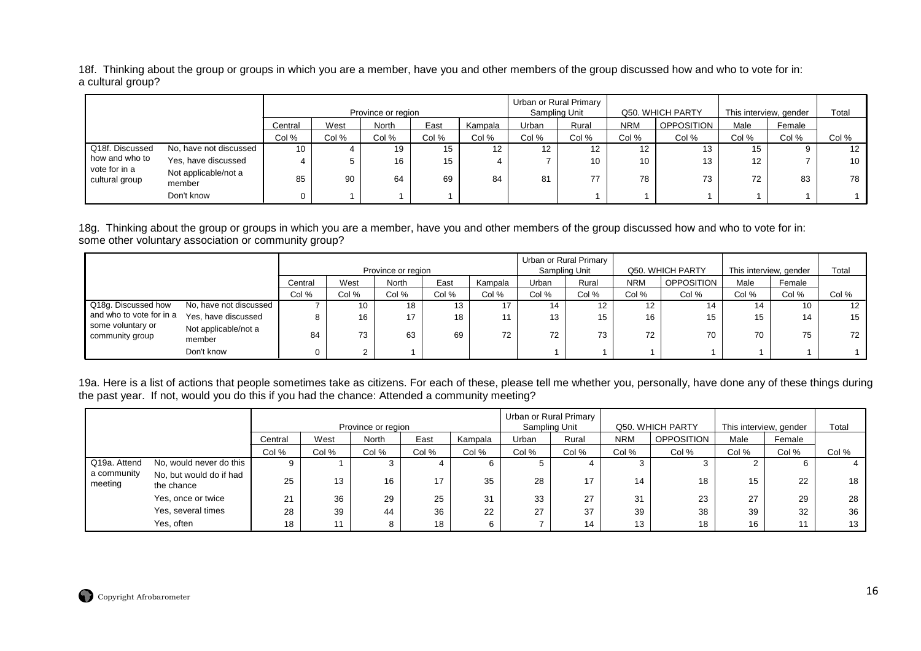18f. Thinking about the group or groups in which you are a member, have you and other members of the group discussed how and who to vote for in: a cultural group?

|                                 |                                |                 |       | Province or region |       |         |                   | Urban or Rural Primary<br>Sampling Unit |            | Q50. WHICH PARTY  | This interview, gender |        | Total           |
|---------------------------------|--------------------------------|-----------------|-------|--------------------|-------|---------|-------------------|-----------------------------------------|------------|-------------------|------------------------|--------|-----------------|
|                                 |                                | Central         | West  | North              | East  | Kampala | Urban             | Rural                                   | <b>NRM</b> | <b>OPPOSITION</b> | Male                   | Female |                 |
|                                 |                                | Col %           | Col % | Col %              | Col % | Col %   | Col %             | Col %                                   | Col %      | Col %             | Col %                  | Col %  | Col %           |
| Q18f. Discussed                 | No, have not discussed         | 10 <sup>°</sup> |       | 19                 | 15    | 12.     | $12 \overline{ }$ | 12.                                     | 12         | 13                | 15                     |        | 12              |
| how and who to                  | Yes, have discussed            |                 |       | 16                 | 15    |         |                   | 10                                      | 10         | 13                | 12                     |        | 10 <sup>1</sup> |
| vote for in a<br>cultural group | Not applicable/not a<br>member | 85              | 90    | 64                 | 69    | 84      | 81                | 77                                      | 78         | 73                | 72                     | 83     | 78              |
|                                 | Don't know                     |                 |       |                    |       |         |                   |                                         |            |                   |                        |        |                 |

18g. Thinking about the group or groups in which you are a member, have you and other members of the group discussed how and who to vote for in: some other voluntary association or community group?

|                                      |                                |         |       |                    |                  |         |       | Urban or Rural Primary |                  |                   |       |                        |                   |
|--------------------------------------|--------------------------------|---------|-------|--------------------|------------------|---------|-------|------------------------|------------------|-------------------|-------|------------------------|-------------------|
|                                      |                                |         |       | Province or region |                  |         |       | Sampling Unit          |                  | Q50. WHICH PARTY  |       | This interview, gender | Total             |
|                                      |                                | Central | West  | North              | East             | Kampala | Urban | Rural                  | <b>NRM</b>       | <b>OPPOSITION</b> | Male  | Female                 |                   |
|                                      |                                | Col %   | Col % | Col %              | Col %            | Col %   | Col % | Col %                  | Col %            | Col %             | Col % | Col %                  | Col %             |
| Q18g. Discussed how                  | No, have not discussed         |         | 10    | 18                 | 13 <sup>13</sup> | 17      | 14    | 12                     | 12 <sup>12</sup> | 14                | 14    | 10                     | $12 \overline{ }$ |
| and who to vote for in a             | Yes, have discussed            | 8       | 16    | 17                 | 18               | 11      | 13    | 15                     | 16               | 15                | 15    | 14                     | 15                |
| some voluntary or<br>community group | Not applicable/not a<br>member | 84      | 73    | 63                 | 69               | 72      | 72    | 73                     | 72               | 70                | 70    | 75                     | 72                |
|                                      | Don't know                     | 0       |       |                    |                  |         |       |                        |                  |                   |       |                        |                   |

19a. Here is a list of actions that people sometimes take as citizens. For each of these, please tell me whether you, personally, have done any of these things during the past year. If not, would you do this if you had the chance: Attended a community meeting?

|                        |                                       |         |       | Province or region |       |         | Sampling Unit | Urban or Rural Primary |            | Q50. WHICH PARTY  | This interview, gender |        | Total |
|------------------------|---------------------------------------|---------|-------|--------------------|-------|---------|---------------|------------------------|------------|-------------------|------------------------|--------|-------|
|                        |                                       | Central | West  | North              | East  | Kampala | Urban         | Rural                  | <b>NRM</b> | <b>OPPOSITION</b> | Male                   | Female |       |
|                        |                                       | Col %   | Col % | Col %              | Col % | Col %   | Col %         | Col %                  | Col %      | Col %             | Col %                  | Col %  | Col % |
| Q19a. Attend           | No, would never do this               |         |       |                    |       |         | D.            |                        |            |                   |                        |        |       |
| a community<br>meeting | No, but would do if had<br>the chance | 25      | 13    | 16                 | 17    | 35      | 28            | 17                     | 14         | 18                | 15                     | 22     | 18    |
|                        | Yes, once or twice                    | 21      | 36    | 29                 | 25    | 31      | 33            | 27                     | 31         | 23                | 27                     | 29     | 28    |
|                        | Yes, several times                    | 28      | 39    | 44                 | 36    | 22      | 27            | 37                     | 39         | 38                | 39                     | 32     | 36    |
|                        | Yes, often                            | 18      | 11    |                    | 18    |         |               | 14                     | 13         | 18                | 16                     | 44     | 13    |

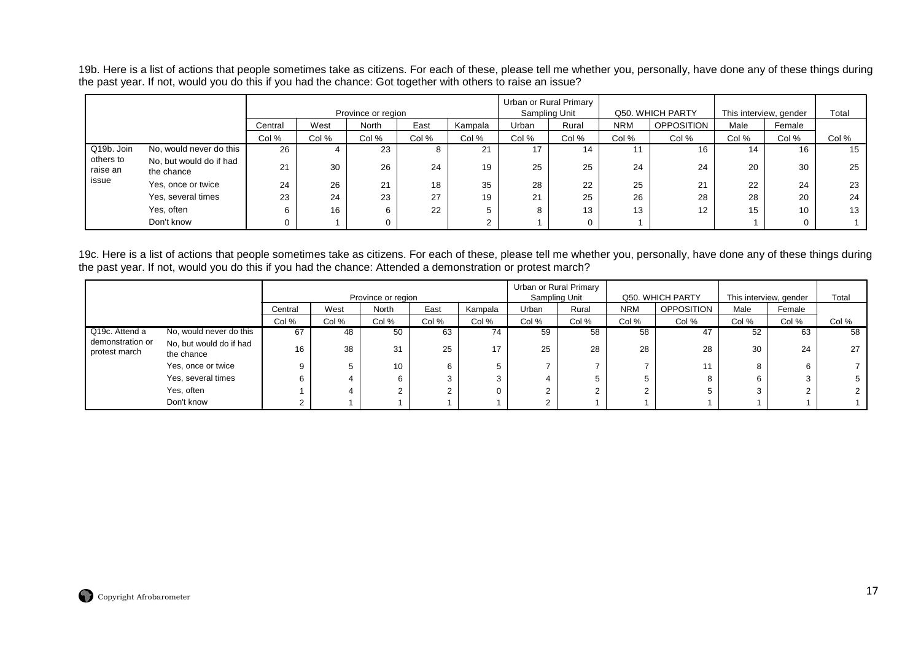19b. Here is a list of actions that people sometimes take as citizens. For each of these, please tell me whether you, personally, have done any of these things during the past year. If not, would you do this if you had the chance: Got together with others to raise an issue?

|                       |                                       |         |       | Province or region |       |         |       | Urban or Rural Primary<br>Sampling Unit |            | Q50. WHICH PARTY | This interview, gender |        | Total |
|-----------------------|---------------------------------------|---------|-------|--------------------|-------|---------|-------|-----------------------------------------|------------|------------------|------------------------|--------|-------|
|                       |                                       | Central | West  | North              | East  | Kampala | Urban | Rural                                   | <b>NRM</b> | OPPOSITION       | Male                   | Female |       |
|                       |                                       | Col %   | Col % | Col %              | Col % | Col %   | Col % | Col %                                   | Col %      | Col %            | Col %                  | Col %  | Col % |
| Q19b. Join            | No, would never do this               | 26      | 4     | 23                 |       | 21      | 17    | 14                                      |            | 16               | 14                     | 16     | 15    |
| others to<br>raise an | No, but would do if had<br>the chance | 21      | 30    | 26                 | 24    | 19      | 25    | 25                                      | 24         | 24               | 20                     | 30     | 25    |
| issue                 | Yes, once or twice                    | 24      | 26    | 21                 | 18    | 35      | 28    | 22                                      | 25         | 21               | 22                     | 24     | 23    |
|                       | Yes, several times                    | 23      | 24    | 23                 | 27    | 19      | 21    | 25                                      | 26         | 28               | 28                     | 20     | 24    |
|                       | Yes, often                            |         | 16    | 6                  | 22    | 5       | 8     | 13                                      | 13         | 12               | 15                     | 10     | 13    |
|                       | Don't know                            |         |       |                    |       |         |       |                                         |            |                  |                        |        |       |

19c. Here is a list of actions that people sometimes take as citizens. For each of these, please tell me whether you, personally, have done any of these things during the past year. If not, would you do this if you had the chance: Attended a demonstration or protest march?

|                                   |                                       |         |      | Province or region |      |         | Sampling Unit | Urban or Rural Primary |            | Q50. WHICH PARTY  | This interview, gender |        | Total |
|-----------------------------------|---------------------------------------|---------|------|--------------------|------|---------|---------------|------------------------|------------|-------------------|------------------------|--------|-------|
|                                   |                                       | Central | West | North              | East | Kampala | Urban         | Rural                  | <b>NRM</b> | <b>OPPOSITION</b> | Male                   | Female |       |
| Col %<br>Col %<br>Col %<br>Col %  |                                       |         |      |                    |      | Col %   | Col %         | Col %                  | Col %      | Col %             | Col %                  | Col %  | Col % |
| Q19c. Attend a                    | No, would never do this               | 67      | 48   | 50                 | 63   | 74      | 59            | 58                     | 58         | 47                | 52                     | 63     | 58    |
| demonstration or<br>protest march | No, but would do if had<br>the chance | 16      | 38   | 31                 | 25   |         | 25            | 28                     | 28         | 28                | 30                     | 24     | 27    |
|                                   | Yes, once or twice                    |         |      | 10 <sup>°</sup>    |      |         |               |                        |            |                   | 8                      |        |       |
|                                   | Yes, several times                    |         |      | 6                  |      |         |               |                        |            | 8                 |                        |        |       |
|                                   | Yes, often                            |         |      |                    |      |         |               |                        |            |                   |                        |        |       |
|                                   | Don't know                            |         |      |                    |      |         |               |                        |            |                   |                        |        |       |

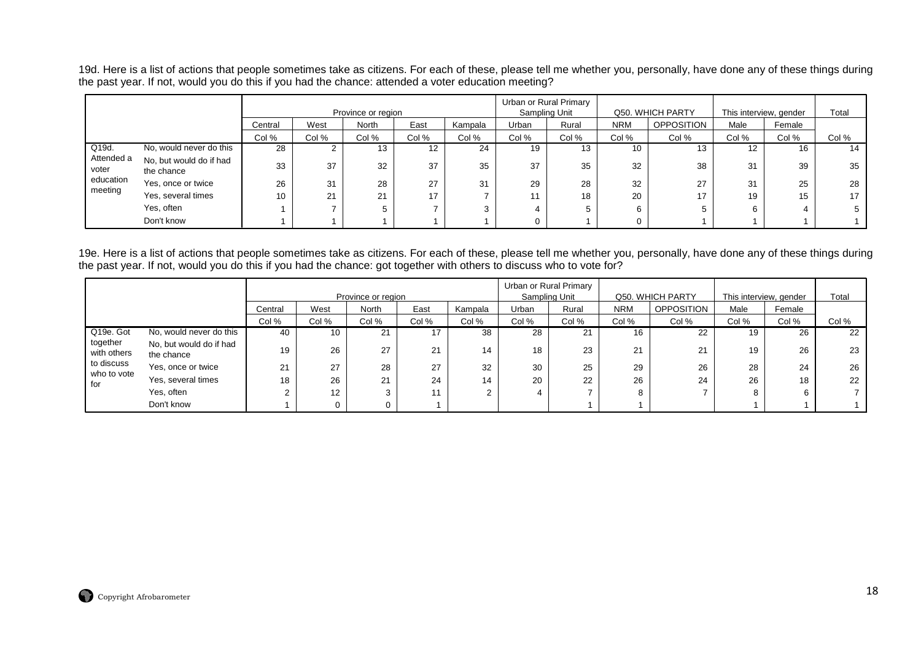19d. Here is a list of actions that people sometimes take as citizens. For each of these, please tell me whether you, personally, have done any of these things during the past year. If not, would you do this if you had the chance: attended a voter education meeting?

|                     |                                       |         |       | Province or region |       |         |       | Urban or Rural Primary<br>Sampling Unit |            | Q50. WHICH PARTY  | This interview, gender |        | Total |
|---------------------|---------------------------------------|---------|-------|--------------------|-------|---------|-------|-----------------------------------------|------------|-------------------|------------------------|--------|-------|
|                     |                                       | Central | West  | <b>North</b>       | East  | Kampala | Urban | Rural                                   | <b>NRM</b> | <b>OPPOSITION</b> | Male                   | Female |       |
|                     |                                       | Col %   | Col % | Col %              | Col % | Col %   | Col % | Col %                                   | Col %      | Col %             | Col %                  | Col %  | Col % |
| Q19d.               | No, would never do this               | 28      |       | 13                 | 12    | 24      | 19    | 13                                      | 10         | 13                | 12                     | 16     | 14    |
| Attended a<br>voter | No, but would do if had<br>the chance | 33      | 37    | 32                 | 37    | 35      | 37    | 35                                      | 32         | 38                | 31                     | 39     | 35    |
| education           | Yes, once or twice                    | 26      | 31    | 28                 | 27    | 31      | 29    | 28                                      | 32         | 27                | 31                     | 25     | 28    |
| meeting             | Yes, several times                    | 10      | 21    | 21                 | 17    |         |       | 18                                      | 20         | 17                | 19                     | 15     | 17    |
|                     | Yes, often                            |         |       |                    |       | 3       |       | 5                                       | 6          |                   | 6                      |        |       |
|                     | Don't know                            |         |       |                    |       |         |       |                                         |            |                   |                        |        |       |

19e. Here is a list of actions that people sometimes take as citizens. For each of these, please tell me whether you, personally, have done any of these things during the past year. If not, would you do this if you had the chance: got together with others to discuss who to vote for?

|                         |                                       |         |       | Province or region |       |         |       | Urban or Rural Primary<br>Sampling Unit |            | Q50. WHICH PARTY  | This interview, gender |        | Total |
|-------------------------|---------------------------------------|---------|-------|--------------------|-------|---------|-------|-----------------------------------------|------------|-------------------|------------------------|--------|-------|
|                         |                                       | Central | West  | <b>North</b>       | East  | Kampala | Urban | Rural                                   | <b>NRM</b> | <b>OPPOSITION</b> | Male                   | Female |       |
|                         |                                       | Col %   | Col % | Col %              | Col % | Col %   | Col % | Col %                                   | Col %      | Col %             | Col %                  | Col %  | Col % |
| Q19e. Got               | No, would never do this               | 40      | 10    | 21                 | 17    | 38      | 28    | 21                                      | 16         | 22                | 19                     | 26     | 22    |
| together<br>with others | No, but would do if had<br>the chance | 19      | 26    | 27                 | 21    | 14      | 18    | 23                                      | 21         | 21                | 19                     | 26     | 23    |
| to discuss              | Yes, once or twice                    | 21      | 27    | 28                 | 27    | 32      | 30    | 25                                      | 29         | 26                | 28                     | 24     | 26    |
| who to vote<br>for      | Yes, several times                    | 18      | 26    | 21                 | 24    | 14      | 20    | 22                                      | 26         | 24                | 26                     | 18     | 22    |
|                         | Yes, often                            |         | 12    |                    | 11    | 2       |       |                                         | 8          |                   |                        | 6      |       |
|                         | Don't know                            |         | 0     |                    |       |         |       |                                         |            |                   |                        |        |       |

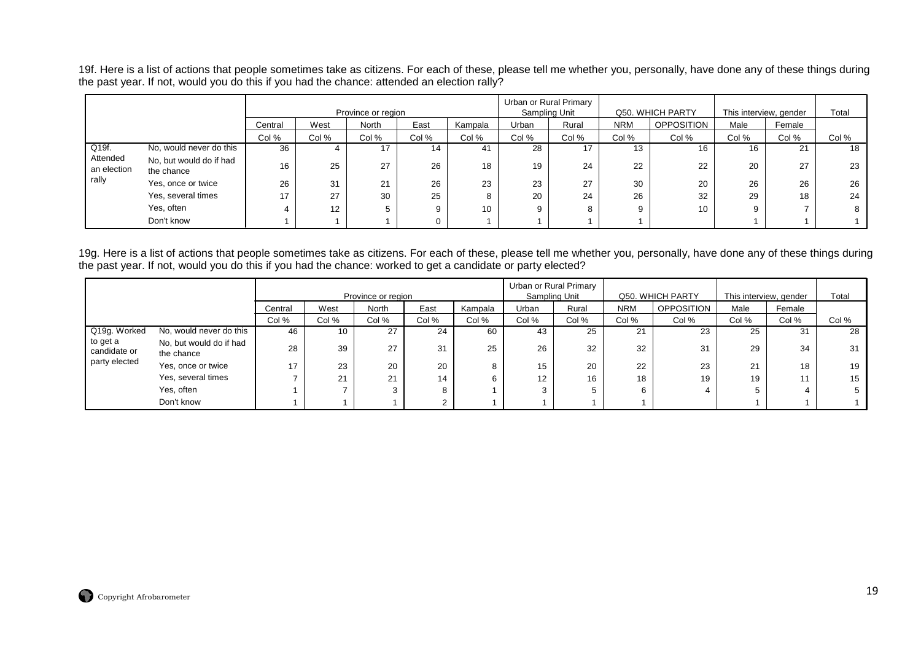19f. Here is a list of actions that people sometimes take as citizens. For each of these, please tell me whether you, personally, have done any of these things during the past year. If not, would you do this if you had the chance: attended an election rally?

|                         |                                       |         |       | Province or region |       |                 |       | Urban or Rural Primary<br>Sampling Unit |            | Q50. WHICH PARTY | This interview, gender |        | Total |
|-------------------------|---------------------------------------|---------|-------|--------------------|-------|-----------------|-------|-----------------------------------------|------------|------------------|------------------------|--------|-------|
|                         |                                       | Central | West  | North              | East  | Kampala         | Urban | Rural                                   | <b>NRM</b> | OPPOSITION       | Male                   | Female |       |
|                         |                                       | Col %   | Col % | Col %              | Col % | Col %           | Col % | Col %                                   | Col %      | Col %            | Col %                  | Col %  | Col % |
| Q19f.                   | No, would never do this               | 36      |       | 17                 | 14    | 41              | 28    | 17                                      |            | 16               | 16                     | 21     | 18    |
| Attended<br>an election | No, but would do if had<br>the chance | 16      | 25    | 27                 | 26    | 18              | 19    | 24                                      | 22         | 22               | 20                     | 27     | 23    |
| rally                   | Yes, once or twice                    | 26      | 31    | 21                 | 26    | 23              | 23    | 27                                      | 30         | 20               | 26                     | 26     | 26    |
|                         | Yes, several times                    | 17      | 27    | 30                 | 25    | 8               | 20    | 24                                      | 26         | 32               | 29                     | 18     | 24    |
|                         | Yes, often                            |         | 12    |                    | 9     | 10 <sup>°</sup> | 9     |                                         |            | 10 <sup>°</sup>  | 9                      |        | 8     |
|                         | Don't know                            |         |       |                    |       |                 |       |                                         |            |                  |                        |        |       |

19g. Here is a list of actions that people sometimes take as citizens. For each of these, please tell me whether you, personally, have done any of these things during the past year. If not, would you do this if you had the chance: worked to get a candidate or party elected?

|                          |                                           |         |      | Province or region |      |         | Sampling Unit | Urban or Rural Primary |            | Q50. WHICH PARTY  | This interview, gender |        | Total |
|--------------------------|-------------------------------------------|---------|------|--------------------|------|---------|---------------|------------------------|------------|-------------------|------------------------|--------|-------|
|                          |                                           | Central | West | North              | East | Kampala | Urban         | Rural                  | <b>NRM</b> | <b>OPPOSITION</b> | Male                   | Female |       |
|                          | Col %<br>Col %<br>Col %<br>Col %<br>Col % |         |      |                    |      |         |               | Col %                  | Col %      | Col %             | Col %                  | Col %  | Col % |
| Q19g. Worked             | No, would never do this                   | 46      | 10   | 27                 | 24   | 60      | 43            | 25                     | 21         | 23                | 25                     | 31     | 28    |
| to get a<br>candidate or | No, but would do if had<br>the chance     | 28      | 39   | 27                 | 31   | 25      | 26            | 32                     | 32         | 31                | 29                     | 34     | 31    |
| party elected            | Yes, once or twice                        | 17      | 23   | 20                 | 20   | 8       | 15            | 20                     | 22         | 23                | 21                     | 18     | 19    |
|                          | Yes, several times                        |         | 21   | 21                 | 14   | 6       | 12            | 16                     | 18         | 19                | 19                     |        | 15    |
|                          | Yes, often                                |         |      |                    | 8    |         | 3             |                        |            |                   |                        |        |       |
|                          | Don't know                                |         |      |                    |      |         |               |                        |            |                   |                        |        |       |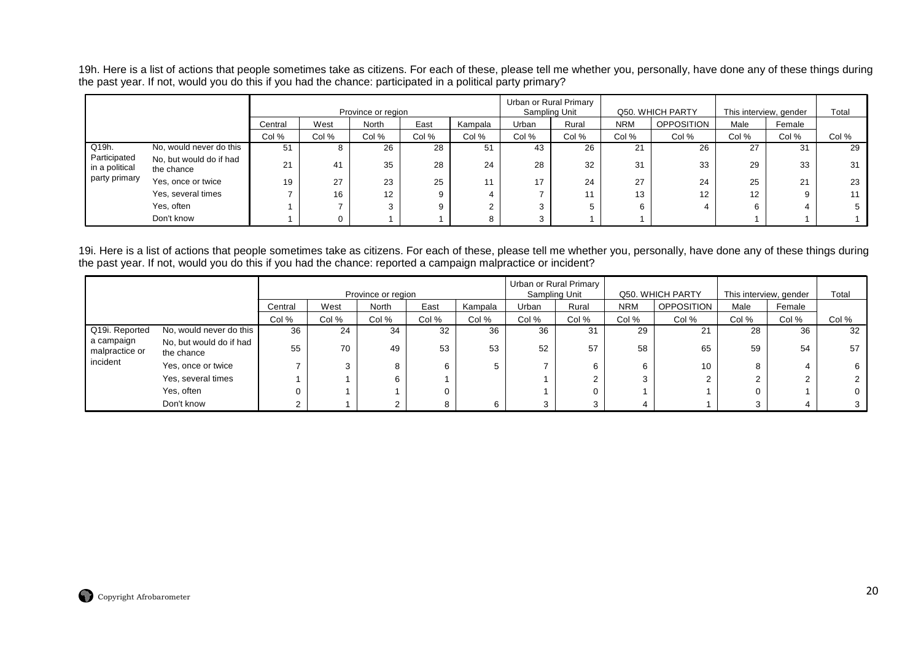19h. Here is a list of actions that people sometimes take as citizens. For each of these, please tell me whether you, personally, have done any of these things during the past year. If not, would you do this if you had the chance: participated in a political party primary?

|                                |                                       |         |       | Province or region |       |         |       | Urban or Rural Primary<br>Sampling Unit |            | Q50. WHICH PARTY  | This interview, gender |        | Total           |
|--------------------------------|---------------------------------------|---------|-------|--------------------|-------|---------|-------|-----------------------------------------|------------|-------------------|------------------------|--------|-----------------|
|                                |                                       | Central | West  | North              | East  | Kampala | Urban | Rural                                   | <b>NRM</b> | <b>OPPOSITION</b> | Male                   | Female |                 |
|                                |                                       | Col %   | Col % | Col %              | Col % | Col %   | Col % | Col %                                   | Col %      | Col %             | Col %                  | Col %  | Col %           |
| Q19h.                          | No, would never do this               | 51      | Ö     | 26                 | 28    | 51      | 43    | 26                                      | 21         | 26                | 27                     | 31     | 29              |
| Participated<br>in a political | No, but would do if had<br>the chance | 21      | 41    | 35                 | 28    | 24      | 28    | 32                                      | 31         | 33                | 29                     | 33     | 31              |
| party primary                  | Yes, once or twice                    | 19      | 27    | 23                 | 25    | 11      | 17    | 24                                      | 27         | 24                | 25                     | 21     | 23              |
|                                | Yes, several times                    |         | 16    | 12                 | 9     |         |       | 11                                      | 13         | 12                | $12 \overline{ }$      |        | 11 <sub>1</sub> |
|                                | Yes, often                            |         |       |                    | 9     |         |       | 5                                       | 6          |                   |                        |        |                 |
|                                | Don't know                            |         |       |                    |       |         |       |                                         |            |                   |                        |        |                 |

19i. Here is a list of actions that people sometimes take as citizens. For each of these, please tell me whether you, personally, have done any of these things during<br>the past year. If not, would you do this if you had the

|                              |                                       |         |        | Province or region |       |         | Urban or Rural Primary<br>Sampling Unit |       |            | Q50. WHICH PARTY  | This interview, gender |        | Total |
|------------------------------|---------------------------------------|---------|--------|--------------------|-------|---------|-----------------------------------------|-------|------------|-------------------|------------------------|--------|-------|
|                              |                                       |         |        |                    |       |         |                                         |       |            |                   |                        |        |       |
|                              |                                       | Central | West   | North              | East  | Kampala | Urban                                   | Rural | <b>NRM</b> | <b>OPPOSITION</b> | Male                   | Female |       |
|                              |                                       | Col %   | Col %  | Col %              | Col % | Col %   | Col %                                   | Col % | Col %      | Col %             | Col %                  | Col %  | Col % |
| Q19i. Reported               | No, would never do this               | 36      | 24     | 34                 | 32    | 36      | 36                                      | 31    | 29         | 21                | 28                     | 36     | 32    |
| a campaign<br>malpractice or | No, but would do if had<br>the chance | 55      | 70     | 49                 | 53    | 53      | 52                                      | 57    | 58         | 65                | 59                     | 54     | 57    |
| incident                     | Yes, once or twice                    |         | $\sim$ | 8                  | 6     |         |                                         |       |            | 10                | 8                      |        |       |
|                              | Yes, several times                    |         |        | 6                  |       |         |                                         |       | ົ          |                   |                        |        |       |
|                              | Yes, often                            |         |        |                    |       |         |                                         |       |            |                   |                        |        |       |
|                              | Don't know                            |         |        |                    |       |         |                                         |       |            |                   |                        |        |       |

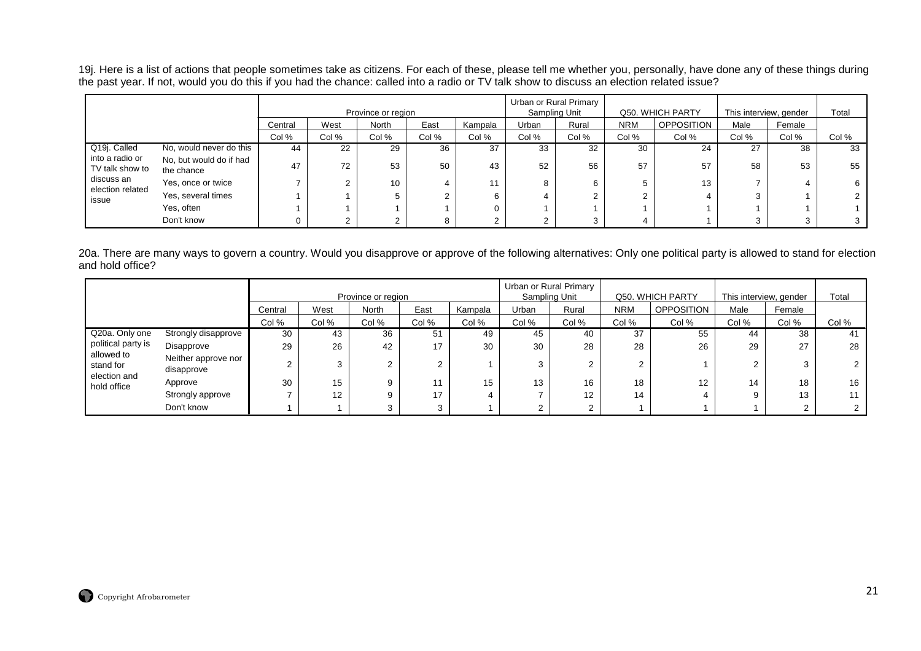19j. Here is a list of actions that people sometimes take as citizens. For each of these, please tell me whether you, personally, have done any of these things during<br>the past year. If not, would you do this if you had the

|                                    |                                       |         |       | Province or region |       |         |        | Urban or Rural Primary<br>Sampling Unit |            | Q50. WHICH PARTY  | This interview, gender |        | Total |
|------------------------------------|---------------------------------------|---------|-------|--------------------|-------|---------|--------|-----------------------------------------|------------|-------------------|------------------------|--------|-------|
|                                    |                                       |         |       |                    |       |         |        |                                         |            |                   |                        |        |       |
|                                    |                                       | Central | West  | North              | East  | Kampala | Urban  | Rural                                   | <b>NRM</b> | <b>OPPOSITION</b> | Male                   | Female |       |
|                                    |                                       | Col %   | Col % | Col %              | Col % | Col %   | Col %  | Col %                                   | Col %      | Col %             | Col %                  | Col %  | Col % |
| Q19j. Called                       | No, would never do this               | 44      | 22    | 29                 | 36    | 37      | 33     | 32                                      | 30         | 24                | 27                     | 38     | 33    |
| into a radio or<br>TV talk show to | No, but would do if had<br>the chance | 47      | 72    | 53                 | 50    | 43      | 52     | 56                                      | 57         | 57                | 58                     | 53     | 55    |
| discuss an<br>election related     | Yes, once or twice                    |         |       | 10                 |       |         | 8      |                                         |            | 13                |                        |        |       |
| issue                              | Yes, several times                    |         |       | 5                  |       |         |        |                                         |            |                   | 3                      |        |       |
|                                    | Yes, often                            |         |       |                    |       |         |        |                                         |            |                   |                        |        |       |
|                                    | Don't know                            |         |       | ົ                  |       |         | $\sim$ |                                         |            |                   | 3                      |        |       |

20a. There are many ways to govern a country. Would you disapprove or approve of the following alternatives: Only one political party is allowed to stand for election and hold office?

|                             |                                     |         |       | Province or region |          |         | Sampling Unit | Urban or Rural Primary |            | Q50. WHICH PARTY |          | This interview, gender | Total |
|-----------------------------|-------------------------------------|---------|-------|--------------------|----------|---------|---------------|------------------------|------------|------------------|----------|------------------------|-------|
|                             |                                     | Central | West  | <b>North</b>       | East     | Kampala | Urban         | Rural                  | <b>NRM</b> | OPPOSITION       | Male     | Female                 |       |
|                             |                                     | Col %   | Col % | Col %              | Col %    | Col %   | Col %         | Col %                  | Col %      | Col %            | Col %    | Col %                  | Col % |
| Q20a. Only one              | Strongly disapprove                 | 30      | 43    | 36                 | 51       | 49      | 45            | 40                     | 37         | 55               | 44       | 38                     | 41    |
| political party is          | Disapprove                          | 29      | 26    | 42                 | 17       | 30      | 30            | 28                     | 28         | 26               | 29       | 27                     | 28    |
| allowed to<br>stand for     | Neither approve nor '<br>disapprove |         | 3     |                    | <u>_</u> |         | 3             | 2                      | ົ          |                  | <u>.</u> |                        |       |
| election and<br>hold office | Approve                             | 30      | 15    | 9                  |          | 15      | 13            | 16                     | 18         | 12               | 14       | 18                     | 16    |
|                             | Strongly approve                    |         | 12    | 9                  | 17       |         |               | $12 \overline{ }$      | 14         |                  | 9        | 13                     | 11    |
|                             | Don't know                          |         |       |                    |          |         |               | 2                      |            |                  |          |                        |       |

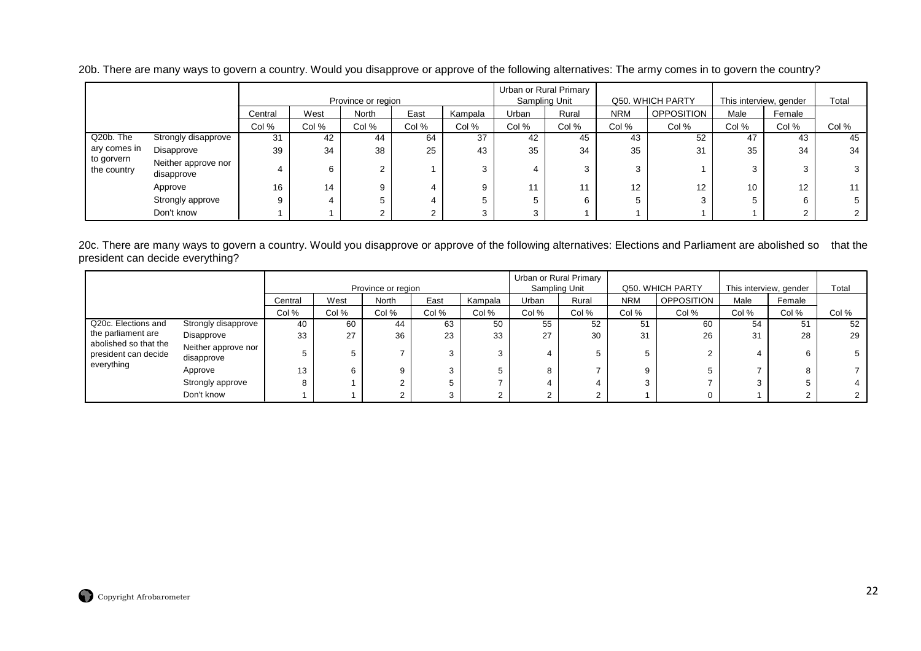|                           |                                   |         |       | Province or region |       |         |              | Urban or Rural Primary<br>Sampling Unit |            | Q50. WHICH PARTY  | This interview, gender |        | Total |
|---------------------------|-----------------------------------|---------|-------|--------------------|-------|---------|--------------|-----------------------------------------|------------|-------------------|------------------------|--------|-------|
|                           |                                   | Central | West  | North              | East  | Kampala | <b>Jrban</b> | Rural                                   | <b>NRM</b> | <b>OPPOSITION</b> | Male                   | Female |       |
|                           |                                   | Col %   | Col % | Col %              | Col % | Col %   | Col %        | Col %                                   | Col %      | Col %             | Col %                  | Col %  | Col % |
| Q20b. The                 | Strongly disapprove               | 31      | 42    | 44                 | 64    | 37      | 42           | 45                                      | 43         | 52                | 47                     | 43     | 45    |
| ary comes in              | Disapprove                        | 39      | 34    | 38                 | 25    | 43      | 35           | 34                                      | 35         | 31                | 35                     | 34     | 34    |
| to gorvern<br>the country | Neither approve nor<br>disapprove |         | 6     | ົ<br>∠             |       | 3       |              | 3                                       | C.         |                   |                        |        |       |
|                           | Approve                           | 16      | 14    | 9                  |       | 9       | 44           | 11                                      | 12         | 12                | 10                     | 12     |       |
|                           | Strongly approve                  | 9       |       | 5                  |       |         |              | 6                                       |            |                   |                        | ĥ      |       |
|                           | Don't know                        |         |       |                    |       | 3       | ◠            |                                         |            |                   |                        |        |       |

20b. There are many ways to govern a country. Would you disapprove or approve of the following alternatives: The army comes in to govern the country?

20c. There are many ways to govern a country. Would you disapprove or approve of the following alternatives: Elections and Parliament are abolished so that the president can decide everything?

|                                               |                                   |         |       | Province or region |       |         |       | Urban or Rural Primary<br>Sampling Unit |            | Q50. WHICH PARTY  | This interview, gender |        | Total |
|-----------------------------------------------|-----------------------------------|---------|-------|--------------------|-------|---------|-------|-----------------------------------------|------------|-------------------|------------------------|--------|-------|
|                                               |                                   | Central | West  | North              | East  | Kampala | Urban | Rural                                   | <b>NRM</b> | <b>OPPOSITION</b> | Male                   | Female |       |
|                                               |                                   | Col %   | Col % | Col %              | Col % | Col %   | Col % | Col %                                   | Col %      | Col %             | Col %                  | Col %  | Col % |
| Q20c. Elections and                           | Strongly disapprove               | 40      | 60    | 44                 | 63    | 50      | 55    | 52                                      | 51         | 60                | 54                     | 51     | 52    |
| the parliament are                            | Disapprove                        | 33      | 27    | 36                 | 23    | 33      | 27    | 30                                      | 31         | 26                | 31                     | 28     | 29    |
| abolished so that the<br>president can decide | Neither approve nor<br>disapprove |         |       |                    |       | ົ       | 4     |                                         |            |                   |                        |        |       |
| everything                                    | Approve                           | 13      | 6     | 9                  |       |         | 8     |                                         |            |                   |                        |        |       |
|                                               | Strongly approve                  |         |       | ◠                  |       |         |       |                                         |            |                   |                        |        |       |
|                                               | Don't know                        |         |       | $\sim$<br>∠        |       |         |       |                                         |            |                   |                        |        |       |

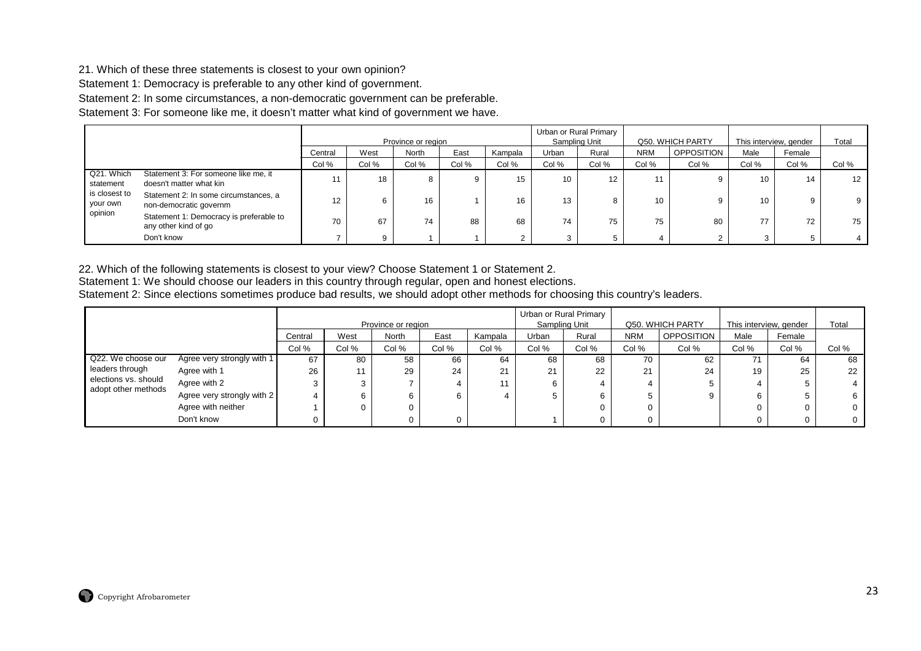#### 21. Which of these three statements is closest to your own opinion?

Statement 1: Democracy is preferable to any other kind of government.

Statement 2: In some circumstances, a non-democratic government can be preferable.

Statement 3: For someone like me, it doesn't matter what kind of government we have.

|                           |                                                                 |         |       | Province or region |       |         |       | Urban or Rural Primary<br>Sampling Unit |            | Q50. WHICH PARTY  |       | This interview, gender | Total |
|---------------------------|-----------------------------------------------------------------|---------|-------|--------------------|-------|---------|-------|-----------------------------------------|------------|-------------------|-------|------------------------|-------|
|                           |                                                                 | Central | West  | North              | East  | Kampala | Urban | Rural                                   | <b>NRM</b> | <b>OPPOSITION</b> | Male  | Female                 |       |
|                           |                                                                 | Col %   | Col % | Col %              | Col % | Col %   | Col % | Col %                                   | Col %      | Col %             | Col % | Col %                  | Col % |
| Q21. Which<br>statement   | Statement 3: For someone like me, it<br>doesn't matter what kin | 11      | 18    |                    |       | 15      | 10    | 12                                      |            |                   | 10    | 14                     | 12    |
| is closest to<br>your own | Statement 2: In some circumstances, a<br>non-democratic governm | 12      |       | 16                 |       | 16      | 13    |                                         | 10         |                   | 10    | 9                      | 9     |
| opinion                   | Statement 1: Democracy is preferable to<br>any other kind of go | 70      | 67    | 74                 | 88    | 68      | 74    | 75                                      | 75         | 80                |       | 72                     | 75    |
|                           | Don't know                                                      |         | a     |                    |       |         |       |                                         |            |                   |       |                        |       |

22. Which of the following statements is closest to your view? Choose Statement 1 or Statement 2. Statement 1: We should choose our leaders in this country through regular, open and honest elections.

Statement 2: Since elections sometimes produce bad results, we should adopt other methods for choosing this country's leaders.

|                                             |                            |         |       |                    |       |         |       | Urban or Rural Primary |            |                   |                        |        |       |
|---------------------------------------------|----------------------------|---------|-------|--------------------|-------|---------|-------|------------------------|------------|-------------------|------------------------|--------|-------|
|                                             |                            |         |       | Province or region |       |         |       | Sampling Unit          |            | Q50. WHICH PARTY  | This interview, gender |        | Total |
|                                             |                            | Central | West  | North              | East  | Kampala | Urban | Rural                  | <b>NRM</b> | <b>OPPOSITION</b> | Male                   | Female |       |
|                                             |                            | Col %   | Col % | Col %              | Col % | Col %   | Col % | Col %                  | Col %      | Col %             | Col %                  | Col %  | Col % |
| Q22. We choose our                          | Agree very strongly with 1 | 67      | 80    | 58                 | 66    | 64      | 68    | 68                     | 70         | 62                | 71                     | 64     | 68    |
| leaders through                             | Agree with 1               | 26      | 44    | 29                 | 24    | 21      | 21    | 22                     | 21         | 24                | 19                     | 25     | 22    |
| elections vs. should<br>adopt other methods | Agree with 2               |         |       |                    |       | 11      |       |                        | 4          |                   |                        |        |       |
|                                             | Agree very strongly with 2 |         |       |                    |       |         |       | 6                      | b          |                   |                        |        |       |
|                                             | Agree with neither         |         |       |                    |       |         |       |                        | 0          |                   |                        |        |       |
|                                             | Don't know                 |         |       |                    |       |         |       |                        | $^{(1)}$   |                   |                        |        |       |

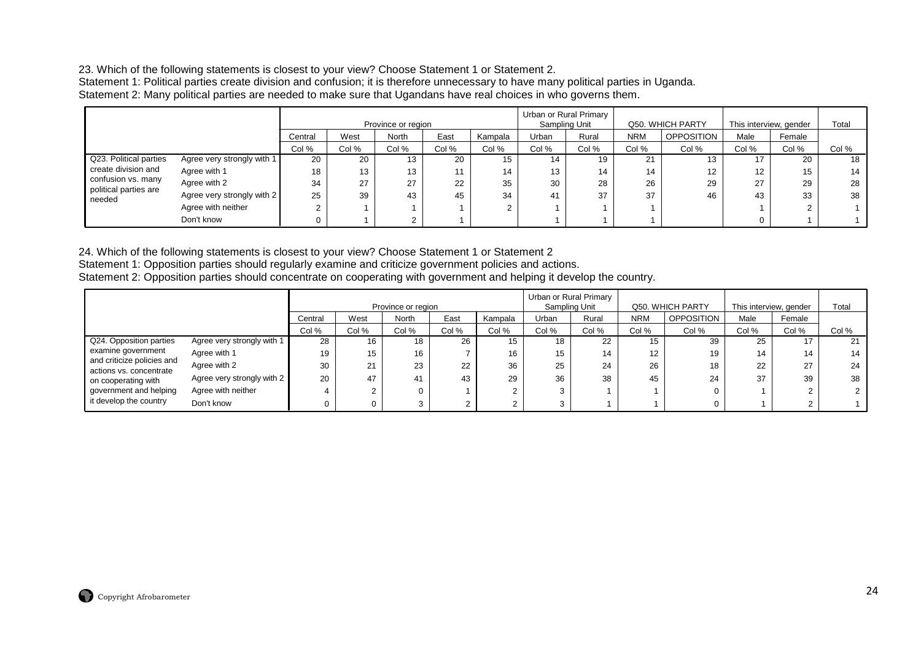23. Which of the following statements is closest to your view? Choose Statement 1 or Statement 2. Statement 1: Political parties create division and confusion; it is therefore unnecessary to have many political parties in Uganda. Statement 2: Many political parties are needed to make sure that Ugandans have real choices in who governs them.

|                                             |                            |         |       | Province or region |       |         |       | Urban or Rural Primary<br>Sampling Unit |            | Q50. WHICH PARTY  | This interview, gender |        | Total |
|---------------------------------------------|----------------------------|---------|-------|--------------------|-------|---------|-------|-----------------------------------------|------------|-------------------|------------------------|--------|-------|
|                                             |                            | Central | West  | <b>North</b>       | East  | Kampala | Urban | Rural                                   | <b>NRM</b> | <b>OPPOSITION</b> | Male                   | Female |       |
|                                             |                            | Col %   | Col % | Col %              | Col % | Col %   | Col % | Col %                                   | Col %      | Col %             | Col %                  | Col %  | Col % |
| Q23. Political parties                      | Agree very strongly with 1 | 20      | 20    | 13                 | 20    | 15      | 14    | 19                                      | 21         | 13                | 17                     | 20     | 18    |
| create division and                         | Agree with 1               | 18      | 13    | 13                 | 11    | 14      | 13    | 14                                      | 14         | 12                | 12                     | 15     | 14    |
| confusion vs. many<br>political parties are | Agree with 2               | 34      | 27    | 27                 | 22    | 35      | 30    | 28                                      | 26         | 29                | 27                     | 29     | 28    |
| needed                                      | Agree very strongly with 2 | 25      | 39    | 43                 | 45    | 34      | 41    | 37                                      | 37         | 46                | 43                     | 33     | 38    |
|                                             | Agree with neither         |         |       |                    |       |         |       |                                         |            |                   |                        |        |       |
|                                             | Don't know                 |         |       |                    |       |         |       |                                         |            |                   |                        |        |       |

24. Which of the following statements is closest to your view? Choose Statement 1 or Statement 2

Statement 1: Opposition parties should regularly examine and criticize government policies and actions.

Statement 2: Opposition parties should concentrate on cooperating with government and helping it develop the country.

|                                                       |                            |         |       | Province or region |       |         |       | Urban or Rural Primary<br>Sampling Unit |            | Q50. WHICH PARTY  |       | This interview, gender | Total |
|-------------------------------------------------------|----------------------------|---------|-------|--------------------|-------|---------|-------|-----------------------------------------|------------|-------------------|-------|------------------------|-------|
|                                                       |                            | Central | West  | North              | East  | Kampala | Urban | Rural                                   | <b>NRM</b> | <b>OPPOSITION</b> | Male  | Female                 |       |
|                                                       |                            | Col %   | Col % | Col %              | Col % | Col %   | Col % | Col %                                   | Col %      | Col %             | Col % | Col %                  | Col % |
| Q24. Opposition parties                               | Agree very strongly with 1 | 28      | 16    | 18                 | 26    | 15      | 18    | 22                                      | 15         | 39                | 25    |                        | 21    |
| examine government                                    | Agree with 1               | 19      | 15    | 16                 |       | 16      | 15    | 14                                      | 12         | 19                | 14    | 14                     | 14    |
| and criticize policies and<br>actions vs. concentrate | Agree with 2               | 30      | 21    | 23                 | 22    | 36      | 25    | 24                                      | 26         | 18                | 22    | 27                     | 24    |
| on cooperating with                                   | Agree very strongly with 2 | 20      | 47    | 41                 | 43    | 29      | 36    | 38                                      | 45         | 24                | 37    | 39                     | 38    |
| government and helping                                | Agree with neither         |         |       | 0                  |       |         |       |                                         |            | 0                 |       |                        |       |
| it develop the country                                | Don't know                 |         |       | 3                  |       |         |       |                                         |            | 0                 |       |                        |       |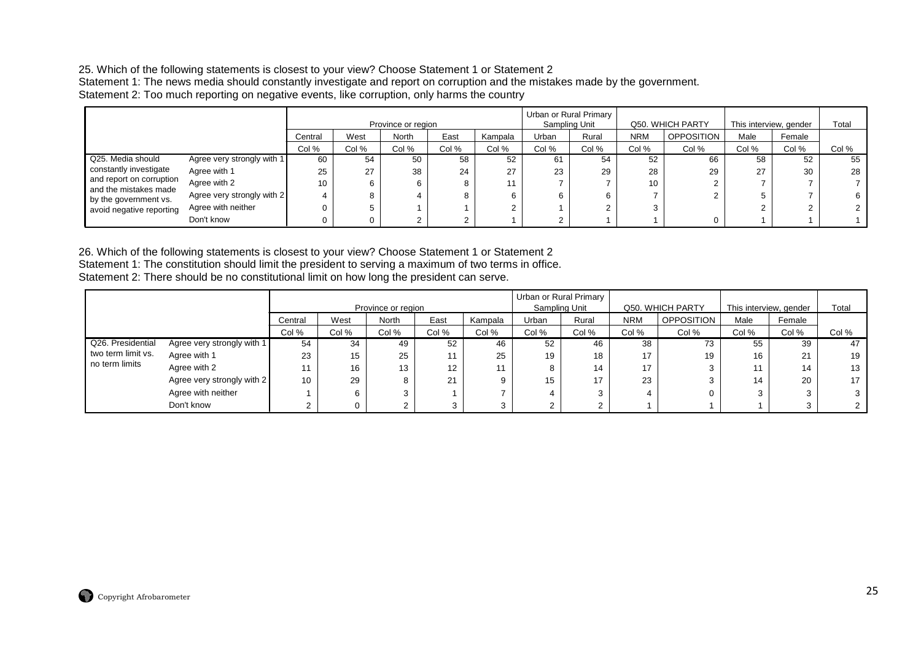#### 25. Which of the following statements is closest to your view? Choose Statement 1 or Statement 2

 Statement 1: The news media should constantly investigate and report on corruption and the mistakes made by the government. Statement 2: Too much reporting on negative events, like corruption, only harms the country

|                                                   |                            |                 |       | Province or region |       |         |       | Urban or Rural Primary<br>Sampling Unit |            | Q50. WHICH PARTY  |       | This interview, gender | Total |
|---------------------------------------------------|----------------------------|-----------------|-------|--------------------|-------|---------|-------|-----------------------------------------|------------|-------------------|-------|------------------------|-------|
|                                                   |                            | Central         | West  | <b>North</b>       | East  | Kampala | Urban | Rural                                   | <b>NRM</b> | <b>OPPOSITION</b> | Male  | Female                 |       |
|                                                   |                            | Col %           | Col % | Col %              | Col % | Col %   | Col % | Col %                                   | Col %      | Col %             | Col % | Col %                  | Col % |
| Q25. Media should                                 | Agree very strongly with 1 | 60              | 54    | 50                 | 58    | 52      | 61    | 54                                      | 52         | 66                | 58    | 52                     | 55    |
| constantly investigate                            | Agree with 1               | 25              | 27    | 38                 | 24    | 27      | 23    | 29                                      | 28         | 29                | 27    | 30                     | 28    |
| and report on corruption<br>and the mistakes made | Agree with 2               | 10 <sup>1</sup> |       | 6                  |       |         |       |                                         | 10         |                   |       |                        |       |
| by the government vs.                             | Agree very strongly with 2 |                 |       |                    |       |         | 6     | ь                                       |            |                   |       |                        | 6.    |
| avoid negative reporting                          | Agree with neither         |                 |       |                    |       |         |       |                                         |            |                   |       |                        |       |
|                                                   | Don't know                 |                 |       |                    |       |         |       |                                         |            | $\Omega$          |       |                        |       |

26. Which of the following statements is closest to your view? Choose Statement 1 or Statement 2 Statement 1: The constitution should limit the president to serving a maximum of two terms in office. Statement 2: There should be no constitutional limit on how long the president can serve.

|                    |                            |         |       |                    |                 |         |               | Urban or Rural Primary |            |                  |                        |        |       |
|--------------------|----------------------------|---------|-------|--------------------|-----------------|---------|---------------|------------------------|------------|------------------|------------------------|--------|-------|
|                    |                            |         |       | Province or region |                 |         | Sampling Unit |                        |            | Q50. WHICH PARTY | This interview, gender |        | Total |
|                    |                            | Central | West  | <b>North</b>       | East            | Kampala | Urban         | Rural                  | <b>NRM</b> | OPPOSITION       | Male                   | Female |       |
|                    |                            | Col %   | Col % | Col %              | Col %           | Col %   | Col %         | Col %                  | Col %      | Col %            | Col %                  | Col %  | Col % |
| Q26. Presidential  | Agree very strongly with 1 | 54      | 34    | 49                 | 52              | 46      | 52            | 46                     | 38         | 73               | 55                     | 39     | 47    |
| two term limit vs. | Agree with 1               | 23      | 15    | 25                 |                 | 25      | 19            | 18                     | 17         | 19               | 16                     | 21     | 19    |
| no term limits     | Agree with 2               |         | 16    | 13                 | 12 <sup>2</sup> |         | 8             | 14                     | 17         |                  | 11                     | 14     | 13    |
|                    | Agree very strongly with 2 | 10      | 29    | 8                  | 21              | 9       | 15            | 17                     | 23         |                  | 14                     | 20     | 17    |
|                    | Agree with neither         |         | 6     |                    |                 |         |               |                        |            | 0                |                        |        |       |
|                    | Don't know                 |         |       |                    |                 |         |               |                        |            |                  |                        |        |       |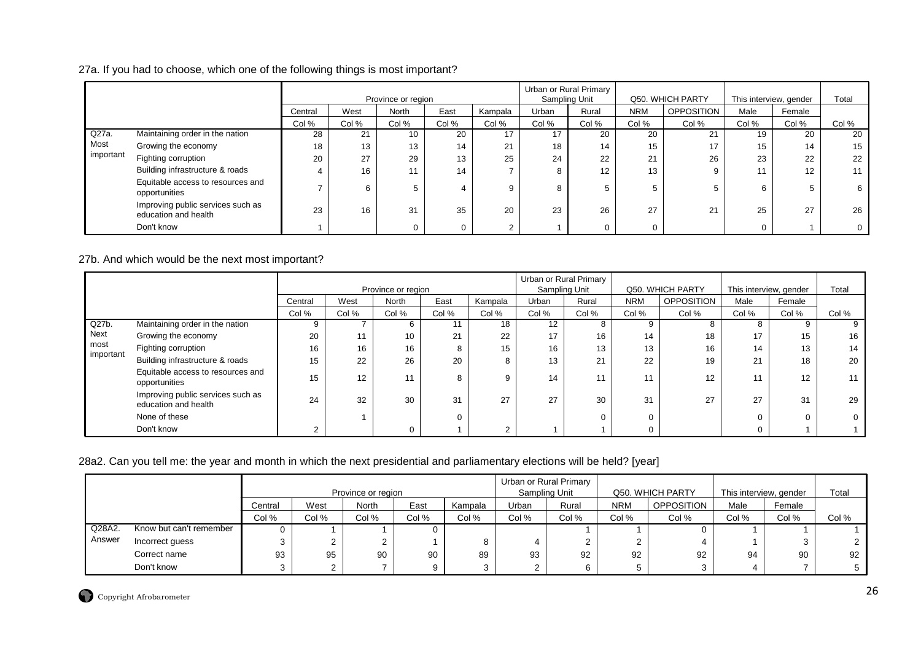#### 27a. If you had to choose, which one of the following things is most important?

|           |                                                           |         |       | Province or region |       |         |        | Urban or Rural Primary<br>Sampling Unit |            | Q50. WHICH PARTY  | This interview, gender |        | Total |
|-----------|-----------------------------------------------------------|---------|-------|--------------------|-------|---------|--------|-----------------------------------------|------------|-------------------|------------------------|--------|-------|
|           |                                                           | Central | West  | North              | East  | Kampala | Urban  | Rural                                   | <b>NRM</b> | <b>OPPOSITION</b> | Male                   | Female |       |
|           |                                                           | Col %   | Col % | Col %              | Col % | Col %   | Col %  | Col %                                   | Col %      | Col %             | Col %                  | Col %  | Col % |
| $Q27a$ .  | Maintaining order in the nation                           | 28      | 21    | 10                 | 20    | 17      | 17     | 20                                      | 20         | 21                | 19                     | 20     | 20    |
| Most      | Growing the economy                                       | 18      | 13    | 13                 | 14    | 21      | 18     | 14                                      | 15         | 17                | 15                     | 14     | 15    |
| important | Fighting corruption                                       | 20      | 27    | 29                 | 13    | 25      | 24     | 22                                      | 21         | 26                | 23                     | 22     | 22    |
|           | Building infrastructure & roads                           |         | 16    |                    | 14    |         | 8      | 12                                      | 13         |                   |                        | 12     |       |
|           | Equitable access to resources and<br>opportunities        |         | 6     |                    | 4     | 9       | ົ<br>õ |                                         | 5          |                   | 6                      |        |       |
|           | Improving public services such as<br>education and health | 23      | 16    | 31                 | 35    | 20      | 23     | 26                                      | 27         | 21                | 25                     | 27     | 26    |
|           | Don't know                                                |         |       |                    | 0     |         |        | 0                                       | $\Omega$   |                   |                        |        |       |

#### 27b. And which would be the next most important?

|           |                                                           |         |       | Province or region |       |                |       | Urban or Rural Primary<br>Sampling Unit |            | Q50. WHICH PARTY  | This interview, gender |        | Total |
|-----------|-----------------------------------------------------------|---------|-------|--------------------|-------|----------------|-------|-----------------------------------------|------------|-------------------|------------------------|--------|-------|
|           |                                                           | Central | West  | North              | East  | Kampala        | Urban | Rural                                   | <b>NRM</b> | <b>OPPOSITION</b> | Male                   | Female |       |
|           |                                                           | Col %   | Col % | Col %              | Col % | Col %          | Col % | Col %                                   | Col %      | Col %             | Col %                  | Col %  | Col % |
| Q27b.     | Maintaining order in the nation                           | 9       |       | 6                  |       | 18             | 12    | 8                                       | 9          |                   | Õ                      | 9      | 9     |
| Next      | Growing the economy                                       | 20      |       | 10                 | 21    | 22             | 17    | 16                                      | 14         | 18                | 17                     | 15     | 16    |
| most      | Fighting corruption                                       | 16      | 16    | 16                 | 8     | 15             | 16    | 13                                      | 13         | 16                | 14                     | 13     | 14    |
| important | Building infrastructure & roads                           | 15      | 22    | 26                 | 20    | 8              | 13    | 21                                      | 22         | 19                | 21                     | 18     | 20    |
|           | Equitable access to resources and<br>opportunities        | 15      | 12    | 44                 | 8     | 9              | 14    | 11                                      |            | 12                |                        | 12     | 11    |
|           | Improving public services such as<br>education and health | 24      | 32    | 30                 | 31    | 27             | 27    | 30                                      | 31         | 27                | 27                     | 31     | 29    |
|           | None of these                                             |         |       |                    |       |                |       |                                         | 0          |                   |                        |        |       |
|           | Don't know                                                | $\sim$  |       |                    |       | $\overline{2}$ |       |                                         |            |                   |                        |        |       |

# 28a2. Can you tell me: the year and month in which the next presidential and parliamentary elections will be held? [year]

|        |                         |         |                    |       |       |         |       | Urban or Rural Primary |            |                  |                        |        |       |
|--------|-------------------------|---------|--------------------|-------|-------|---------|-------|------------------------|------------|------------------|------------------------|--------|-------|
|        |                         |         | Province or region |       |       |         |       | Sampling Unit          |            | Q50. WHICH PARTY | This interview, gender |        | Total |
|        |                         | Central | West               | North | East  | Kampala | Urban | Rural                  | <b>NRM</b> | OPPOSITION       | Male                   | Female |       |
|        |                         | Col %   | Col %              | Col % | Col % | Col %   | Col % | Col %                  | Col %      | Col %            | Col %                  | Col %  | Col % |
| Q28A2. | Know but can't remember |         |                    |       |       |         |       |                        |            |                  |                        |        |       |
| Answer | Incorrect guess         |         |                    |       |       | 8       |       |                        |            |                  |                        |        |       |
|        | Correct name            | 93      | 95                 | 90    | 90    | 89      | 93    | 92                     | 92         | 92               | 94                     | 90     | 92    |
|        | Don't know              |         |                    |       |       | 3       |       |                        |            |                  |                        |        |       |

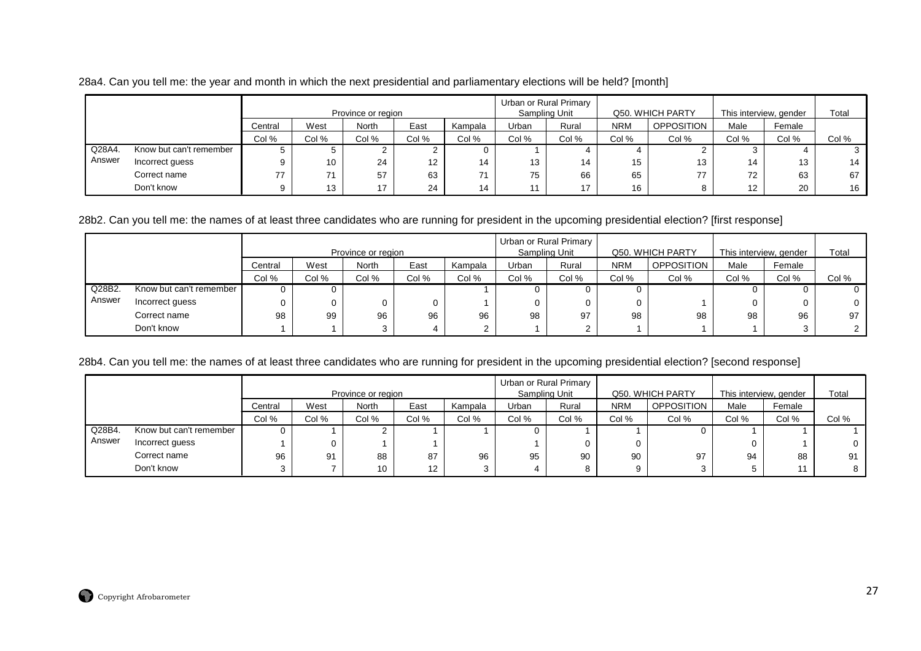|  |  |  | 28a4. Can you tell me: the year and month in which the next presidential and parliamentary elections will be held? [month] |  |  |  |  |  |
|--|--|--|----------------------------------------------------------------------------------------------------------------------------|--|--|--|--|--|
|--|--|--|----------------------------------------------------------------------------------------------------------------------------|--|--|--|--|--|

|        |                         |              | Province or region |       |                 |         |       | Urban or Rural Primary<br>Sampling Unit |            | Q50, WHICH PARTY  | This interview, gender |        | Total |
|--------|-------------------------|--------------|--------------------|-------|-----------------|---------|-------|-----------------------------------------|------------|-------------------|------------------------|--------|-------|
|        |                         | Central      | West               | North | East            | Kampala | Urban | Rural                                   | <b>NRM</b> | <b>OPPOSITION</b> | Male                   | Female |       |
|        |                         | Col %        | Col %              | Col % | Col %           | Col %   | Col % | Col %                                   | Col %      | Col %             | Col %                  | Col %  | Col % |
| Q28A4. | Know but can't remember | $\mathbf{D}$ |                    |       |                 | 0       |       |                                         |            |                   |                        |        |       |
| Answer | Incorrect guess         |              | 10                 | 24    | 12 <sup>°</sup> | 14      | 13    | 14                                      | 15         | 13                | 14                     | 13     | 14    |
|        | Correct name            | 77           | 74                 | 57    | 63              | 71      | 75    | 66                                      | 65         | 77                | 72                     | 63     | 67    |
|        | Don't know              |              | 13                 | 17    | 24              | 14      |       | 17                                      | 16         |                   | 12                     | 20     | 16    |

#### 28b2. Can you tell me: the names of at least three candidates who are running for president in the upcoming presidential election? [first response]

|        |                         |         |                    |              |       |         |       | Urban or Rural Primary |            |                   |                        |        |                |
|--------|-------------------------|---------|--------------------|--------------|-------|---------|-------|------------------------|------------|-------------------|------------------------|--------|----------------|
|        |                         |         | Province or region |              |       |         |       | Sampling Unit          |            | Q50, WHICH PARTY  | This interview, gender |        | Total          |
|        |                         | Central | West               | <b>North</b> | East  | Kampala | Urban | Rural                  | <b>NRM</b> | <b>OPPOSITION</b> | Male                   | Female |                |
|        |                         | Col %   | Col %              | Col %        | Col % | Col %   | Col % | Col %                  | Col %      | Col %             | Col %                  | Col %  | Col %          |
| Q28B2  | Know but can't remember |         |                    |              |       |         |       |                        |            |                   |                        |        |                |
| Answer | Incorrect guess         |         |                    |              |       |         |       |                        |            |                   |                        |        | 0              |
|        | Correct name            | 98      | 99                 | 96           | 96    | 96      | 98    | 97                     | 98         | 98                | 98                     | 96     | 97             |
|        | Don't know              |         |                    |              |       | $\sim$  |       | 2                      |            |                   |                        |        | $\overline{2}$ |

# 28b4. Can you tell me: the names of at least three candidates who are running for president in the upcoming presidential election? [second response]

|        |                         |         | Province or region |       |                   |         |       | Urban or Rural Primary<br>Sampling Unit |            | Q50. WHICH PARTY  | This interview, gender |        | Total    |
|--------|-------------------------|---------|--------------------|-------|-------------------|---------|-------|-----------------------------------------|------------|-------------------|------------------------|--------|----------|
|        |                         | Central | West               | North | East              | Kampala | Urban | Rural                                   | <b>NRM</b> | <b>OPPOSITION</b> | Male                   | Female |          |
|        |                         | Col %   | Col %              | Col % | Col %             | Col %   | Col % | Col %                                   | Col %      | Col %             | Col %                  | Col %  | Col %    |
| Q28B4. | Know but can't remember |         |                    |       |                   |         |       |                                         |            |                   |                        |        |          |
| Answer | Incorrect guess         |         |                    |       |                   |         |       |                                         |            |                   | 0                      |        | $\Omega$ |
|        | Correct name            | 96      | 91                 | 88    | 87                | 96      | 95    | 90                                      | 90         | 97                | 94                     | 88     | 91       |
|        | Don't know              |         |                    | 10    | $12 \overline{ }$ | 3       |       | 8                                       |            |                   | ა                      | 44     |          |

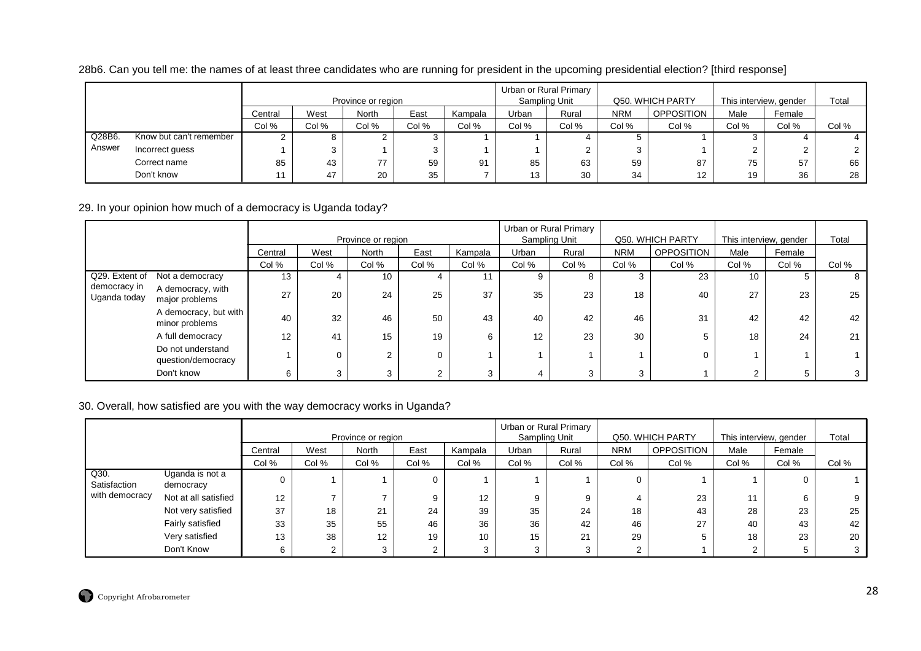| 28b6. Can you tell me: the names of at least three candidates who are running for president in the upcoming presidential election? [third response] |  |  |
|-----------------------------------------------------------------------------------------------------------------------------------------------------|--|--|
|-----------------------------------------------------------------------------------------------------------------------------------------------------|--|--|

|        |                         |         | Province or region |       |       |         |       | Urban or Rural Primary<br>Sampling Unit |            | Q50, WHICH PARTY | This interview, gender |        | Total |
|--------|-------------------------|---------|--------------------|-------|-------|---------|-------|-----------------------------------------|------------|------------------|------------------------|--------|-------|
|        |                         | Central | West               | North | East  | Kampala | Urban | Rural                                   | <b>NRM</b> | OPPOSITION       | Male                   | Female |       |
|        |                         | Col %   | Col %              | Col % | Col % | Col %   | Col % | Col %                                   | Col %      | Col %            | Col %                  | Col %  | Col % |
| Q28B6. | Know but can't remember |         |                    |       |       |         |       |                                         |            |                  |                        |        |       |
| Answer | Incorrect guess         |         |                    |       |       |         |       |                                         |            |                  |                        |        |       |
|        | Correct name            | 85      | 43                 | 77    | 59    | 91      | 85    | 63                                      | 59         | 87               | 75                     | 57     | 66    |
|        | Don't know              |         | 47                 | 20    | 35    |         | 13    | 30                                      | 34         | 12 <sup>12</sup> | 19                     | 36     | 28    |

# 29. In your opinion how much of a democracy is Uganda today?

|                              |                                         |         |       | Province or region |                |         |       | Urban or Rural Primary<br>Sampling Unit |            | Q50. WHICH PARTY  | This interview, gender |        | Total |
|------------------------------|-----------------------------------------|---------|-------|--------------------|----------------|---------|-------|-----------------------------------------|------------|-------------------|------------------------|--------|-------|
|                              |                                         | Central | West  | North              | East           | Kampala | Urban | Rural                                   | <b>NRM</b> | <b>OPPOSITION</b> | Male                   | Female |       |
|                              |                                         | Col %   | Col % | Col %              | Col %          | Col %   | Col % | Col %                                   | Col %      | Col %             | Col %                  | Col %  | Col % |
| Q29. Extent of               | Not a democracy                         | 13      | 4     | 10                 | 4              |         | 9     | 8                                       | 3          | 23                | 10 <sup>1</sup>        |        | 8     |
| democracy in<br>Uganda today | A democracy, with<br>major problems     | 27      | 20    | 24                 | 25             | 37      | 35    | 23                                      | 18         | 40                | 27                     | 23     | 25    |
|                              | A democracy, but with<br>minor problems | 40      | 32    | 46                 | 50             | 43      | 40    | 42                                      | 46         | 31                | 42                     | 42     | 42    |
|                              | A full democracy                        | 12      | 41    | 15                 | 19             |         | 12    | 23                                      | 30         |                   | 18                     | 24     | 21    |
|                              | Do not understand<br>question/democracy |         | 0     | C                  | 0              |         |       |                                         |            |                   |                        |        |       |
|                              | Don't know                              | 6       | 3     | ົ                  | $\overline{2}$ |         |       | 3                                       | 3          |                   | റ<br><u>~</u>          | 5      |       |

#### 30. Overall, how satisfied are you with the way democracy works in Uganda?

|                      |                              |         |       | Province or region |       |         |       | Urban or Rural Primary<br>Sampling Unit |            | Q50. WHICH PARTY  | This interview, gender |        | Total |
|----------------------|------------------------------|---------|-------|--------------------|-------|---------|-------|-----------------------------------------|------------|-------------------|------------------------|--------|-------|
|                      |                              | Central | West  | <b>North</b>       | East  | Kampala | Urban | Rural                                   | <b>NRM</b> | <b>OPPOSITION</b> | Male                   | Female |       |
|                      |                              | Col %   | Col % | Col %              | Col % | Col %   | Col % | Col %                                   | Col %      | Col %             | Col %                  | Col %  | Col % |
| Q30.<br>Satisfaction | Uganda is not a<br>democracy |         |       |                    | 0     |         |       |                                         | $\Omega$   |                   |                        |        |       |
| with democracy       | Not at all satisfied         | 12      |       |                    | 9     | 12      | 9     |                                         |            | 23                | 11                     |        |       |
|                      | Not very satisfied           | 37      | 18    | 21                 | 24    | 39      | 35    | 24                                      | 18         | 43                | 28                     | 23     | 25    |
|                      | Fairly satisfied             | 33      | 35    | 55                 | 46    | 36      | 36    | 42                                      | 46         | 27                | 40                     | 43     | 42    |
|                      | Very satisfied               | 13      | 38    | 12                 | 19    | 10      | 15    | 21                                      | 29         |                   | 18                     | 23     | 20    |
|                      | Don't Know                   |         |       |                    |       |         | 2     |                                         |            |                   | ົ                      |        |       |

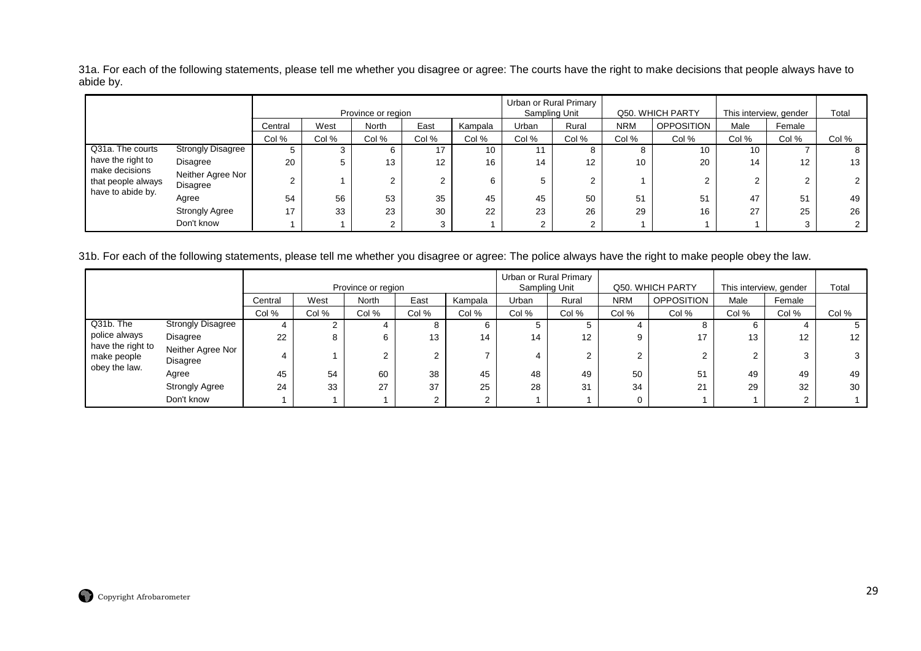31a. For each of the following statements, please tell me whether you disagree or agree: The courts have the right to make decisions that people always have to abide by.

|                                      |                                      |         |       | Province or region |       |         |       | Urban or Rural Primary<br>Sampling Unit |            | Q50. WHICH PARTY  | This interview, gender |                   | Total |
|--------------------------------------|--------------------------------------|---------|-------|--------------------|-------|---------|-------|-----------------------------------------|------------|-------------------|------------------------|-------------------|-------|
|                                      |                                      | Central | West  | <b>North</b>       | East  | Kampala | Urban | Rural                                   | <b>NRM</b> | <b>OPPOSITION</b> | Male                   | Female            |       |
|                                      |                                      | Col %   | Col % | Col %              | Col % | Col %   | Col % | Col %                                   | Col %      | Col %             | Col %                  | Col %             | Col % |
| Q31a. The courts                     | <b>Strongly Disagree</b>             |         |       |                    | 17    | 10      |       |                                         |            | 10                | 10                     |                   |       |
| have the right to                    | Disagree                             | 20      |       | 13                 | 12    | 16      | 14    | 12                                      | 10         | 20                | 14                     | $12 \overline{ }$ | 13    |
| make decisions<br>that people always | Neither Agree Nor<br><b>Disagree</b> | $\sim$  |       |                    | ے     |         |       |                                         |            |                   | $\mathbf{2}^{\circ}$   | ∠                 |       |
| have to abide by.                    | Agree                                | 54      | 56    | 53                 | 35    | 45      | 45    | 50                                      | 51         | 51                | 47                     | 51                | 49    |
|                                      | <b>Strongly Agree</b>                | 17      | 33    | 23                 | 30    | 22      | 23    | 26                                      | 29         | 16                | 27                     | 25                | 26    |
|                                      | Don't know                           |         |       |                    |       |         |       |                                         |            |                   |                        |                   |       |

31b. For each of the following statements, please tell me whether you disagree or agree: The police always have the right to make people obey the law.

|                                  |                               |         |       |                    |       |         |               | Urban or Rural Primary |            |                   |                        |        |       |
|----------------------------------|-------------------------------|---------|-------|--------------------|-------|---------|---------------|------------------------|------------|-------------------|------------------------|--------|-------|
|                                  |                               |         |       | Province or region |       |         | Sampling Unit |                        |            | Q50. WHICH PARTY  | This interview, gender |        | Total |
|                                  |                               | Central | West  | <b>North</b>       | East  | Kampala | Urban         | Rural                  | <b>NRM</b> | <b>OPPOSITION</b> | Male                   | Female |       |
|                                  |                               | Col %   | Col % | Col %              | Col % | Col %   | Col %         | Col %                  | Col %      | Col %             | Col %                  | Col %  | Col % |
| Q31b. The                        | <b>Strongly Disagree</b>      | 4       |       |                    | ŏ     | 6       |               | 5                      |            | o                 | 6                      |        |       |
| police always                    | Disagree                      | 22      | 8     |                    | 13    | 14      | 14            | 12                     | 9          | 17                | 13                     | 12     | 12    |
| have the right to<br>make people | Neither Agree Nor<br>Disagree |         |       |                    |       |         |               | $\overline{2}$         |            |                   | ◠                      |        |       |
| obey the law.                    | Agree                         | 45      | 54    | 60                 | 38    | 45      | 48            | 49                     | 50         | 51                | 49                     | 49     | 49    |
|                                  | <b>Strongly Agree</b>         | 24      | 33    | 27                 | 37    | 25      | 28            | 31                     | 34         | 21                | 29                     | 32     | 30    |
|                                  | Don't know                    |         |       |                    |       | ົ       |               |                        |            |                   |                        |        |       |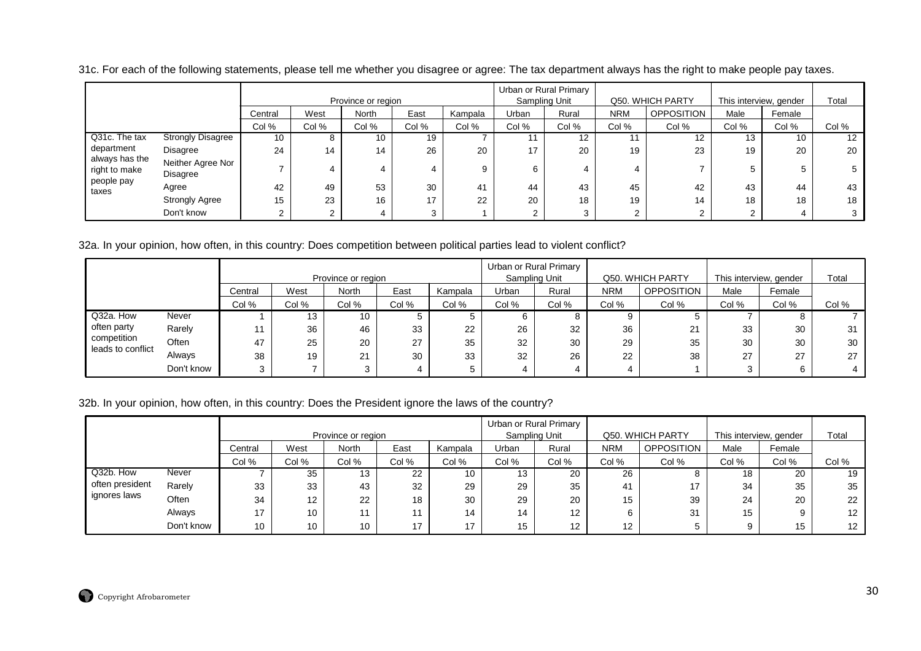100 | 8 | 10 | 19 | 7 | 11 | 12 | 11 | 12 | 13 | 10 | 12 244 | 14 | 26 | 20 | 17 | 20 | 19 | 23 | 19 | 20 | 20 77 4 4 4 9 6 4 4 7 5 5 5 422 | 49 | 53 | 30 | 41 | 44 | 43 | 45 | 42 | 43 | 44 | 43 155 | 23 | 16 | 17 | 22 | 20 | 18 | 19 | 14 | 18 | 18 | 18 2 $2$  2 4 3 1 2 3 2 2 2 4 3 **Strongly Disagree** Disagree Neither Agree Nor**Disagree** Agree Strongly AgreeDon't knowQ31c. The taxdepartment always has theright to makepeople paytaxesCol %**Central** Col %WestCol % NorthCol %EastCol % KampalaProvince or regionCol % UrbanCol %Rural Urban or Rural PrimarySampling UnitCol % NRMCol %OPPOSITION Q50. WHICH PARTYCol % MaleCol % Female This interview, genderCol %Total

31c. For each of the following statements, please tell me whether you disagree or agree: The tax department always has the right to make people pay taxes.

32a. In your opinion, how often, in this country: Does competition between political parties lead to violent conflict?

|                                  |            |         |       | Province or region       |       |         |       | Urban or Rural Primary<br>Sampling Unit |       | Q50, WHICH PARTY |              | This interview, gender | Total |
|----------------------------------|------------|---------|-------|--------------------------|-------|---------|-------|-----------------------------------------|-------|------------------|--------------|------------------------|-------|
|                                  |            | Central | West  | <b>North</b>             | East  | Kampala | Urban | Rural                                   | NRM   | OPPOSITION       | Male         | Female                 |       |
|                                  |            | Col %   | Col % | Col %                    | Col % | Col %   | Col % | Col %                                   | Col % | Col %            | Col %        | Col %                  | Col % |
| Q32a. How                        | Never      |         | 13    | 10                       |       |         | 6     |                                         | 9     |                  |              |                        |       |
| often party                      | Rarely     |         | 36    | 46                       | 33    | 22      | 26    | 32                                      | 36    | 21               | 33           | 30                     | 31    |
| competition<br>leads to conflict | Often      | 47      | 25    | 20                       | 27    | 35      | 32    | 30                                      | 29    | 35               | 30           | 30                     | 30    |
|                                  | Always     | 38      | 19    | $^{\circ}$<br><u> 21</u> | 30    | 33      | 32    | 26                                      | 22    | 38               | $\sim$<br>21 | 27                     | 27    |
|                                  | Don't know | $\circ$ |       |                          | 4     |         | 4     | 4                                       | 4     |                  |              | 6                      | 4     |

32b. In your opinion, how often, in this country: Does the President ignore the laws of the country?

|                 |            |                 |                 | Province or region |       |         | Sampling Unit | Urban or Rural Primary |            | Q50. WHICH PARTY  | This interview, gender |        | Total             |
|-----------------|------------|-----------------|-----------------|--------------------|-------|---------|---------------|------------------------|------------|-------------------|------------------------|--------|-------------------|
|                 |            | Central         | West            | <b>North</b>       | East  | Kampala | Urban         | Rural                  | <b>NRM</b> | <b>OPPOSITION</b> | Male                   | Female |                   |
|                 |            | Col %           | Col %           | Col %              | Col % | Col %   | Col %         | Col %                  | Col %      | Col %             | Col %                  | Col %  | Col %             |
| Q32b. How       | Never      |                 | 35              | 13                 | 22    | 10      | 13            | 20                     | 26         | o                 | 18                     | 20     | 19                |
| often president | Rarely     | 33              | 33              | 43                 | 32    | 29      | 29            | 35                     | -41        | 17                | 34                     | 35     | 35                |
| ignores laws    | Often      | 34              | 12 <sup>°</sup> | 22                 | 18    | 30      | 29            | 20                     | 15         | 39                | 24                     | 20     | 22                |
|                 | Always     | 17              | 10              | 11                 |       | 14      | 14            | 12 <sup>2</sup>        | 6.         | 31                | 15                     |        | $12 \overline{ }$ |
|                 | Don't know | 10 <sup>1</sup> | 10              | 10                 | 17    | 17      | 15            | 12 <sup>12</sup>       | 12         |                   |                        | 15     | 12                |

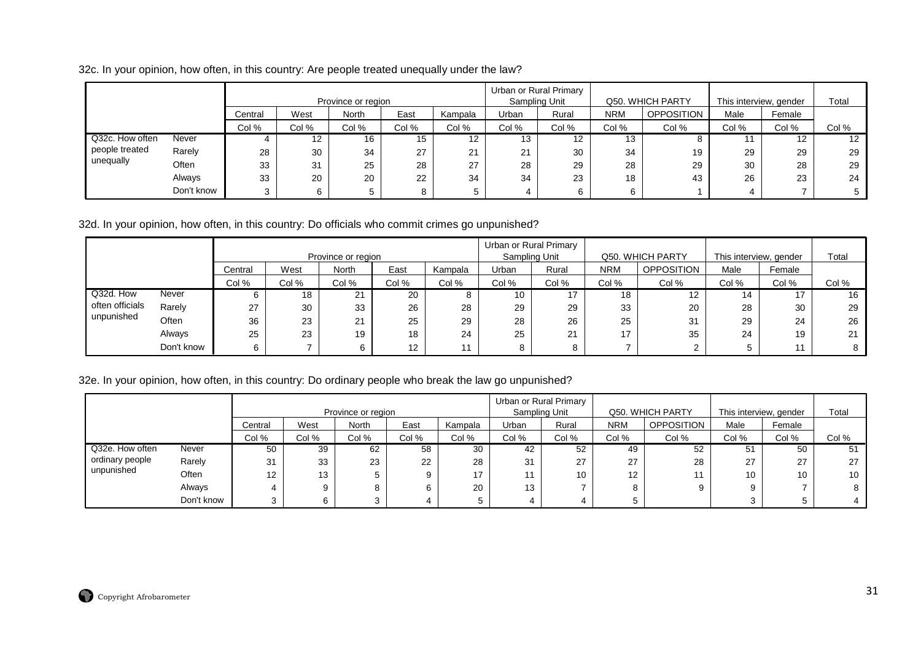32c. In your opinion, how often, in this country: Are people treated unequally under the law?

|                 |            |         |                   | Province or region |       |                   |       | Urban or Rural Primary<br>Sampling Unit |            | Q50. WHICH PARTY  | This interview, gender |        | Total |
|-----------------|------------|---------|-------------------|--------------------|-------|-------------------|-------|-----------------------------------------|------------|-------------------|------------------------|--------|-------|
|                 |            | Central | West              | <b>North</b>       | East  | Kampala           | Urban | Rural                                   | <b>NRM</b> | <b>OPPOSITION</b> | Male                   | Female |       |
|                 |            | Col %   | Col %             | Col %              | Col % | Col %             | Col % | Col %                                   | Col %      | Col %             | Col %                  | Col %  | Col % |
| Q32c. How often | Never      |         | $12 \overline{ }$ | 16                 | 15    | $12 \overline{ }$ | 13    | $12 \overline{ }$                       | 13         | ο                 |                        | 12     | 12    |
| people treated  | Rarely     | 28      | 30                | 34                 | 27    | $\Omega$<br>∠ ا   | 21    | 30                                      | 34         | 19                | 29                     | 29     | 29    |
| unequally       | Often      | 33      | 31                | 25                 | 28    | 27                | 28    | 29                                      | 28         | 29                | 30                     | 28     | 29    |
|                 | Always     | 33      | 20                | 20                 | 22    | 34                | 34    | 23                                      | 18         | 43                | 26                     | 23     | 24    |
|                 | Don't know |         | 6                 |                    | 8     |                   |       |                                         |            |                   | 4                      |        |       |

32d. In your opinion, how often, in this country: Do officials who commit crimes go unpunished?

|                 |            |         |       | Province or region |       |         |       | Urban or Rural Primary<br>Sampling Unit |            | Q50. WHICH PARTY | This interview, gender |        | Total |
|-----------------|------------|---------|-------|--------------------|-------|---------|-------|-----------------------------------------|------------|------------------|------------------------|--------|-------|
|                 |            | Central | West  | North              | East  | Kampala | Urban | Rural                                   | <b>NRM</b> | OPPOSITION       | Male                   | Female |       |
|                 |            | Col %   | Col % | Col %              | Col % | Col %   | Col % | Col %                                   | Col %      | Col %            | Col %                  | Col %  | Col % |
| Q32d. How       | Never      |         | 18    | 21                 | 20    |         | 10    | 17                                      | 18         | 12               | 14                     |        | 16    |
| often officials | Rarely     | 27      | 30    | 33                 | 26    | 28      | 29    | 29                                      | 33         | 20               | 28                     | 30     | 29    |
| unpunished      | Often      | 36      | 23    | 21                 | 25    | 29      | 28    | 26                                      | 25         | 31               | 29                     | 24     | 26    |
|                 | Always     | 25      | 23    | 19                 | 18    | 24      | 25    | 21                                      |            | 35               | 24                     | 19     | 21    |
|                 | Don't know |         |       | 6                  | 12    |         | 8     |                                         |            |                  |                        | 11     | 8     |

# 32e. In your opinion, how often, in this country: Do ordinary people who break the law go unpunished?

|                 |            |                   |       | Province or region |       |                |       | Urban or Rural Primary<br>Sampling Unit |            | Q50. WHICH PARTY  | This interview, gender |        | Total |
|-----------------|------------|-------------------|-------|--------------------|-------|----------------|-------|-----------------------------------------|------------|-------------------|------------------------|--------|-------|
|                 |            | Central           | West  | North              | East  | Kampala        | Urban | Rural                                   | <b>NRM</b> | <b>OPPOSITION</b> | Male                   | Female |       |
|                 |            | Col %             | Col % | Col %              | Col % | Col %          | Col % | Col %                                   | Col %      | Col %             | Col %                  | Col %  | Col % |
| Q32e. How often | Never      | 50                | 39    | 62                 | 58    | 30             | 42    | 52                                      | 49         | 52                | 51                     | 50     | 51    |
| ordinary people | Rarely     | 31                | 33    | 23                 | 22    | 28             | 31    | 27                                      | 27         | 28                | 27                     | 27     | 27    |
| unpunished      | Often      | $12 \overline{ }$ | 13    |                    | 9     | $\overline{ }$ |       | 10                                      | 12         |                   | 10                     | 10     | 10    |
|                 | Always     |                   |       | 8                  |       | 20             | 13    |                                         | 8          |                   | Q                      |        | 8     |
|                 | Don't know | 3                 |       | ົ                  |       |                |       |                                         |            |                   |                        |        |       |

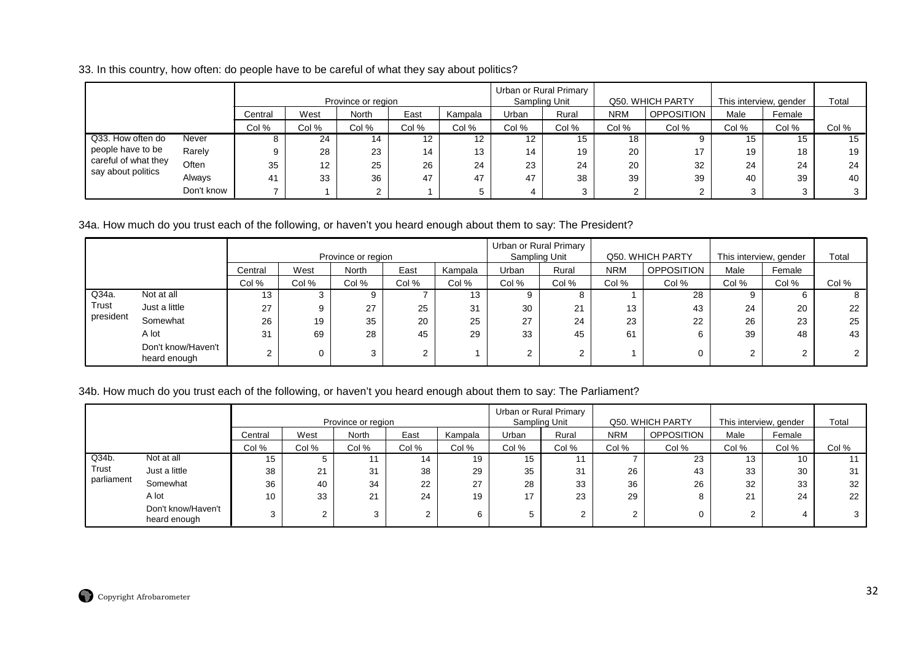33. In this country, how often: do people have to be careful of what they say about politics?

|                      |            |         |           | Province or region |                   |         | Urban or Rural Primary | Sampling Unit |            | Q50. WHICH PARTY  | This interview, gender |        | Total |
|----------------------|------------|---------|-----------|--------------------|-------------------|---------|------------------------|---------------|------------|-------------------|------------------------|--------|-------|
|                      |            | Central | West      | North              | East              | Kampala | Urban                  | Rural         | <b>NRM</b> | <b>OPPOSITION</b> | Male                   | Female |       |
|                      |            | Col %   | Col %     | Col %              | Col %             | Col %   | Col %                  | Col %         | Col %      | Col %             | Col %                  | Col %  | Col % |
| Q33. How often do    | Never      | o       | 24        | 14                 | $12 \overline{ }$ | 12      | $12 \overline{ }$      | 15            | 18         |                   | 15                     | 15     | 15    |
| people have to be    | Rarely     | 9       | 28        | 23                 | 14                | 13      | 14                     | 19            | 20         | 17                | 19                     | 18     | 19    |
| careful of what they | Often      | 35      | 10<br>ے ا | 25                 | 26                | 24      | 23                     | 24            | 20         | 32                | 24                     | 24     | 24    |
| say about politics   | Always     | 41      | 33        | 36                 | 47                | 47      | 47                     | 38            | 39         | 39                | 40                     | 39     | 40    |
|                      | Don't know |         |           |                    |                   |         |                        | ર             |            |                   |                        |        |       |

# 34a. How much do you trust each of the following, or haven't you heard enough about them to say: The President?

|           |                                    |         |       | Province or region |        |         |        | Urban or Rural Primary<br>Sampling Unit |            | Q50. WHICH PARTY  | This interview, gender |        | Total |
|-----------|------------------------------------|---------|-------|--------------------|--------|---------|--------|-----------------------------------------|------------|-------------------|------------------------|--------|-------|
|           |                                    | Central | West  | <b>North</b>       | East   | Kampala | Urban  | Rural                                   | <b>NRM</b> | <b>OPPOSITION</b> | Male                   | Female |       |
|           |                                    | Col %   | Col % | Col %              | Col %  | Col %   | Col %  | Col %                                   | Col %      | Col %             | Col %                  | Col %  | Col % |
| Q34a.     | Not at all                         | 13      | C.    |                    |        | 13      | 9      | o                                       |            | 28                |                        | h      | 8     |
| Trust     | Just a little                      | 27      | 9     | 27                 | 25     | 31      | 30     | 21                                      | 13         | 43                | 24                     | 20     | 22    |
| president | Somewhat                           | 26      | 19    | 35                 | 20     | 25      | 27     | 24                                      | 23         | 22                | 26                     | 23     | 25    |
|           | A lot                              | 31      | 69    | 28                 | 45     | 29      | 33     | 45                                      | 61         | 6                 | 39                     | 48     | 43    |
|           | Don't know/Haven't<br>heard enough | $\sim$  |       | 3                  | $\sim$ |         | $\sim$ |                                         |            |                   | ົ                      | $\sim$ |       |

#### 34b. How much do you trust each of the following, or haven't you heard enough about them to say: The Parliament?

|            |                                    |         |       | Province or region |        |         |       | Urban or Rural Primary<br>Sampling Unit |            | Q50. WHICH PARTY  | This interview, gender |        | Total |
|------------|------------------------------------|---------|-------|--------------------|--------|---------|-------|-----------------------------------------|------------|-------------------|------------------------|--------|-------|
|            |                                    | Central | West  | North              | East   | Kampala | Urban | Rural                                   | <b>NRM</b> | <b>OPPOSITION</b> | Male                   | Female |       |
|            |                                    | Col %   | Col % | Col %              | Col %  | Col %   | Col % | Col %                                   | Col %      | Col %             | Col %                  | Col %  | Col % |
| Q34b.      | Not at all                         | 15      |       |                    | 14     | 19      | 15    |                                         |            | 23                | 13                     | 10     |       |
| Trust      | Just a little                      | 38      | 21    | 31                 | 38     | 29      | 35    | 31                                      | 26         | 43                | 33                     | 30     | 31    |
| parliament | Somewhat                           | 36      | 40    | 34                 | 22     | 27      | 28    | 33                                      | 36         | 26                | 32                     | 33     | 32    |
|            | A lot                              | 10      | 33    | 21                 | 24     | 19      | 17    | 23                                      | 29         |                   | 21                     | 24     | 22    |
|            | Don't know/Haven't<br>heard enough | 3       | ⌒     |                    | $\sim$ |         | G     | $\sim$                                  | $\sim$     |                   | $\sim$                 |        |       |

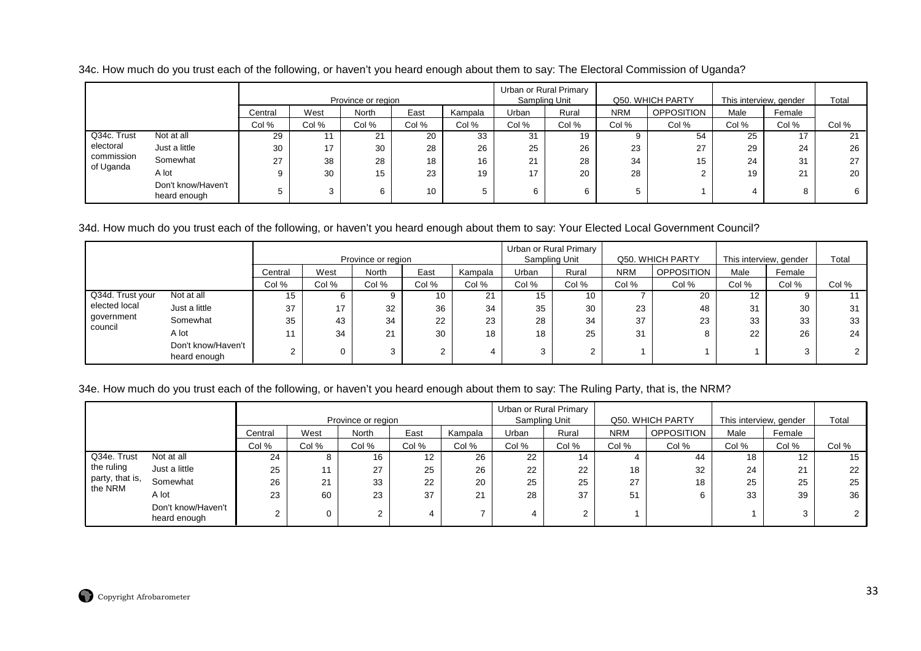34c. How much do you trust each of the following, or haven't you heard enough about them to say: The Electoral Commission of Uganda?

|             |                                    |         |       | Province or region |       |         | Urban or Rural Primary<br>Sampling Unit |       |            | Q50. WHICH PARTY | This interview, gender |        | Total |
|-------------|------------------------------------|---------|-------|--------------------|-------|---------|-----------------------------------------|-------|------------|------------------|------------------------|--------|-------|
|             |                                    | Central | West  | North              | East  | Kampala | Jrban                                   | Rural | <b>NRM</b> | OPPOSITION       | Male                   | Female |       |
|             |                                    | Col %   | Col % | Col %              | Col % | Col %   | Col %                                   | Col % | Col %      | Col %            | Col %                  | Col %  | Col % |
| Q34c. Trust | Not at all                         | 29      |       | 21                 | 20    | 33      | 31                                      | 19    | 9          | 54               | 25                     | 17     | 21    |
| electoral   | Just a little                      | 30      | 17    | 30                 | 28    | 26      | 25                                      | 26    | 23         | 27               | 29                     | 24     | 26    |
| commission  | Somewhat                           | 27      | 38    | 28                 | 18    | 16      | 21                                      | 28    | 34         | 15               | 24                     | 31     | 27    |
| of Uganda   | A lot                              |         | 30    | 15                 | 23    | 19      | 17                                      | 20    | 28         |                  | 19                     | 21     | 20    |
|             | Don't know/Haven't<br>heard enough |         |       | 6                  | 10    | 5       | 6                                       | 6     |            |                  |                        | 8      | 6     |

#### 34d. How much do you trust each of the following, or haven't you heard enough about them to say: Your Elected Local Government Council?

|                  |                                    |         |          | Province or region |                |         |       | Urban or Rural Primary<br>Sampling Unit |            | Q50, WHICH PARTY  | This interview, gender | Total  |       |
|------------------|------------------------------------|---------|----------|--------------------|----------------|---------|-------|-----------------------------------------|------------|-------------------|------------------------|--------|-------|
|                  |                                    | Central | West     | North              | East           | Kampala | Urban | Rural                                   | <b>NRM</b> | <b>OPPOSITION</b> | Male                   | Female |       |
|                  |                                    | Col %   | Col %    | Col %              | Col %          | Col %   | Col % | Col %                                   | Col %      | Col %             | Col %                  | Col %  | Col % |
| Q34d. Trust your | Not at all                         | 15      | 6        | 9                  | 10             | 21      | 15    | 10                                      |            | 20                | 12                     |        |       |
| elected local    | Just a little                      | 37      | 17       | 32                 | 36             | 34      | 35    | 30                                      | 23         | 48                | 31                     | 30     | 31    |
| government       | Somewhat                           | 35      | 43       | 34                 | 22             | 23      | 28    | 34                                      | 37         | 23                | 33                     | 33     | 33    |
| council          | A lot                              |         | 34       | 21                 | 30             | 18      | 18    | 25                                      | 31         |                   | 22                     | 26     | 24    |
|                  | Don't know/Haven't<br>heard enough | $\sim$  | $\Omega$ | ົ                  | $\overline{2}$ |         | 3     | ົ                                       |            |                   |                        |        |       |

#### 34e. How much do you trust each of the following, or haven't you heard enough about them to say: The Ruling Party, that is, the NRM?

|                            |                                    |         | Province or region |       |                 |         |       | Urban or Rural Primary<br>Sampling Unit |            | Q50. WHICH PARTY | This interview, gender | Total             |       |
|----------------------------|------------------------------------|---------|--------------------|-------|-----------------|---------|-------|-----------------------------------------|------------|------------------|------------------------|-------------------|-------|
|                            |                                    | Central | West               | North | East            | Kampala | Urban | Rural                                   | <b>NRM</b> | OPPOSITION       | Male                   | Female            |       |
|                            |                                    | Col %   | Col %              | Col % | Col %           | Col %   | Col % | Col %                                   | Col %      | Col %            | Col %                  | Col %             | Col % |
| Q34e. Trust                | Not at all                         | 24      | 8                  | 16    | 12 <sup>°</sup> | 26      | 22    | 14                                      | 4          | 44               | 18                     | $12 \overline{ }$ | 15    |
| the ruling                 | Just a little                      | 25      | 11                 | 27    | 25              | 26      | 22    | 22                                      | 18         | 32               | 24                     | 21                | 22    |
| party, that is,<br>the NRM | Somewhat                           | 26      | 21                 | 33    | 22              | 20      | 25    | 25                                      | 27         | 18               | 25                     | 25                | 25    |
|                            | A lot                              | 23      | 60                 | 23    | 37              | 21      | 28    | 37                                      | 51         |                  | 33                     | 39                | 36    |
|                            | Don't know/Haven't<br>heard enough | ົ       |                    | 2     |                 |         |       | $\overline{2}$                          |            |                  |                        | ົ<br>د.           |       |

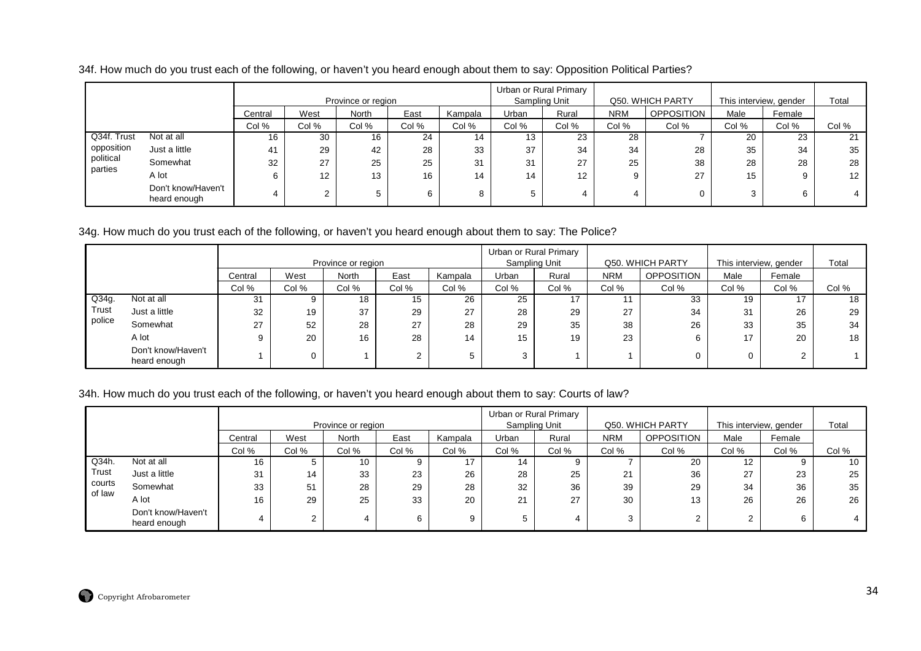| 34f. How much do you trust each of the following, or haven't you heard enough about them to say: Opposition Political Parties? |  |  |  |
|--------------------------------------------------------------------------------------------------------------------------------|--|--|--|
|--------------------------------------------------------------------------------------------------------------------------------|--|--|--|

|             |                                    |         | Province or region |       |       |         |       | Urban or Rural Primary<br>Sampling Unit |            | Q50. WHICH PARTY  | This interview, gender | Total  |       |
|-------------|------------------------------------|---------|--------------------|-------|-------|---------|-------|-----------------------------------------|------------|-------------------|------------------------|--------|-------|
|             |                                    | Central | West               | North | East  | Kampala | Urban | Rural                                   | <b>NRM</b> | <b>OPPOSITION</b> | Male                   | Female |       |
|             |                                    | Col %   | Col %              | Col % | Col % | Col %   | Col % | Col %                                   | Col %      | Col %             | Col %                  | Col %  | Col % |
| Q34f. Trust | Not at all                         | 16      | 30                 | 16    | 24    | 14      | 13    | 23                                      | 28         |                   | 20                     | 23     | 21    |
| opposition  | Just a little                      | 41      | 29                 | 42    | 28    | 33      | 37    | 34                                      | 34         | 28                | 35                     | 34     | 35    |
| political   | Somewhat                           | 32      | 27                 | 25    | 25    | 31      | 31    | 27                                      | 25         | 38                | 28                     | 28     | 28    |
| parties     | A lot                              | 6       | 12                 | 13    | 16    | 14      | 14    | $12 \overline{ }$                       | 9          | 27                | 15                     | 9      | 12    |
|             | Don't know/Haven't<br>heard enough |         |                    | 5     |       |         |       | 4                                       |            |                   | 3                      | 6      |       |

# 34g. How much do you trust each of the following, or haven't you heard enough about them to say: The Police?

|        |                                    |         |       | Province or region |        |         |       | Urban or Rural Primary<br>Sampling Unit | Q50. WHICH PARTY |                   | This interview, gender | Total  |       |
|--------|------------------------------------|---------|-------|--------------------|--------|---------|-------|-----------------------------------------|------------------|-------------------|------------------------|--------|-------|
|        |                                    | Central | West  | <b>North</b>       | East   | Kampala | Urban | Rural                                   | <b>NRM</b>       | <b>OPPOSITION</b> | Male                   | Female |       |
|        |                                    | Col %   | Col % | Col %              | Col %  | Col %   | Col % | Col %                                   | Col %            | Col %             | Col %                  | Col %  | Col % |
| Q34g.  | Not at all                         | 31      |       | 18                 | 15     | 26      | 25    |                                         | 11               | 33                | 19                     | 17     | 18    |
| Trust  | Just a little                      | 32      | 19    | 37                 | 29     | 27      | 28    | 29                                      | 27               | 34                | 31                     | 26     | 29    |
| police | Somewhat                           | 27      | 52    | 28                 | 27     | 28      | 29    | 35                                      | 38               | 26                | 33                     | 35     | 34    |
|        | A lot                              |         | 20    | 16                 | 28     | 14      | 15    | 19                                      | 23               | 6                 | 17                     | 20     | 18    |
|        | Don't know/Haven't<br>heard enough |         |       |                    | $\sim$ |         | 3     |                                         |                  |                   |                        | $\sim$ |       |

## 34h. How much do you trust each of the following, or haven't you heard enough about them to say: Courts of law?

|                  |                                    |         |            | Province or region |       |         | Sampling Unit | Urban or Rural Primary | Q50. WHICH PARTY |                   | This interview, gender | Total  |       |
|------------------|------------------------------------|---------|------------|--------------------|-------|---------|---------------|------------------------|------------------|-------------------|------------------------|--------|-------|
|                  |                                    | Central | West       | North              | East  | Kampala | Urban         | Rural                  | <b>NRM</b>       | <b>OPPOSITION</b> | Male                   | Female |       |
|                  |                                    | Col %   | Col %      | Col %              | Col % | Col %   | Col %         | Col %                  | Col %            | Col %             | Col %                  | Col %  | Col % |
| Q34h.            | Not at all                         | 16      |            | 10                 |       | 17      | 14            |                        |                  | 20                | 12                     | 9      | 10    |
| Trust            | Just a little                      | 31      | 14         | 33                 | 23    | 26      | 28            | 25                     | 21               | 36                | 27                     | 23     | 25    |
| courts<br>of law | Somewhat                           | 33      | 51         | 28                 | 29    | 28      | 32            | 36                     | 39               | 29                | 34                     | 36     | 35    |
|                  | A lot                              | 16      | 29         | 25                 | 33    | 20      | 21            | 27                     | 30               | 13                | 26                     | 26     | 26    |
|                  | Don't know/Haven't<br>heard enough |         | $\sqrt{2}$ |                    |       |         |               |                        | 3                | ⌒                 | $\sim$                 | 6      |       |

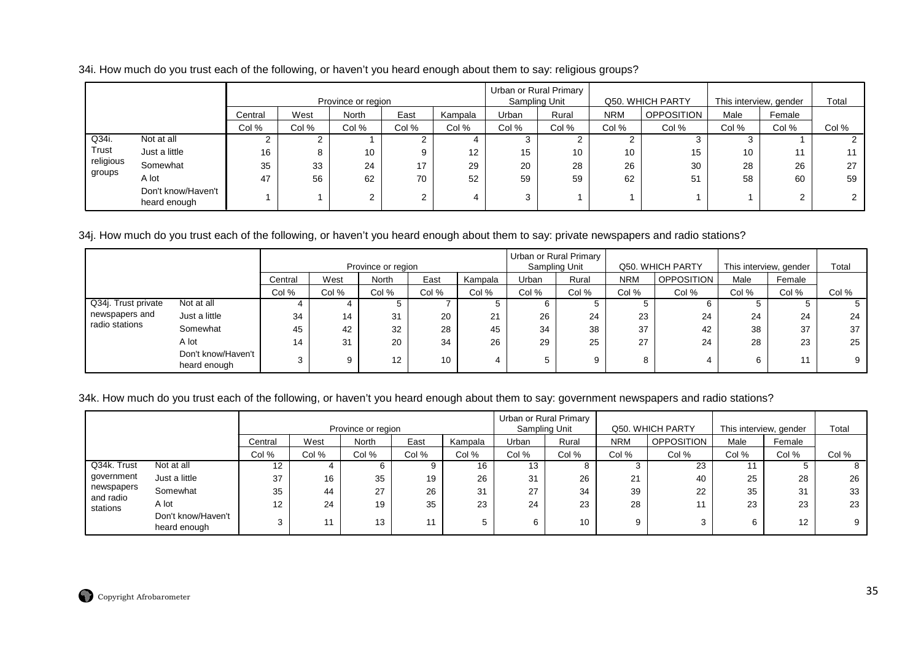|  |  |  | 34i. How much do you trust each of the following, or haven't you heard enough about them to say: religious groups? |
|--|--|--|--------------------------------------------------------------------------------------------------------------------|
|  |  |  |                                                                                                                    |

|           |                                    |         | Province or region |              |                 |                   |       | Urban or Rural Primary<br>Sampling Unit |            | Q50. WHICH PARTY  | This interview, gender | Total  |       |
|-----------|------------------------------------|---------|--------------------|--------------|-----------------|-------------------|-------|-----------------------------------------|------------|-------------------|------------------------|--------|-------|
|           |                                    | Central | West               | <b>North</b> | East            | Kampala           | Urban | Rural                                   | <b>NRM</b> | <b>OPPOSITION</b> | Male                   | Female |       |
|           |                                    | Col %   | Col %              | Col %        | Col %           | Col %             | Col % | Col %                                   | Col %      | Col %             | Col %                  | Col %  | Col % |
| Q34i.     | Not at all                         |         | C.                 |              | ົ<br>$\epsilon$ |                   | 3     |                                         |            | C.                | C.                     |        |       |
| Trust     | Just a little                      | 16      | 8                  | 10           | 9               | $12 \overline{ }$ | 15    | 10                                      | 10         | 15                | 10                     | 11     |       |
| religious | Somewhat                           | 35      | 33                 | 24           | 17              | 29                | 20    | 28                                      | 26         | 30                | 28                     | 26     | 27    |
| groups    | A lot                              | 47      | 56                 | 62           | 70              | 52                | 59    | 59                                      | 62         | 51                | 58                     | 60     | 59    |
|           | Don't know/Haven't<br>heard enough |         |                    |              | $\sim$<br>∠     |                   | 3     |                                         |            |                   |                        | ີ      |       |

34j. How much do you trust each of the following, or haven't you heard enough about them to say: private newspapers and radio stations?

|                     |                                    |         |       |                    |       |         |       | Urban or Rural Primary |            |                  |                        |        |       |
|---------------------|------------------------------------|---------|-------|--------------------|-------|---------|-------|------------------------|------------|------------------|------------------------|--------|-------|
|                     |                                    |         |       | Province or region |       |         |       | Sampling Unit          |            | Q50. WHICH PARTY | This interview, gender |        | Total |
|                     |                                    | Central | West  | North              | East  | Kampala | Urban | Rural                  | <b>NRM</b> | OPPOSITION       | Male                   | Female |       |
|                     |                                    | Col %   | Col % | Col %              | Col % | Col %   | Col % | Col %                  | Col %      | Col %            | Col %                  | Col %  | Col % |
| Q34j. Trust private | Not at all                         |         |       |                    |       |         |       |                        |            |                  |                        |        |       |
| newspapers and      | Just a little                      | 34      | 14    | 31                 | 20    | 21      | 26    | 24                     | 23         | 24               | 24                     | 24     | 24    |
| radio stations      | Somewhat                           | 45      | 42    | 32                 | 28    | 45      | 34    | 38                     | 37         | 42               | 38                     | 37     | 37    |
|                     | A lot                              | 14      | 31    | 20                 | 34    | 26      | 29    | 25                     | 27         | 24               | 28                     | 23     | 25    |
|                     | Don't know/Haven't<br>heard enough |         |       | 12                 | 10    |         | 5     | 9                      | 8          | 4                | 6                      | 11     | 9     |

34k. How much do you trust each of the following, or haven't you heard enough about them to say: government newspapers and radio stations?

|                       |                                    |         | Province or region |       |       |         |       | Urban or Rural Primary<br>Sampling Unit |            | Q50. WHICH PARTY  | This interview, gender | Total  |       |
|-----------------------|------------------------------------|---------|--------------------|-------|-------|---------|-------|-----------------------------------------|------------|-------------------|------------------------|--------|-------|
|                       |                                    | Central | West               | North | East  | Kampala | Urban | Rural                                   | <b>NRM</b> | <b>OPPOSITION</b> | Male                   | Female |       |
|                       |                                    | Col %   | Col %              | Col % | Col % | Col %   | Col % | Col %                                   | Col %      | Col %             | Col %                  | Col %  | Col % |
| Q34k. Trust           | Not at all                         | 12      |                    | 6     |       | 16      | 13    |                                         |            | 23                |                        |        | 8     |
| government            | Just a little                      | 37      | 16                 | 35    | 19    | 26      | 31    | 26                                      | 21         | 40                | 25                     | 28     | 26    |
| newspapers            | Somewhat                           | 35      | 44                 | 27    | 26    | 31      | 27    | 34                                      | 39         | 22                | 35                     | 31     | 33    |
| and radio<br>stations | A lot                              | 12      | 24                 | 19    | 35    | 23      | 24    | 23                                      | 28         |                   | 23                     | 23     | 23    |
|                       | Don't know/Haven't<br>heard enough |         |                    | 13    | 11    | 5       | 6     | 10                                      |            | $\sim$            | 6                      | 12     | 9     |

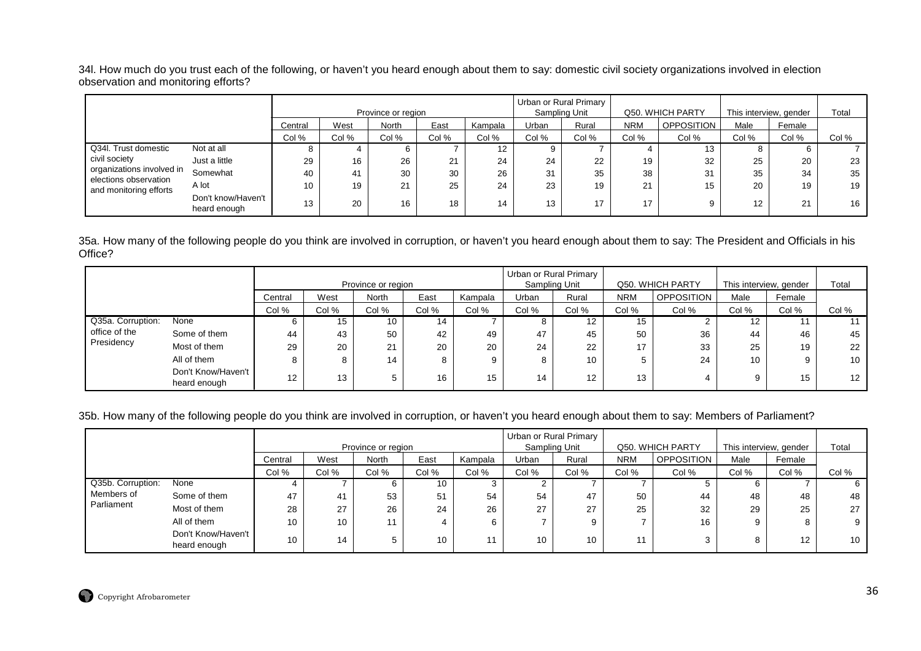34l. How much do you trust each of the following, or haven't you heard enough about them to say: domestic civil society organizations involved in election observation and monitoring efforts?

|                                                    |                                    |         |       | Province or region |       |                 |       | Urban or Rural Primary<br>Sampling Unit |            | Q50. WHICH PARTY |       | This interview, gender | Total |
|----------------------------------------------------|------------------------------------|---------|-------|--------------------|-------|-----------------|-------|-----------------------------------------|------------|------------------|-------|------------------------|-------|
|                                                    |                                    | Central | West  | North              | East  | Kampala         | Urban | Rural                                   | <b>NRM</b> | OPPOSITION       | Male  | Female                 |       |
|                                                    |                                    | Col %   | Col % | Col %              | Col % | Col %           | Col % | Col %                                   | Col %      | Col %            | Col % | Col %                  | Col % |
| Q34I. Trust domestic                               | Not at all                         |         |       |                    |       | 12 <sup>2</sup> |       |                                         |            | 13               | 8     | b                      |       |
| civil society                                      | Just a little                      | 29      | 16    | 26                 | 21    | 24              | 24    | 22                                      | 19         | 32               | 25    | 20                     | 23    |
| organizations involved in<br>elections observation | Somewhat                           | 40      | 41    | 30                 | 30    | 26              | 31    | 35                                      | 38         | 31               | 35    | 34                     | 35    |
| and monitoring efforts                             | A lot                              | 10      | 19    | 21                 | 25    | 24              | 23    | 19                                      | 21         | 15               | 20    | 19                     | 19    |
|                                                    | Don't know/Haven't<br>heard enough | 13      | 20    | 16                 | 18    | 14              | 13    | 17                                      | 17         | 9                | 12    | 21                     | 16    |

35a. How many of the following people do you think are involved in corruption, or haven't you heard enough about them to say: The President and Officials in his Office?

|                   |                                    |         |       |                    |       |         |       | Urban or Rural Primary |            |                   |                        |        |                  |
|-------------------|------------------------------------|---------|-------|--------------------|-------|---------|-------|------------------------|------------|-------------------|------------------------|--------|------------------|
|                   |                                    |         |       | Province or region |       |         |       | Sampling Unit          |            | Q50. WHICH PARTY  | This interview, gender |        | Total            |
|                   |                                    | Central | West  | North              | East  | Kampala | Urban | Rural                  | <b>NRM</b> | <b>OPPOSITION</b> | Male                   | Female |                  |
|                   |                                    | Col %   | Col % | Col %              | Col % | Col %   | Col % | Col %                  | Col %      | Col %             | Col %                  | Col %  | Col %            |
| Q35a. Corruption: | None                               | 6       | 15    | 10                 | 14    |         |       | $12 \overline{ }$      | 15         |                   | 12 <sup>°</sup>        |        |                  |
| office of the     | Some of them                       | 44      | 43    | 50                 | 42    | 49      | 47    | 45                     | 50         | 36                | 44                     | 46     | 45               |
| Presidency        | Most of them                       | 29      | 20    | 21                 | 20    | 20      | 24    | 22                     | 17         | 33                | 25                     | 19     | 22               |
|                   | All of them                        | 8       | 8     | 14                 | 8     |         | o.    | 10                     |            | 24                | 10                     |        | 10               |
|                   | Don't Know/Haven't<br>heard enough | 12      | 13    |                    | 16    | 15      | 14    | 12                     | 13         |                   | 9                      | 15     | 12 <sup>12</sup> |

#### 35b. How many of the following people do you think are involved in corruption, or haven't you heard enough about them to say: Members of Parliament?

|                   |                                    |         |       |                    |       |         | Urban or Rural Primary |               |            |                   |                        |        |                 |
|-------------------|------------------------------------|---------|-------|--------------------|-------|---------|------------------------|---------------|------------|-------------------|------------------------|--------|-----------------|
|                   |                                    |         |       | Province or region |       |         |                        | Sampling Unit |            | Q50. WHICH PARTY  | This interview, gender |        | Total           |
|                   |                                    | Central | West  | North              | East  | Kampala | Urban                  | Rural         | <b>NRM</b> | <b>OPPOSITION</b> | Male                   | Female |                 |
|                   |                                    | Col %   | Col % | Col %              | Col % | Col %   | Col %                  | Col %         | Col %      | Col %             | Col %                  | Col %  | Col %           |
| Q35b. Corruption: | None                               |         |       | b                  | 10    |         |                        |               |            |                   | 6                      |        | b               |
| Members of        | Some of them                       | 47      | 41    | 53                 | 51    | 54      | 54                     | 47            | 50         | 44                | 48                     | 48     | 48              |
| Parliament        | Most of them                       | 28      | 27    | 26                 | 24    | 26      | 27                     | 27            | 25         | 32                | 29                     | 25     | 27              |
|                   | All of them                        | 10      | 10    | 11                 | 4     |         |                        | 9             |            | 16                | 9                      |        | 9               |
|                   | Don't Know/Haven't<br>heard enough | 10      | 14    | 5                  | 10    |         | 10                     | 10            |            |                   | 8                      | 12     | 10 <sub>1</sub> |

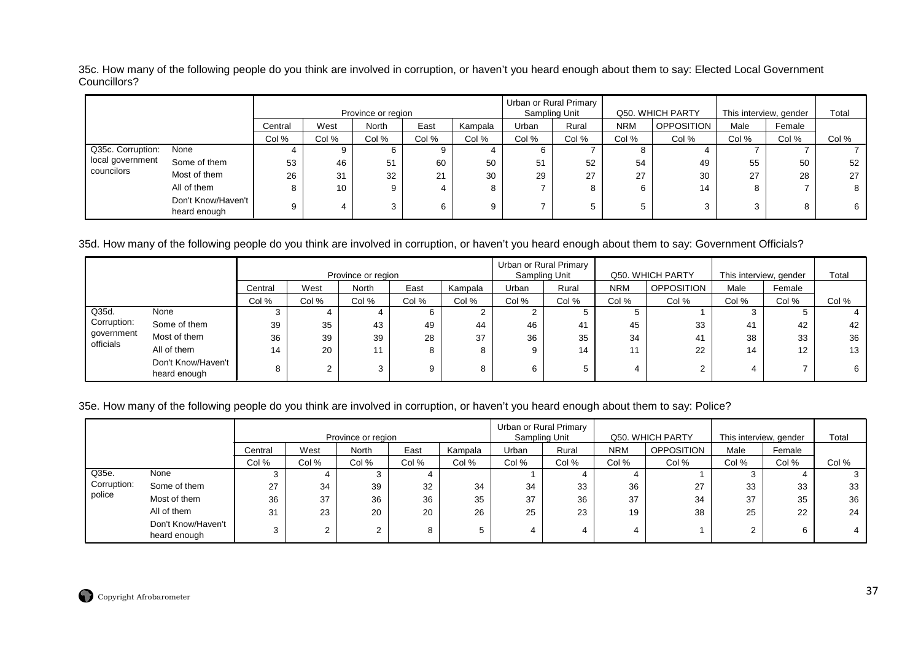35c. How many of the following people do you think are involved in corruption, or haven't you heard enough about them to say: Elected Local Government Councillors?

|                   |                                    |         |       | Province or region |       |         |       | Urban or Rural Primary<br>Sampling Unit |            | Q50. WHICH PARTY  | This interview, gender |        | Total |
|-------------------|------------------------------------|---------|-------|--------------------|-------|---------|-------|-----------------------------------------|------------|-------------------|------------------------|--------|-------|
|                   |                                    | Central | West  | North              | East  | Kampala | Urban | Rural                                   | <b>NRM</b> | <b>OPPOSITION</b> | Male                   | Female |       |
|                   |                                    | Col %   | Col % | Col %              | Col % | Col %   | Col % | Col %                                   | Col %      | Col %             | Col %                  | Col %  | Col % |
| Q35c. Corruption: | None                               | 4       |       | b                  |       |         |       |                                         | o          |                   |                        |        |       |
| local government  | Some of them                       | 53      | 46    | 51                 | 60    | 50      | 51    | 52                                      | 54         | 49                | 55                     | 50     | 52    |
| councilors        | Most of them                       | 26      | 31    | 32                 | 21    | 30      | 29    | 27                                      | 27         | 30                | 27                     | 28     | 27    |
|                   | All of them                        | 8       | 10    | 9                  | 4     |         |       | ŏ                                       | 6          | 14                | 8                      |        | 8     |
|                   | Don't Know/Haven't<br>heard enough | 9       |       | ◠                  | 6     | Q       |       | $\mathbf{p}$                            |            |                   | 3                      |        | 6     |

35d. How many of the following people do you think are involved in corruption, or haven't you heard enough about them to say: Government Officials?

|                         |                                    |         |       |                    |       |         |       | Urban or Rural Primary |            |                   |                        |        |       |
|-------------------------|------------------------------------|---------|-------|--------------------|-------|---------|-------|------------------------|------------|-------------------|------------------------|--------|-------|
|                         |                                    |         |       | Province or region |       |         |       | Sampling Unit          |            | Q50. WHICH PARTY  | This interview, gender |        | Total |
|                         |                                    | Central | West  | North              | East  | Kampala | Jrban | Rural                  | <b>NRM</b> | <b>OPPOSITION</b> | Male                   | Female |       |
|                         |                                    | Col %   | Col % | Col %              | Col % | Col %   | Col % | Col %                  | Col %      | Col %             | Col %                  | Col %  | Col % |
| Q35d.                   | None                               | J.      |       |                    |       |         |       |                        |            |                   |                        |        |       |
| Corruption:             | Some of them                       | 39      | 35    | 43                 | 49    | 44      | 46    | 41                     | 45         | 33                | 41                     | 42     | 42    |
| government<br>officials | Most of them                       | 36      | 39    | 39                 | 28    | 37      | 36    | 35                     | 34         | 41                | 38                     | 33     | 36    |
|                         | All of them                        | 14      | 20    | 11                 |       | 8       |       | 14                     | 11         | 22                | 14                     | 12     | 13    |
|                         | Don't Know/Haven't<br>heard enough | 8       |       | 3                  |       | 8       |       | 5                      |            |                   |                        |        | 6     |

# 35e. How many of the following people do you think are involved in corruption, or haven't you heard enough about them to say: Police?

|             |                                    |         |       | Province or region |       |         |       | Urban or Rural Primary<br>Sampling Unit |            | Q50. WHICH PARTY  | This interview, gender |        | Total |
|-------------|------------------------------------|---------|-------|--------------------|-------|---------|-------|-----------------------------------------|------------|-------------------|------------------------|--------|-------|
|             |                                    | Central | West  | North              | East  | Kampala | Urban | Rural                                   | <b>NRM</b> | <b>OPPOSITION</b> | Male                   | Female |       |
|             |                                    | Col %   | Col % | Col %              | Col % | Col %   | Col % | Col %                                   | Col %      | Col %             | Col %                  | Col %  | Col % |
| Q35e.       | None                               | C       |       | ۰J.                |       |         |       |                                         |            |                   |                        |        |       |
| Corruption: | Some of them                       | 27      | 34    | 39                 | 32    | 34      | 34    | 33                                      | 36         | 27                | 33                     | 33     | 33    |
| police      | Most of them                       | 36      | 37    | 36                 | 36    | 35      | 37    | 36                                      | 37         | 34                | 37                     | 35     | 36    |
|             | All of them                        | 31      | 23    | 20                 | 20    | 26      | 25    | 23                                      | 19         | 38                | 25                     | 22     | 24    |
|             | Don't Know/Haven't<br>heard enough | 3       |       | ◠<br>∠             | 8     |         |       | 4                                       |            |                   | ົ                      | 6      |       |

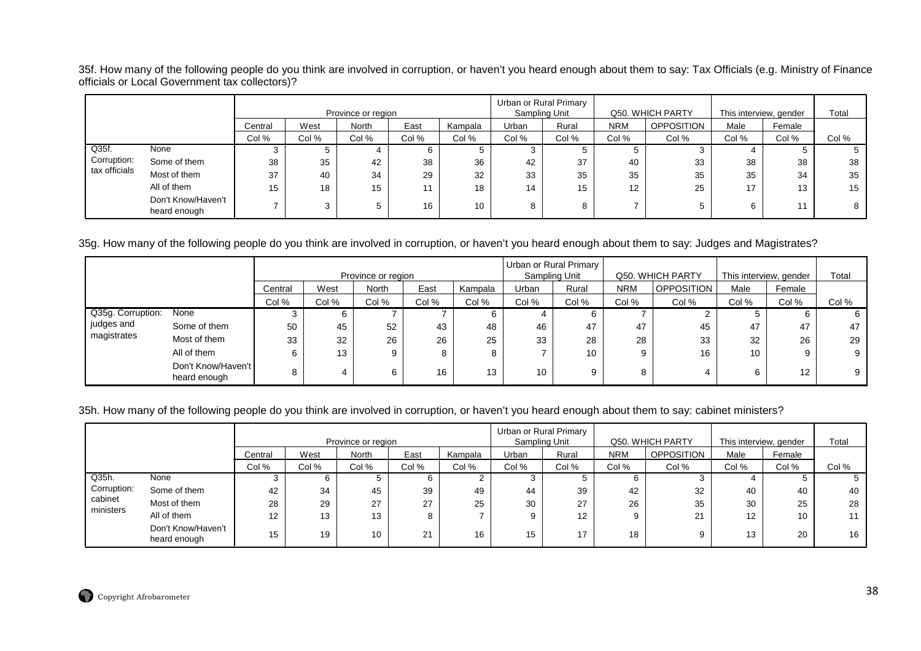35f. How many of the following people do you think are involved in corruption, or haven't you heard enough about them to say: Tax Officials (e.g. Ministry of Finance officials or Local Government tax collectors)?

|               |                                    |         |       | Province or region |       |         |       | Urban or Rural Primary<br>Sampling Unit |            | Q50. WHICH PARTY  | This interview, gender |        | Total |
|---------------|------------------------------------|---------|-------|--------------------|-------|---------|-------|-----------------------------------------|------------|-------------------|------------------------|--------|-------|
|               |                                    | Central | West  | <b>North</b>       | East  | Kampala | Urban | Rural                                   | <b>NRM</b> | <b>OPPOSITION</b> | Male                   | Female |       |
|               |                                    | Col %   | Col % | Col %              | Col % | Col %   | Col % | Col %                                   | Col %      | Col %             | Col %                  | Col %  | Col % |
| Q35f.         | None                               |         |       |                    |       |         |       |                                         | G.         |                   |                        | 5.     | Ð     |
| Corruption:   | Some of them                       | 38      | 35    | 42                 | 38    | 36      | 42    | 37                                      | 40         | 33                | 38                     | 38     | 38    |
| tax officials | Most of them                       | 37      | 40    | 34                 | 29    | 32      | 33    | 35                                      | 35         | 35                | 35                     | 34     | 35    |
|               | All of them                        | 15      | 18    | 15                 | 11    | 18      | 14    | 15                                      | 12         | 25                | 17                     | 13     | 15    |
|               | Don't Know/Haven't<br>heard enough |         |       |                    | 16    | 10      |       |                                         |            |                   | 6                      | 11     | 8     |

35g. How many of the following people do you think are involved in corruption, or haven't you heard enough about them to say: Judges and Magistrates?

|                   |                                    |         |       |                    |       |         |       | Urban or Rural Primary |            |                   |                        |        |       |
|-------------------|------------------------------------|---------|-------|--------------------|-------|---------|-------|------------------------|------------|-------------------|------------------------|--------|-------|
|                   |                                    |         |       | Province or region |       |         |       | Sampling Unit          |            | Q50. WHICH PARTY  | This interview, gender |        | Total |
|                   |                                    | Central | West  | North              | East  | Kampala | Urban | Rural                  | <b>NRM</b> | <b>OPPOSITION</b> | Male                   | Female |       |
|                   |                                    | Col %   | Col % | Col %              | Col % | Col %   | Col % | Col %                  | Col %      | Col %             | Col %                  | Col %  | Col % |
| Q35g. Corruption: | None                               | ٿ       | b     |                    |       |         |       | 6                      |            |                   |                        |        | 6     |
| judges and        | Some of them                       | 50      | 45    | 52                 | 43    | 48      | 46    | 47                     | 47         | 45                | 47                     | 47     | 47    |
| magistrates       | Most of them                       | 33      | 32    | 26                 | 26    | 25      | 33    | 28                     | 28         | 33                | 32                     | 26     | 29    |
|                   | All of them                        | 6       | 13    | 9                  | 8     | 8       |       | 10                     | 9          | 16                | 10                     |        | 9     |
|                   | Don't Know/Haven't<br>heard enough | 8       |       | 6                  | 16    | 13      | 10    | 9                      | Ο          |                   | 6                      | 12     | 9     |

### 35h. How many of the following people do you think are involved in corruption, or haven't you heard enough about them to say: cabinet ministers?

|                      |                                    |         |       | Province or region |                      |         |       | Urban or Rural Primary<br>Sampling Unit |            | Q50. WHICH PARTY  | This interview, gender |        | Total |
|----------------------|------------------------------------|---------|-------|--------------------|----------------------|---------|-------|-----------------------------------------|------------|-------------------|------------------------|--------|-------|
|                      |                                    | Central | West  | North              | East                 | Kampala | Urban | Rural                                   | <b>NRM</b> | <b>OPPOSITION</b> | Male                   | Female |       |
|                      |                                    | Col %   | Col % | Col %              | Col %                | Col %   | Col % | Col %                                   | Col %      | Col %             | Col %                  | Col %  | Col % |
| Q35h.                | None                               |         |       |                    |                      |         |       |                                         |            |                   |                        |        |       |
| Corruption:          | Some of them                       | 42      | 34    | 45                 | 39                   | 49      | 44    | 39                                      | 42         | 32                | 40                     | 40     | 40    |
| cabinet<br>ministers | Most of them                       | 28      | 29    | 27                 | 27                   | 25      | 30    | 27                                      | 26         | 35                | 30                     | 25     | 28    |
|                      | All of them                        | 12      | 13    | 13                 |                      |         |       | 12                                      |            | 21                | 12                     | 10     |       |
|                      | Don't Know/Haven't<br>heard enough | 15      | 19    | 10                 | $\Omega$<br>$\sim$ 1 | 16      | 15    | 17                                      | 18         |                   | 13                     | 20     | 16    |

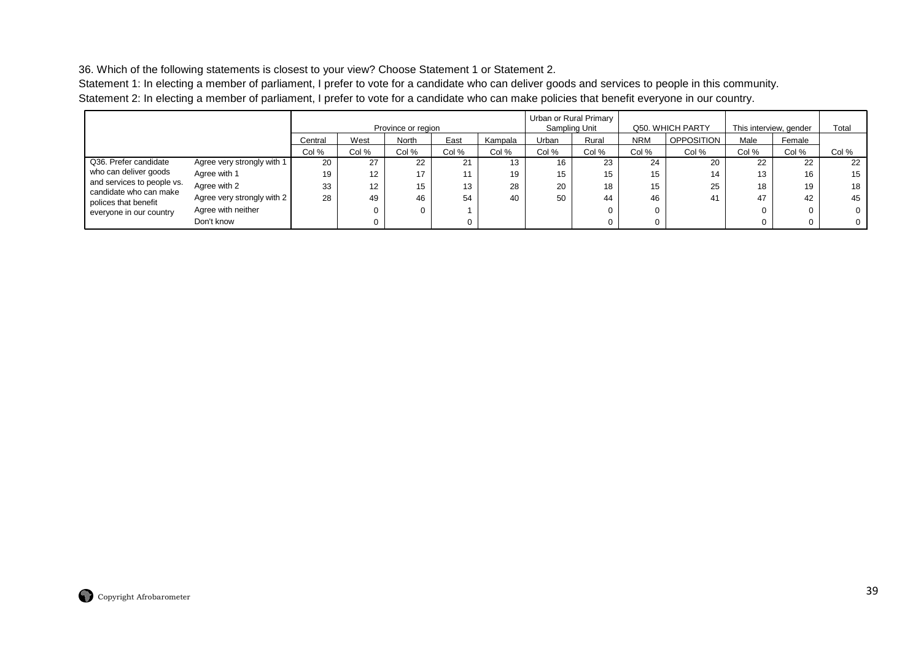36. Which of the following statements is closest to your view? Choose Statement 1 or Statement 2.

Statement 1: In electing a member of parliament, I prefer to vote for a candidate who can deliver goods and services to people in this community. Statement 2: In electing a member of parliament, I prefer to vote for a candidate who can make policies that benefit everyone in our country.

|                                                |                            |         |       | Province or region |       |         |       | Urban or Rural Primary<br>Sampling Unit |            | Q50. WHICH PARTY  |       | This interview, gender | Total    |
|------------------------------------------------|----------------------------|---------|-------|--------------------|-------|---------|-------|-----------------------------------------|------------|-------------------|-------|------------------------|----------|
|                                                |                            | Central | West  | North              | East  | Kampala | Urban | Rural                                   | <b>NRM</b> | <b>OPPOSITION</b> | Male  | Female                 |          |
|                                                |                            | Col %   | Col % | Col %              | Col % | Col %   | Col % | Col %                                   | Col %      | Col %             | Col % | Col %                  | Col %    |
| Q36. Prefer candidate                          | Agree very strongly with 1 | 20      | 27    | 22                 | 21    | 13      | 16    | 23                                      | 24         | 20                | 22    | 22                     | 22       |
| who can deliver goods                          | Agree with 1               | 19      | 12    | 17                 |       | 19      | 15    | 15                                      | 15         | 14                | 13    | 16                     | 15       |
| and services to people vs.                     | Agree with 2               | 33      | 12    | 15                 | 13    | 28      | 20    | 18                                      | 15         | 25                | 18    | 19                     | 18       |
| candidate who can make<br>polices that benefit | Agree very strongly with 2 | 28      | 49    | 46                 | 54    | 40      | 50    | 44                                      | 46         | 41                | 47    | 42                     | 45       |
| everyone in our country                        | Agree with neither         |         | 0     | 0                  |       |         |       |                                         |            |                   |       |                        | 0        |
|                                                | Don't know                 |         | 0     |                    |       |         |       |                                         |            |                   |       |                        | $\Omega$ |

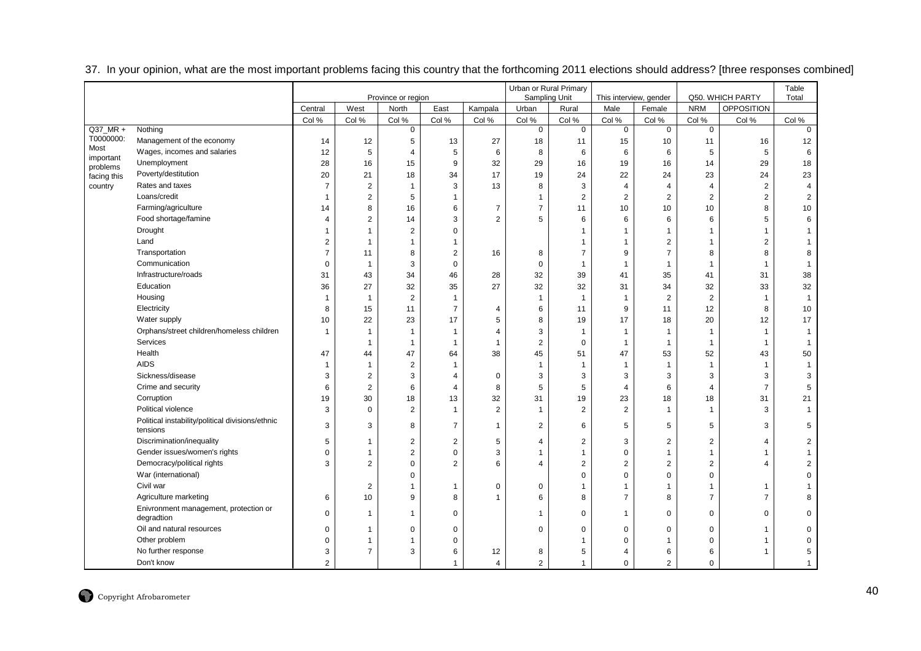|             |                                                              |                     |                                  |                         |                                  |                | Urban or Rural Primary  |                         |                         |                         |                         |                                    | Table                   |
|-------------|--------------------------------------------------------------|---------------------|----------------------------------|-------------------------|----------------------------------|----------------|-------------------------|-------------------------|-------------------------|-------------------------|-------------------------|------------------------------------|-------------------------|
|             |                                                              |                     |                                  | Province or region      |                                  |                | Sampling Unit           |                         | This interview, gender  |                         |                         | Q50. WHICH PARTY                   | Total                   |
|             |                                                              | Central             | West                             | North                   | East                             | Kampala        | Urban                   | Rural                   | Male                    | Female                  | <b>NRM</b>              | <b>OPPOSITION</b>                  |                         |
| $Q37_MRR +$ | Nothing                                                      | Col %               | Col %                            | Col %<br>$\overline{0}$ | Col %                            | Col %          | Col %<br>$\overline{0}$ | Col %<br>$\overline{0}$ | Col %<br>$\overline{0}$ | Col %<br>$\overline{0}$ | Col %<br>$\overline{0}$ | Col %                              | Col %<br>$\overline{0}$ |
| T0000000:   | Management of the economy                                    |                     |                                  |                         |                                  |                |                         |                         |                         |                         |                         |                                    |                         |
| Most        | Wages, incomes and salaries                                  | 14                  | 12<br>5                          | 5                       | 13                               | 27<br>6        | 18                      | 11                      | 15<br>6                 | 10                      | 11<br>5                 | 16                                 | 12<br>6                 |
| important   | Unemployment                                                 | 12<br>28            | 16                               | $\overline{4}$<br>15    | 5<br>9                           | 32             | 8<br>29                 | 6<br>16                 | 19                      | 6<br>16                 |                         | $\sqrt{5}$<br>29                   | 18                      |
| problems    | Poverty/destitution                                          | 20                  | 21                               | 18                      |                                  | 17             | 19                      | 24                      | 22                      | 24                      | 14<br>23                | 24                                 | 23                      |
| facing this | Rates and taxes                                              | $\overline{7}$      |                                  | $\mathbf{1}$            | 34<br>3                          | 13             |                         | 3                       | $\overline{4}$          | $\overline{4}$          | $\overline{4}$          |                                    | $\overline{4}$          |
| country     | Loans/credit                                                 | $\mathbf{1}$        | $\overline{c}$<br>$\overline{2}$ | 5                       | $\mathbf{1}$                     |                | 8<br>$\mathbf{1}$       | $\overline{2}$          | $\overline{2}$          | $\overline{2}$          | $\overline{2}$          | $\boldsymbol{2}$<br>$\overline{2}$ | $\sqrt{2}$              |
|             | Farming/agriculture                                          |                     | 8                                | 16                      | 6                                | $\overline{7}$ | $\overline{7}$          |                         | 10                      |                         |                         | 8                                  | 10                      |
|             | Food shortage/famine                                         | 14                  |                                  |                         |                                  |                |                         | 11                      |                         | 10                      | 10                      |                                    |                         |
|             |                                                              | $\overline{4}$      | $\overline{2}$<br>1              | 14                      | 3                                | $\overline{2}$ | 5                       | 6                       | 6                       | 6                       | 6                       | 5                                  | 6                       |
|             | Drought<br>Land                                              | 1                   |                                  | $\overline{\mathbf{c}}$ | $\mathbf 0$                      |                |                         | $\mathbf{1}$            | $\overline{1}$          |                         | $\mathbf{1}$            |                                    |                         |
|             |                                                              | 2<br>$\overline{7}$ | $\overline{1}$                   | $\mathbf{1}$<br>8       | $\overline{1}$<br>$\overline{2}$ |                |                         | -1<br>$\overline{7}$    | $\overline{1}$<br>9     | 2<br>$\overline{7}$     | $\overline{1}$<br>8     | 2<br>8                             | 8                       |
|             | Transportation<br>Communication                              |                     | 11                               |                         |                                  | 16             | 8                       |                         |                         |                         |                         |                                    |                         |
|             |                                                              | $\mathbf 0$         | $\overline{1}$                   | 3                       | $\mathbf 0$                      |                | $\mathbf 0$             | $\mathbf{1}$            | 1                       | $\mathbf{1}$            | $\overline{1}$          | -1                                 | $\mathbf{1}$            |
|             | Infrastructure/roads                                         | 31                  | 43                               | 34                      | 46                               | 28             | 32                      | 39                      | 41                      | 35                      | 41                      | 31                                 | 38                      |
|             | Education                                                    | 36                  | 27                               | 32                      | 35                               | 27             | 32                      | 32                      | 31                      | 34                      | 32                      | 33                                 | 32                      |
|             | Housing                                                      | $\overline{1}$      | $\overline{1}$                   | $\overline{2}$          | $\mathbf{1}$                     |                | $\mathbf{1}$            | $\mathbf{1}$            | $\overline{1}$          | $\overline{2}$          | $\overline{2}$          | $\mathbf{1}$                       | $\mathbf{1}$            |
|             | Electricity                                                  | 8                   | 15                               | 11                      | $\overline{7}$                   | 4              | 6                       | 11                      | 9                       | 11                      | 12                      | 8                                  | 10                      |
|             | Water supply                                                 | 10                  | 22                               | 23                      | 17                               | 5              | 8                       | 19                      | 17                      | 18                      | 20                      | 12                                 | 17                      |
|             | Orphans/street children/homeless children                    | $\overline{1}$      | 1                                | $\overline{1}$          | $\overline{1}$                   | $\overline{4}$ | 3                       | $\mathbf{1}$            | 1                       | $\overline{1}$          | $\overline{1}$          |                                    | 1                       |
|             | Services                                                     |                     | 1                                | $\mathbf{1}$            | $\overline{1}$                   | $\overline{1}$ | $\overline{c}$          | $\mathbf 0$             | $\overline{1}$          | $\mathbf{1}$            | $\mathbf{1}$            | $\overline{1}$                     | $\mathbf{1}$            |
|             | Health                                                       | 47                  | 44                               | 47                      | 64                               | 38             | 45                      | 51                      | 47                      | 53                      | 52                      | 43                                 | 50                      |
|             | <b>AIDS</b>                                                  | $\overline{1}$      | $\overline{1}$                   | $\overline{2}$          | $\overline{1}$                   |                | $\overline{1}$          | $\mathbf{1}$            | $\overline{1}$          | $\mathbf{1}$            | $\overline{1}$          | $\overline{1}$                     | $\mathbf{1}$            |
|             | Sickness/disease                                             | 3                   | $\overline{2}$                   | 3                       | $\overline{4}$                   | 0              | 3                       | 3                       | 3                       | 3                       | 3                       | 3                                  | 3                       |
|             | Crime and security                                           | 6                   | $\overline{c}$                   | 6                       | $\overline{4}$                   | 8              | 5                       | 5                       | $\overline{4}$          | 6                       | $\overline{4}$          | $\overline{7}$                     | 5                       |
|             | Corruption                                                   | 19                  | 30                               | 18                      | 13                               | 32             | 31                      | 19                      | 23                      | 18                      | 18                      | 31                                 | 21                      |
|             | Political violence                                           | 3                   | $\Omega$                         | $\overline{2}$          | $\overline{1}$                   | $\overline{2}$ | 1                       | $\overline{2}$          | $\overline{2}$          | $\overline{1}$          | $\overline{1}$          | 3                                  | $\overline{1}$          |
|             | Political instability/political divisions/ethnic<br>tensions | 3                   | 3                                | 8                       | $\overline{7}$                   | 1              | $\overline{2}$          | 6                       | 5                       | 5                       | 5                       | 3                                  | 5                       |
|             | Discrimination/inequality                                    | 5                   | 1                                | $\overline{2}$          | $\overline{2}$                   | 5              | 4                       | $\overline{2}$          | 3                       | $\overline{2}$          | $\overline{2}$          | $\overline{4}$                     | $\overline{2}$          |
|             | Gender issues/women's rights                                 | $\mathbf 0$         | $\mathbf{1}$                     | $\boldsymbol{2}$        | $\mathbf 0$                      | 3              | $\mathbf 1$             | $\mathbf{1}$            | 0                       | $\mathbf 1$             | $\mathbf{1}$            |                                    | 1                       |
|             | Democracy/political rights                                   | 3                   | $\overline{2}$                   | $\Omega$                | 2                                | 6              | $\overline{4}$          | $\overline{2}$          | $\overline{2}$          | $\overline{2}$          | $\overline{2}$          | $\Delta$                           | $\overline{2}$          |
|             | War (international)                                          |                     |                                  | $\Omega$                |                                  |                |                         | $\mathbf 0$             | 0                       | $\Omega$                | $\mathbf 0$             |                                    | $\mathbf 0$             |
|             | Civil war                                                    |                     | $\overline{2}$                   | 1                       | $\mathbf{1}$                     | 0              | $\mathbf 0$             | $\mathbf{1}$            | $\overline{1}$          | $\mathbf 1$             | $\mathbf{1}$            | 1                                  |                         |
|             | Agriculture marketing                                        | 6                   | 10                               | 9                       | 8                                | 1              | 6                       | 8                       | $\overline{7}$          | 8                       | $\overline{7}$          | $\overline{7}$                     | 8                       |
|             | Enivronment management, protection or<br>degradtion          | $\mathbf 0$         | $\overline{1}$                   |                         | $\mathbf 0$                      |                | -1                      | $\mathbf 0$             | $\overline{1}$          | $\mathbf 0$             | $\mathbf 0$             | $\Omega$                           | 0                       |
|             | Oil and natural resources                                    | $\mathbf 0$         | $\mathbf{1}$                     | $\mathbf 0$             | $\mathbf 0$                      |                | $\Omega$                | $\mathbf 0$             | 0                       | $\Omega$                | $\mathbf 0$             |                                    | $\Omega$                |
|             | Other problem                                                | $\mathbf 0$         | $\mathbf{1}$                     |                         | $\mathbf 0$                      |                |                         |                         | $\mathbf 0$             |                         | $\mathbf 0$             |                                    | 0                       |
|             | No further response                                          | 3                   | $\overline{7}$                   | 3                       | 6                                | 12             | 8                       | 5                       | 4                       | 6                       | 6                       |                                    | 5                       |
|             | Don't know                                                   | $\overline{2}$      |                                  |                         | $\mathbf{1}$                     | $\overline{4}$ | $\overline{2}$          | $\mathbf{1}$            | $\mathbf 0$             | $\overline{2}$          | $\mathbf 0$             |                                    | 1                       |

37. In your opinion, what are the most important problems facing this country that the forthcoming 2011 elections should address? [three responses combined]

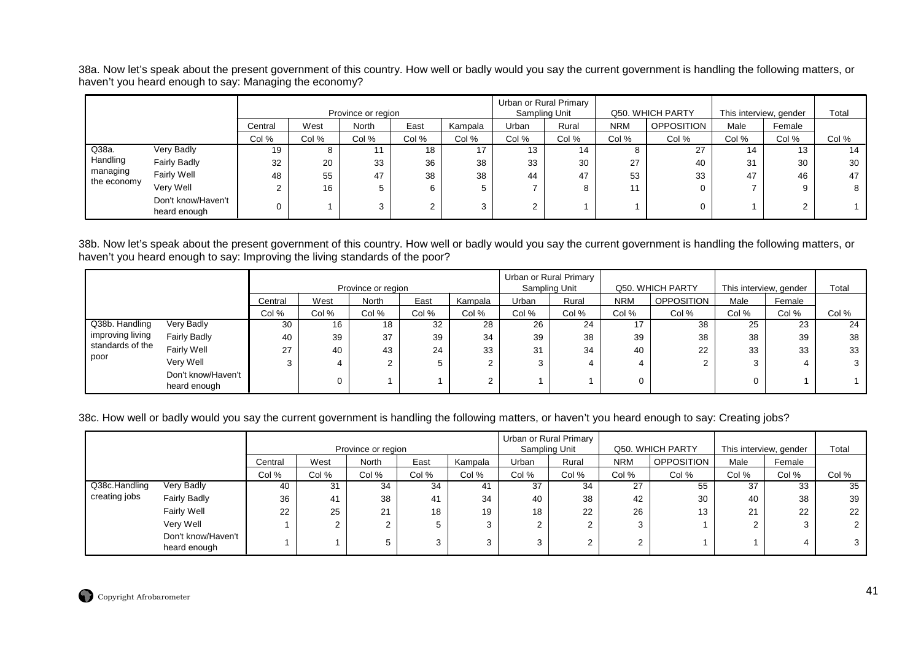38a. Now let's speak about the present government of this country. How well or badly would you say the current government is handling the following matters, or haven't you heard enough to say: Managing the economy?

|             |                                    |         |       | Province or region |       |         | Sampling Unit   | Urban or Rural Primary |            | Q50. WHICH PARTY |       | This interview, gender | Total |
|-------------|------------------------------------|---------|-------|--------------------|-------|---------|-----------------|------------------------|------------|------------------|-------|------------------------|-------|
|             |                                    | Central | West  | North              | East  | Kampala | Urban           | Rural                  | <b>NRM</b> | OPPOSITION       | Male  | Female                 |       |
|             |                                    | Col %   | Col % | Col %              | Col % | Col %   | Col %           | Col %                  | Col %      | Col %            | Col % | Col %                  | Col % |
| Q38a.       | Very Badly                         | 19      | o     |                    | 18    | 17      | 13              | 14                     | o          | 27               | 14    | 13                     | 14    |
| Handling    | <b>Fairly Badly</b>                | 32      | 20    | 33                 | 36    | 38      | 33              | 30                     | 27         | 40               | 31    | 30                     | 30    |
| managing    | Fairly Well                        | 48      | 55    | 47                 | 38    | 38      | 44              | 47                     | 53         | 33               | 47    | 46                     | 47    |
| the economy | Very Well                          |         | 16    |                    |       | 5       |                 | 8                      | 11         |                  |       |                        | 8     |
|             | Don't know/Haven't<br>heard enough |         |       | ົ<br>C.            |       | 3       | ົ<br>$\epsilon$ |                        |            |                  |       |                        |       |

38b. Now let's speak about the present government of this country. How well or badly would you say the current government is handling the following matters, or haven't you heard enough to say: Improving the living standards of the poor?

|                  |                                    |         |       |                    |       |         |               | Urban or Rural Primary |            |                   |                        |        |       |
|------------------|------------------------------------|---------|-------|--------------------|-------|---------|---------------|------------------------|------------|-------------------|------------------------|--------|-------|
|                  |                                    |         |       | Province or region |       |         | Sampling Unit |                        |            | Q50. WHICH PARTY  | This interview, gender |        | Total |
|                  |                                    | Central | West  | <b>North</b>       | East  | Kampala | Urban         | Rural                  | <b>NRM</b> | <b>OPPOSITION</b> | Male                   | Female |       |
|                  |                                    | Col %   | Col % | Col %              | Col % | Col %   | Col %         | Col %                  | Col %      | Col %             | Col %                  | Col %  | Col % |
| Q38b. Handling   | Very Badly                         | 30      | 16    | 18                 | 32    | 28      | 26            | 24                     |            | 38                | 25                     | 23     | 24    |
| improving living | <b>Fairly Badly</b>                | 40      | 39    | 37                 | 39    | 34      | 39            | 38                     | 39         | 38                | 38                     | 39     | 38    |
| standards of the | Fairly Well                        | 27      | 40    | 43                 | 24    | 33      | 31            | 34                     | 40         | 22                | 33                     | 33     | 33    |
| poor             | Very Well                          |         | 4     |                    | 5     |         | 3             | 4                      |            |                   |                        |        |       |
|                  | Don't know/Haven't<br>heard enough |         |       |                    |       |         |               |                        |            |                   |                        |        |       |

### 38c. How well or badly would you say the current government is handling the following matters, or haven't you heard enough to say: Creating jobs?

|               |                                    |         |        | Province or region |       |         | Sampling Unit | Urban or Rural Primary |            | Q50. WHICH PARTY  | This interview, gender |        | Total |
|---------------|------------------------------------|---------|--------|--------------------|-------|---------|---------------|------------------------|------------|-------------------|------------------------|--------|-------|
|               |                                    | Central | West   | North              | East  | Kampala | Urban         | Rural                  | <b>NRM</b> | <b>OPPOSITION</b> | Male                   | Female |       |
|               |                                    | Col %   | Col %  | Col %              | Col % | Col %   | Col %         | Col %                  | Col %      | Col %             | Col %                  | Col %  | Col % |
| Q38c.Handling | Very Badly                         | 40      | 31     | 34                 | 34    | 41      | 37            | 34                     | 27         | 55                | 37                     | 33     | 35    |
| creating jobs | <b>Fairly Badly</b>                | 36      | 41     | 38                 | 41    | 34      | 40            | 38                     | 42         | 30                | 40                     | 38     | 39    |
|               | Fairly Well                        | 22      | 25     | 21                 | 18    | 19      | 18            | 22                     | 26         | 13                | 21                     | 22     | 22    |
|               | Very Well                          |         | ົ<br>∠ |                    |       | ົ       |               | ົ<br>∠                 | ◠          |                   |                        |        |       |
|               | Don't know/Haven't<br>heard enough |         |        |                    |       | 3       |               | 2                      | $\sim$     |                   |                        |        |       |

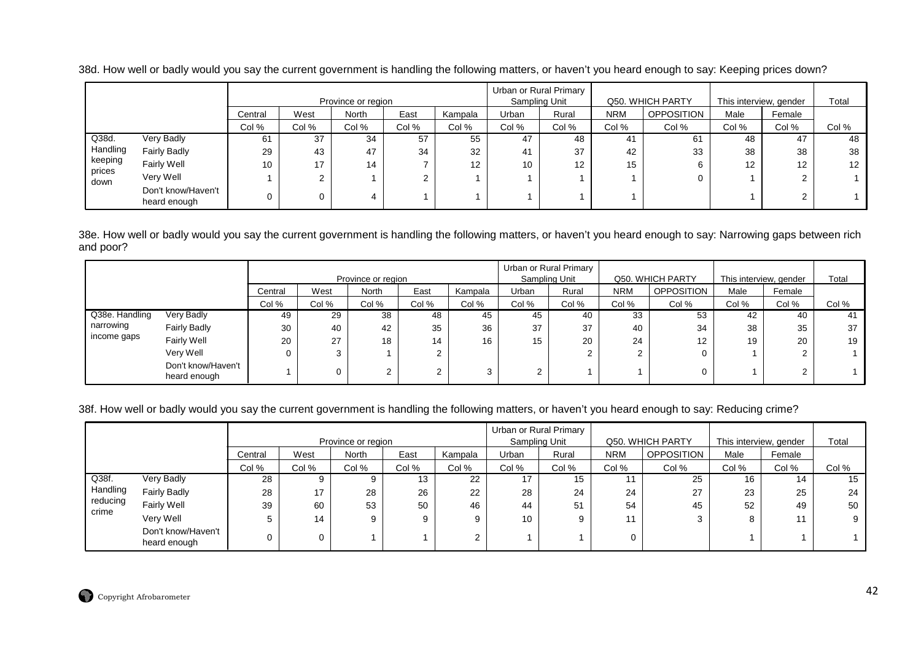|                |                                    |         |       | Province or region |       |                   |       | Urban or Rural Primary<br>Sampling Unit |            | Q50, WHICH PARTY  |                   | This interview, gender | Total             |
|----------------|------------------------------------|---------|-------|--------------------|-------|-------------------|-------|-----------------------------------------|------------|-------------------|-------------------|------------------------|-------------------|
|                |                                    | Central | West  | North              | East  | Kampala           | Urban | Rural                                   | <b>NRM</b> | <b>OPPOSITION</b> | Male              | Female                 |                   |
|                |                                    | Col %   | Col % | Col %              | Col % | Col %             | Col % | Col %                                   | Col %      | Col %             | Col %             | Col %                  | Col %             |
| Q38d.          | Very Badly                         | 61      | 37    | 34                 | 57    | 55                | 47    | 48                                      | 41         | 61                | 48                | 47                     | 48                |
| Handling       | <b>Fairly Badly</b>                | 29      | 43    | 47                 | 34    | 32                | 41    | 37                                      | 42         | 33                | 38                | 38                     | 38                |
| keeping        | Fairly Well                        | 10      | 17    | 14                 |       | $12 \overline{ }$ | 10    | 12                                      | 15         | 6                 | $12 \overline{ }$ | 12                     | $12 \overline{ }$ |
| prices<br>down | Very Well                          |         |       |                    |       |                   |       |                                         |            |                   |                   | $\sim$                 |                   |
|                | Don't know/Haven't<br>heard enough |         |       |                    |       |                   |       |                                         |            |                   |                   | ົ                      |                   |

38d. How well or badly would you say the current government is handling the following matters, or haven't you heard enough to say: Keeping prices down?

38e. How well or badly would you say the current government is handling the following matters, or haven't you heard enough to say: Narrowing gaps between rich and poor?

|                |                                    |         |          |                    |                |         |       | Urban or Rural Primary |            |                  |                        |        |       |
|----------------|------------------------------------|---------|----------|--------------------|----------------|---------|-------|------------------------|------------|------------------|------------------------|--------|-------|
|                |                                    |         |          | Province or region |                |         |       | Sampling Unit          |            | Q50. WHICH PARTY | This interview, gender |        | Total |
|                |                                    | Central | West     | North              | East           | Kampala | Urban | Rural                  | <b>NRM</b> | OPPOSITION       | Male                   | Female |       |
|                |                                    | Col %   | Col %    | Col %              | Col %          | Col %   | Col % | Col %                  | Col %      | Col %            | Col %                  | Col %  | Col % |
| Q38e. Handling | Very Badly                         | 49      | 29       | 38                 | 48             | 45      | 45    | 40                     | 33         | 53               | 42                     | 40     | -41   |
| narrowing      | <b>Fairly Badly</b>                | 30      | 40       | 42                 | 35             | 36      | 37    | 37                     | 40         | 34               | 38                     | 35     | 37    |
| income gaps    | Fairly Well                        | 20      | 27       | 18                 | 14             | 16      | 15    | 20                     | 24         | 12 <sup>°</sup>  | 19                     | 20     | 19    |
|                | Very Well                          |         | <b>ن</b> |                    | $\mathbf{2}$   |         |       |                        |            |                  |                        |        |       |
|                | Don't know/Haven't<br>heard enough |         |          |                    | $\overline{2}$ |         |       |                        |            |                  |                        |        |       |

# 38f. How well or badly would you say the current government is handling the following matters, or haven't you heard enough to say: Reducing crime?

|                   |                                    |         |       |                    |       |         |       | Urban or Rural Primary |            |                  |                        |        |       |
|-------------------|------------------------------------|---------|-------|--------------------|-------|---------|-------|------------------------|------------|------------------|------------------------|--------|-------|
|                   |                                    |         |       | Province or region |       |         |       | Sampling Unit          |            | Q50, WHICH PARTY | This interview, gender |        | Total |
|                   |                                    | Central | West  | North              | East  | Kampala | Urban | Rural                  | <b>NRM</b> | OPPOSITION       | Male                   | Female |       |
|                   |                                    | Col %   | Col % | Col %              | Col % | Col %   | Col % | Col %                  | Col %      | Col %            | Col %                  | Col %  | Col % |
| Q38f.             | Very Badly                         | 28      |       |                    | 13    | 22      | 17    | 15                     | 11         | 25               | 16                     | 14     | 15    |
| Handling          | <b>Fairly Badly</b>                | 28      | 17    | 28                 | 26    | 22      | 28    | 24                     | 24         | 27               | 23                     | 25     | 24    |
| reducing<br>crime | <b>Fairly Well</b>                 | 39      | 60    | 53                 | 50    | 46      | 44    | 51                     | 54         | 45               | 52                     | 49     | 50    |
|                   | Very Well                          |         | 14    |                    | 9     |         | 10    |                        | 11         |                  |                        | 11     |       |
|                   | Don't know/Haven't<br>heard enough |         |       |                    |       |         |       |                        |            |                  |                        |        |       |

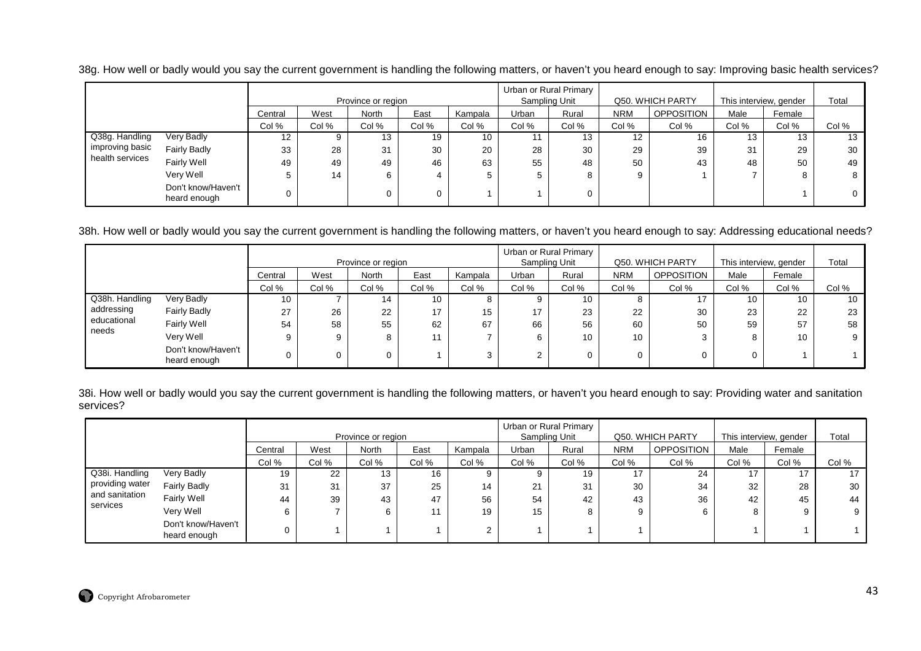38g. How well or badly would you say the current government is handling the following matters, or haven't you heard enough to say: Improving basic health services?

|                 |                                    |         |       |                    |       |         | Urban or Rural Primary |               |            |                   |                        |        |       |
|-----------------|------------------------------------|---------|-------|--------------------|-------|---------|------------------------|---------------|------------|-------------------|------------------------|--------|-------|
|                 |                                    |         |       | Province or region |       |         |                        | Sampling Unit |            | Q50. WHICH PARTY  | This interview, gender |        | Total |
|                 |                                    | Central | West  | North              | East  | Kampala | Urban                  | Rural         | <b>NRM</b> | <b>OPPOSITION</b> | Male                   | Female |       |
|                 |                                    | Col %   | Col % | Col %              | Col % | Col %   | Col %                  | Col %         | Col %      | Col %             | Col %                  | Col %  | Col % |
| Q38g. Handling  | Very Badly                         | 12      |       | 13                 | 19    | 10      |                        | 13            | 12         | 16                | 13                     | 13     | 13    |
| improving basic | <b>Fairly Badly</b>                | 33      | 28    | 31                 | 30    | 20      | 28                     | 30            | 29         | 39                | 31                     | 29     | 30    |
| health services | Fairly Well                        | 49      | 49    | 49                 | 46    | 63      | 55                     | 48            | 50         | 43                | 48                     | 50     | 49    |
|                 | Very Well                          |         | 14    | 6                  |       | 5       |                        |               |            |                   |                        | 8      | 8     |
|                 | Don't know/Haven't<br>heard enough |         |       |                    | 0     |         |                        |               |            |                   |                        |        |       |

38h. How well or badly would you say the current government is handling the following matters, or haven't you heard enough to say: Addressing educational needs?

|                      |                                    |         |       |                    |                 |         |        | Urban or Rural Primary |            |                   |                        |        |       |
|----------------------|------------------------------------|---------|-------|--------------------|-----------------|---------|--------|------------------------|------------|-------------------|------------------------|--------|-------|
|                      |                                    |         |       | Province or region |                 |         |        | Sampling Unit          |            | Q50. WHICH PARTY  | This interview, gender |        | Total |
|                      |                                    | Central | West  | <b>North</b>       | East            | Kampala | Urban  | Rural                  | <b>NRM</b> | <b>OPPOSITION</b> | Male                   | Female |       |
|                      |                                    | Col %   | Col % | Col %              | Col %           | Col %   | Col %  | Col %                  | Col %      | Col %             | Col %                  | Col %  | Col % |
| Q38h. Handling       | Very Badly                         | 10      |       | 14                 | 10              |         |        | 10                     | O.         |                   | 10                     | 10     | 10    |
| addressing           | Fairly Badly                       | 27      | 26    | 22                 | 17 <sup>2</sup> | 15      | 17     | 23                     | 22         | 30                | 23                     | 22     | 23    |
| educational<br>needs | Fairly Well                        | 54      | 58    | 55                 | 62              | 67      | 66     | 56                     | 60         | 50                | 59                     | 57     | 58    |
|                      | Very Well                          |         | 9     | 8                  | 11              |         | 6      | 10                     | 10         |                   |                        | 10     | 9     |
|                      | Don't know/Haven't<br>heard enough |         | 0     | $\Omega$           |                 |         | $\sim$ |                        | 0          |                   |                        |        |       |

38i. How well or badly would you say the current government is handling the following matters, or haven't you heard enough to say: Providing water and sanitation services?

|                 |                                    |         |       | Province or region |       |         |       | Urban or Rural Primary<br>Sampling Unit |            | Q50. WHICH PARTY  | This interview, gender |        | Total |
|-----------------|------------------------------------|---------|-------|--------------------|-------|---------|-------|-----------------------------------------|------------|-------------------|------------------------|--------|-------|
|                 |                                    | Central | West  | <b>North</b>       | East  | Kampala | Urban | Rural                                   | <b>NRM</b> | <b>OPPOSITION</b> | Male                   | Female |       |
|                 |                                    | Col %   | Col % | Col %              | Col % | Col %   | Col % | Col %                                   | Col %      | Col %             | Col %                  | Col %  | Col % |
| Q38i. Handling  | Very Badly                         | 19      | 22    | 13                 | 16    | 9       |       | 19                                      |            | 24                | -47                    |        |       |
| providing water | <b>Fairly Badly</b>                | 31      | 31    | 37                 | 25    | 14      | 21    | 31                                      | 30         | 34                | 32                     | 28     | 30    |
| and sanitation  | <b>Fairly Well</b>                 | 44      | 39    | 43                 | 47    | 56      | 54    | 42                                      | 43         | 36                | 42                     | 45     | 44    |
| services        | Very Well                          | 6       |       | 6                  | 11    | 19      | 15    | 8                                       |            | 6                 |                        | 9      | 9     |
|                 | Don't know/Haven't<br>heard enough |         |       |                    |       | C       |       |                                         |            |                   |                        |        |       |

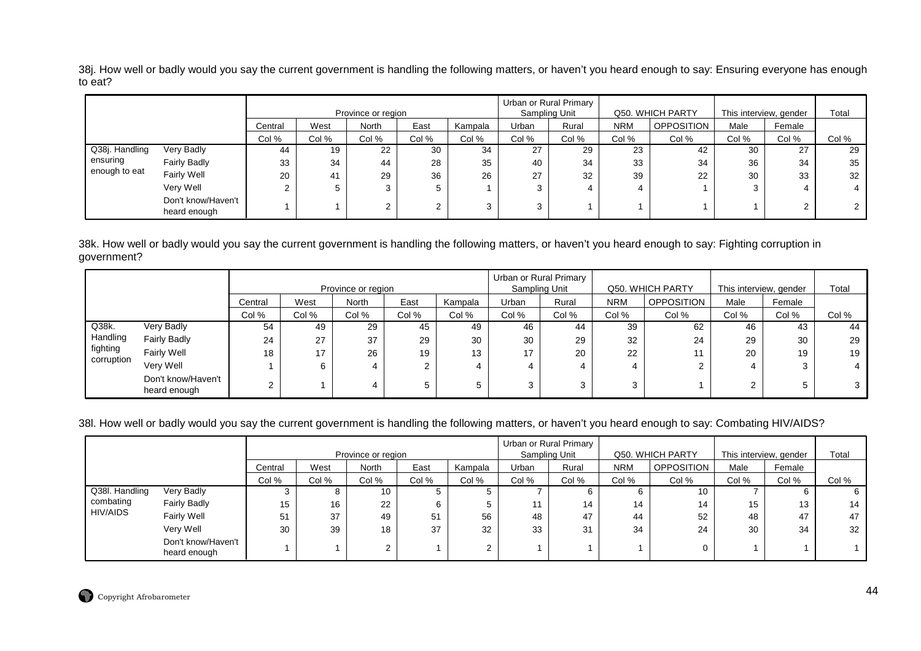38j. How well or badly would you say the current government is handling the following matters, or haven't you heard enough to say: Ensuring everyone has enough to eat?

|                |                                    |         |       | Province or region |       |         | Urban or Rural Primary | Sampling Unit |            | Q50. WHICH PARTY  | This interview, gender |        | Total |
|----------------|------------------------------------|---------|-------|--------------------|-------|---------|------------------------|---------------|------------|-------------------|------------------------|--------|-------|
|                |                                    | Central | West  | North              | East  | Kampala | Urban                  | Rural         | <b>NRM</b> | <b>OPPOSITION</b> | Male                   | Female |       |
|                |                                    | Col %   | Col % | Col %              | Col % | Col %   | Col %                  | Col %         | Col %      | Col %             | Col %                  | Col %  | Col % |
| Q38j. Handling | Very Badly                         | 44      | 19    | 22                 | 30    | 34      | 27                     | 29            | 23         | 42                | 30                     | 27     | 29    |
| ensuring       | <b>Fairly Badly</b>                | 33      | 34    | 44                 | 28    | 35      | 40                     | 34            | 33         | 34                | 36                     | 34     | 35    |
| enough to eat  | Fairly Well                        | 20      | 41    | 29                 | 36    | 26      | 27                     | 32            | 39         | 22                | 30                     | 33     | 32    |
|                | Very Well                          |         | 5     |                    |       |         |                        |               |            |                   | 3                      |        |       |
|                | Don't know/Haven't<br>heard enough |         |       |                    |       | ◠       | ົ                      |               |            |                   |                        |        |       |

38k. How well or badly would you say the current government is handling the following matters, or haven't you heard enough to say: Fighting corruption ingovernment?

|            |                                    |         |       | Province or region |       |         | Sampling Unit | Urban or Rural Primary |            | Q50, WHICH PARTY  | This interview, gender |        | Total |
|------------|------------------------------------|---------|-------|--------------------|-------|---------|---------------|------------------------|------------|-------------------|------------------------|--------|-------|
|            |                                    | Central | West  | North              | East  | Kampala | Urban         | Rural                  | <b>NRM</b> | <b>OPPOSITION</b> | Male                   | Female |       |
|            |                                    | Col %   | Col % | Col %              | Col % | Col %   | Col %         | Col %                  | Col %      | Col %             | Col %                  | Col %  | Col % |
| $Q38k$ .   | <b>Very Badly</b>                  | 54      | 49    | 29                 | 45    | 49      | 46            | 44                     | 39         | 62                | 46                     | 43     | 44    |
| Handling   | <b>Fairly Badly</b>                | 24      | 27    | 37                 | 29    | 30      | 30            | 29                     | 32         | 24                | 29                     | 30     | 29    |
| fighting   | <b>Fairly Well</b>                 | 18      | 17    | 26                 | 19    | 13      | 17            | 20                     | 22         |                   | 20                     | 19     | 19    |
| corruption | Very Well                          |         |       |                    |       | 4       | 4             |                        | 4          |                   | 4                      |        |       |
|            | Don't know/Haven't<br>heard enough | ົ       |       |                    |       | 5       | 3             |                        | ≏<br>ت     |                   | C                      | 5      |       |

38l. How well or badly would you say the current government is handling the following matters, or haven't you heard enough to say: Combating HIV/AIDS?

|                |                                    |         |       |                    |       |         |       | Urban or Rural Primary |            |                  |                        |        |       |
|----------------|------------------------------------|---------|-------|--------------------|-------|---------|-------|------------------------|------------|------------------|------------------------|--------|-------|
|                |                                    |         |       | Province or region |       |         |       | Sampling Unit          |            | Q50. WHICH PARTY | This interview, gender |        | Total |
|                |                                    | Central | West  | <b>North</b>       | East  | Kampala | Urban | Rural                  | <b>NRM</b> | OPPOSITION       | Male                   | Female |       |
|                |                                    | Col %   | Col % | Col %              | Col % | Col %   | Col % | Col %                  | Col %      | Col %            | Col %                  | Col %  | Col % |
| Q38I. Handling | Very Badly                         |         | o     | 10                 |       | G.      |       | b                      |            | 10               |                        | b      |       |
| combating      | <b>Fairly Badly</b>                | 15      | 16    | 22                 |       |         | 44    | 14                     | 14         | 14               | 15                     | 13     | 14    |
| HIV/AIDS       | <b>Fairly Well</b>                 | 51      | 37    | 49                 | 51    | 56      | 48    | 47                     | 44         | 52               | 48                     | 47     | 47    |
|                | Very Well                          | 30      | 39    | 18                 | 37    | 32      | 33    | 31                     | 34         | 24               | 30                     | 34     | 32    |
|                | Don't know/Haven't<br>heard enough |         |       | $\sim$             |       | ⌒       |       |                        |            |                  |                        |        |       |

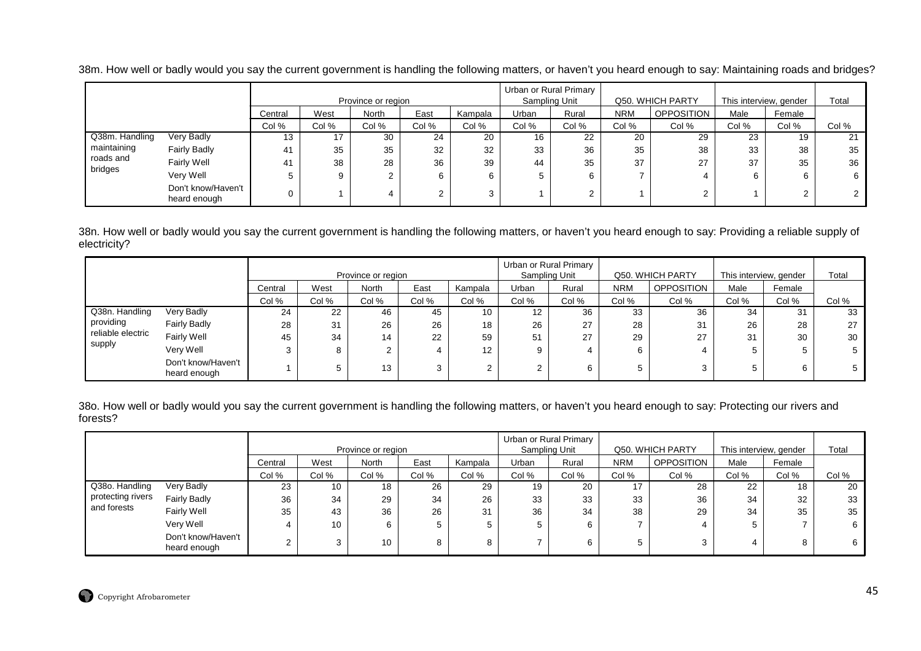|                |                     |         |       | Province or region |       |         | Urban or Rural Primary | Sampling Unit |            | Q50. WHICH PARTY | This interview, gender |        | $\tau$ otal |
|----------------|---------------------|---------|-------|--------------------|-------|---------|------------------------|---------------|------------|------------------|------------------------|--------|-------------|
|                |                     | Central | West  | North              | East  | Kampala | Urban                  | Rurai         | <b>NRM</b> | OPPOSITION       | Male                   | Female |             |
|                |                     | Col %   | Col % | Col %              | Col % | Col %   | Col %                  | Col %         | Col %      | Col %            | Col %                  | Col %  | Col %       |
| Q38m. Handling | Very Badly          |         | 17    | 30                 | 24    | 20      | 16                     | 22            | 20         | 29               | 23                     | 19     | 21          |
| maintaining    | <b>Fairly Badly</b> |         | 35    | 35                 | 32    | 32      | 33                     | 36            | 35         | 38               | 33                     | 38     | 35          |

1 35 35 32 32 33 36 35 38 33 38 38

1 38 28 36 39 44 35 37 27 37 35 36

5 9 2 6 6 5 6 7 4 6 6 6

0 1 4 2 3 1 2 1 2 1 2 2

38m. How well or badly would you say the current government is handling the following matters, or haven't you heard enough to say: Maintaining roads and bridges?

38n. How well or badly would you say the current government is handling the following matters, or haven't you heard enough to say: Providing a reliable supply of electricity?

41

 Fairly Well Very WellDon't know/Haven'theard enough

 roads andbridges

5

0

|                   |                                    |         |       |                    |       |         |               | Urban or Rural Primary |            |                   |                        |        |       |
|-------------------|------------------------------------|---------|-------|--------------------|-------|---------|---------------|------------------------|------------|-------------------|------------------------|--------|-------|
|                   |                                    |         |       | Province or region |       |         | Sampling Unit |                        |            | Q50, WHICH PARTY  | This interview, gender |        | Total |
|                   |                                    | Central | West  | <b>North</b>       | East  | Kampala | Urban         | Rural                  | <b>NRM</b> | <b>OPPOSITION</b> | Male                   | Female |       |
|                   |                                    | Col %   | Col % | Col %              | Col % | Col %   | Col %         | Col %                  | Col %      | Col %             | Col %                  | Col %  | Col % |
| Q38n. Handling    | Very Badly                         | 24      | 22    | 46                 | 45    | 10      | 12            | 36                     | 33         | 36                | -34                    | 31     | 33    |
| providing         | <b>Fairly Badly</b>                | 28      | 31    | 26                 | 26    | 18      | 26            | 27                     | 28         | 31                | 26                     | 28     | 27    |
| reliable electric | Fairly Well                        | 45      | 34    | 14                 | 22    | 59      | 51            | 27                     | 29         | 27                | 31                     | 30     | 30    |
| supply            | Very Well                          |         | 8     |                    |       | 12      | 9             | 4                      | 6          |                   |                        |        |       |
|                   | Don't know/Haven't<br>heard enough |         |       | 13                 | 3     |         |               | 6                      | 5          |                   |                        | 6      |       |

38o. How well or badly would you say the current government is handling the following matters, or haven't you heard enough to say: Protecting our rivers and forests?

|                   |                                    |         |       | Province or region |       |         | Urban or Rural Primary<br>Sampling Unit |       |            | Q50. WHICH PARTY  | This interview, gender |        | Total |
|-------------------|------------------------------------|---------|-------|--------------------|-------|---------|-----------------------------------------|-------|------------|-------------------|------------------------|--------|-------|
|                   |                                    | Central | West  | <b>North</b>       | East  | Kampala | Urban                                   | Rural | <b>NRM</b> | <b>OPPOSITION</b> | Male                   | Female |       |
|                   |                                    | Col %   | Col % | Col %              | Col % | Col %   | Col %                                   | Col % | Col %      | Col %             | Col %                  | Col %  | Col % |
| Q38o. Handling    | Very Badly                         | 23      | 10    | 18                 | 26    | 29      | 19                                      | 20    | 17         | 28                | 22                     | 18     | 20    |
| protecting rivers | <b>Fairly Badly</b>                | 36      | 34    | 29                 | 34    | 26      | 33                                      | 33    | 33         | 36                | 34                     | 32     | 33    |
| and forests       | Fairly Well                        | 35      | 43    | 36                 | 26    | 31      | 36                                      | 34    | 38         | 29                | 34                     | 35     | 35    |
|                   | Very Well                          |         | 10    | 6                  | 5     |         |                                         | 6     |            |                   | 5                      |        |       |
|                   | Don't know/Haven't<br>heard enough |         | 3     | 10                 | 8     | 8       |                                         | 6     |            |                   |                        | 8      | 6     |

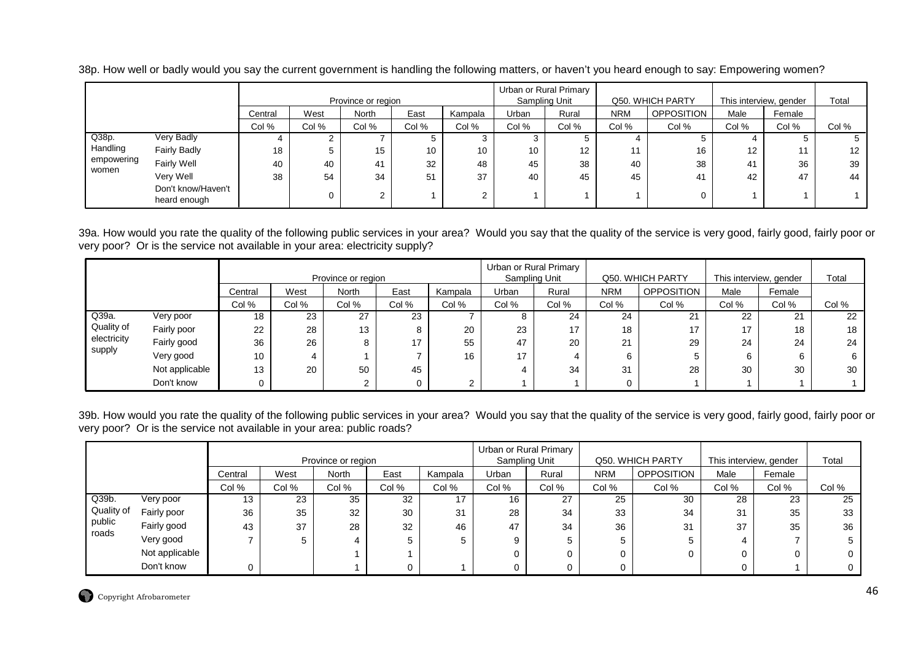|            |                                    |         |       | Province or region |       |         | Urban or Rural Primary | Sampling Unit |            | Q50. WHICH PARTY  | This interview, gender |        | Total             |
|------------|------------------------------------|---------|-------|--------------------|-------|---------|------------------------|---------------|------------|-------------------|------------------------|--------|-------------------|
|            |                                    | Central | West  | North              | East  | Kampala | <b>Jrban</b>           | Rural         | <b>NRM</b> | <b>OPPOSITION</b> | Male                   | Female |                   |
|            |                                    | Col %   | Col % | Col %              | Col % | Col %   | Col %                  | Col %         | Col %      | Col %             | Col %                  | Col %  | Col %             |
| Q38p.      | Very Badly                         | 4       |       |                    |       | C.      |                        | D.            |            |                   |                        | C.     | G                 |
| Handling   | <b>Fairly Badly</b>                | 18      |       | 15                 | 10    | 10      | 10                     | 12            | 11         | 16                | 12                     | 11     | $12 \overline{ }$ |
| empowering | Fairly Well                        | 40      | 40    | 41                 | 32    | 48      | 45                     | 38            | 40         | 38                | 41                     | 36     | 39                |
| women      | Very Well                          | 38      | 54    | 34                 | 51    | 37      | 40                     | 45            | 45         | 4                 | 42                     | 47     | 44                |
|            | Don't know/Haven't<br>heard enough |         | 0     | ⌒<br>ے             |       | 2       |                        |               |            |                   |                        |        |                   |

38p. How well or badly would you say the current government is handling the following matters, or haven't you heard enough to say: Empowering women?

39a. How would you rate the quality of the following public services in your area? Would you say that the quality of the service is very good, fairly good, fairly poor or very poor? Or is the service not available in your area: electricity supply?

|             |                |         |       |                    |       |         |       | Urban or Rural Primary |            |                   |       |                        |       |
|-------------|----------------|---------|-------|--------------------|-------|---------|-------|------------------------|------------|-------------------|-------|------------------------|-------|
|             |                |         |       | Province or region |       |         |       | Sampling Unit          |            | Q50. WHICH PARTY  |       | This interview, gender | Total |
|             |                | Central | West  | North              | East  | Kampala | Urban | Rural                  | <b>NRM</b> | <b>OPPOSITION</b> | Male  | Female                 |       |
|             |                | Col %   | Col % | Col %              | Col % | Col %   | Col % | Col %                  | Col %      | Col %             | Col % | Col %                  | Col % |
| Q39a.       | Very poor      | 18      | 23    | 27                 | 23    |         | 8     | 24                     | 24         | 21                | 22    | 21                     | 22    |
| Quality of  | Fairly poor    | 22      | 28    | 13                 | 8     | 20      | 23    | 17                     | 18         | 17                | 17    | 18                     | 18    |
| electricity | Fairly good    | 36      | 26    |                    | 17    | 55      | 47    | 20                     | 21         | 29                | 24    | 24                     | 24    |
| supply      | Very good      | 10      |       |                    |       | 16      | 17    |                        | 6          |                   |       |                        |       |
|             | Not applicable | 13      | 20    | 50                 | 45    |         | 4     | 34                     | 31         | 28                | 30    | 30                     | 30    |
|             | Don't know     |         |       |                    |       |         |       |                        | 0          |                   |       |                        |       |

39b. How would you rate the quality of the following public services in your area? Would you say that the quality of the service is very good, fairly good, fairly poor or very poor? Or is the service not available in your area: public roads?

|                 |                |         |       | Province or region |       |         |       | Urban or Rural Primary<br>Sampling Unit |            | Q50. WHICH PARTY  |       | This interview, gender | Total        |
|-----------------|----------------|---------|-------|--------------------|-------|---------|-------|-----------------------------------------|------------|-------------------|-------|------------------------|--------------|
|                 |                |         |       |                    |       |         |       |                                         |            |                   |       |                        |              |
|                 |                | Central | West  | North              | East  | Kampala | Urban | Rural                                   | <b>NRM</b> | <b>OPPOSITION</b> | Male  | Female                 |              |
|                 |                | Col %   | Col % | Col %              | Col % | Col %   | Col % | Col %                                   | Col %      | Col %             | Col % | Col %                  | Col %        |
| Q39b.           | Very poor      | 13      | 23    | 35                 | 32    | 17      | 16    | 27                                      | 25         | 30                | 28    | 23                     | 25           |
| Quality of      | Fairly poor    | 36      | 35    | 32                 | 30    | 31      | 28    | 34                                      | 33         | 34                | 31    | 35                     | 33           |
| public<br>roads | Fairly good    | 43      | 37    | 28                 | 32    | 46      | 47    | 34                                      | 36         | 31                | 37    | 35                     | 36           |
|                 | Very good      |         | э     | 4                  |       | 5       | 9     |                                         | 5          | 5                 |       |                        | 5            |
|                 | Not applicable |         |       |                    |       |         |       |                                         |            |                   |       |                        | $\mathbf{0}$ |
|                 | Don't know     |         |       |                    |       |         |       |                                         |            |                   |       |                        | 0            |

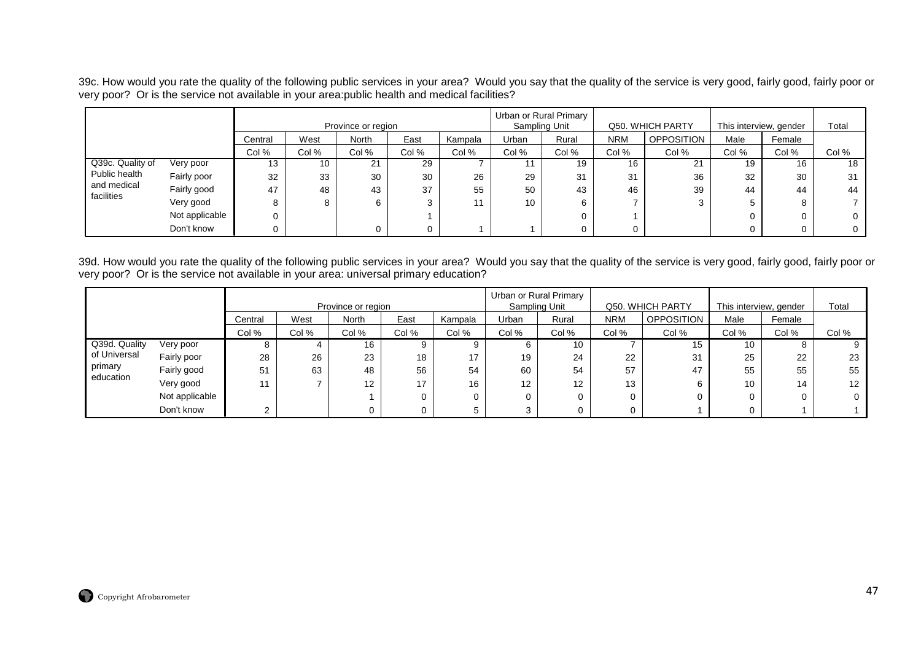39c. How would you rate the quality of the following public services in your area? Would you say that the quality of the service is very good, fairly good, fairly poor or<br>very poor? Or is the service not available in you

|                           |                |         |       | Province or region |       |         |       | Urban or Rural Primary<br>Sampling Unit |            | Q50. WHICH PARTY  | This interview, gender |        | Total        |
|---------------------------|----------------|---------|-------|--------------------|-------|---------|-------|-----------------------------------------|------------|-------------------|------------------------|--------|--------------|
|                           |                | Central | West  | <b>North</b>       | East  | Kampala | Urban | Rural                                   | <b>NRM</b> | <b>OPPOSITION</b> | Male                   | Female |              |
|                           |                | Col %   | Col % | Col %              | Col % | Col %   | Col % | Col %                                   | Col %      | Col %             | Col %                  | Col %  | Col %        |
| Q39c. Quality of          | Very poor      | 13      | 10    | 21                 | 29    |         |       | 19                                      | 16         | 21                | 19                     | 16     | 18           |
| Public health             | Fairly poor    | 32      | 33    | 30                 | 30    | 26      | 29    | 31                                      | 31         | 36                | 32                     | 30     | 31           |
| and medical<br>facilities | Fairly good    | 47      | 48    | 43                 | 37    | 55      | 50    | 43                                      | 46         | 39                | 44                     | 44     | 44           |
|                           | Very good      | 8       |       | 6                  | ົ     | 11      | 10    |                                         |            |                   | 5                      |        |              |
|                           | Not applicable |         |       |                    |       |         |       |                                         |            |                   |                        |        | $\mathbf{0}$ |
|                           | Don't know     |         |       | 0                  |       |         |       |                                         |            |                   |                        |        | $\mathbf{0}$ |

39d. How would you rate the quality of the following public services in your area? Would you say that the quality of the service is very good, fairly good, fairly poor or<br>very poor? Or is the service not available in your

|                      |                |         |       |                    |       |         |       | Urban or Rural Primary |            |                   |                        |        |       |
|----------------------|----------------|---------|-------|--------------------|-------|---------|-------|------------------------|------------|-------------------|------------------------|--------|-------|
|                      |                |         |       | Province or region |       |         |       | Sampling Unit          |            | Q50, WHICH PARTY  | This interview, gender |        | Total |
|                      |                | Central | West  | North              | East  | Kampala | Urban | Rural                  | <b>NRM</b> | <b>OPPOSITION</b> | Male                   | Female |       |
|                      |                | Col %   | Col % | Col %              | Col % | Col %   | Col % | Col %                  | Col %      | Col %             | Col %                  | Col %  | Col % |
| Q39d. Quality        | Very poor      | 8       | 4     | 16                 | 9     |         | 6     | 10                     |            | 15                | 10                     | 8      |       |
| of Universal         | Fairly poor    | 28      | 26    | 23                 | 18    | 17      | 19    | 24                     | 22         | 31                | 25                     | 22     | 23    |
| primary<br>education | Fairly good    | 51      | 63    | 48                 | 56    | 54      | 60    | 54                     | 57         | 47                | 55                     | 55     | 55    |
|                      | Very good      | 11      |       | 12                 | 17    | 16      | 12    | 12                     | 13         | 6                 | 10                     | 14     | 12    |
|                      | Not applicable |         |       |                    | 0     |         | 0     |                        |            | O                 |                        |        |       |
|                      | Don't know     |         |       |                    | O     |         | ◠     |                        |            |                   |                        |        |       |

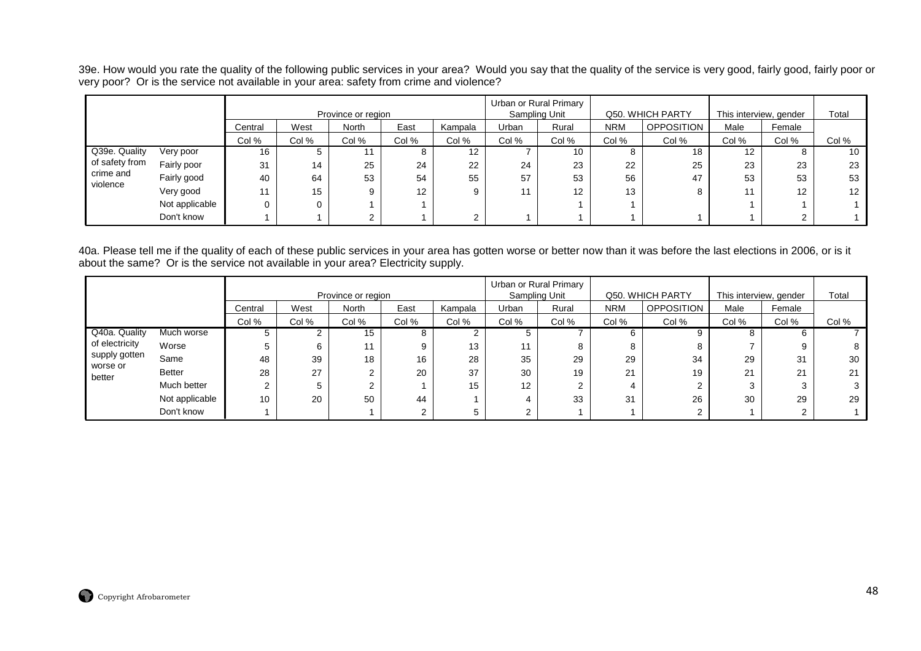39e. How would you rate the quality of the following public services in your area? Would you say that the quality of the service is very good, fairly good, fairly poor or<br>very poor? Or is the service not available in your

|                       |                |         |       | Province or region |       |         |       | Urban or Rural Primary<br>Sampling Unit |            | Q50. WHICH PARTY  |                   | This interview, gender | Total |
|-----------------------|----------------|---------|-------|--------------------|-------|---------|-------|-----------------------------------------|------------|-------------------|-------------------|------------------------|-------|
|                       |                | Central | West  | North              | East  | Kampala | Urban | Rural                                   | <b>NRM</b> | <b>OPPOSITION</b> | Male              | Female                 |       |
|                       |                | Col %   | Col % | Col %              | Col % | Col %   | Col % | Col %                                   | Col %      | Col %             | Col %             | Col %                  | Col % |
| Q39e. Quality         | Very poor      | 16      | G     |                    |       | 12      |       | 10                                      | $\circ$    | 18                | $12 \overline{ }$ |                        | 10    |
| of safety from        | Fairly poor    | 31      | 14    | 25                 | 24    | 22      | 24    | 23                                      | 22         | 25                | 23                | 23                     | 23    |
| crime and<br>violence | Fairly good    | 40      | 64    | 53                 | 54    | 55      | 57    | 53                                      | 56         | 47                | 53                | 53                     | 53    |
|                       | Very good      |         | 15    |                    | 12    | 9       | 11    | $12 \overline{ }$                       | 13         | 8                 |                   | 12                     | 12    |
|                       | Not applicable |         | 0     |                    |       |         |       |                                         |            |                   |                   |                        |       |
|                       | Don't know     |         |       |                    |       | ⌒       |       |                                         |            |                   |                   |                        |       |

40a. Please tell me if the quality of each of these public services in your area has gotten worse or better now than it was before the last elections in 2006, or is it about the same? Or is the service not available in your area? Electricity supply.

|                    |                |         |               |                    |             |         |       | Urban or Rural Primary |            |                  |       |                        |       |
|--------------------|----------------|---------|---------------|--------------------|-------------|---------|-------|------------------------|------------|------------------|-------|------------------------|-------|
|                    |                |         |               | Province or region |             |         |       | Sampling Unit          |            | Q50. WHICH PARTY |       | This interview, gender | Total |
|                    |                | Central | West          | <b>North</b>       | East        | Kampala | Urban | Rural                  | <b>NRM</b> | OPPOSITION       | Male  | Female                 |       |
|                    |                | Col %   | Col %         | Col %              | Col %       | Col %   | Col % | Col %                  | Col %      | Col %            | Col % | Col %                  | Col % |
| Q40a. Quality      | Much worse     | 5       | ◠<br><u>~</u> | 15                 | 8           |         |       |                        | 6          | 9                |       |                        |       |
| of electricity     | Worse          | 5       | 6             | 11                 | 9           | 13      | 11    |                        | 8          | 8                |       |                        | 8     |
| supply gotten      | Same           | 48      | 39            | 18                 | 16          | 28      | 35    | 29                     | 29         | 34               | 29    | 31                     | 30    |
| worse or<br>better | <b>Better</b>  | 28      | 27            |                    | 20          | 37      | 30    | 19                     | 21         | 19               | 21    | 21                     | 21    |
|                    | Much better    |         | 5             |                    |             | 15      | 12    |                        | 4          |                  |       |                        |       |
|                    | Not applicable | 10      | 20            | 50                 | 44          |         |       | 33                     | 31         | 26               | 30    | 29                     | 29    |
|                    | Don't know     |         |               |                    | $\sim$<br>ے |         |       |                        |            |                  |       |                        |       |

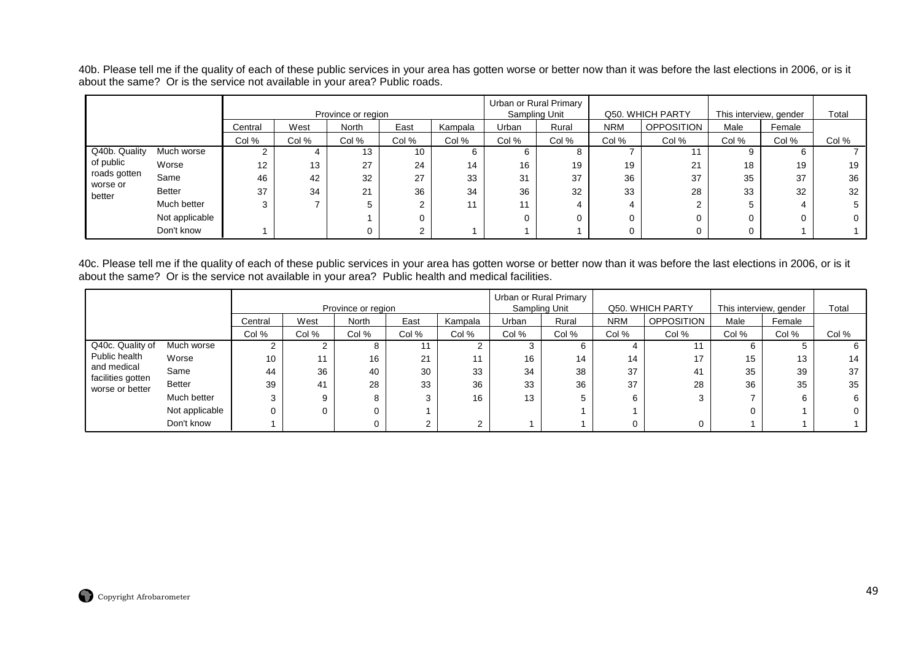40b. Please tell me if the quality of each of these public services in your area has gotten worse or better now than it was before the last elections in 2006, or is it about the same? Or is the service not available in your area? Public roads.

|                    |                |         |       | Province or region |             |         |           | Urban or Rural Primary<br>Sampling Unit |            | Q50. WHICH PARTY  |       | This interview, gender | Total |
|--------------------|----------------|---------|-------|--------------------|-------------|---------|-----------|-----------------------------------------|------------|-------------------|-------|------------------------|-------|
|                    |                | Central | West  | North              | East        | Kampala | Urban     | Rural                                   | <b>NRM</b> | <b>OPPOSITION</b> | Male  | Female                 |       |
|                    |                | Col %   | Col % | Col %              | Col %       | Col %   | Col %     | Col %                                   | Col %      | Col %             | Col % | Col %                  | Col % |
| Q40b. Quality      | Much worse     |         |       | 13                 | 10          | b       | 6         |                                         |            |                   | 9     | 6                      |       |
| of public          | Worse          | 12      | 13    | 27                 | 24          | 14      | 16        | 19                                      | 19         | 21                | 18    | 19                     | 19    |
| roads gotten       | Same           | 46      | 42    | 32                 | 27          | 33      | 31        | 37                                      | 36         | 37                | 35    | 37                     | 36    |
| worse or<br>better | Better         | 37      | 34    | 21                 | 36          | 34      | 36        | 32                                      | 33         | 28                | 33    | 32                     | 32    |
|                    | Much better    | ◠       |       |                    | ົ           | 11      | 11<br>. . |                                         | 4          |                   |       |                        |       |
|                    | Not applicable |         |       |                    | $\mathbf 0$ |         |           |                                         |            | O                 |       |                        | 0     |
|                    | Don't know     |         |       |                    | $\sim$      |         |           |                                         |            |                   | 0     |                        |       |

40c. Please tell me if the quality of each of these public services in your area has gotten worse or better now than it was before the last elections in 2006, or is it about the same? Or is the service not available in your area? Public health and medical facilities.

|                                  |                |         |       |                    |       |         |       | Urban or Rural Primary |            |                   |       |                        |       |
|----------------------------------|----------------|---------|-------|--------------------|-------|---------|-------|------------------------|------------|-------------------|-------|------------------------|-------|
|                                  |                |         |       | Province or region |       |         |       | Sampling Unit          |            | Q50. WHICH PARTY  |       | This interview, gender | Total |
|                                  |                | Central | West  | North              | East  | Kampala | Urban | Rural                  | <b>NRM</b> | <b>OPPOSITION</b> | Male  | Female                 |       |
|                                  |                | Col %   | Col % | Col %              | Col % | Col %   | Col % | Col %                  | Col %      | Col %             | Col % | Col %                  | Col % |
| Q40c. Quality of                 | Much worse     |         |       | o                  |       |         | د.    | 6.                     |            |                   |       | b.                     |       |
| Public health                    | Worse          | 10      | 11    | 16                 | 21    |         | 16    | 14                     | 14         | 17                | 15    | 13                     | 14    |
| and medical<br>facilities gotten | Same           | 44      | 36    | 40                 | 30    | 33      | 34    | 38                     | 37         | 41                | 35    | 39                     | 37    |
| worse or better                  | <b>Better</b>  | 39      | 41    | 28                 | 33    | 36      | 33    | 36                     | 37         | 28                | 36    | 35                     | 35    |
|                                  | Much better    | 3       | ົ     | 8                  |       | 16      | 13    |                        |            |                   |       | 6                      | 6     |
|                                  | Not applicable | 0       |       |                    |       |         |       |                        |            |                   |       |                        |       |
|                                  | Don't know     |         |       |                    |       |         |       |                        |            |                   |       |                        |       |

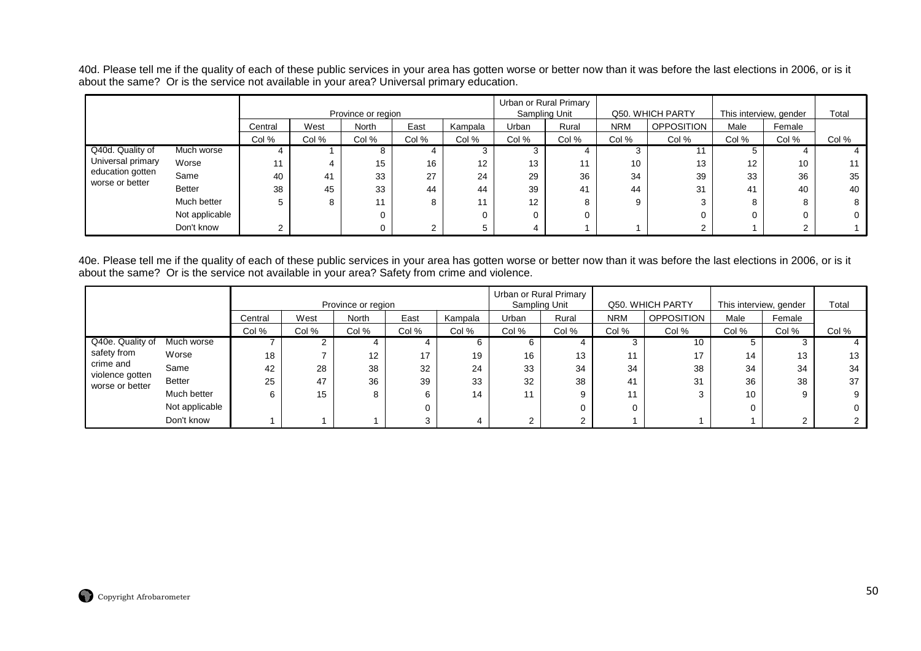40d. Please tell me if the quality of each of these public services in your area has gotten worse or better now than it was before the last elections in 2006, or is it<br>about the same? Or is the service not available in yo

|                   |                |         |       |                    |       |         |                   | Urban or Rural Primary<br>Sampling Unit |            | Q50. WHICH PARTY  |       |                        | Total    |
|-------------------|----------------|---------|-------|--------------------|-------|---------|-------------------|-----------------------------------------|------------|-------------------|-------|------------------------|----------|
|                   |                |         |       | Province or region |       |         |                   |                                         |            |                   |       | This interview, gender |          |
|                   |                | Central | West  | <b>North</b>       | East  | Kampala | Urban             | Rural                                   | <b>NRM</b> | <b>OPPOSITION</b> | Male  | Female                 |          |
|                   |                | Col %   | Col % | Col %              | Col % | Col %   | Col %             | Col %                                   | Col %      | Col %             | Col % | Col %                  | Col %    |
| Q40d. Quality of  | Much worse     |         |       | 8                  |       | 3       |                   |                                         |            |                   | 5     |                        |          |
| Universal primary | Worse          | 11      |       | 15                 | 16    | 12      | 13                |                                         | 10         | 13                | 12    | 10                     | 11       |
| education gotten  | Same           | 40      | 41    | 33                 | 27    | 24      | 29                | 36                                      | 34         | 39                | 33    | 36                     | 35       |
| worse or better   | <b>Better</b>  | 38      | 45    | 33                 | 44    | 44      | 39                | 41                                      | 44         | 31                | 41    | 40                     | 40       |
|                   | Much better    | 5       |       | 11                 | 8     | 11      | $12 \overline{ }$ | 8                                       |            | 3                 | 8     |                        | 8        |
|                   | Not applicable |         |       | 0                  |       | 0       | 0                 |                                         |            |                   | 0     |                        | $\Omega$ |
|                   | Don't know     | ົ       |       |                    | ⌒     | 5       |                   |                                         |            |                   |       |                        |          |

40e. Please tell me if the quality of each of these public services in your area has gotten worse or better now than it was before the last elections in 2006, or is it<br>about the same? Or is the service not available in yo

|                                    |                |         |       | Province or region |       |         | Sampling Unit | Urban or Rural Primary |            | Q50, WHICH PARTY  |       | This interview, gender | Total |
|------------------------------------|----------------|---------|-------|--------------------|-------|---------|---------------|------------------------|------------|-------------------|-------|------------------------|-------|
|                                    |                | Central | West  | <b>North</b>       | East  | Kampala | Urban         | Rural                  | <b>NRM</b> | <b>OPPOSITION</b> | Male  | Female                 |       |
|                                    |                | Col %   | Col % | Col %              | Col % | Col %   | Col %         | Col %                  | Col %      | Col %             | Col % | Col %                  | Col % |
| Q40e. Quality of                   | Much worse     |         |       |                    |       |         | 6             |                        |            | 10                |       |                        |       |
| safety from                        | Worse          | 18      |       | 12                 | 17    | 19      | 16            | 13                     | 11         | 17                | 14    | 13                     | 13    |
| crime and                          | Same           | 42      | 28    | 38                 | 32    | 24      | 33            | 34                     | 34         | 38                | 34    | 34                     | 34    |
| violence gotten<br>worse or better | <b>Better</b>  | 25      | 47    | 36                 | 39    | 33      | 32            | 38                     | 41         | 31                | 36    | 38                     | 37    |
|                                    | Much better    | 6       | 15    | 8                  | 6     | 14      | 11            | 9                      | 11         |                   | 10    | 9                      | 9     |
|                                    | Not applicable |         |       |                    |       |         |               |                        |            |                   |       |                        |       |
|                                    | Don't know     |         |       |                    |       |         | ົ             | ⌒                      |            |                   |       |                        |       |

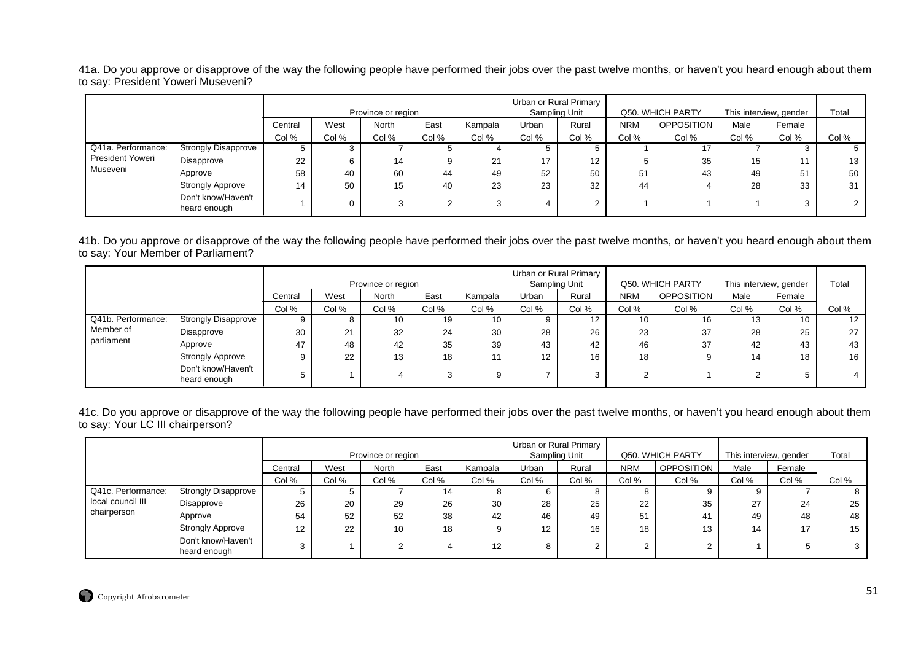41a. Do you approve or disapprove of the way the following people have performed their jobs over the past twelve months, or haven't you heard enough about them to say: President Yoweri Museveni?

|                    |                                    |         |       | Province or region |       |         | Sampling Unit | Urban or Rural Primary |            | Q50. WHICH PARTY  | This interview, gender |        | Total |
|--------------------|------------------------------------|---------|-------|--------------------|-------|---------|---------------|------------------------|------------|-------------------|------------------------|--------|-------|
|                    |                                    | Central | West  | <b>North</b>       | East  | Kampala | Urban         | Rural                  | <b>NRM</b> | <b>OPPOSITION</b> | Male                   | Female |       |
|                    |                                    | Col %   | Col % | Col %              | Col % | Col %   | Col %         | Col %                  | Col %      | Col %             | Col %                  | Col %  | Col % |
| Q41a. Performance: | <b>Strongly Disapprove</b>         |         |       |                    |       |         |               |                        |            | 17                |                        |        |       |
| President Yoweri   | Disapprove                         | 22      | 6     | 14                 |       | 21      | 17            | 12                     |            | 35                | 15                     |        | 13    |
| Museveni           | Approve                            | 58      | 40    | 60                 | 44    | 49      | 52            | 50                     | 51         | 43                | 49                     | 51     | 50    |
|                    | <b>Strongly Approve</b>            | 14      | 50    | 15                 | 40    | 23      | 23            | 32                     | 44         |                   | 28                     | 33     | 31    |
|                    | Don't know/Haven't<br>heard enough |         | 0     | 3                  |       |         |               | $\sim$                 |            |                   |                        | ົ      |       |

41b. Do you approve or disapprove of the way the following people have performed their jobs over the past twelve months, or haven't you heard enough about them to say: Your Member of Parliament?

|                    |                                    |         |       | Province or region |       |         | Sampling Unit     | Urban or Rural Primary |            | Q50. WHICH PARTY | This interview, gender |        | Total |
|--------------------|------------------------------------|---------|-------|--------------------|-------|---------|-------------------|------------------------|------------|------------------|------------------------|--------|-------|
|                    |                                    | Central | West  | North              | East  | Kampala | Urban             | Rural                  | <b>NRM</b> | OPPOSITION       | Male                   | Female |       |
|                    |                                    | Col %   | Col % | Col %              | Col % | Col %   | Col %             | Col %                  | Col %      | Col %            | Col %                  | Col %  | Col % |
| Q41b. Performance: | <b>Strongly Disapprove</b>         |         |       | 10                 | 19    | 10      |                   | 12                     | 10         | 16               | 13                     | 10     | 12    |
| Member of          | Disapprove                         | 30      | 21    | 32                 | 24    | 30      | 28                | 26                     | 23         | 37               | 28                     | 25     | 27    |
| parliament         | Approve                            | 47      | 48    | 42                 | 35    | 39      | 43                | 42                     | 46         | 37               | 42                     | 43     | 43    |
|                    | <b>Strongly Approve</b>            | g       | 22    | 13                 | 18    | 11      | $12 \overline{ }$ | 16                     | 18         | 9                | 14                     | 18     | 16    |
|                    | Don't know/Haven't<br>heard enough |         |       |                    |       | 9       |                   |                        |            |                  |                        |        |       |

41c. Do you approve or disapprove of the way the following people have performed their jobs over the past twelve months, or haven't you heard enough about them to say: Your LC III chairperson?

|                    |                                    |         |       |                    |       |                 | Urban or Rural Primary |       |            |                  |                        |        |       |
|--------------------|------------------------------------|---------|-------|--------------------|-------|-----------------|------------------------|-------|------------|------------------|------------------------|--------|-------|
|                    |                                    |         |       | Province or region |       |                 | Sampling Unit          |       |            | Q50. WHICH PARTY | This interview, gender |        | Total |
|                    |                                    | Central | West  | North              | East  | Kampala         | Urban                  | Rural | <b>NRM</b> | OPPOSITION       | Male                   | Female |       |
|                    |                                    | Col %   | Col % | Col %              | Col % | Col %           | Col %                  | Col % | Col %      | Col %            | Col %                  | Col %  | Col % |
| Q41c. Performance: | <b>Strongly Disapprove</b>         | G       |       |                    | 14    | O               |                        |       |            |                  |                        |        |       |
| local council III  | Disapprove                         | 26      | 20    | 29                 | 26    | 30              | 28                     | 25    | 22         | 35               | 27                     | 24     | 25    |
| chairperson        | Approve                            | 54      | 52    | 52                 | 38    | 42              | 46                     | 49    | 51         | 41               | 49                     | 48     | 48    |
|                    | <b>Strongly Approve</b>            | 12      | 22    | 10                 | 18    | 9               | 12                     | 16    | 18         | 13               | 14                     | 17     | 15    |
|                    | Don't know/Haven't<br>heard enough |         |       | ◠<br>۷             |       | 12 <sup>2</sup> | 8                      |       | ◠          | $\sim$           |                        |        |       |

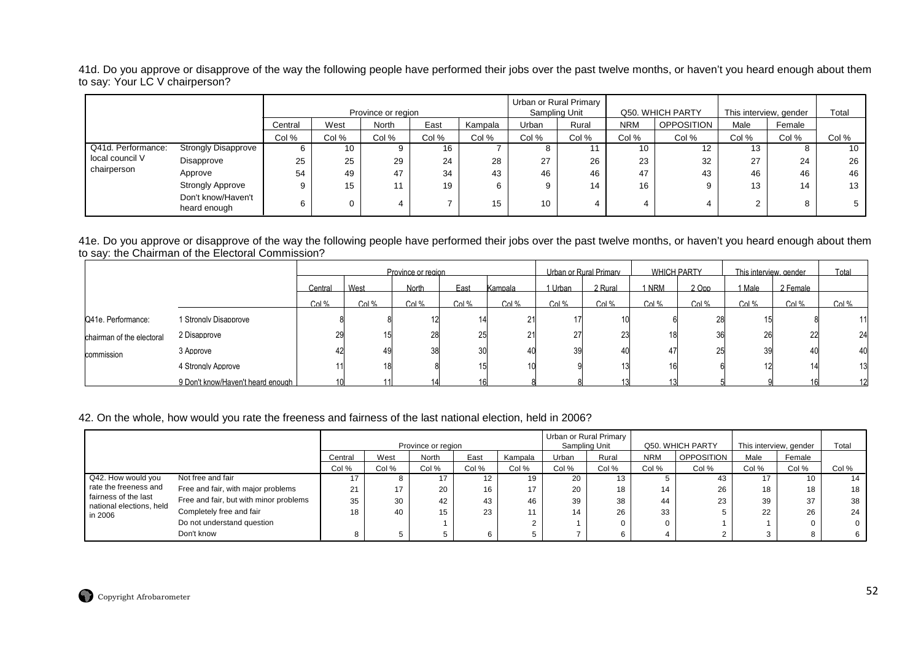41d. Do you approve or disapprove of the way the following people have performed their jobs over the past twelve months, or haven't you heard enough about them to say: Your LC V chairperson?

|                    |                                    |         |       | Province or region |       |         | Sampling Unit | Urban or Rural Primary |            | Q50. WHICH PARTY |       | This interview, gender | Total |
|--------------------|------------------------------------|---------|-------|--------------------|-------|---------|---------------|------------------------|------------|------------------|-------|------------------------|-------|
|                    |                                    | Central | West  | <b>North</b>       | East  | Kampala | Urban         | Rural                  | <b>NRM</b> | OPPOSITION       | Male  | Female                 |       |
|                    |                                    | Col %   | Col % | Col %              | Col % | Col %   | Col %         | Col %                  | Col %      | Col %            | Col % | Col %                  | Col % |
| Q41d. Performance: | <b>Strongly Disapprove</b>         |         | 10    | 9                  | 16    |         | 8             |                        | 10         | 12               | 13    |                        | 10    |
| local council V    | Disapprove                         | 25      | 25    | 29                 | 24    | 28      | 27            | 26                     | 23         | 32               | 27    | 24                     | 26    |
| chairperson        | Approve                            | 54      | 49    | 47                 | 34    | 43      | 46            | 46                     | 47         | 43               | 46    | 46                     | 46    |
|                    | <b>Strongly Approve</b>            |         | 15    | 11                 | 19    |         | 9             | 14                     | 16         | 9                | 13    | 14                     | 13    |
|                    | Don't know/Haven't<br>heard enough |         | 0     | 4                  |       |         | 10            |                        |            |                  |       | 8                      |       |

41e. Do you approve or disapprove of the way the following people have performed their jobs over the past twelve months, or haven't you heard enough about them to say: the Chairman of the Electoral Commission?

|                           |                                   |         |       | Province or region |       |         |         | Urban or Rural Primary | <b>WHICH PARTY</b> |         | This interview gender |          | Total   |
|---------------------------|-----------------------------------|---------|-------|--------------------|-------|---------|---------|------------------------|--------------------|---------|-----------------------|----------|---------|
|                           |                                   | Central | West  | North              | East  | Kampala | 1 Urban | 2 Rural                | <b>NRM</b>         | 2 Opp   | l Male                | 2 Female |         |
|                           |                                   | Col $%$ | Col % | Col $%$            | Col % | Col $%$ | Col %   | Col %                  | $Col$ %            | $Col$ % | Col %                 | Col $%$  | Col $%$ |
| Q41e. Performance:        | 1 Strongly Disapprove             |         |       |                    |       | 21      |         | 10 <sub>l</sub>        |                    | 28      |                       |          |         |
| chairman of the electoral | 2 Disapprove                      | 29      |       | 28                 | 25    | 21      |         |                        | 18                 | 36      |                       | 22       | 24      |
| commission                | 3 Approve                         | 42      |       | 38                 | 30    |         |         | 40                     |                    | 25      |                       | 40       | 40      |
|                           | 4 Stronaly Approve                |         |       |                    | 15    | 10      |         |                        | 16                 |         |                       | 14       |         |
|                           | 9 Don't know/Haven't heard enough | 10      |       |                    | 16    |         |         |                        |                    |         |                       | 16       |         |

#### 42. On the whole, how would you rate the freeness and fairness of the last national election, held in 2006?

|                                                  |                                        |         |       | Province or region |       |         | Urban or Rural Primary<br>Sampling Unit |       |            | Q50. WHICH PARTY  |        | This interview, gender | Total |
|--------------------------------------------------|----------------------------------------|---------|-------|--------------------|-------|---------|-----------------------------------------|-------|------------|-------------------|--------|------------------------|-------|
|                                                  |                                        | Central | West  | North              | East  | Kampala | Urban                                   | Rural | <b>NRM</b> | <b>OPPOSITION</b> | Male   | Female                 |       |
|                                                  |                                        | Col %   | Col % | Col %              | Col % | Col %   | Col %                                   | Col % | Col %      | Col %             | Col %  | Col %                  | Col % |
| Q42. How would you                               | Not free and fair                      |         | ۰     | 17                 |       | 19      | 20                                      | 5 ا   |            |                   |        | 10                     | 14    |
| rate the freeness and                            | Free and fair, with major problems     | 21      | 17    | 20                 | 16    | 17      | 20                                      | 18    | 14         | 26                | 18     | 18                     | 18    |
| fairness of the last<br>national elections, held | Free and fair, but with minor problems | 35      | 30    | 42                 | 43    | 46      | 39                                      | 38    | 44         | 23                |        | 37                     | 38    |
| in 2006                                          | Completely free and fair               | 18      | 40    | 15                 | 23    |         |                                         | 26    | 33         |                   | $\sim$ | 26                     | 24    |
|                                                  | Do not understand question             |         |       |                    |       |         |                                         |       |            |                   |        |                        |       |
|                                                  | Don't know                             |         | 5     |                    |       |         |                                         |       |            |                   |        |                        |       |

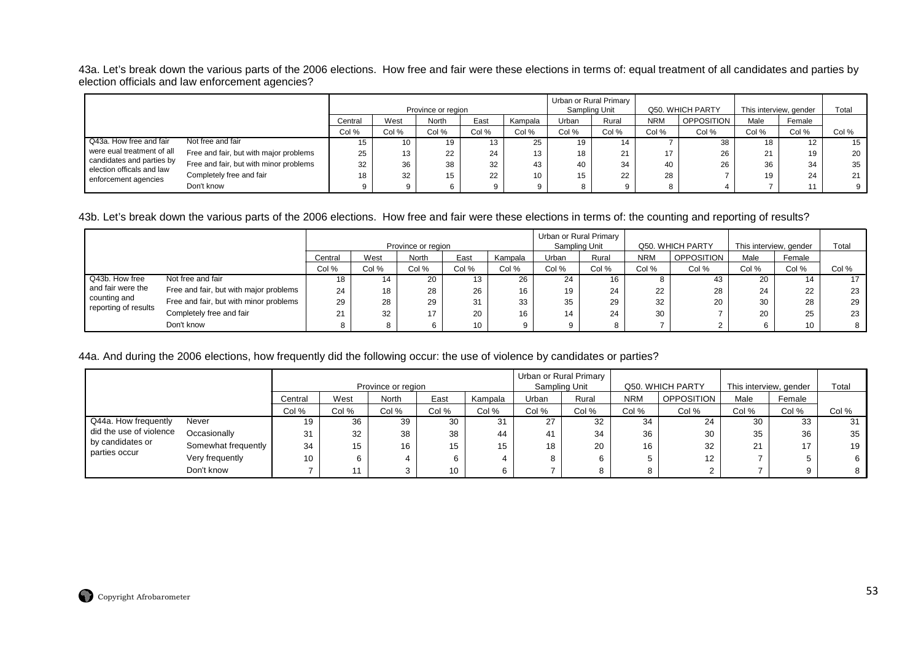43a. Let's break down the various parts of the 2006 elections. How free and fair were these elections in terms of: equal treatment of all candidates and parties by election officials and law enforcement agencies?

|                                                        |                                        |         |       | Province or region |       |         | Urban or Rural Primary | Sampling Unit       |            | Q50. WHICH PARTY | This interview, gender |        | Total |
|--------------------------------------------------------|----------------------------------------|---------|-------|--------------------|-------|---------|------------------------|---------------------|------------|------------------|------------------------|--------|-------|
|                                                        |                                        | Central | West  | North              | East  | Kampala | Urban                  | Rural               | <b>NRM</b> | OPPOSITION       | Male                   | Female |       |
|                                                        |                                        | Col %   | Col % | Col %              | Col % | Col %   | Col %                  | Col %               | Col %      | Col %            | Col %                  | Col %  | Col % |
| Q43a. How free and fair                                | Not free and fair                      | ט ו     | 10    | 19.                | 13    | 25      |                        | 14                  |            | 38               | 18                     | 12     | 15    |
| were eual treatment of all                             | Free and fair, but with major problems | 25      | 13    | 22                 | 24    | 13      |                        | $\mathbf{A}$<br>∠ । |            | 26               | 21                     | 19     | 20    |
| candidates and parties by<br>election officals and law | Free and fair, but with minor problems | 32      | 36    | 38                 | 32    | 43      |                        | 34                  | 40         | 26               | 36                     | 34     | 35    |
| enforcement agencies                                   | Completely free and fair               |         | 32    | 15                 | 22    | 10      | 15                     | 22                  | 28         |                  | 19                     | 24     | 21    |
|                                                        | Don't know                             |         |       |                    |       |         |                        |                     | 8          |                  |                        | 11     | 9     |

#### 43b. Let's break down the various parts of the 2006 elections. How free and fair were these elections in terms of: the counting and reporting of results?

|                                      |                                        |         |       |                    |       |         | Urban or Rural Primary |       |            |                   |                        |        |       |
|--------------------------------------|----------------------------------------|---------|-------|--------------------|-------|---------|------------------------|-------|------------|-------------------|------------------------|--------|-------|
|                                      |                                        |         |       | Province or region |       |         | Sampling Unit          |       |            | Q50. WHICH PARTY  | This interview, gender |        | Total |
|                                      |                                        | Central | West  | <b>North</b>       | East  | Kampala | <b>Jrban</b>           | Rural | <b>NRM</b> | <b>OPPOSITION</b> | Male                   | Female |       |
|                                      |                                        | Col %   | Col % | Col %              | Col % | Col %   | Col %                  | Col % | Col %      | Col %             | Col %                  | Col %  | Col % |
| Q43b. How free                       | Not free and fair                      | 18      |       | 20                 |       | 26      | 24                     | 16    |            | 43                | 20                     |        |       |
| and fair were the                    | Free and fair, but with major problems | 24      | 18    | 28                 | 26    | 16      | 19                     | 24    | 22         | 28                | 24                     | 22     | 23    |
| counting and<br>reporting of results | Free and fair, but with minor problems | 29      | 28    | 29                 | 31    | 33      | 35                     | 29    | 32         | 20                | 30                     | 28     | 29    |
|                                      | Completely free and fair               | 21      | 32    |                    | 20    | 16      | 14                     | 24    | 30         |                   | 20                     | 25     | 23    |
|                                      | Don't know                             |         |       |                    | 10    | q       |                        |       |            |                   |                        | 10     | 8     |

#### 44a. And during the 2006 elections, how frequently did the following occur: the use of violence by candidates or parties?

|                         |                     |         |       | Province or region |       |         |       | Urban or Rural Primary<br>Sampling Unit |            | Q50. WHICH PARTY  | This interview, gender |        | Total |
|-------------------------|---------------------|---------|-------|--------------------|-------|---------|-------|-----------------------------------------|------------|-------------------|------------------------|--------|-------|
|                         |                     | Central | West  | <b>North</b>       | East  | Kampala | Urban | Rural                                   | <b>NRM</b> | <b>OPPOSITION</b> | Male                   | Female |       |
|                         |                     | Col %   | Col % | Col %              | Col % | Col %   | Col % | Col %                                   | Col %      | Col %             | Col %                  | Col %  | Col % |
| Q44a. How frequently    | Never               | 19      | 36    | 39                 | 30    | 31      | 27    | 32                                      | 34         | 24                | 30                     | 33     | 31    |
| did the use of violence | Occasionally        | 31      | 32    | 38                 | 38    | 44      | 41    | 34                                      | 36         | 30                | 35                     | 36     | 35    |
| by candidates or        | Somewhat frequently | 34      | 15    | 16                 | 15    | 15      | 18    | 20                                      | 16         | 32                | 21                     | 17     | 19    |
| parties occur           | Very frequently     | 10      | 6     |                    |       | 4       |       |                                         | 5          | 12                |                        |        | 6     |
|                         | Don't know          |         |       |                    | 10    | 6       |       |                                         | 8          |                   |                        | Q      | 8     |

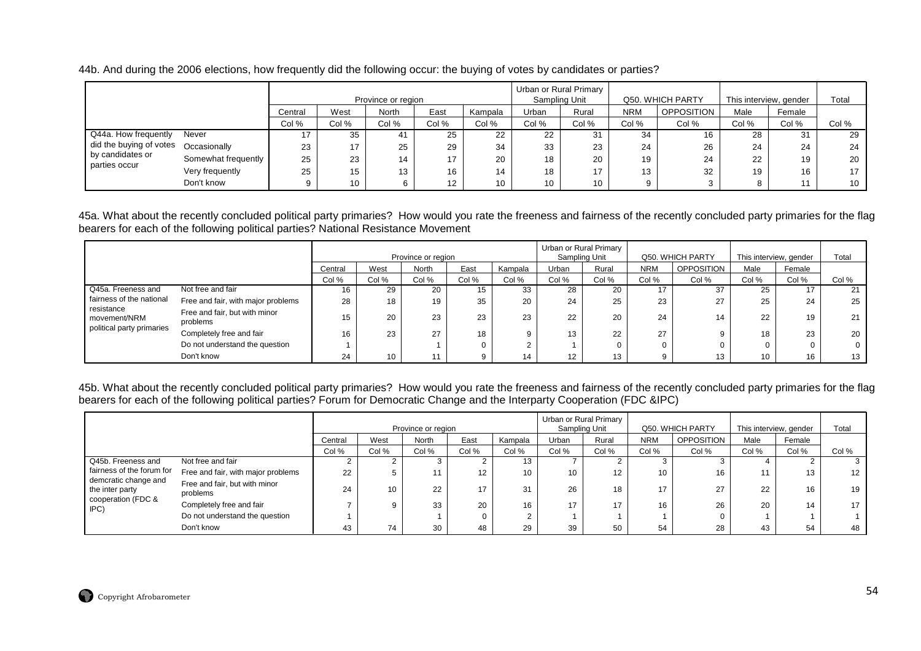44b. And during the 2006 elections, how frequently did the following occur: the buying of votes by candidates or parties?

|                         |                     |         |       | Province or region |       |                 |       | Urban or Rural Primary<br>Sampling Unit |            | Q50. WHICH PARTY | This interview, gender |        | Total |
|-------------------------|---------------------|---------|-------|--------------------|-------|-----------------|-------|-----------------------------------------|------------|------------------|------------------------|--------|-------|
|                         |                     | Central | West  | <b>North</b>       | East  | Kampala         | Jrban | Rural                                   | <b>NRM</b> | OPPOSITION       | Male                   | Female |       |
|                         |                     | Col %   | Col % | Col %              | Col % | Col %           | Col % | Col %                                   | Col %      | Col %            | Col %                  | Col %  | Col % |
| Q44a. How frequently    | Never               |         | 35    | 41                 | 25    | 22              | 22    | 31                                      | 34         | 16               | 28                     | -31    | 29    |
| did the buying of votes | Occasionally        | 23      | 17    | 25                 | 29    | 34              | 33    | 23                                      | 24         | 26               | 24                     | 24     | 24    |
| by candidates or        | Somewhat frequently | 25      | 23    | 14                 | 17    | 20              | 18    | 20                                      | 19         | 24               | 22                     | 19     | 20    |
| parties occur           | Very frequently     | 25      | 15    | 13                 | 16    | 14              | 18    | 17                                      | 13         | 32               | 19                     | 16     | 17    |
|                         | Don't know          |         | 10    |                    | 12    | 10 <sup>1</sup> | 10    | 10                                      | 9          |                  |                        |        | 10    |

45a. What about the recently concluded political party primaries? How would you rate the freeness and fairness of the recently concluded party primaries for the flag bearers for each of the following political parties? National Resistance Movement

|                            |                                           |         |       | Province or region |       |         |       | Urban or Rural Primary<br>Sampling Unit |            | Q50, WHICH PARTY  | This interview, gender |        | Total    |
|----------------------------|-------------------------------------------|---------|-------|--------------------|-------|---------|-------|-----------------------------------------|------------|-------------------|------------------------|--------|----------|
|                            |                                           | Central | West  | North              | East  | Kampala | Urban | Rural                                   | <b>NRM</b> | <b>OPPOSITION</b> | Male                   | Female |          |
|                            |                                           | Col %   | Col % | Col %              | Col % | Col %   | Col % | Col %                                   | Col %      | Col %             | Col %                  | Col %  | Col %    |
| Q45a. Freeness and         | Not free and fair                         | 16      | 29    | 20                 | 15    | 33      | 28    | 20                                      |            | 37                | 25                     |        | 21       |
| fairness of the national   | Free and fair, with major problems        | 28      | 18    | 19                 | 35    | 20      | 24    | 25                                      | 23         | 27                | 25                     | 24     | 25       |
| resistance<br>movement/NRM | Free and fair, but with minor<br>problems | 15      | 20    | 23                 | 23    | 23      | 22    | 20                                      | 24         | 14                | 22                     | 19     | 21       |
| political party primaries  | Completely free and fair                  | 16      | 23    | 27                 | 18    |         | 13    | 22                                      | 27         |                   | 18                     | 23     | 20       |
|                            | Do not understand the question            |         |       |                    | 0     |         |       |                                         |            |                   |                        |        | $\Omega$ |
|                            | Don't know                                | 24      | 10    | 11                 | 9     | 14      | 12    | 13                                      |            |                   | 10                     | 16     | 13       |

45b. What about the recently concluded political party primaries? How would you rate the freeness and fairness of the recently concluded party primaries for the flag bearers for each of the following political parties? Forum for Democratic Change and the Interparty Cooperation (FDC &IPC)

|                                         |                                           |         |       | Province or region |          |         |       | Urban or Rural Primary<br>Sampling Unit |            | Q50. WHICH PARTY  |       | This interview, gender | Total           |
|-----------------------------------------|-------------------------------------------|---------|-------|--------------------|----------|---------|-------|-----------------------------------------|------------|-------------------|-------|------------------------|-----------------|
|                                         |                                           | Central | West  | North              | East     | Kampala | Urban | Rural                                   | <b>NRM</b> | <b>OPPOSITION</b> | Male  | Female                 |                 |
|                                         |                                           | Col %   | Col % | Col %              | Col %    | Col %   | Col % | Col %                                   | Col %      | Col %             | Col % | Col %                  | Col %           |
| Q45b. Freeness and                      | Not free and fair                         |         |       |                    |          | 13      |       |                                         |            |                   |       |                        |                 |
| fairness of the forum for               | Free and fair, with major problems        | 22      |       |                    | 12       | 10      | 10    | 12                                      | 10         | 16                |       | 13                     | 12              |
| demcratic change and<br>the inter party | Free and fair, but with minor<br>problems | 24      | 10    | 22                 | 17       | 31      | 26    | 18                                      | 17         | 27                | 22    | 16                     | 19              |
| cooperation (FDC &<br>IPC)              | Completely free and fair                  |         | Q     | 33                 | 20       | 16      | 17    | 17                                      | 16         | 26                | 20    | 14                     | 17 <sub>1</sub> |
|                                         | Do not understand the question            |         |       |                    | $\Omega$ |         |       |                                         |            |                   |       |                        |                 |
|                                         | Don't know                                | 43      | 74    | 30                 | 48       | 29      | 39    | 50                                      | 54         | 28                |       | 54                     | 48              |

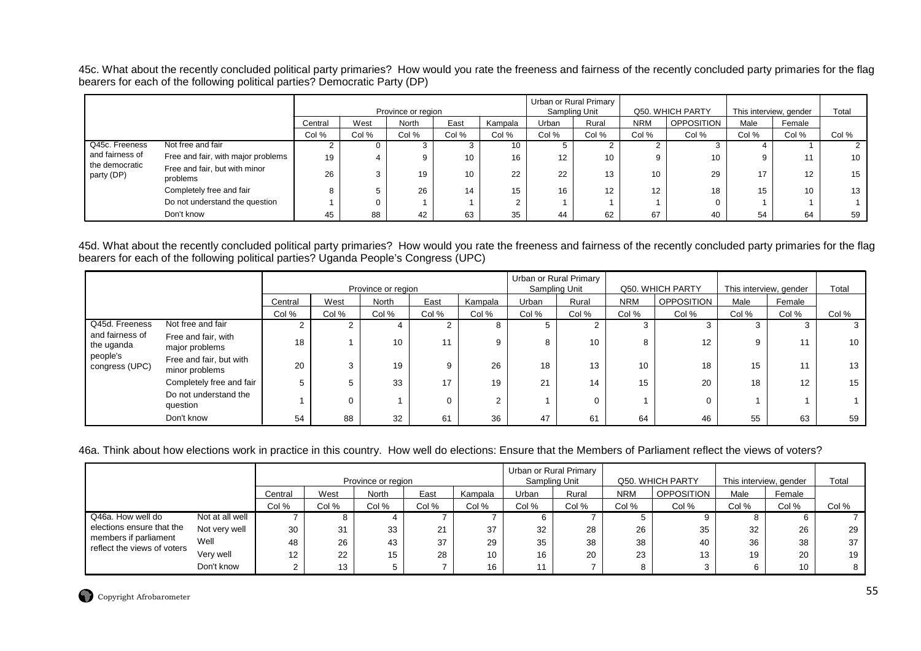45c. What about the recently concluded political party primaries? How would you rate the freeness and fairness of the recently concluded party primaries for the flag bearers for each of the following political parties? Democratic Party (DP)

|                              |                                           |         |       | Province or region |       |         |       | Urban or Rural Primary<br>Sampling Unit |                 | Q50. WHICH PARTY |       | This interview, gender | Total |
|------------------------------|-------------------------------------------|---------|-------|--------------------|-------|---------|-------|-----------------------------------------|-----------------|------------------|-------|------------------------|-------|
|                              |                                           | Central | West  | North              | East  | Kampala | Urban | Rural                                   | <b>NRM</b>      | OPPOSITION       | Male  | Female                 |       |
|                              |                                           | Col %   | Col % | Col %              | Col % | Col %   | Col % | Col %                                   | Col %           | Col %            | Col % | Col %                  | Col % |
| Q45c. Freeness               | Not free and fair                         |         | 0     | - 0                |       | 10      |       |                                         |                 |                  |       |                        |       |
| and fairness of              | Free and fair, with major problems        | 19      | 4     | 9                  | 10    | 16      | 12    | 10                                      | 9               | 10               |       |                        | 10    |
| the democratic<br>party (DP) | Free and fair, but with minor<br>problems | 26      | 3     | 19                 |       | 22      | 22    | 13                                      | 10              | 29               | 17    | 12                     | 15    |
|                              | Completely free and fair                  |         | 5     | 26                 |       | 15      | 16    | 12                                      | 12 <sup>2</sup> | 18               | 15    | 10 <sup>1</sup>        | 13    |
|                              | Do not understand the question            |         | 0     |                    |       |         |       |                                         |                 |                  |       |                        |       |
|                              | Don't know                                | 45      | 88    | 42                 | 63    | 35      | 44    | 62                                      | 67              | 40               | 54    | 64                     | 59    |

45d. What about the recently concluded political party primaries? How would you rate the freeness and fairness of the recently concluded party primaries for the flag bearers for each of the following political parties? Uganda People's Congress (UPC)

|                               |                                           |         |          | Province or region |       |          |       | Urban or Rural Primary<br>Sampling Unit |            | Q50. WHICH PARTY  | This interview, gender |        | Total |
|-------------------------------|-------------------------------------------|---------|----------|--------------------|-------|----------|-------|-----------------------------------------|------------|-------------------|------------------------|--------|-------|
|                               |                                           | Central | West     | North              | East  | Kampala  | Urban | Rural                                   | <b>NRM</b> | <b>OPPOSITION</b> | Male                   | Female |       |
|                               |                                           | Col %   | Col %    | Col %              | Col % | Col %    | Col % | Col %                                   | Col %      | Col %             | Col %                  | Col %  | Col % |
| Q45d. Freeness                | Not free and fair                         |         |          | 4                  |       | 8        | 5     |                                         |            |                   | 3                      |        | 3     |
| and fairness of<br>the uganda | Free and fair, with<br>major problems     | 18      |          | 10                 | 11    | 9        | 8     | 10                                      | 8          | 12                | 9                      | 11     | 10    |
| people's<br>congress (UPC)    | Free and fair, but with<br>minor problems | 20      | 3        | 19                 | 9     | 26       | 18    | 13                                      | 10         | 18                | 15                     | 11     | 13    |
|                               | Completely free and fair                  | 5       |          | 33                 | 17    | 19       | 21    | 14                                      | 15         | 20                | 18                     | 12     | 15    |
|                               | Do not understand the<br>question         |         | $\Omega$ |                    | 0     | $\Omega$ |       |                                         |            |                   |                        |        |       |
|                               | Don't know                                | 54      | 88       | 32                 | 61    | 36       | 47    | 61                                      | 64         | 46                | 55                     | 63     | 59    |

# 46a. Think about how elections work in practice in this country. How well do elections: Ensure that the Members of Parliament reflect the views of voters?

|                                                      |                 |         |       |                    |       |         |               | Urban or Rural Primary |            |                   |                        |        |       |
|------------------------------------------------------|-----------------|---------|-------|--------------------|-------|---------|---------------|------------------------|------------|-------------------|------------------------|--------|-------|
|                                                      |                 |         |       | Province or region |       |         | Sampling Unit |                        |            | Q50. WHICH PARTY  | This interview, gender |        | Total |
|                                                      |                 | Central | West  | <b>North</b>       | East  | Kampala | Urban         | Rural                  | <b>NRM</b> | <b>OPPOSITION</b> | Male                   | Female |       |
|                                                      |                 | Col %   | Col % | Col %              | Col % | Col %   | Col %         | Col %                  | Col %      | Col %             | Col %                  | Col %  | Col % |
| Q46a. How well do                                    | Not at all well |         | o     |                    |       |         |               |                        |            |                   |                        |        |       |
| elections ensure that the                            | Not very well   | 30      | 31    | 33                 | 21    | 37      | 32            | 28                     | 26         | 35                | 32                     | 26     | 29    |
| members if parliament<br>reflect the views of voters | Well            | 48      | 26    | 43                 | 37    | 29      | 35            | 38                     | 38         | 40                | 36                     | 38     | 37    |
|                                                      | Very well       | 12      | 22    | 15                 | 28    | 10      | 16            | 20                     | 23         | 13                | 19                     | 20     | 19    |
|                                                      | Don't know      | ◠<br>۷  | 13    |                    |       | 16      | 11            |                        |            |                   |                        | 10     |       |

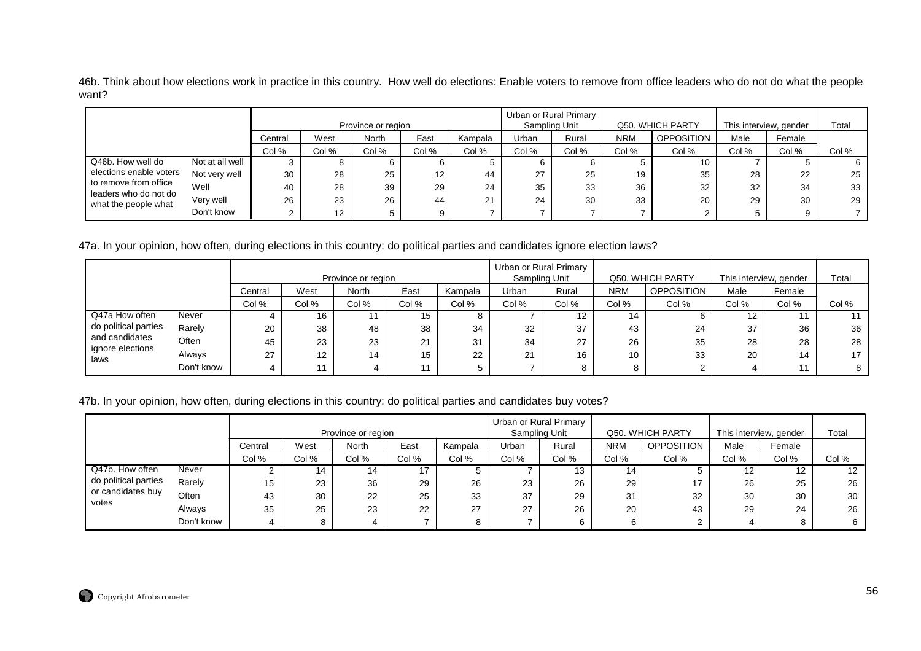46b. Think about how elections work in practice in this country. How well do elections: Enable voters to remove from office leaders who do not do what the people want?

|                                                |                 |         |                   | Province or region |       |         |       | Urban or Rural Primary<br>Sampling Unit |            | Q50. WHICH PARTY  | This interview, gender |        | Total |
|------------------------------------------------|-----------------|---------|-------------------|--------------------|-------|---------|-------|-----------------------------------------|------------|-------------------|------------------------|--------|-------|
|                                                |                 | Central | West              | North              | East  | Kampala | Urban | Rural                                   | <b>NRM</b> | <b>OPPOSITION</b> | Male                   | Female |       |
|                                                |                 | Col %   | Col %             | Col %              | Col % | Col %   | Col % | Col %                                   | Col %      | Col %             | Col %                  | Col %  | Col % |
| Q46b. How well do                              | Not at all well |         | 8                 |                    |       |         |       | 6                                       |            | 10                |                        |        |       |
| elections enable voters                        | Not very well   | 30      | 28                | 25                 | 12    | 44      | 27    | 25                                      | 19         | 35                | 28                     | 22     | 25    |
| to remove from office<br>leaders who do not do | Well            | 40      | 28                | 39                 | 29    | 24      | 35    | 33                                      | 36         | 32                | 32                     | 34     | 33    |
| what the people what                           | Very well       | 26      | 23                | 26                 | 44    | 21      | 24    | 30                                      | 33         | 20                | 29                     | 30     | 29    |
|                                                | Don't know      |         | $12 \overline{ }$ |                    | 9     |         |       |                                         |            |                   |                        |        |       |

47a. In your opinion, how often, during elections in this country: do political parties and candidates ignore election laws?

|                         |            |         |       | Province or region |       |         |       | Urban or Rural Primary<br>Sampling Unit |            | Q50. WHICH PARTY | This interview, gender |        | Total |
|-------------------------|------------|---------|-------|--------------------|-------|---------|-------|-----------------------------------------|------------|------------------|------------------------|--------|-------|
|                         |            | Central | West  | <b>North</b>       | East  | Kampala | Urban | Rural                                   | <b>NRM</b> | OPPOSITION       | Male                   | Female |       |
|                         |            | Col %   | Col % | Col %              | Col % | Col %   | Col % | Col %                                   | Col %      | Col %            | Col %                  | Col %  | Col % |
| Q47a How often          | Never      |         | 16    | 11                 | 15    | 8       |       | 12                                      | 14         |                  | 12                     |        | 11    |
| do political parties    | Rarely     | 20      | 38    | 48                 | 38    | 34      | 32    | 37                                      | 43         | 24               | 37                     | 36     | 36    |
| and candidates          | Often      | 45      | 23    | 23                 | 21    | 31      | 34    | 27                                      | 26         | 35               | 28                     | 28     | 28    |
| gnore elections<br>laws | Always     | 27      | 12    | 14                 | 15    | 22      | 21    | 16                                      | 10         | 33               | 20                     | 14     | 17    |
|                         | Don't know |         |       |                    |       |         |       | 8                                       |            |                  |                        |        | 8     |

47b. In your opinion, how often, during elections in this country: do political parties and candidates buy votes?

|                            |            |         |       | Province or region |       |         |       | Urban or Rural Primary<br>Sampling Unit |            | Q50. WHICH PARTY  | This interview, gender |                   | Total |
|----------------------------|------------|---------|-------|--------------------|-------|---------|-------|-----------------------------------------|------------|-------------------|------------------------|-------------------|-------|
|                            |            | Central | West  | <b>North</b>       | East  | Kampala | Urban | Rural                                   | <b>NRM</b> | <b>OPPOSITION</b> | Male                   | Female            |       |
|                            |            | Col %   | Col % | Col %              | Col % | Col %   | Col % | Col %                                   | Col %      | Col %             | Col %                  | Col %             | Col % |
| Q47b. How often            | Never      |         | 14    | 14                 | 17    |         |       | 13                                      | 14         |                   | 12                     | $12 \overline{ }$ | 12    |
| do political parties       | Rarely     | 15      | 23    | 36                 | 29    | 26      | 23    | 26                                      | 29         | 17                | 26                     | 25                | 26    |
| or candidates buy<br>votes | Often      | 43      | 30    | 22                 | 25    | 33      | 37    | 29                                      | 31         | 32                | 30                     | 30                | 30    |
|                            | Always     | 35      | 25    | 23                 | 22    | 27      | 27    | 26                                      | 20         | 43                | 29                     | 24                | 26    |
|                            | Don't know |         |       |                    |       | 8       |       |                                         | 6          |                   |                        |                   |       |

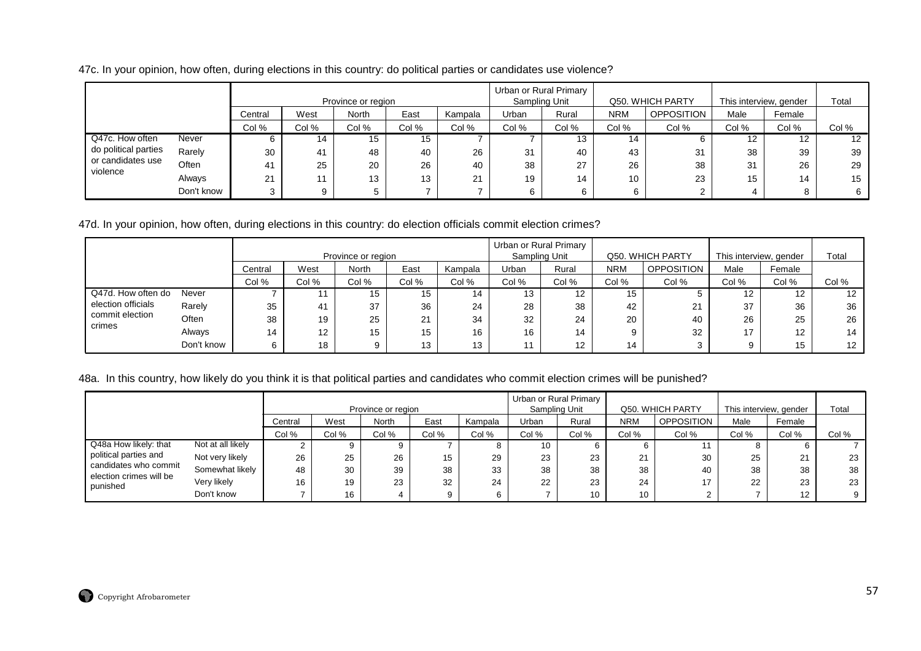47c. In your opinion, how often, during elections in this country: do political parties or candidates use violence?

|                               |            |                 |       | Province or region |       |         | Sampling Unit | Urban or Rural Primary |            | Q50. WHICH PARTY  | This interview, gender |        | Total             |
|-------------------------------|------------|-----------------|-------|--------------------|-------|---------|---------------|------------------------|------------|-------------------|------------------------|--------|-------------------|
|                               |            | Central         | West  | North              | East  | Kampala | Urban         | Rural                  | <b>NRM</b> | <b>OPPOSITION</b> | Male                   | Female |                   |
|                               |            | Col %           | Col % | Col %              | Col % | Col %   | Col %         | Col %                  | Col %      | Col %             | Col %                  | Col %  | Col %             |
| Q47c. How often               | Never      |                 | 14    | 15                 | 15    |         |               | 13                     | 14         |                   |                        | 12     | $12 \overline{ }$ |
| do political parties          | Rarely     | 30              | 41    | 48                 | 40    | 26      | 31            | 40                     | 43         | 31                | 38                     | 39     | 39                |
| or candidates use<br>violence | Often      | 41              | 25    | 20                 | 26    | 40      | 38            | 27                     | 26         | 38                | 31                     | 26     | 29                |
|                               | Always     | $\Omega$<br>∠ । | 11    | 13                 | 13    | 21      | 19            | 14                     | 10         | 23                | 15                     | 14     | 15                |
|                               | Don't know |                 | 9     |                    |       |         | 6             | 6                      |            |                   |                        | 8      | 6                 |

47d. In your opinion, how often, during elections in this country: do election officials commit election crimes?

|                           |            |         |       | Province or region |                      |         | Urban or Rural Primary<br>Sampling Unit |       |            | Q50. WHICH PARTY  | This interview, gender |        | Total             |
|---------------------------|------------|---------|-------|--------------------|----------------------|---------|-----------------------------------------|-------|------------|-------------------|------------------------|--------|-------------------|
|                           |            | Central | West  | <b>North</b>       | East                 | Kampala | Urban                                   | Rural | <b>NRM</b> | <b>OPPOSITION</b> | Male                   | Female |                   |
|                           |            | Col %   | Col % | Col %              | Col %                | Col %   | Col %                                   | Col % | Col %      | Col %             | Col %                  | Col %  | Col %             |
| Q47d. How often do        | Never      |         | 11    | 15                 | 15                   | 14      | 13                                      | 12    | 15         |                   | 12 <sup>2</sup>        | 12.    | $12 \overline{ }$ |
| election officials        | Rarely     | 35      | 41    | 37                 | 36                   | 24      | 28                                      | 38    | 42         | 21                | 37                     | 36     | 36                |
| commit election<br>crimes | Often      | 38      | 19    | 25                 | $^{\circ}$<br>$\sim$ | 34      | 32                                      | 24    | 20         | 40                | 26                     | 25     | 26                |
|                           | Always     | 14      | 12    | 15                 | 15                   | 16      | 16                                      | 14    | 9          | 32                | 17                     | 12     | 14                |
|                           | Don't know |         | 18    | 9                  | 13                   | 13      | 11                                      | 12    | 14         |                   | 9                      | 15     | 12                |

### 48a. In this country, how likely do you think it is that political parties and candidates who commit election crimes will be punished?

|                                                  |                   |         |       | Province or region |       |         | Urban or Rural Primary<br>Sampling Unit |           |            | Q50. WHICH PARTY | This interview, gender |        | Total |
|--------------------------------------------------|-------------------|---------|-------|--------------------|-------|---------|-----------------------------------------|-----------|------------|------------------|------------------------|--------|-------|
|                                                  |                   | Central | West  | North              | East  | Kampala | Urban                                   | Rural     | <b>NRM</b> | OPPOSITION       | Male                   | Female |       |
|                                                  |                   | Col %   | Col % | Col %              | Col % | Col %   | Col %                                   | Col %     | Col %      | Col %            | Col %                  | Col %  | Col % |
| Q48a How likely: that                            | Not at all likely |         |       | 9                  |       |         | 10                                      |           |            |                  |                        |        |       |
| political parties and                            | Not very likely   | 26      | 25    | 26                 | 15    | 29      | 23                                      | ົດ<br>دے  | 21         | 30               | 25                     | 21     | 23    |
| candidates who commit<br>election crimes will be | Somewhat likely   | 48      | 30    | 39                 | 38    | 33      | 38                                      | 38        | 38         | 40               | 38                     | 38     | 38    |
| punished                                         | Very likely       | 16      | 19    | 23                 | 32    | 24      | 22                                      | ົດລ<br>د∠ | 24         | 17               | 22                     | 23     | 23    |
|                                                  | Don't know        |         | 16    | 4                  |       |         |                                         | 10        | 10         |                  |                        | 12     |       |

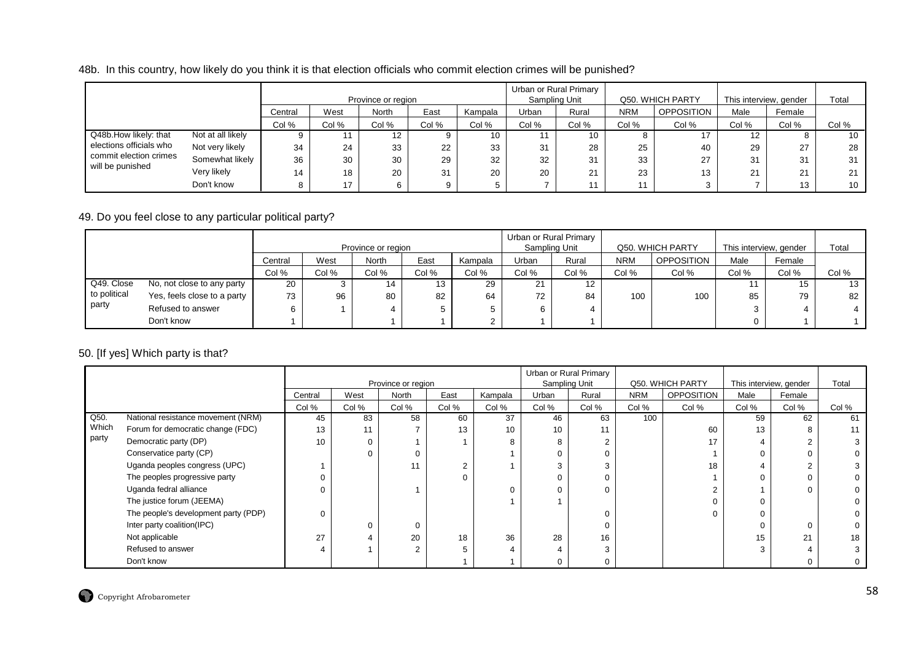### 48b. In this country, how likely do you think it is that election officials who commit election crimes will be punished?

|                                            |                   |         |       | Province or region |       |         | Urban or Rural Primary<br>Sampling Unit |              |            | Q50. WHICH PARTY | This interview, gender |        | Total           |
|--------------------------------------------|-------------------|---------|-------|--------------------|-------|---------|-----------------------------------------|--------------|------------|------------------|------------------------|--------|-----------------|
|                                            |                   | Central | West  | North              | East  | Kampala | Urban                                   | Rural        | <b>NRM</b> | OPPOSITION       | Male                   | Female |                 |
|                                            |                   | Col %   | Col % | Col %              | Col % | Col %   | Col %                                   | Col %        | Col %      | Col %            | Col %                  | Col %  | Col %           |
| Q48b.How likely: that                      | Not at all likely |         |       | 12 <sup>2</sup>    |       | 10      | 11                                      | 10           |            |                  | 12                     |        | 10              |
| elections officials who                    | Not very likely   | 34      | 24    | 33                 | 22    | 33      | 31                                      | 28           | 25         | 40               | 29                     | 27     | 28              |
| commit election crimes<br>will be punished | Somewhat likely   | 36      | 30    | 30                 | 29    | 32      | 32                                      | 31           | 33         | 27               | 31                     | 31     | 31              |
|                                            | Very likely       | 14      | 18    | 20                 | 31    | 20      | 20                                      | $2^{\prime}$ | 23         | 13               | 21                     | 21     | 21              |
|                                            | Don't know        |         |       | 6                  |       |         |                                         |              |            |                  |                        | 13     | 10 <sup>°</sup> |

# 49. Do you feel close to any particular political party?

|              |                             |         |       | Province or region |       |         |       | Urban or Rural Primary<br>Sampling Unit |            | Q50. WHICH PARTY | This interview, gender |        | Total |
|--------------|-----------------------------|---------|-------|--------------------|-------|---------|-------|-----------------------------------------|------------|------------------|------------------------|--------|-------|
|              |                             | Central | West  | North              | East  | Kampala | Urban | Rural                                   | <b>NRM</b> | OPPOSITION       | Male                   | Female |       |
|              |                             | Col %   | Col % | Col %              | Col % | Col %   | Col % | Col %                                   | Col %      | Col %            | Col %                  | Col %  | Col % |
| Q49. Close   | No, not close to any party  | 20      |       |                    | 13    | 29      | ∠     | 12 <sup>°</sup>                         |            |                  |                        | 15     | 13    |
| to political | Yes, feels close to a party | 73      | 96    | 80                 | 82    | 64      | 72    | 84                                      | 100        | 100              | 85                     | 79     | 82    |
| party        | Refused to answer           |         |       |                    |       |         |       |                                         |            |                  | 3                      |        |       |
|              | Don't know                  |         |       |                    |       |         |       |                                         |            |                  | 0                      |        |       |

## 50. [If yes] Which party is that?

|       |                                      |          |          | Province or region |                |         |       | Urban or Rural Primary<br>Sampling Unit |            | Q50. WHICH PARTY  |          | This interview, gender | Total |
|-------|--------------------------------------|----------|----------|--------------------|----------------|---------|-------|-----------------------------------------|------------|-------------------|----------|------------------------|-------|
|       |                                      | Central  | West     | North              | East           | Kampala | Urban | Rural                                   | <b>NRM</b> | <b>OPPOSITION</b> | Male     | Female                 |       |
|       |                                      | Col %    | Col %    | Col %              | Col %          | Col %   | Col % | Col %                                   | Col %      | Col %             | Col %    | Col %                  | Col % |
| Q50.  | National resistance movement (NRM)   | 45       | 83       | 58                 | 60             | 37      | 46    | 63                                      | 100        |                   | 59       | 62                     | 61    |
| Which | Forum for democratic change (FDC)    | 13       | 11       |                    | 13             | 10      | 10    | 11                                      |            | 60                | 13       |                        |       |
| party | Democratic party (DP)                | 10       | $\Omega$ |                    |                | 8       |       | 2                                       |            | 17                |          |                        |       |
|       | Conservatice party (CP)              |          | ∩        |                    |                |         |       | $\Omega$                                |            |                   |          |                        |       |
|       | Uganda peoples congress (UPC)        |          |          |                    | $\overline{2}$ |         |       | 3                                       |            | 18                |          |                        |       |
|       | The peoples progressive party        |          |          |                    | $\Omega$       |         |       |                                         |            |                   |          |                        |       |
|       | Uganda fedral alliance               |          |          |                    |                |         |       | $\Omega$                                |            |                   |          |                        |       |
|       | The justice forum (JEEMA)            |          |          |                    |                |         |       |                                         |            |                   |          |                        |       |
|       | The people's development party (PDP) | $\Omega$ |          |                    |                |         |       | 0                                       |            | $\Omega$          | $\Omega$ |                        |       |
|       | Inter party coalition(IPC)           |          |          |                    |                |         |       |                                         |            |                   |          |                        |       |
|       | Not applicable                       | 27       |          | 20                 | 18             | 36      | 28    | 16                                      |            |                   | 15       | 21                     | 18    |
|       | Refused to answer                    |          |          | $\Omega$           |                |         |       | 3                                       |            |                   |          |                        |       |
|       | Don't know                           |          |          |                    |                |         |       | $\Omega$                                |            |                   |          |                        |       |

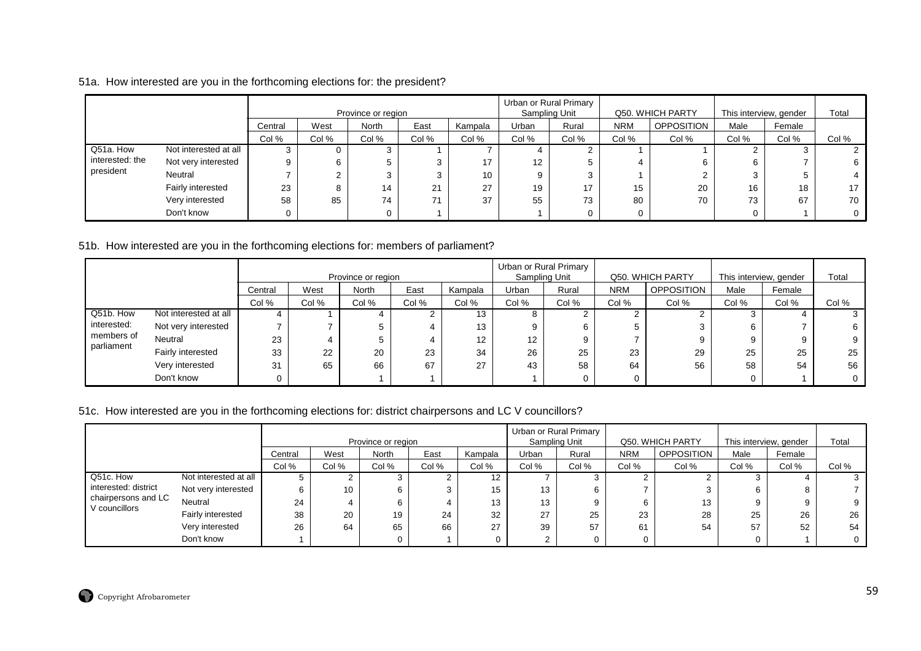# 51a. How interested are you in the forthcoming elections for: the president?

|                 |                       |         |       | Province or region |       |         | Sampling Unit | Urban or Rural Primary |            | Q50. WHICH PARTY  | This interview, gender |        | Total |
|-----------------|-----------------------|---------|-------|--------------------|-------|---------|---------------|------------------------|------------|-------------------|------------------------|--------|-------|
|                 |                       | Central | West  | <b>North</b>       | East  | Kampala | Urban         | Rural                  | <b>NRM</b> | <b>OPPOSITION</b> | Male                   | Female |       |
|                 |                       | Col %   | Col % | Col %              | Col % | Col %   | Col %         | Col %                  | Col %      | Col %             | Col %                  | Col %  | Col % |
| Q51a. How       | Not interested at all |         | 0     |                    |       |         |               |                        |            |                   |                        |        |       |
| interested: the | Not very interested   | 9       | 6     |                    |       | 17      | 12            |                        |            |                   |                        |        | 6     |
| president       | Neutral               |         | C     |                    | 3     | 10      | 9             | ົ<br>c                 |            |                   |                        |        |       |
|                 | Fairly interested     | 23      | 8     | 14                 | 21    | 27      | 19            | 17                     | 15         | 20                | 16                     | 18     | 17    |
|                 | Very interested       | 58      | 85    | 74                 | 71    | 37      | 55            | 73                     | 80         | 70                | 73                     | 67     | 70    |
|                 | Don't know            |         |       |                    |       |         |               |                        | 0          |                   |                        |        |       |

51b. How interested are you in the forthcoming elections for: members of parliament?

|                          |                       |         |       |                    |       |         |                 | Urban or Rural Primary |            |                   |                        |        |       |
|--------------------------|-----------------------|---------|-------|--------------------|-------|---------|-----------------|------------------------|------------|-------------------|------------------------|--------|-------|
|                          |                       |         |       | Province or region |       |         |                 | Sampling Unit          |            | Q50. WHICH PARTY  | This interview, gender |        | Total |
|                          |                       | Central | West  | North              | East  | Kampala | Urban           | Rural                  | <b>NRM</b> | <b>OPPOSITION</b> | Male                   | Female |       |
|                          |                       | Col %   | Col % | Col %              | Col % | Col %   | Col %           | Col %                  | Col %      | Col %             | Col %                  | Col %  | Col % |
| Q51b. How                | Not interested at all |         |       |                    |       | 13      |                 |                        |            |                   |                        |        |       |
| interested:              | Not very interested   |         |       | 5                  |       | 13      |                 | 6                      |            |                   |                        |        |       |
| members of<br>parliament | Neutral               | 23      |       | 5                  |       | 12      | 12 <sup>°</sup> | 9                      |            |                   | g                      |        |       |
|                          | Fairly interested     | 33      | 22    | 20                 | 23    | 34      | 26              | 25                     | 23         | 29                | 25                     | 25     | 25    |
|                          | Very interested       | 31      | 65    | 66                 | 67    | 27      | 43              | 58                     | 64         | 56                | 58                     | 54     | 56    |
|                          | Don't know            |         |       |                    |       |         |                 |                        |            |                   |                        |        |       |

# 51c. How interested are you in the forthcoming elections for: district chairpersons and LC V councillors?

|                                      |                                                    |       |       |                    |       |       |       | Urban or Rural Primary |            |                  |                        |        |       |
|--------------------------------------|----------------------------------------------------|-------|-------|--------------------|-------|-------|-------|------------------------|------------|------------------|------------------------|--------|-------|
|                                      |                                                    |       |       | Province or region |       |       |       | Sampling Unit          |            | Q50. WHICH PARTY | This interview, gender |        | Total |
|                                      | Kampala<br>West<br><b>North</b><br>East<br>Central |       |       |                    |       |       |       | Rural                  | <b>NRM</b> | OPPOSITION       | Male                   | Female |       |
|                                      |                                                    | Col % | Col % | Col %              | Col % | Col % | Col % | Col %                  | Col %      | Col %            | Col %                  | Col %  | Col % |
| Q51c. How                            | Not interested at all                              |       |       |                    |       | 12    |       |                        |            |                  |                        |        |       |
| interested: district                 | Not very interested                                |       | 10    | 6.                 |       | 15    | 13    |                        |            |                  | 6                      |        |       |
| chairpersons and LC<br>V councillors | Neutral                                            | 24    |       | 6.                 |       | 13    | 13    |                        |            | 13               |                        |        |       |
|                                      | Fairly interested                                  | 38    | 20    | 19                 | 24    | 32    | 27    | 25                     | 23         | 28               | 25                     | 26     | 26    |
|                                      | Very interested                                    | 26    | 64    | 65                 | 66    | 27    | 39    | 57                     | 61         | 54               | 57                     | 52     | 54    |
|                                      | Don't know                                         |       |       |                    |       |       | ົ     |                        |            |                  |                        |        |       |

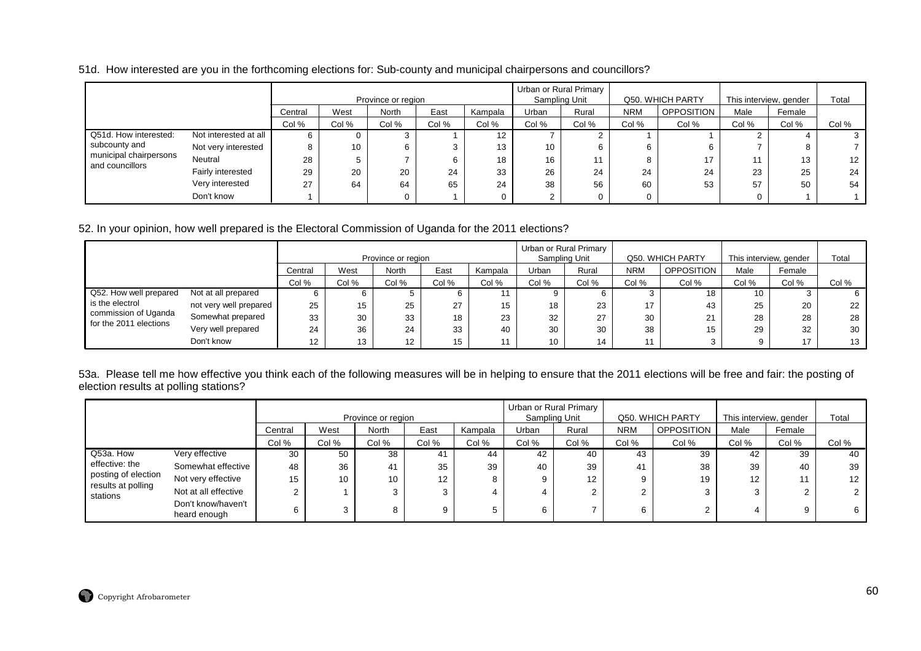51d. How interested are you in the forthcoming elections for: Sub-county and municipal chairpersons and councillors?

|                                           |                       |         |       | Province or region |       |         | Urban or Rural Primary | Sampling Unit |            | Q50. WHICH PARTY  | This interview, gender |        | Total |
|-------------------------------------------|-----------------------|---------|-------|--------------------|-------|---------|------------------------|---------------|------------|-------------------|------------------------|--------|-------|
|                                           |                       | Central | West  | North              | East  | Kampala | Urban                  | Rural         | <b>NRM</b> | <b>OPPOSITION</b> | Male                   | Female |       |
|                                           |                       | Col %   | Col % | Col %              | Col % | Col %   | Col %                  | Col %         | Col %      | Col %             | Col %                  | Col %  | Col % |
| Q51d. How interested:                     | Not interested at all | 6       |       |                    |       | 12      |                        |               |            |                   |                        |        |       |
| subcounty and                             | Not very interested   | 8       | 10    |                    |       | 13      | 10                     |               |            |                   |                        |        |       |
| municipal chairpersons<br>and councillors | Neutral               | 28      |       |                    |       | 18      | 16                     |               |            | 17                | 11                     | 13     | 12    |
|                                           | Fairly interested     | 29      | 20    | 20                 | 24    | 33      | 26                     | 24            | 24         | 24                | 23                     | 25     | 24    |
|                                           | Very interested       | $\sim$  | 64    | 64                 | 65    | 24      | 38                     | 56            | 60         | 53                | 57                     | 50     | 54    |
|                                           | Don't know            |         |       |                    |       |         |                        |               |            |                   |                        |        |       |

### 52. In your opinion, how well prepared is the Electoral Commission of Uganda for the 2011 elections?

|                                                |                        |         |       | Province or region |       |         |              | Urban or Rural Primary<br>Sampling Unit |            | Q50. WHICH PARTY |       | This interview, gender | Total |
|------------------------------------------------|------------------------|---------|-------|--------------------|-------|---------|--------------|-----------------------------------------|------------|------------------|-------|------------------------|-------|
|                                                |                        | Central | West  | North              | East  | Kampala | <b>Jrban</b> | Rural                                   | <b>NRM</b> | OPPOSITION       | Male  | Female                 |       |
|                                                |                        | Col %   | Col % | Col %              | Col % | Col %   | Col %        | Col %                                   | Col %      | Col %            | Col % | Col %                  | Col % |
| Q52. How well prepared                         | Not at all prepared    |         |       |                    |       |         |              |                                         | చ          | 18               | 10    |                        | 6.    |
| is the electrol                                | not very well prepared | 25      | 15    | 25                 | 27    | 15      | 18           | 23                                      | 17         | 43               | 25    | 20                     | 22    |
| commission of Uganda<br>for the 2011 elections | Somewhat prepared      | 33      | 30    | 33                 | 18    | 23      | 32           | 27                                      | 30         | 21               | 28    | 28                     | 28    |
|                                                | Very well prepared     | 24      | 36    | 24                 | 33    | 40      | 30           | 30                                      | 38         | 15               | 29    | 32                     | 30    |
|                                                | Don't know             | 12      | 13    | 12                 | 15    | 11      | 10           | 14                                      | 11         |                  |       | 47                     | 13    |

53a. Please tell me how effective you think each of the following measures will be in helping to ensure that the 2011 elections will be free and fair: the posting of election results at polling stations?

|                                           |                                    |             |       |                    |       |         |       | Urban or Rural Primary |            |                   |                        |        |                   |
|-------------------------------------------|------------------------------------|-------------|-------|--------------------|-------|---------|-------|------------------------|------------|-------------------|------------------------|--------|-------------------|
|                                           |                                    |             |       | Province or region |       |         |       | Sampling Unit          |            | Q50. WHICH PARTY  | This interview, gender |        | Total             |
|                                           |                                    | Central     | West  | North              | East  | Kampala | Urban | Rural                  | <b>NRM</b> | <b>OPPOSITION</b> | Male                   | Female |                   |
|                                           |                                    | Col %       | Col % | Col %              | Col % | Col %   | Col % | Col %                  | Col %      | Col %             | Col %                  | Col %  | Col %             |
| Q53a. How                                 | Very effective                     | 30          | 50    | 38                 | 41    | 44      | 42    | 40                     | 43         | 39                | 42                     | 39     | 40                |
| effective: the                            | Somewhat effective                 | 48          | 36    | 41                 | 35    | 39      | 40    | 39                     | 41         | 38                | 39                     | 40     | 39                |
| posting of election<br>results at polling | Not very effective                 | 15          | 10    | 10                 | 12    | 8       |       | $12 \overline{ }$      |            | 19                | 12                     |        | $12 \overline{ }$ |
| stations                                  | Not at all effective               | $\sim$<br>ے |       |                    |       |         |       |                        |            |                   | 3                      |        |                   |
|                                           | Don't know/haven't<br>heard enough | 6           |       |                    | 9     | G       |       |                        |            |                   | 4                      |        | 6                 |

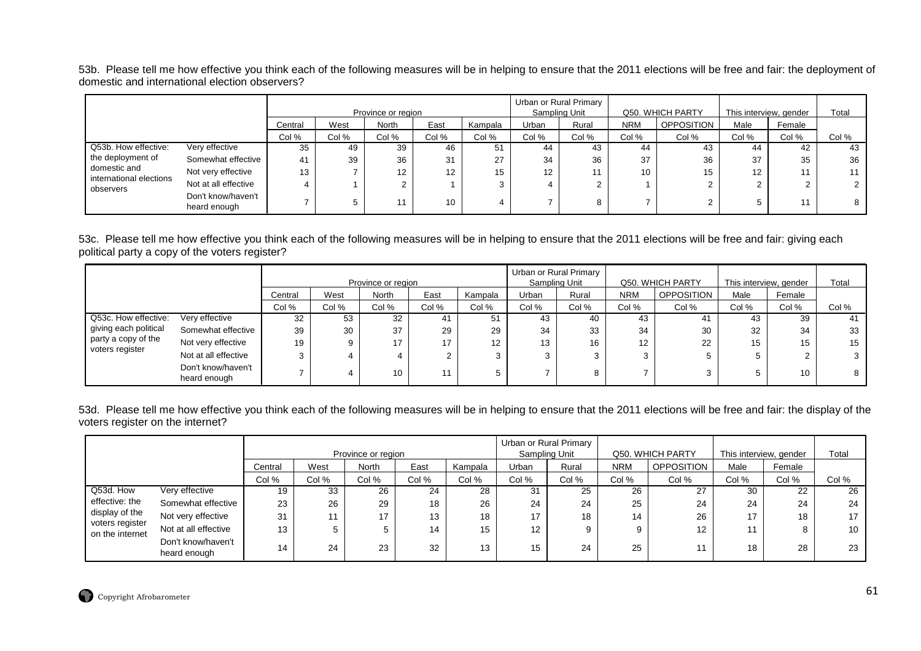53b. Please tell me how effective you think each of the following measures will be in helping to ensure that the 2011 elections will be free and fair: the deployment of domestic and international election observers?

|                                         |                                    |         |       |                                    |       |         |       | Urban or Rural Primary |            | Q50. WHICH PARTY  |                                |        | Total |
|-----------------------------------------|------------------------------------|---------|-------|------------------------------------|-------|---------|-------|------------------------|------------|-------------------|--------------------------------|--------|-------|
|                                         |                                    | Central | West  | Province or region<br><b>North</b> | East  | Kampala | Urban | Sampling Unit<br>Rural | <b>NRM</b> | <b>OPPOSITION</b> | This interview, gender<br>Male | Female |       |
|                                         |                                    | Col %   | Col % | Col %                              | Col % | Col %   | Col % | Col %                  | Col %      | Col %             | Col %                          | Col %  | Col % |
| Q53b. How effective:                    | Very effective                     | 35      | 49    | 39                                 | 46    | 51      | 44    | 43                     | 44         | 43                | 44                             | 42     | 43    |
| the deployment of                       | Somewhat effective                 | 41      | 39    | 36                                 | 31    | 27      | 34    | 36                     | 37         | 36                | 37                             | 35     | 36    |
| domestic and<br>international elections | Not very effective                 | 13      |       | 12                                 | 12    | 15      | 12    |                        | 10         | 15                | 12                             |        | 11    |
| observers                               | Not at all effective               |         |       |                                    |       |         |       |                        |            |                   |                                |        |       |
|                                         | Don't know/haven't<br>heard enough |         |       |                                    | 10    |         |       | 8                      |            |                   |                                |        | 8     |

53c. Please tell me how effective you think each of the following measures will be in helping to ensure that the 2011 elections will be free and fair: giving each political party a copy of the voters register?

|                                        |                                                    |       |       |                    |       |       | Urban or Rural Primary |       |            |                   |                        |        |       |
|----------------------------------------|----------------------------------------------------|-------|-------|--------------------|-------|-------|------------------------|-------|------------|-------------------|------------------------|--------|-------|
|                                        |                                                    |       |       | Province or region |       |       | Sampling Unit          |       |            | Q50. WHICH PARTY  | This interview, gender |        | Total |
|                                        | East<br>West<br><b>North</b><br>Kampala<br>Central |       |       |                    |       |       | Urban                  | Rural | <b>NRM</b> | <b>OPPOSITION</b> | Male                   | Female |       |
|                                        |                                                    | Col % | Col % | Col %              | Col % | Col % | Col %                  | Col % | Col %      | Col %             | Col %                  | Col %  | Col % |
| Q53c. How effective:                   | Very effective                                     | 32    | 53    | 32                 | 41    | 51    | 43                     | 40    | 43         | 41                | 43                     | 39     | 41    |
| giving each political                  | Somewhat effective                                 | 39    | 30    | 37                 | 29    | 29    | 34                     | 33    | 34         | 30                | 32                     | 34     | 33    |
| party a copy of the<br>voters register | Not very effective                                 | 19    |       | 17                 | 17    | 12    | 13                     | 16    | 12         | 22                | 15                     | 15     | 15    |
|                                        | Not at all effective                               |       |       | 4                  |       |       | 3                      |       |            |                   | đ                      |        |       |
|                                        | Don't know/haven't<br>heard enough                 |       |       | 10 <sup>1</sup>    | 44    |       |                        |       |            |                   | 5                      | 10     |       |

53d. Please tell me how effective you think each of the following measures will be in helping to ensure that the 2011 elections will be free and fair: the display of the voters register on the internet?

|                                   |                                    |         |       |                    |       |         |                   | Urban or Rural Primary |            |                   |                        |        |                 |
|-----------------------------------|------------------------------------|---------|-------|--------------------|-------|---------|-------------------|------------------------|------------|-------------------|------------------------|--------|-----------------|
|                                   |                                    |         |       | Province or region |       |         |                   | Sampling Unit          |            | Q50. WHICH PARTY  | This interview, gender |        | Total           |
|                                   |                                    | Central | West  | North              | East  | Kampala | Urban             | Rural                  | <b>NRM</b> | <b>OPPOSITION</b> | Male                   | Female |                 |
|                                   |                                    | Col %   | Col % | Col %              | Col % | Col %   | Col %             | Col %                  | Col %      | Col %             | Col %                  | Col %  | Col %           |
| Q53d. How                         | Very effective                     | 19      | 33    | 26                 | 24    | 28      | 31                | 25                     | 26         | 27                | 30                     | 22     | 26              |
| effective: the                    | Somewhat effective                 | 23      | 26    | 29                 | 18    | 26      | 24                | 24                     | 25         | 24                | 24                     | 24     | 24              |
| display of the<br>voters register | Not very effective                 | 31      |       | 17                 | 13    | 18      | 17                | 18                     | 14         | 26                | 17                     | 18     | 17              |
| on the internet                   | Not at all effective               | 13      |       |                    | 14    | 15      | $12 \overline{ }$ | 9                      | 9          | 12 <sup>2</sup>   | 11                     |        | 10 <sub>1</sub> |
|                                   | Don't know/haven't<br>heard enough | 14      | 24    | 23                 | 32    | 13      | 15                | 24                     | 25         | 11                | 18                     | 28     | 23              |

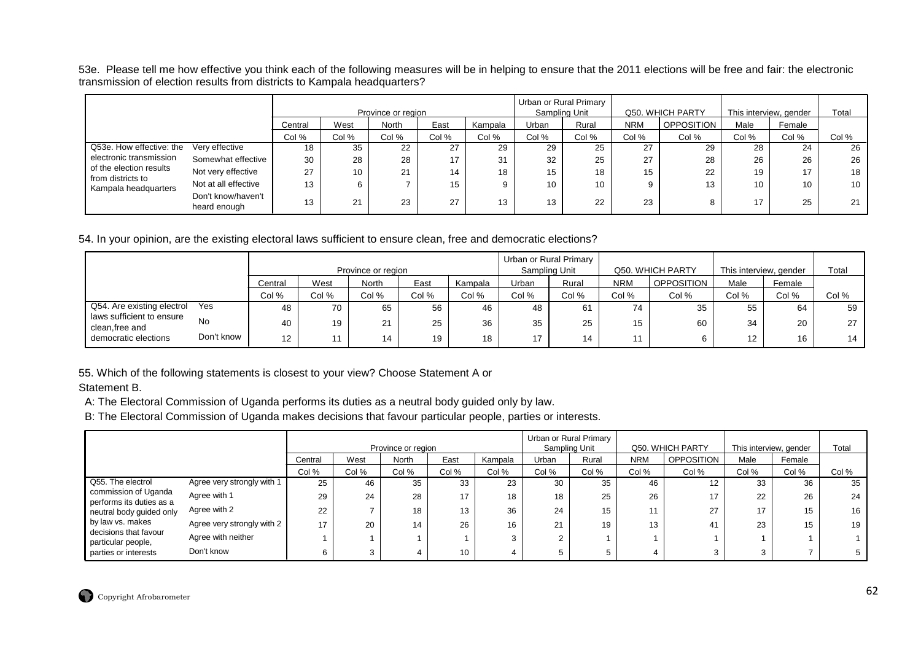53e. Please tell me how effective you think each of the following measures will be in helping to ensure that the 2011 elections will be free and fair: the electronic transmission of election results from districts to Kampala headquarters?

|                                              |                                    |         |       | Province or region |          |         |       | Urban or Rural Primary<br>Sampling Unit |            | Q50. WHICH PARTY  |       | This interview, gender | Total |
|----------------------------------------------|------------------------------------|---------|-------|--------------------|----------|---------|-------|-----------------------------------------|------------|-------------------|-------|------------------------|-------|
|                                              |                                    | Central | West  | <b>North</b>       | East     | Kampala | Urban | Rural                                   | <b>NRM</b> | <b>OPPOSITION</b> | Male  | Female                 |       |
|                                              |                                    | Col %   | Col % | Col %              | Col %    | Col %   | Col % | Col %                                   | Col %      | Col %             | Col % | Col %                  | Col % |
| Q53e. How effective: the                     | Very effective                     | 18      | 35    | 22                 | 27       | 29      | 29    | 25                                      | 27         | 29                | 28    | 24                     | 26    |
| electronic transmission                      | Somewhat effective                 | 30      | 28    | 28                 | 17       | 31      | 32    | 25                                      | 27         | 28                | 26    | 26                     | 26    |
| of the election results<br>from districts to | Not very effective                 | 27      | 10    | 21                 | 14       | 18      | 15    | 18                                      | 15         | 22                | 19    | 17                     | 18    |
| Kampala headquarters                         | Not at all effective               | 13      | 6     |                    | 15       | 9       | 10    | 10                                      | 9          | 13                | 10    | 10                     | 10    |
|                                              | Don't know/haven't<br>heard enough | 13      | 21    | 23                 | 27<br>21 | 13      | 13    | 22                                      | 23         | 8                 | 17    | 25                     | 21    |

54. In your opinion, are the existing electoral laws sufficient to ensure clean, free and democratic elections?

|                                             |            |         |       | Province or region |       |         |       | Urban or Rural Primary<br>Sampling Unit |            | Q50. WHICH PARTY  | This interview, gender |        | Total |
|---------------------------------------------|------------|---------|-------|--------------------|-------|---------|-------|-----------------------------------------|------------|-------------------|------------------------|--------|-------|
|                                             |            | Central | West  | North              | East  | Kampala | Urban | Rural                                   | <b>NRM</b> | <b>OPPOSITION</b> | Male                   | Female |       |
|                                             |            | Col %   | Col % | Col %              | Col % | Col %   | Col % | Col %                                   | Col %      | Col %             | Col %                  | Col %  | Col % |
| Q54. Are existing electrol                  | Yes        | 48      | 70    | 65                 | 56    | 46      | 48    | 61                                      | 74         | 35                | 55                     | 64     | 59    |
| laws sufficient to ensure<br>clean,free and | No         | 40      | 19    | $\Omega$           | 25    | 36      | 35    | 25                                      | 15         | 60                | 34                     | 20     | 27    |
| democratic elections                        | Don't know | 12      | 11    | 14                 | 19    | 18      | 17    | 14                                      |            |                   | 12 <sup>2</sup>        | 16     | 14    |

55. Which of the following statements is closest to your view? Choose Statement A or

Statement B.

A: The Electoral Commission of Uganda performs its duties as a neutral body guided only by law.

B: The Electoral Commission of Uganda makes decisions that favour particular people, parties or interests.

|                                                  |                            |         |       | Province or region |       |         |           | Urban or Rural Primary<br>Sampling Unit |            | Q50. WHICH PARTY  | This interview, gender |        | Total |
|--------------------------------------------------|----------------------------|---------|-------|--------------------|-------|---------|-----------|-----------------------------------------|------------|-------------------|------------------------|--------|-------|
|                                                  |                            | Central | West  | <b>North</b>       | East  | Kampala | Urban     | Rural                                   | <b>NRM</b> | <b>OPPOSITION</b> | Male                   | Female |       |
|                                                  |                            | Col %   | Col % | Col %              | Col % | Col %   | Col %     | Col %                                   | Col %      | Col %             | Col %                  | Col %  | Col % |
| Q55. The electrol                                | Agree very strongly with 1 | 25      | 46    | 35                 | 33    | 23      | 30        | 35                                      | 46         | 12                | 33                     | 36     | 35    |
| commission of Uganda<br>performs its duties as a | Agree with 1               | 29      | 24    | 28                 | 17    | 18      | 18        | 25                                      | 26         | 17                | 22                     | 26     | 24    |
| neutral body guided only                         | Agree with 2               | 22      |       | 18                 | 13    | 36      | 24        | 15                                      | 11         | 27                | 17                     | 15     | 16    |
| by law vs. makes                                 | Agree very strongly with 2 | 17      | 20    | 14                 | 26    | 16      | 21<br>∠ । | 19                                      | 13         | 41                | 23                     | 15     | 19    |
| decisions that favour<br>particular people,      | Agree with neither         |         |       |                    |       |         |           |                                         |            |                   |                        |        |       |
| parties or interests                             | Don't know                 |         |       |                    | 10    |         |           |                                         |            |                   | 3                      |        |       |

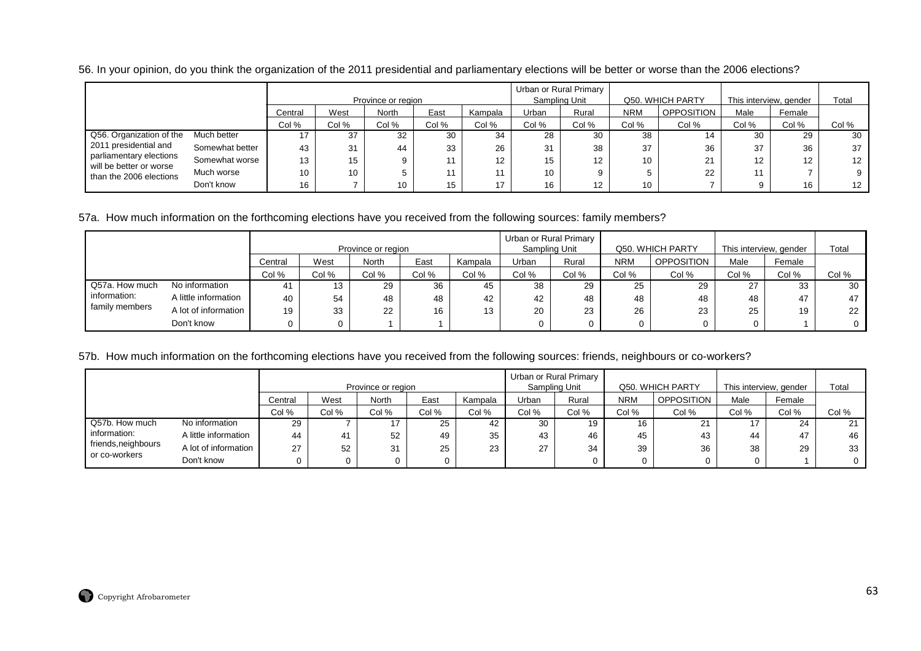|                                                    |                 |         |       | Province or region |       |         | Urban or Rural Primary<br>Sampling Unit |       |            | Q50. WHICH PARTY  | This interview, gender |                  | Total           |
|----------------------------------------------------|-----------------|---------|-------|--------------------|-------|---------|-----------------------------------------|-------|------------|-------------------|------------------------|------------------|-----------------|
|                                                    |                 | Central | West  | North              | East  | Kampala | Urban                                   | Rural | <b>NRM</b> | <b>OPPOSITION</b> | Male                   | Female           |                 |
|                                                    |                 | Col %   | Col % | Col %              | Col % | Col %   | Col %                                   | Col % | Col %      | Col %             | Col %                  | Col %            | Col %           |
| Q56. Organization of the                           | Much better     |         | 37    | 32                 | 30    | 34      | 28                                      | 30    | 38         | 14                | 30                     | 29               | 30              |
| 2011 presidential and                              | Somewhat better | 43      | 31    | 44                 | 33    | 26      | 31                                      | 38    | 37         | 36                | 37                     | 36               | 37              |
| parliamentary elections<br>will be better or worse | Somewhat worse  | 13      | 15    |                    |       | 12      | 15                                      | 12    | 10         | 21                | 12                     | 12 <sup>12</sup> | $12 \cdot$      |
| than the 2006 elections                            | Much worse      | 10      | 10    |                    |       |         | 10                                      |       |            | 22                | 11                     |                  | 9               |
|                                                    | Don't know      | 16      |       | 10                 |       | 17      | 16                                      | 12    | 10         |                   |                        | 16               | 12 <sup>7</sup> |

56. In your opinion, do you think the organization of the 2011 presidential and parliamentary elections will be better or worse than the 2006 elections?

### 57a. How much information on the forthcoming elections have you received from the following sources: family members?

|                |                      |         |       | Province or region |       |         | Sampling Unit | Urban or Rural Primary |            | Q50. WHICH PARTY  | This interview, gender |        | Total |
|----------------|----------------------|---------|-------|--------------------|-------|---------|---------------|------------------------|------------|-------------------|------------------------|--------|-------|
|                |                      | Central | West  | <b>North</b>       | East  | Kampala | Urban         | Rural                  | <b>NRM</b> | <b>OPPOSITION</b> | Male                   | Female |       |
|                |                      | Col %   | Col % | Col %              | Col % | Col %   | Col %         | Col %                  | Col %      | Col %             | Col %                  | Col %  | Col % |
| Q57a. How much | No information       |         | 13    | 29                 | 36    | 45      | 38            | 29                     | 25         | 29                | 27                     | 33     | 30    |
| information:   | A little information | 40      | 54    | 48                 | 48    | 42      | 42            | 48                     | 48         | 48                | 48                     | 47     | 47    |
| family members | A lot of information | 19      | 33    | 22                 | 16    | 13      | 20            | 23                     | 26         | 23                | 25                     | 19     | 22    |
|                | Don't know           |         |       |                    |       |         |               |                        |            |                   |                        |        |       |

### 57b. How much information on the forthcoming elections have you received from the following sources: friends, neighbours or co-workers?

|                                      |                      |         |       |                    |          |         |       | Urban or Rural Primary |            |                  |       |                        |          |
|--------------------------------------|----------------------|---------|-------|--------------------|----------|---------|-------|------------------------|------------|------------------|-------|------------------------|----------|
|                                      |                      |         |       | Province or region |          |         |       | Sampling Unit          |            | Q50. WHICH PARTY |       | This interview, gender | Total    |
|                                      |                      | Central | West  | North              | East     | Kampala | Urban | Rural                  | <b>NRM</b> | OPPOSITION       | Male  | Female                 |          |
|                                      |                      | Col %   | Col % | Col %              | Col %    | Col %   | Col % | Col %                  | Col %      | Col %            | Col % | Col %                  | Col %    |
| Q57b. How much                       | No information       | 29      |       |                    | 25       | 42      | 30    | 19                     | 16         | 21               | 17    | 24                     | 21       |
| information:                         | A little information | 44      |       | 52                 | 49       | 35      | 43    | 46                     | 45         | 43               | 44    | 47                     | 46       |
| friends, neighbours<br>or co-workers | A lot of information | 27      | 52    | 31                 | 25       | 23      | 27    | 34                     | 39         | 36               | 38    | 29                     | 33       |
|                                      | Don't know           |         |       |                    | $\Omega$ |         |       |                        |            |                  |       |                        | $\Omega$ |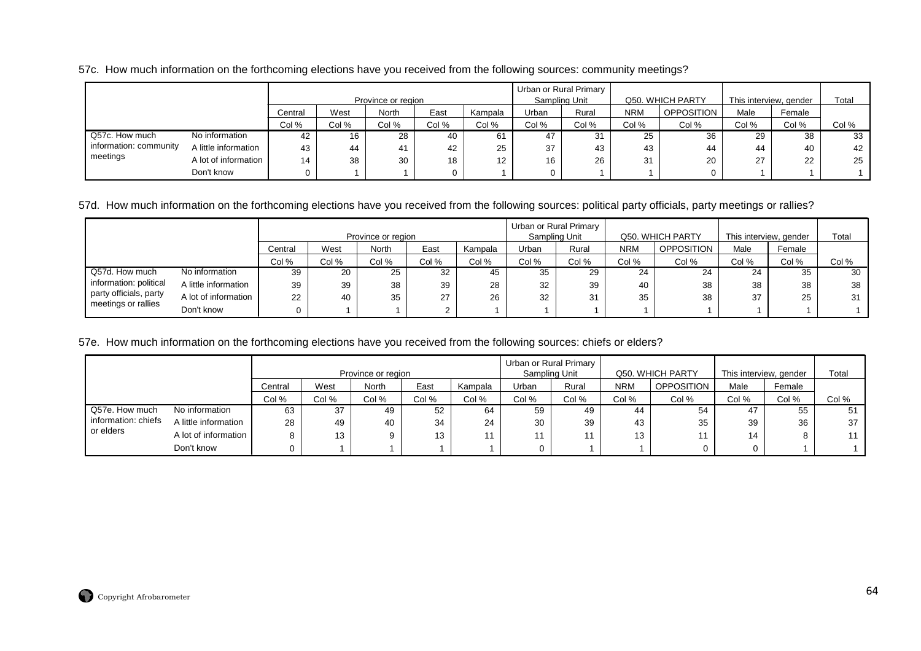57c. How much information on the forthcoming elections have you received from the following sources: community meetings?

|                        |                                             |       |       | Province or region |          |                   | Urban or Rural Primary<br>Sampling Unit |       |            | Q50. WHICH PARTY  | This interview, gender |        | Total |
|------------------------|---------------------------------------------|-------|-------|--------------------|----------|-------------------|-----------------------------------------|-------|------------|-------------------|------------------------|--------|-------|
|                        | East<br>West<br>North<br>Kampala<br>Central |       |       |                    |          |                   | Urban                                   | Rural | <b>NRM</b> | <b>OPPOSITION</b> | Male                   | Female |       |
|                        |                                             | Col % | Col % | Col %              | Col %    | Col %             | Col %                                   | Col % | Col %      | Col %             | Col %                  | Col %  | Col % |
| Q57c. How much         | No information                              | 42    | 16    | 28                 | 40       | 61                | 47                                      |       | 25         | 36                | 29                     | 38     | 33    |
| information: community | A little information                        | 43    | 44    | 41                 | 42       | 25                | 37                                      | 43    | 43         | 44                | 44                     | 40     | 42    |
| meetings               | A lot of information                        | 14    | 38    | 30                 | 18       | $12 \overline{ }$ | 16                                      | 26    | 31         | 20                | 27                     | 22     | 25    |
|                        | Don't know                                  |       |       |                    | $\Omega$ |                   |                                         |       |            | $\Omega$          |                        |        |       |

57d. How much information on the forthcoming elections have you received from the following sources: political party officials, party meetings or rallies?

|                        |                      |         |       | Province or region |       |         |       | Urban or Rural Primary<br>Sampling Unit |            | Q50. WHICH PARTY |       | This interview, gender | Total |
|------------------------|----------------------|---------|-------|--------------------|-------|---------|-------|-----------------------------------------|------------|------------------|-------|------------------------|-------|
|                        |                      | Central | West  | <b>North</b>       | East  | Kampala | Urban | Rural                                   | <b>NRM</b> | OPPOSITION       | Male  | Female                 |       |
|                        |                      | Col %   | Col % | Col %              | Col % | Col %   | Col % | Col %                                   | Col %      | Col %            | Col % | Col %                  | Col % |
| Q57d. How much         | No information       | 39      | 20    | 25                 | 32    | 45      | 35    | 29                                      | 24         | 24               | 24    | 35                     | 30    |
| information: political | A little information | 39      | 39    | 38                 | 39    | 28      | 32    | 39                                      | 40         | 38               | 38    | 38                     | 38    |
| party officials, party | A lot of information | 22      | 40    | 35                 | 27    | 26      | 32    | 31                                      | 35         | 38               | 37    | 25                     | 31    |
| meetings or rallies    | Don't know           |         |       |                    |       |         |       |                                         |            |                  |       |                        |       |

### 57e. How much information on the forthcoming elections have you received from the following sources: chiefs or elders?

|                     |                                             |       |       | Province or region |       |       | Sampling Unit | Urban or Rural Primary |            | Q50. WHICH PARTY  | This interview, gender |        | Total |
|---------------------|---------------------------------------------|-------|-------|--------------------|-------|-------|---------------|------------------------|------------|-------------------|------------------------|--------|-------|
|                     | East<br>West<br>North<br>Kampala<br>Central |       |       |                    |       |       | Urban         | Rural                  | <b>NRM</b> | <b>OPPOSITION</b> | Male                   | Female |       |
|                     |                                             | Col % | Col % | Col %              | Col % | Col % | Col %         | Col %                  | Col %      | Col %             | Col %                  | Col %  | Col % |
| Q57e. How much      | No information                              | 63    | 37    | 49                 | 52    | 64    | 59            | 49                     | 44         | 54                | 47                     | 55     | 51    |
| information: chiefs | A little information                        | 28    | 49    | 40                 | 34    | 24    | 30            | 39                     | 43         | 35                | 39                     | 36     | 37    |
| or elders           | A lot of information                        |       | 13    | 9                  | 13    |       |               |                        | 13         | 11                | 14                     |        | 11    |
|                     | Don't know                                  |       |       |                    |       |       | 0             |                        |            |                   |                        |        |       |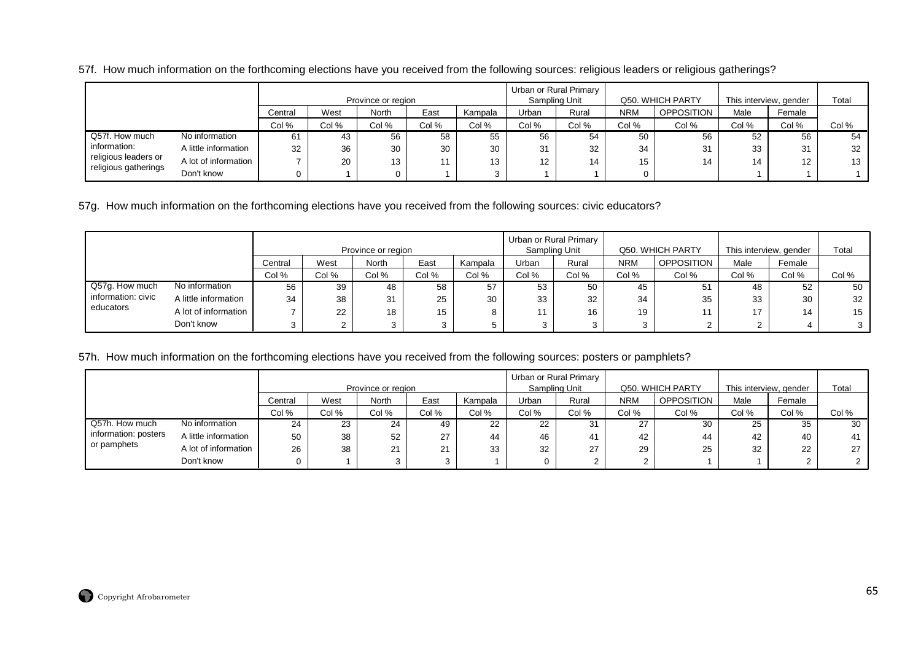57f. How much information on the forthcoming elections have you received from the following sources: religious leaders or religious gatherings?

|                      |                      |         |       | Province or region |       |         |                   | Urban or Rural Primary<br>Sampling Unit |            | Q50. WHICH PARTY  | This interview, gender |                   | Total |
|----------------------|----------------------|---------|-------|--------------------|-------|---------|-------------------|-----------------------------------------|------------|-------------------|------------------------|-------------------|-------|
|                      |                      | Central | West  | <b>North</b>       | East  | Kampala | Urban             | Rural                                   | <b>NRM</b> | <b>OPPOSITION</b> | Male                   | Female            |       |
|                      |                      | Col %   | Col % | Col %              | Col % | Col %   | Col %             | Col %                                   | Col %      | Col %             | Col %                  | Col %             | Col % |
| Q57f. How much       | No information       | 61      | 43    | 56                 | 58    | 55      | 56                | 54                                      | 50         | 56                | 52                     | 56                | 54    |
| information:         | A little information | 32      | 36    | 30                 | 30    | 30      | 31                | 32                                      | 34         | 31                | 33                     | 31                | 32    |
| religious leaders or | A lot of information |         | 20    | 13                 | 11    | 13      | $12 \overline{ }$ | 14                                      | 15         | 14                | 14                     | $12 \overline{ }$ | 13    |
| religious gatherings | Don't know           |         |       |                    |       |         |                   |                                         |            |                   |                        |                   |       |

57g. How much information on the forthcoming elections have you received from the following sources: civic educators?

|                    |                      |         |        | Province or region |       |         |       | Urban or Rural Primary<br>Sampling Unit |            | Q50. WHICH PARTY | This interview, gender |        | Total |
|--------------------|----------------------|---------|--------|--------------------|-------|---------|-------|-----------------------------------------|------------|------------------|------------------------|--------|-------|
|                    |                      | Central | West   | North              | East  | Kampala | Urban | Rural                                   | <b>NRM</b> | OPPOSITION       | Male                   | Female |       |
|                    |                      | Col %   | Col %  | Col %              | Col % | Col %   | Col % | Col %                                   | Col %      | Col %            | Col %                  | Col %  | Col % |
| Q57g. How much     | No information       | 56      | 39     | 48                 | 58    | 57      | 53    | 50                                      | 45         | 51               | 48                     | 52     | 50    |
| information: civic | A little information | 34      | 38     | 31                 | 25    | 30      | 33    | 32                                      | 34         | 35               | 33                     | 30     | 32    |
| educators          | A lot of information |         | 22     | 18                 | 15    |         |       | 16                                      | 19         |                  | 17                     | 14     | 15    |
|                    | Don't know           | ົ       | $\sim$ |                    | ີ     |         |       |                                         |            |                  | 2                      |        | 3     |

57h. How much information on the forthcoming elections have you received from the following sources: posters or pamphlets?

|                      |                      |         |       |                    |       |         |               | Urban or Rural Primary |            |                   |                        |        |       |
|----------------------|----------------------|---------|-------|--------------------|-------|---------|---------------|------------------------|------------|-------------------|------------------------|--------|-------|
|                      |                      |         |       | Province or region |       |         | Sampling Unit |                        |            | Q50. WHICH PARTY  | This interview, gender |        | Total |
|                      |                      | Central | West  | North              | East  | Kampala | Urban         | Rural                  | <b>NRM</b> | <b>OPPOSITION</b> | Male                   | Female |       |
|                      |                      | Col %   | Col % | Col %              | Col % | Col %   | Col %         | Col %                  | Col %      | Col %             | Col %                  | Col %  | Col % |
| Q57h. How much       | No information       | 24      | 23    | 24                 | 49    | 22      | 22            | 31                     | 27         | 30                | 25                     | 35     | 30    |
| information: posters | A little information | 50      | 38    | 52                 | 27    | 44      | 46            | 41                     | 42         | 44                | 42                     | 40     | 41    |
| or pamphets          | A lot of information | 26      | 38    | 21                 | 21    | 33      | 32            | 27                     | 29         | 25                | 32                     | 22     | 27    |
|                      | Don't know           | 0       |       |                    | ົ     |         |               |                        |            |                   |                        |        |       |

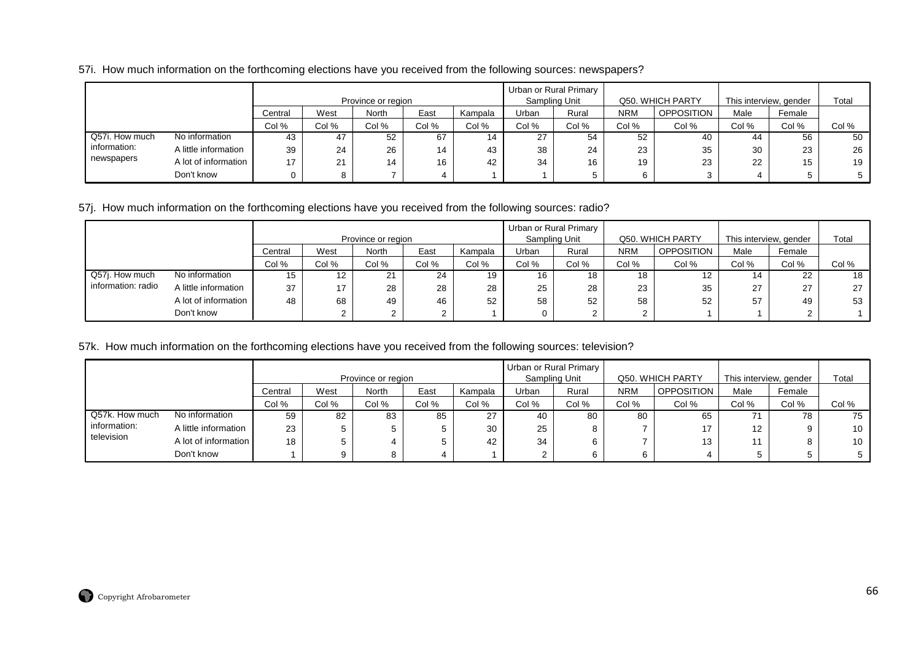### 57i. How much information on the forthcoming elections have you received from the following sources: newspapers?

|                |                      |                 |       | Province or region |       |         |       | Urban or Rural Primary<br>Sampling Unit |            | Q50. WHICH PARTY  | This interview, gender |        | Total |
|----------------|----------------------|-----------------|-------|--------------------|-------|---------|-------|-----------------------------------------|------------|-------------------|------------------------|--------|-------|
|                |                      | Central         | West  | <b>North</b>       | East  | Kampala | Urban | Rural                                   | <b>NRM</b> | <b>OPPOSITION</b> | Male                   | Female |       |
|                |                      | Col %           | Col % | Col %              | Col % | Col %   | Col % | Col %                                   | Col %      | Col %             | Col %                  | Col %  | Col % |
| Q57i. How much | No information       | 43              | 47    | 52                 | 67    |         | 27    | 54                                      | 52         | 40                | 44                     | 56     | 50    |
| information:   | A little information | 39              | 24    | 26                 | 14    | 43      | 38    | 24                                      | 23         | 35                | 30                     | 23     | 26    |
| newspapers     | A lot of information | 17 <sup>2</sup> | 21    | 14                 | 16    | 42      | 34    | 16                                      | 19         | 23                | 22                     | 15     | 19    |
|                | Don't know           |                 |       |                    |       |         |       |                                         |            |                   |                        |        |       |

# 57j. How much information on the forthcoming elections have you received from the following sources: radio?

|                    |                      |         |       |                                    |       |         |       | Urban or Rural Primary |            |                                       |                                |                |       |
|--------------------|----------------------|---------|-------|------------------------------------|-------|---------|-------|------------------------|------------|---------------------------------------|--------------------------------|----------------|-------|
|                    |                      | Central | West  | Province or region<br><b>North</b> | East  | Kampala | Urban | Sampling Unit<br>Rural | <b>NRM</b> | Q50. WHICH PARTY<br><b>OPPOSITION</b> | This interview, gender<br>Male | Female         | Total |
|                    |                      | Col %   | Col % | Col %                              | Col % | Col %   | Col % | Col %                  | Col %      | Col %                                 | Col %                          | Col %          | Col % |
| Q57j. How much     | No information       | 15      | 12    | <b>O1</b>                          | 24    | 19      | 16    | 18                     | 18         | 12                                    | 14                             | 22             | 18    |
| information: radio | A little information | 37      | 17    | 28                                 | 28    | 28      | 25    | 28                     | 23         | 35                                    | 27                             | דר<br>$\angle$ | 27    |
|                    | A lot of information | 48      | 68    | 49                                 | 46    | 52      | 58    | 52                     | 58         | 52                                    | 57                             | 49             | 53    |
|                    | Don't know           |         |       |                                    |       |         |       | $\sim$                 |            |                                       |                                | $\sim$         |       |

### 57k. How much information on the forthcoming elections have you received from the following sources: television?

|                |                      |         |       | Province or region |       |         | Sampling Unit | Urban or Rural Primary |            | Q50. WHICH PARTY  | This interview, gender |        | Total |
|----------------|----------------------|---------|-------|--------------------|-------|---------|---------------|------------------------|------------|-------------------|------------------------|--------|-------|
|                |                      | Central | West  | North              | East  | Kampala | Urban         | Rural                  | <b>NRM</b> | <b>OPPOSITION</b> | Male                   | Female |       |
|                |                      | Col %   | Col % | Col %              | Col % | Col %   | Col %         | Col %                  | Col %      | Col %             | Col %                  | Col %  | Col % |
| Q57k. How much | No information       | 59      | 82    | 83                 | 85    | 27      | 40            | 80                     | 80         | 65                | 71                     | 78     | 75    |
| information:   | A little information | 23      | G     |                    | 5     | 30      | 25            |                        |            | 17                | 12                     |        | 10    |
| television     | A lot of information | 18      |       |                    | 5     | 42      | 34            |                        |            | 13                | 11                     |        | 10    |
|                | Don't know           |         |       |                    | 4     |         |               |                        |            |                   | 5                      |        |       |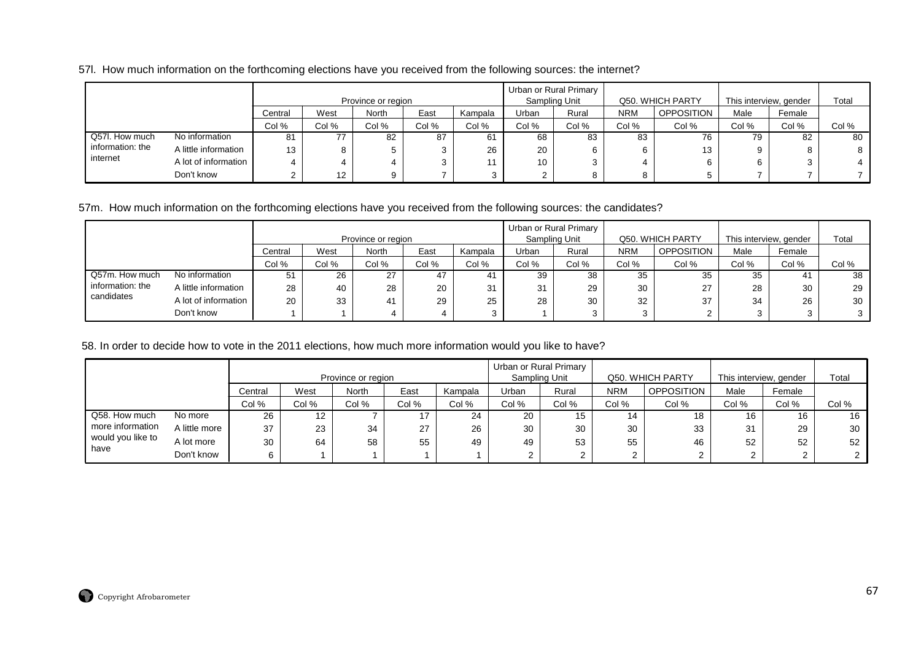### 57l. How much information on the forthcoming elections have you received from the following sources: the internet?

|                  |                      |         |       | Province or region |       |         |        | Urban or Rural Primary<br>Sampling Unit |            | Q50. WHICH PARTY  | This interview, gender |        | Total |
|------------------|----------------------|---------|-------|--------------------|-------|---------|--------|-----------------------------------------|------------|-------------------|------------------------|--------|-------|
|                  |                      | Central | West  | North              | East  | Kampala | Urban  | Rural                                   | <b>NRM</b> | <b>OPPOSITION</b> | Male                   | Female |       |
|                  |                      | Col %   | Col % | Col %              | Col % | Col %   | Col %  | Col %                                   | Col %      | Col %             | Col %                  | Col %  | Col % |
| Q57l. How much   | No information       | 81      | 77    | 82                 | 87    | 61      | 68     | 83                                      | 83         | 76                | 79                     | 82     | 80    |
| information: the | A little information | 13      | 8     |                    | 3     | 26      | 20     | 6                                       | 6          | 13                |                        |        |       |
| internet         | A lot of information |         |       |                    | 3     |         | 10     | ົ<br>ر                                  |            |                   |                        |        |       |
|                  | Don't know           |         | 12    |                    |       |         | $\sim$ | 8                                       | 8          |                   |                        |        |       |

57m. How much information on the forthcoming elections have you received from the following sources: the candidates?

|                  |                      |         |       |                    |       |         |       | Urban or Rural Primary |            |                   |       |                        |       |
|------------------|----------------------|---------|-------|--------------------|-------|---------|-------|------------------------|------------|-------------------|-------|------------------------|-------|
|                  |                      |         |       | Province or region |       |         |       | Sampling Unit          |            | Q50. WHICH PARTY  |       | This interview, gender | Total |
|                  |                      | Central | West  | North              | East  | Kampala | Urban | Rural                  | <b>NRM</b> | <b>OPPOSITION</b> | Male  | Female                 |       |
|                  |                      | Col %   | Col % | Col %              | Col % | Col %   | Col % | Col %                  | Col %      | Col %             | Col % | Col %                  | Col % |
| Q57m. How much   | No information       | 51      | 26    | 27                 | 47    | 4۱      | 39    | 38                     | 35         | 35                | 35    | 41                     | 38    |
| information: the | A little information | 28      | 40    | 28                 | 20    | 31      | 31    | 29                     | 30         | 27                | 28    | 30                     | 29    |
| candidates       | A lot of information | 20      | 33    | 41                 | 29    | 25      | 28    | 30                     | 32         | 37                | 34    | 26                     | 30    |
|                  | Don't know           |         |       |                    |       |         |       | ◠<br>- 3               |            |                   |       |                        |       |

58. In order to decide how to vote in the 2011 elections, how much more information would you like to have?

|                   |               |         |       | Province or region |       |         |       | Urban or Rural Primary<br>Sampling Unit |            | Q50. WHICH PARTY  | This interview, gender |        | Total           |
|-------------------|---------------|---------|-------|--------------------|-------|---------|-------|-----------------------------------------|------------|-------------------|------------------------|--------|-----------------|
|                   |               | Central | West  | North              | East  | Kampala | Urban | Rural                                   | <b>NRM</b> | <b>OPPOSITION</b> | Male                   | Female |                 |
|                   |               | Col %   | Col % | Col %              | Col % | Col %   | Col % | Col %                                   | Col %      | Col %             | Col %                  | Col %  | Col %           |
| Q58. How much     | No more       | 26      | 12    |                    | 17    | 24      | 20    | 15                                      | 14         | 18                | 16                     | 16     | 16              |
| more information  | A little more | 37      | 23    | 34                 | 27    | 26      | 30    | 30                                      | 30         | 33                | 31                     | 29     | 30 <sub>1</sub> |
| would you like to | A lot more    | 30      | 64    | 58                 | 55    | 49      | 49    | 53                                      | 55         | 46                | 52                     | 52     | 52              |
| have              | Don't know    |         |       |                    |       |         |       |                                         |            |                   | ົ                      |        |                 |

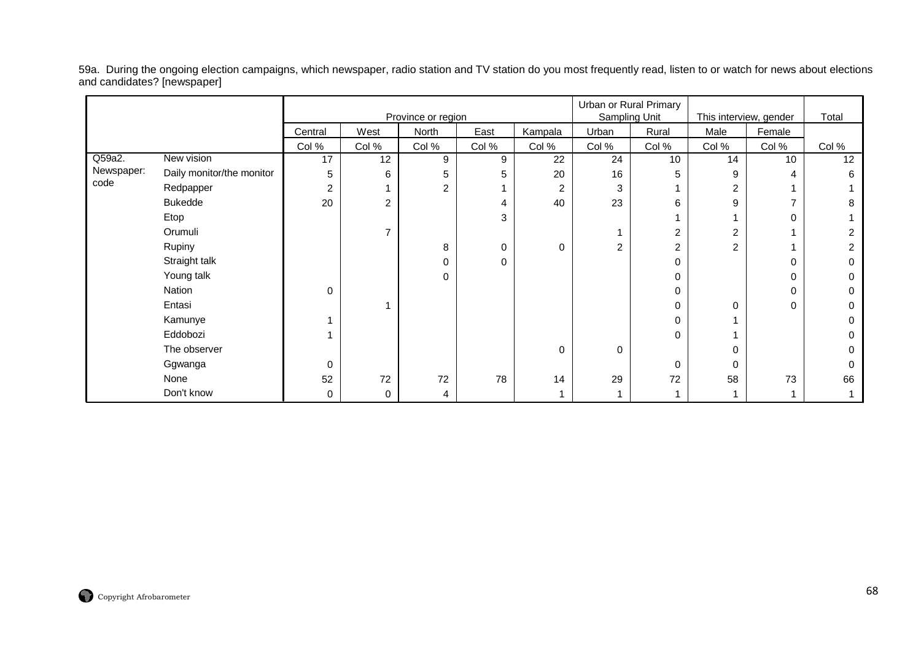59a. During the ongoing election campaigns, which newspaper, radio station and TV station do you most frequently read, listen to or watch for news about elections and candidates? [newspaper]

|            |                           |                |                |                    |       |             |                | Urban or Rural Primary |                        |                 |       |
|------------|---------------------------|----------------|----------------|--------------------|-------|-------------|----------------|------------------------|------------------------|-----------------|-------|
|            |                           |                |                | Province or region |       |             |                | Sampling Unit          | This interview, gender |                 | Total |
|            |                           | Central        | West           | North              | East  | Kampala     | Urban          | Rural                  | Male                   | Female          |       |
|            |                           | Col %          | Col %          | Col %              | Col % | Col %       | Col %          | Col %                  | Col %                  | Col %           | Col % |
| Q59a2.     | New vision                | 17             | 12             | 9                  | 9     | 22          | 24             | 10                     | 14                     | 10 <sup>1</sup> | 12    |
| Newspaper: | Daily monitor/the monitor | 5              | 6              | 5                  | 5     | 20          | 16             | 5                      | 9                      | 4               | 6     |
| code       | Redpapper                 | $\overline{2}$ |                | $\overline{c}$     |       | 2           | 3              |                        | $\overline{2}$         |                 |       |
|            | <b>Bukedde</b>            | 20             | $\overline{2}$ |                    | 4     | 40          | 23             | 6                      | 9                      | 7               | 8     |
|            | Etop                      |                |                |                    | 3     |             |                |                        |                        | 0               |       |
|            | Orumuli                   |                | ⇁              |                    |       |             |                | 2                      | $\overline{c}$         |                 |       |
|            | Rupiny                    |                |                | 8                  | 0     | 0           | $\overline{2}$ | 2                      | $\overline{c}$         | 1               |       |
|            | Straight talk             |                |                | 0                  | 0     |             |                | 0                      |                        | 0               |       |
|            | Young talk                |                |                | 0                  |       |             |                | 0                      |                        | 0               |       |
|            | Nation                    | $\mathbf 0$    |                |                    |       |             |                | 0                      |                        | 0               |       |
|            | Entasi                    |                |                |                    |       |             |                | 0                      | 0                      | 0               |       |
|            | Kamunye                   |                |                |                    |       |             |                | 0                      |                        |                 |       |
|            | Eddobozi                  |                |                |                    |       |             |                | 0                      |                        |                 |       |
|            | The observer              |                |                |                    |       | $\mathbf 0$ | 0              |                        | 0                      |                 |       |
|            | Ggwanga                   | $\Omega$       |                |                    |       |             |                | $\Omega$               | 0                      |                 |       |
|            | None                      | 52             | 72             | 72                 | 78    | 14          | 29             | 72                     | 58                     | 73              | 66    |
|            | Don't know                | 0              | 0              | 4                  |       |             |                |                        |                        |                 |       |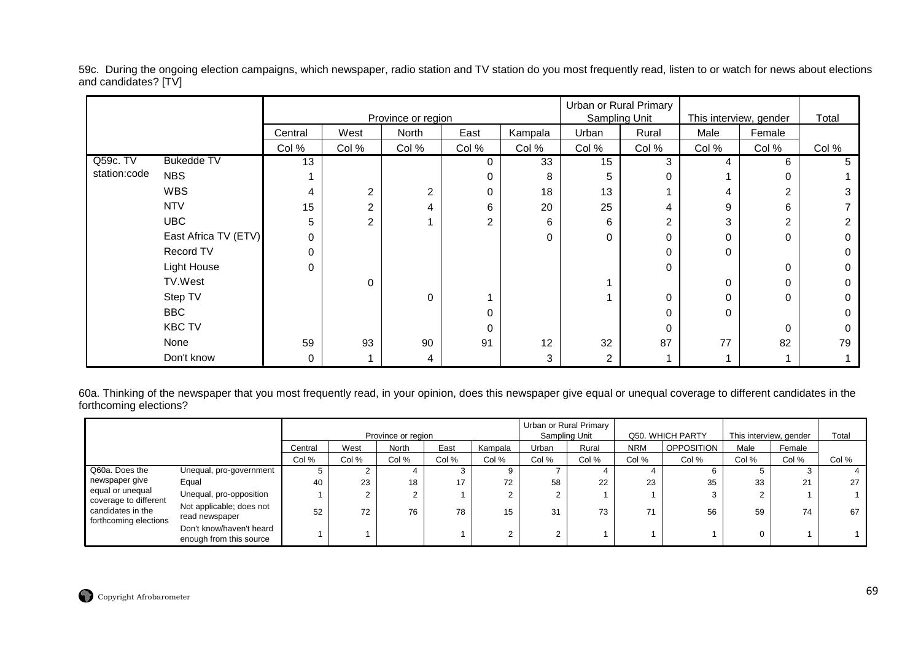59c. During the ongoing election campaigns, which newspaper, radio station and TV station do you most frequently read, listen to or watch for news about elections and candidates? [TV]

|              |                      |         |             | Province or region |          |         | Urban or Rural Primary | Sampling Unit | This interview, gender |          | Total |
|--------------|----------------------|---------|-------------|--------------------|----------|---------|------------------------|---------------|------------------------|----------|-------|
|              |                      | Central | West        | North              | East     | Kampala | Urban                  | Rural         | Male                   | Female   |       |
|              |                      | Col %   | Col %       | Col %              | Col %    | Col %   | Col %                  | Col %         | Col %                  | Col %    | Col % |
| Q59c. TV     | <b>Bukedde TV</b>    | 13      |             |                    | 0        | 33      | 15                     | 3             | 4                      | 6        | G     |
| station:code | <b>NBS</b>           |         |             |                    | 0        | 8       | 5                      | 0             |                        |          |       |
|              | <b>WBS</b>           | 4       | 2           | 2                  | 0        | 18      | 13                     |               | 4                      | 2        |       |
|              | <b>NTV</b>           | 15      | 2           |                    | 6        | 20      | 25                     | 4             | 9                      | 6        |       |
|              | <b>UBC</b>           | 5       | 2           |                    | 2        | 6       | 6                      | 2             | 3                      | 2        |       |
|              | East Africa TV (ETV) | 0       |             |                    |          | 0       | 0                      | $\Omega$      | 0                      | $\Omega$ |       |
|              | Record TV            | 0       |             |                    |          |         |                        | $\Omega$      | 0                      |          |       |
|              | Light House          | 0       |             |                    |          |         |                        | 0             |                        | 0        |       |
|              | TV.West              |         | $\mathbf 0$ |                    |          |         |                        |               | 0                      |          |       |
|              | Step TV              |         |             | $\Omega$           |          |         |                        | 0             | 0                      | 0        |       |
|              | <b>BBC</b>           |         |             |                    | 0        |         |                        | 0             | 0                      |          |       |
|              | <b>KBC TV</b>        |         |             |                    | $\Omega$ |         |                        | $\Omega$      |                        | $\Omega$ |       |
|              | None                 | 59      | 93          | 90                 | 91       | 12      | 32                     | 87            | 77                     | 82       | 79    |
|              | Don't know           | 0       |             | 4                  |          | 3       | 2                      |               |                        |          |       |

60a. Thinking of the newspaper that you most frequently read, in your opinion, does this newspaper give equal or unequal coverage to different candidates in the forthcoming elections?

|                                                                     |                                                     |         |       | Province or region |       |         |        | Urban or Rural Primary<br>Sampling Unit |            | Q50. WHICH PARTY  | This interview, gender |                | Total |
|---------------------------------------------------------------------|-----------------------------------------------------|---------|-------|--------------------|-------|---------|--------|-----------------------------------------|------------|-------------------|------------------------|----------------|-------|
|                                                                     |                                                     | Central | West  | <b>North</b>       | East  | Kampala | Urban  | Rural                                   | <b>NRM</b> | <b>OPPOSITION</b> | Male                   | Female         |       |
|                                                                     |                                                     | Col %   | Col % | Col %              | Col % | Col %   | Col %  | Col %                                   | Col %      | Col %             | Col %                  | Col %          | Col % |
| Q60a. Does the                                                      | Unequal, pro-government                             | Ð       |       |                    |       |         |        |                                         |            |                   |                        |                |       |
| newspaper give                                                      | Equal                                               | 40      | 23    | 18                 | 17    | 72      | 58     | 22                                      | 23         | 35                | 33                     | 21<br>$\sim$ 1 | 27    |
| equal or unequal                                                    | Unequal, pro-opposition                             |         |       |                    |       |         |        |                                         |            | 3                 |                        |                |       |
| coverage to different<br>candidates in the<br>forthcoming elections | Not applicable; does not<br>read newspaper          | 52      | 72    | 76                 | 78    | 15      | 31     | 73                                      | 71         | 56                | 59                     | 74             | 67    |
|                                                                     | Don't know/haven't heard<br>enough from this source |         |       |                    |       |         | ົ<br>∠ |                                         |            |                   |                        |                |       |

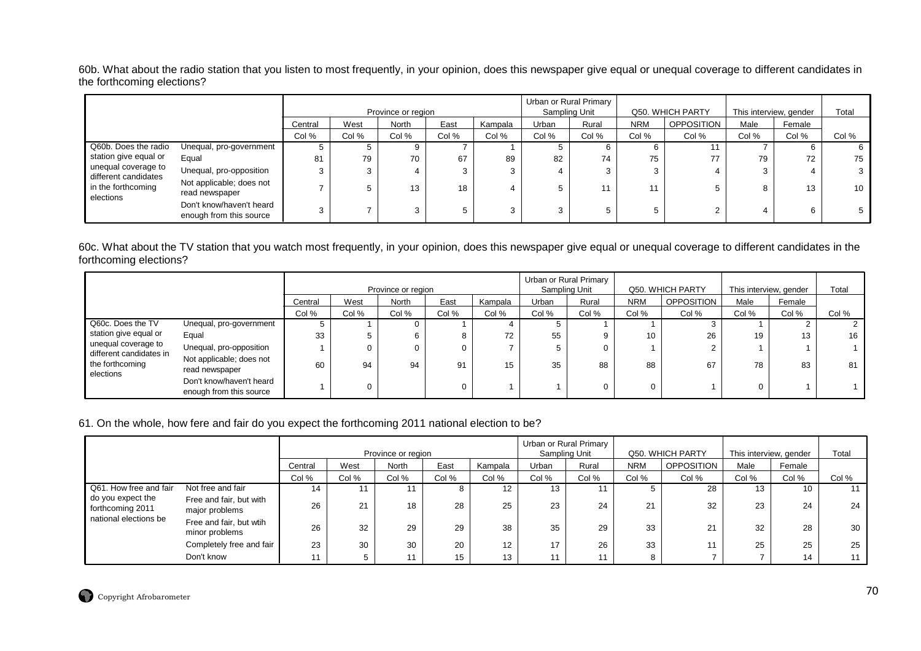60b. What about the radio station that you listen to most frequently, in your opinion, does this newspaper give equal or unequal coverage to different candidates in the forthcoming elections?

|                                             |                                                     |         |       | Province or region |       |         |                          | Urban or Rural Primary<br>Sampling Unit |            | Q50. WHICH PARTY  | This interview, gender |        | Total |
|---------------------------------------------|-----------------------------------------------------|---------|-------|--------------------|-------|---------|--------------------------|-----------------------------------------|------------|-------------------|------------------------|--------|-------|
|                                             |                                                     | Central | West  | <b>North</b>       | East  | Kampala | Urban                    | Rural                                   | <b>NRM</b> | <b>OPPOSITION</b> | Male                   | Female |       |
|                                             |                                                     | Col %   | Col % | Col %              | Col % | Col %   | Col %                    | Col %                                   | Col %      | Col %             | Col %                  | Col %  | Col % |
| Q60b. Does the radio                        | Unequal, pro-government                             | Ð.      |       |                    |       |         |                          |                                         |            |                   |                        |        |       |
| station give equal or                       | Equal                                               | 81      | 79    | 70                 | 67    | 89      | 82                       | 74                                      | 75         | 77                | 79                     | 72     | 75    |
| unequal coverage to<br>different candidates | Unequal, pro-opposition                             |         |       |                    |       |         |                          |                                         | 3          | 4                 |                        |        |       |
| in the forthcoming<br>elections             | Not applicable; does not<br>read newspaper          |         |       | 13                 | 18    |         |                          |                                         | 11         | b                 |                        | 13     | 10    |
|                                             | Don't know/haven't heard<br>enough from this source | 3       |       | 3                  |       |         | $\overline{\phantom{0}}$ |                                         | 5          | 2                 |                        | 6      |       |

60c. What about the TV station that you watch most frequently, in your opinion, does this newspaper give equal or unequal coverage to different candidates in the forthcoming elections?

|                                                |                                                     |         |       | Province or region |       |         |       | Urban or Rural Primary<br>Sampling Unit |            | Q50. WHICH PARTY  |       | This interview, gender | Total |
|------------------------------------------------|-----------------------------------------------------|---------|-------|--------------------|-------|---------|-------|-----------------------------------------|------------|-------------------|-------|------------------------|-------|
|                                                |                                                     | Central | West  | <b>North</b>       | East  | Kampala | Urban | Rural                                   | <b>NRM</b> | <b>OPPOSITION</b> | Male  | Female                 |       |
|                                                |                                                     | Col %   | Col % | Col %              | Col % | Col %   | Col % | Col %                                   | Col %      | Col %             | Col % | Col %                  | Col % |
| Q60c. Does the TV                              | Unequal, pro-government                             |         |       |                    |       |         |       |                                         |            |                   |       |                        |       |
| station give equal or                          | Equal                                               | 33      |       |                    | 8     | 72      | 55    |                                         | 10         | 26                | 19    | 13                     | 16    |
| unequal coverage to<br>different candidates in | Unequal, pro-opposition                             |         |       |                    | 0     |         |       |                                         |            | 2                 |       |                        |       |
| the forthcoming<br>elections                   | Not applicable; does not<br>read newspaper          | 60      | 94    | 94                 | 91    | 15      | 35    | 88                                      | 88         | 67                | 78    | 83                     | 81    |
|                                                | Don't know/haven't heard<br>enough from this source |         |       |                    | 0     |         |       |                                         |            |                   |       |                        |       |

### 61. On the whole, how fere and fair do you expect the forthcoming 2011 national election to be?

|                                       |                                           |         |       | Province or region |                  |         |       | Urban or Rural Primary<br>Sampling Unit |            | Q50. WHICH PARTY  | This interview, gender |        | Total |
|---------------------------------------|-------------------------------------------|---------|-------|--------------------|------------------|---------|-------|-----------------------------------------|------------|-------------------|------------------------|--------|-------|
|                                       |                                           | Central | West  | <b>North</b>       | East             | Kampala | Urban | Rural                                   | <b>NRM</b> | <b>OPPOSITION</b> | Male                   | Female |       |
|                                       |                                           | Col %   | Col % | Col %              | Col %            | Col %   | Col % | Col %                                   | Col %      | Col %             | Col %                  | Col %  | Col % |
| Q61. How free and fair                | Not free and fair                         | 14      |       |                    |                  | 12      | 13    |                                         |            | 28                | 13                     | 10     |       |
| do you expect the<br>forthcoming 2011 | Free and fair, but with<br>major problems | 26      | 21    | 18                 | 28               | 25      | 23    | 24                                      | 21         | 32                | 23                     | 24     | 24    |
| national elections be                 | Free and fair, but wtih<br>minor problems | 26      | 32    | 29                 | 29               | 38      | 35    | 29                                      | 33         | 21                | 32                     | 28     | 30    |
|                                       | Completely free and fair                  | 23      | 30    | 30                 | 20               | 12      | 17    | 26                                      | 33         | 11                | 25                     | 25     | 25    |
|                                       | Don't know                                | 11      |       | 11                 | 15 <sup>15</sup> | 13      | -44   |                                         | 8          |                   |                        | 14     |       |

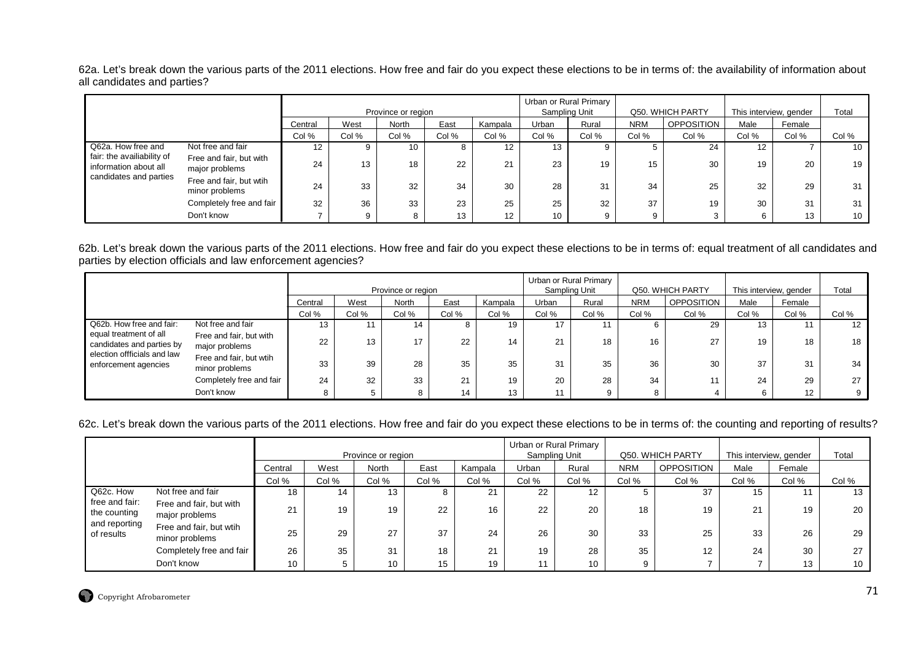62a. Let's break down the various parts of the 2011 elections. How free and fair do you expect these elections to be in terms of: the availability of information about all candidates and parties?

|                                                     |                                           |         |       | Province or region |       |                   | Sampling Unit   | Urban or Rural Primary |            | Q50. WHICH PARTY | This interview, gender |        | Total |
|-----------------------------------------------------|-------------------------------------------|---------|-------|--------------------|-------|-------------------|-----------------|------------------------|------------|------------------|------------------------|--------|-------|
|                                                     |                                           | Central | West  | North              | East  | Kampala           | Urban           | Rural                  | <b>NRM</b> | OPPOSITION       | Male                   | Female |       |
|                                                     |                                           | Col %   | Col % | Col %              | Col % | Col %             | Col %           | Col %                  | Col %      | Col %            | Col %                  | Col %  | Col % |
| Q62a. How free and                                  | Not free and fair                         | 12      |       | 10                 | Ö     | 12                | 13              |                        |            | 24               | $12 \overline{ }$      |        | 10    |
| fair: the availiability of<br>information about all | Free and fair, but with<br>major problems | 24      | 13    | 18                 | 22    | 21                | 23              | 19                     | 15         | 30               | 19                     | 20     | 19    |
| candidates and parties                              | Free and fair, but wtih<br>minor problems | 24      | 33    | 32                 | 34    | 30                | 28              | 31                     | 34         | 25               | 32                     | 29     | 31    |
|                                                     | Completely free and fair                  | 32      | 36    | 33                 | 23    | 25                | 25              | 32                     | 37         | 19               | 30                     | 31     | 31    |
|                                                     | Don't know                                |         | 9     |                    | 13    | $12 \overline{ }$ | 10 <sup>°</sup> | 9                      | 9          |                  | 6                      | 13     | 10    |

62b. Let's break down the various parts of the 2011 elections. How free and fair do you expect these elections to be in terms of: equal treatment of all candidates and parties by election officials and law enforcement agencies?

|                                                     |                                           |         |       | Province or region |       |         |       | Urban or Rural Primary<br>Sampling Unit |            | Q50. WHICH PARTY  |       | This interview, gender | Total             |
|-----------------------------------------------------|-------------------------------------------|---------|-------|--------------------|-------|---------|-------|-----------------------------------------|------------|-------------------|-------|------------------------|-------------------|
|                                                     |                                           | Central | West  | <b>North</b>       | East  | Kampala | Urban | Rural                                   | <b>NRM</b> | <b>OPPOSITION</b> | Male  | Female                 |                   |
|                                                     |                                           | Col %   | Col % | Col %              | Col % | Col %   | Col % | Col %                                   | Col %      | Col %             | Col % | Col %                  | Col %             |
| Q62b. How free and fair:                            | Not free and fair                         | 13      |       | 14                 |       | 19      | 17    |                                         | 6          | 29                | 13    |                        | $12 \overline{ }$ |
| equal treatment of all<br>candidates and parties by | Free and fair, but with<br>major problems | 22      | 13    | 17                 | 22    |         | 21    | 18                                      | 16         | 27                | 19    | 18                     | 18                |
| election offficials and law<br>enforcement agencies | Free and fair, but wtih<br>minor problems | 33      | 39    | 28                 | 35    | 35      | 31    | 35                                      | 36         | 30                | 37    | 31                     | 34                |
|                                                     | Completely free and fair                  | 24      | 32    | 33                 | 21    | 19      | 20    | 28                                      | 34         | 11                | 24    | 29                     | 27                |
|                                                     | Don't know                                |         |       | 8                  | 14    | 13      |       | 9                                       | 8          |                   |       | 12 <sup>°</sup>        |                   |

62c. Let's break down the various parts of the 2011 elections. How free and fair do you expect these elections to be in terms of: the counting and reporting of results?

|                                                                            |                                           |                    |       |                 |       |            | Urban or Rural Primary |       |                  |                   |                        |        |       |
|----------------------------------------------------------------------------|-------------------------------------------|--------------------|-------|-----------------|-------|------------|------------------------|-------|------------------|-------------------|------------------------|--------|-------|
|                                                                            |                                           | Province or region |       |                 |       |            | Sampling Unit          |       | Q50. WHICH PARTY |                   | This interview, gender |        | Total |
|                                                                            |                                           | Central            | West  | North           | East  | Kampala    | Urban                  | Rural | <b>NRM</b>       | <b>OPPOSITION</b> | Male                   | Female |       |
|                                                                            |                                           | Col %              | Col % | Col %           | Col % | Col %      | Col %                  | Col % | Col %            | Col %             | Col %                  | Col %  | Col % |
| Q62c. How<br>free and fair:<br>the counting<br>and reporting<br>of results | Not free and fair                         | 18                 | 14    | 13              | Ο     | <b>O</b> 4 | 22                     | 12    |                  | 37                | 15                     |        | 13    |
|                                                                            | Free and fair, but with<br>major problems | 21                 | 19    | 19              | 22    | 16         | 22                     | 20    | 18               | 19                | 21                     | 19     | 20    |
|                                                                            | Free and fair, but wtih<br>minor problems | 25                 | 29    | 27              | 37    | 24         | 26                     | 30    | 33               | 25                | 33                     | 26     | 29    |
|                                                                            | Completely free and fair                  | 26                 | 35    | 31              | 18    | 21         | 19                     | 28    | 35               | 12                | 24                     | 30     | 27    |
|                                                                            | Don't know                                | 10                 |       | 10 <sup>°</sup> | 15    | 19         | 11                     | 10    | Q                |                   |                        | 13     | 10    |

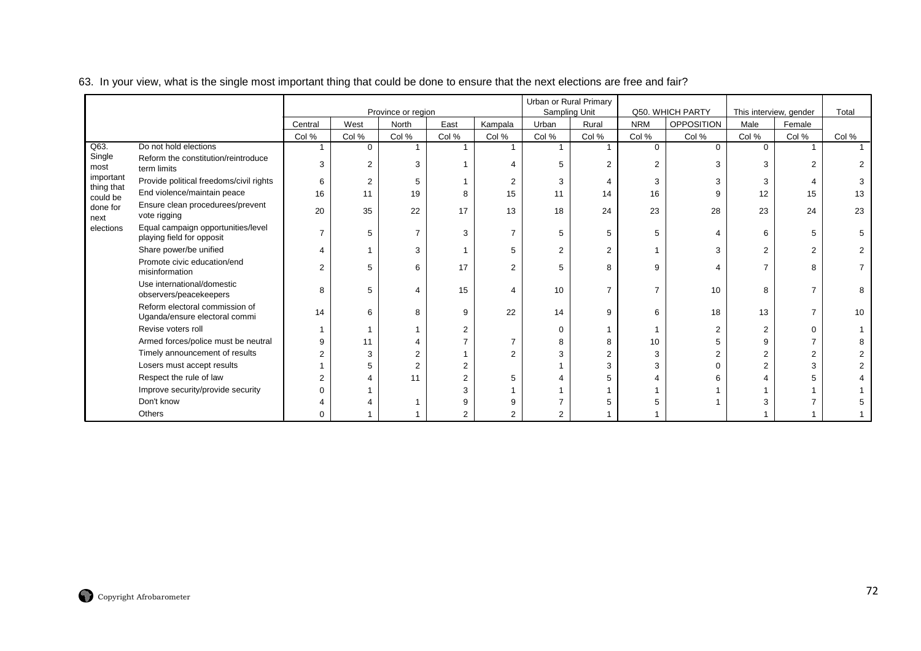|                        |                                                                 |                |                      |                             |       |                  |                | Urban or Rural Primary |                   |                                       |                   |                                  |       |
|------------------------|-----------------------------------------------------------------|----------------|----------------------|-----------------------------|-------|------------------|----------------|------------------------|-------------------|---------------------------------------|-------------------|----------------------------------|-------|
|                        |                                                                 | Central        | West                 | Province or region<br>North | East  |                  | Urban          | Sampling Unit<br>Rural | <b>NRM</b>        | Q50. WHICH PARTY<br><b>OPPOSITION</b> | Male              | This interview, gender<br>Female | Total |
|                        |                                                                 |                |                      | Col %                       |       | Kampala<br>Col % | Col %          | Col %                  |                   |                                       |                   |                                  |       |
| Q63.                   | Do not hold elections                                           | Col %          | Col %<br>$\mathbf 0$ |                             | Col % |                  |                |                        | Col %<br>$\Omega$ | Col %<br>$\Omega$                     | Col %<br>$\Omega$ | Col %                            | Col % |
| Single<br>most         | Reform the constitution/reintroduce<br>term limits              | 3              | 2                    | 3                           |       |                  |                | $\overline{2}$         | $\overline{2}$    | 3                                     | 3                 |                                  |       |
| important              | Provide political freedoms/civil rights                         | 6              | $\overline{2}$       | 5                           |       | 2                | 3              |                        | 3                 | 3                                     | 3                 |                                  |       |
| thing that<br>could be | End violence/maintain peace                                     | 16             | 11                   | 19                          | 8     | 15               | 11             | 14                     | 16                | 9                                     | 12                | 15                               | 13    |
| done for<br>next       | Ensure clean procedurees/prevent<br>vote rigging                | 20             | 35                   | 22                          | 17    | 13               | 18             | 24                     | 23                | 28                                    | 23                | 24                               | 23    |
| elections              | Equal campaign opportunities/level<br>playing field for opposit |                | 5                    | $\overline{7}$              | 3     | $\overline{7}$   | 5              | 5                      | 5                 | 4                                     | 6                 | 5                                |       |
|                        | Share power/be unified                                          | 4              |                      | 3                           |       | 5                | $\mathfrak{p}$ | $\overline{2}$         |                   | 3                                     | 2                 | 2                                |       |
|                        | Promote civic education/end<br>misinformation                   | $\overline{2}$ | 5                    | 6                           | 17    | $\overline{2}$   | 5              | 8                      | 9                 | 4                                     |                   | R                                |       |
|                        | Use international/domestic<br>observers/peacekeepers            | 8              | 5                    |                             | 15    | 4                | 10             | $\overline{7}$         | $\overline{7}$    | 10                                    | 8                 |                                  |       |
|                        | Reform electoral commission of<br>Uganda/ensure electoral commi | 14             | 6                    | 8                           | 9     | 22               | 14             | 9                      | 6                 | 18                                    | 13                |                                  | 10    |
|                        | Revise voters roll                                              |                |                      |                             | 2     |                  | $\Omega$       |                        |                   | 2                                     |                   | $\Omega$                         |       |
|                        | Armed forces/police must be neutral                             | 9              |                      |                             |       |                  |                | 8                      | 10                | 5                                     | a                 |                                  |       |
|                        | Timely announcement of results                                  | 2              |                      | 2                           |       | $\overline{2}$   |                | $\overline{2}$         | 3                 | 2                                     |                   |                                  |       |
|                        | Losers must accept results                                      |                |                      | $\overline{c}$              | 2     |                  |                | 3                      | 3                 | $\Omega$                              |                   | 3                                |       |
|                        | Respect the rule of law                                         | 2              |                      | 11                          | 2     | 5                |                |                        |                   | 6                                     |                   |                                  |       |
|                        | Improve security/provide security                               | $\Omega$       |                      |                             |       |                  |                |                        |                   |                                       |                   |                                  |       |
|                        | Don't know                                                      |                |                      |                             |       |                  |                |                        |                   |                                       |                   |                                  |       |
|                        | Others                                                          | 0              |                      |                             | 2     | 2                | 2              |                        |                   |                                       |                   |                                  |       |

#### 63. In your view, what is the single most important thing that could be done to ensure that the next elections are free and fair?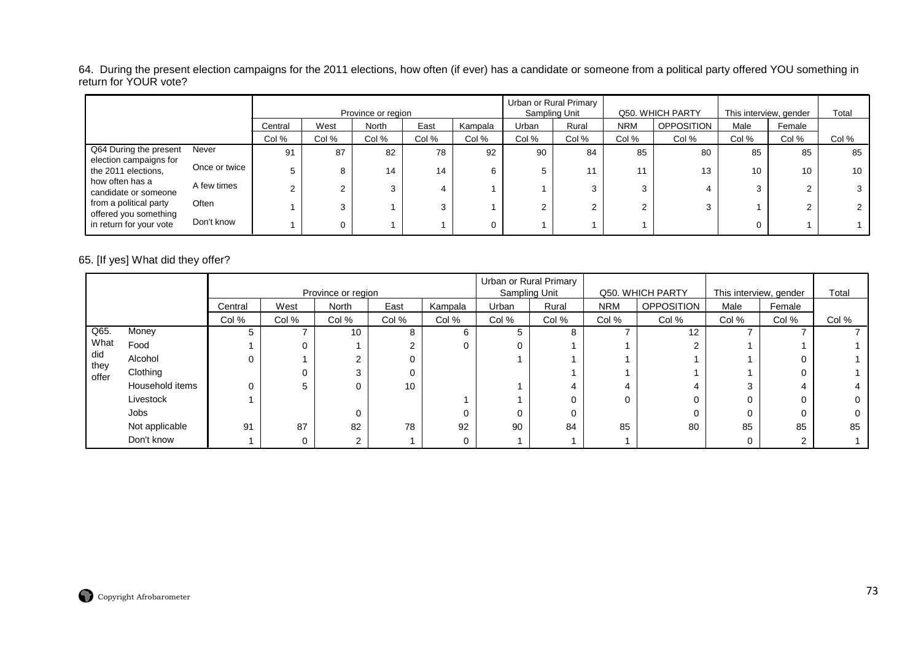64. During the present election campaigns for the 2011 elections, how often (if ever) has a candidate or someone from a political party offered YOU something in<br>return for YOUR vote?

|                                                 |               |         |        | Province or region |       |         |       | Urban or Rural Primary<br>Sampling Unit |            | Q50. WHICH PARTY  | This interview, gender |        | Total |
|-------------------------------------------------|---------------|---------|--------|--------------------|-------|---------|-------|-----------------------------------------|------------|-------------------|------------------------|--------|-------|
|                                                 |               | Central | West   | North              | East  | Kampala | Urban | Rural                                   | <b>NRM</b> | <b>OPPOSITION</b> | Male                   | Female |       |
|                                                 |               | Col %   | Col %  | Col %              | Col % | Col %   | Col % | Col %                                   | Col %      | Col %             | Col %                  | Col %  | Col % |
| Q64 During the present                          | Never         | 91      | 87     | 82                 | 78    | 92      | 90    | 84                                      | 85         | 80                | 85                     | 85     | 85    |
| election campaigns for<br>the 2011 elections,   | Once or twice |         | 8      | 14                 | 14    | 6       | 5     | 11                                      |            | 13                | 10                     | 10     | 10    |
| how often has a<br>candidate or someone         | A few times   | $\sim$  | $\sim$ | ົ                  | 4     |         |       | 3                                       | ີ          | 4                 | 3                      |        |       |
| from a political party<br>offered you something | Often         |         | 3      |                    | 3     |         | ◠     | ົ                                       | $\sim$     |                   |                        |        |       |
| in return for your vote                         | Don't know    |         | 0      |                    |       |         |       |                                         |            |                   | 0                      |        |       |

# 65. [If yes] What did they offer?

|               |                 |         |       | Province or region |       |         |       | Urban or Rural Primary<br>Sampling Unit |            | Q50. WHICH PARTY  | This interview, gender |        | Total |
|---------------|-----------------|---------|-------|--------------------|-------|---------|-------|-----------------------------------------|------------|-------------------|------------------------|--------|-------|
|               |                 | Central | West  | North              | East  | Kampala | Urban | Rural                                   | <b>NRM</b> | <b>OPPOSITION</b> | Male                   | Female |       |
|               |                 | Col %   | Col % | Col %              | Col % | Col %   | Col % | Col %                                   | Col %      | Col %             | Col %                  | Col %  | Col % |
| Q65.          | Money           |         |       | 10                 | 8     | 6       |       | 8                                       |            | 12                |                        |        |       |
| What          | Food            |         |       |                    | C     | 0       |       |                                         |            | ົ                 |                        |        |       |
| did           | Alcohol         |         |       |                    |       |         |       |                                         |            |                   |                        |        |       |
| they<br>offer | Clothing        |         |       | 3                  |       |         |       |                                         |            |                   |                        |        |       |
|               | Household items |         | 5     |                    | 10    |         |       | 4                                       |            |                   | $\sim$                 |        |       |
|               | Livestock       |         |       |                    |       |         |       | 0                                       | $\Omega$   | 0                 |                        | 0      |       |
|               | Jobs            |         |       |                    |       | 0       |       | 0                                       |            | 0                 |                        |        |       |
|               | Not applicable  | 91      | 87    | 82                 | 78    | 92      | 90    | 84                                      | 85         | 80                | 85                     | 85     | 85    |
|               | Don't know      |         | 0     | ົ                  |       | 0       |       |                                         |            |                   |                        | ົ      |       |

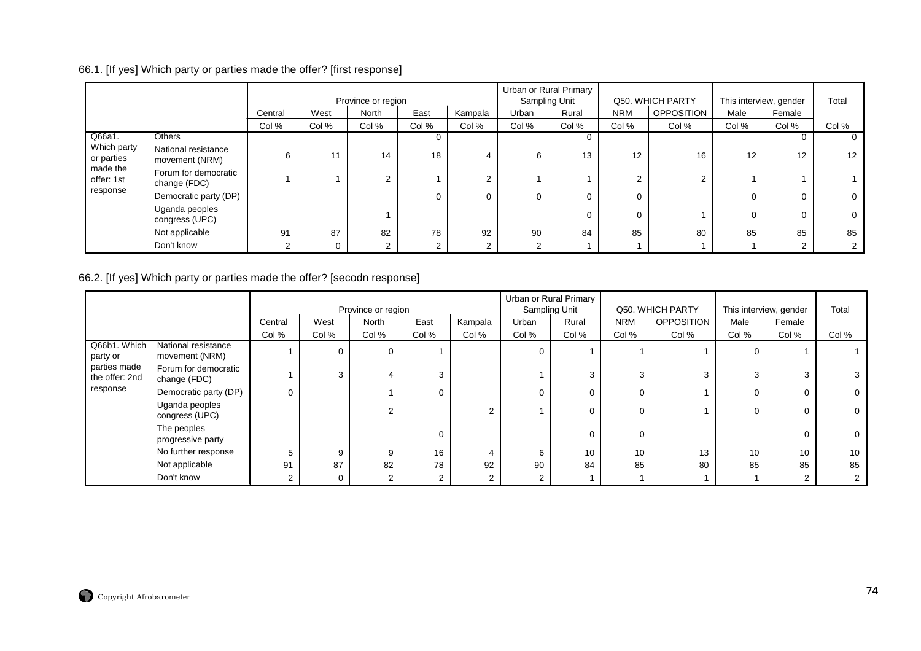# 66.1. [If yes] Which party or parties made the offer? [first response]

|                           |                                       |         |       | Province or region |       |          | Urban or Rural Primary<br>Sampling Unit |       |            | Q50. WHICH PARTY  | This interview, gender |        | Total           |
|---------------------------|---------------------------------------|---------|-------|--------------------|-------|----------|-----------------------------------------|-------|------------|-------------------|------------------------|--------|-----------------|
|                           |                                       | Central | West  | North              | East  | Kampala  | Urban                                   | Rural | <b>NRM</b> | <b>OPPOSITION</b> | Male                   | Female |                 |
|                           |                                       | Col %   | Col % | Col %              | Col % | Col %    | Col %                                   | Col % | Col %      | Col %             | Col %                  | Col %  | Col %           |
| Q66a1.                    | Others                                |         |       |                    |       |          |                                         |       |            |                   |                        |        |                 |
| Which party<br>or parties | National resistance<br>movement (NRM) | 6       | 11    | 14                 | 18    | 4        | 6                                       | 13    | 12         | 16                | 12                     | 12     | 12 <sup>°</sup> |
| made the<br>offer: 1st    | Forum for democratic<br>change (FDC)  |         |       | ⌒                  |       | 2        |                                         |       | $\sim$     | 2                 |                        |        |                 |
| response                  | Democratic party (DP)                 |         |       |                    |       | $\Omega$ | 0                                       |       | 0          |                   | 0                      |        |                 |
|                           | Uganda peoples<br>congress (UPC)      |         |       |                    |       |          |                                         |       | $\Omega$   |                   | 0                      |        |                 |
|                           | Not applicable                        | 91      | 87    | 82                 | 78    | 92       | 90                                      | 84    | 85         | 80                | 85                     | 85     | 85              |
|                           | Don't know                            | ◠       | 0     | $\Omega$           | ົ     | 2        | ⌒                                       |       |            |                   |                        |        |                 |

#### 66.2. [If yes] Which party or parties made the offer? [secodn response]

|                                |                                       |          |       | Province or region |                |         | Urban or Rural Primary<br>Sampling Unit |       |            | Q50. WHICH PARTY  | This interview, gender |        | Total |
|--------------------------------|---------------------------------------|----------|-------|--------------------|----------------|---------|-----------------------------------------|-------|------------|-------------------|------------------------|--------|-------|
|                                |                                       | Central  | West  | North              | East           | Kampala | Urban                                   | Rural | <b>NRM</b> | <b>OPPOSITION</b> | Male                   | Female |       |
|                                |                                       | Col %    | Col % | Col %              | Col %          | Col %   | Col %                                   | Col % | Col %      | Col %             | Col %                  | Col %  | Col % |
| Q66b1. Which<br>party or       | National resistance<br>movement (NRM) |          | 0     | $\Omega$           |                |         |                                         |       |            |                   | 0                      |        |       |
| parties made<br>the offer: 2nd | Forum for democratic<br>change (FDC)  |          | 3     | 4                  | 3              |         |                                         | 3     | 3          | 3                 | 3                      |        |       |
| response                       | Democratic party (DP)                 | $\Omega$ |       |                    | $\Omega$       |         |                                         | 0     | $\Omega$   |                   | 0                      |        |       |
|                                | Uganda peoples<br>congress (UPC)      |          |       | $\overline{2}$     |                |         |                                         | 0     | $\Omega$   |                   | 0                      |        |       |
|                                | The peoples<br>progressive party      |          |       |                    | 0              |         |                                         | 0     | $\Omega$   |                   |                        |        |       |
|                                | No further response                   | 5        | 9     | 9                  | 16             |         | 6                                       | 10    | 10         | 13                | 10                     | 10     | 10    |
|                                | Not applicable                        | 91       | 87    | 82                 | 78             | 92      | 90                                      | 84    | 85         | 80                | 85                     | 85     | 85    |
|                                | Don't know                            | 2        | 0     | 2                  | $\overline{2}$ |         |                                         |       |            |                   |                        |        |       |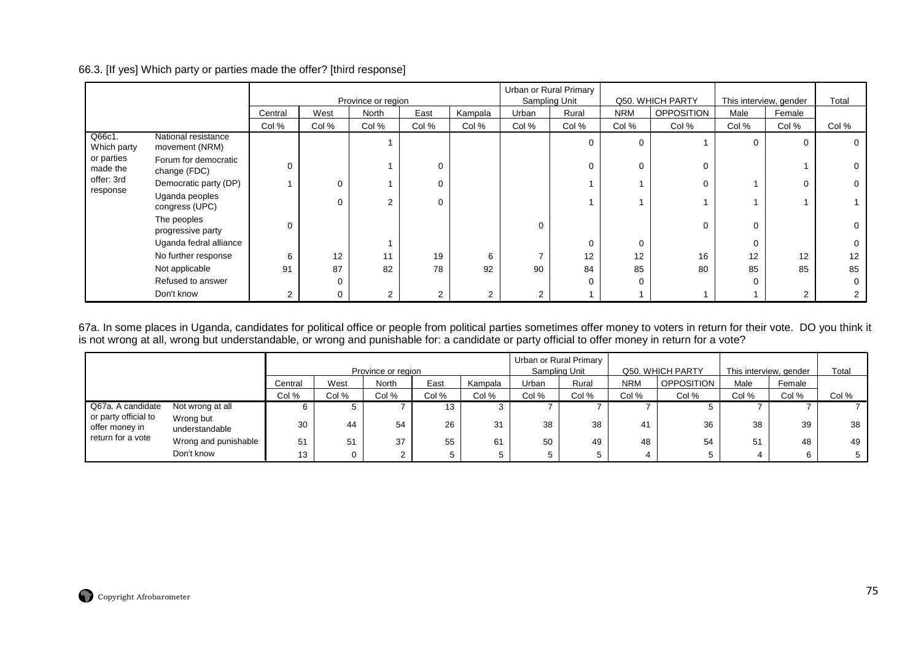## 66.3. [If yes] Which party or parties made the offer? [third response]

|                        |                                       |                |          | Province or region |              |                |                | Urban or Rural Primary<br>Sampling Unit |            | Q50. WHICH PARTY  | This interview, gender |          | Total |
|------------------------|---------------------------------------|----------------|----------|--------------------|--------------|----------------|----------------|-----------------------------------------|------------|-------------------|------------------------|----------|-------|
|                        |                                       | Central        | West     | North              | East         | Kampala        | Urban          | Rural                                   | <b>NRM</b> | <b>OPPOSITION</b> | Male                   | Female   |       |
|                        |                                       | Col %          | Col %    | Col %              | Col %        | Col %          | Col %          | Col %                                   | Col %      | Col %             | Col %                  | Col %    | Col % |
| Q66c1.<br>Which party  | National resistance<br>movement (NRM) |                |          |                    |              |                |                | $\Omega$                                | $\Omega$   |                   | 0                      | $\Omega$ |       |
| or parties<br>made the | Forum for democratic<br>change (FDC)  |                |          |                    | 0            |                |                | $\Omega$                                |            | $\Omega$          |                        |          |       |
| offer: 3rd             | Democratic party (DP)                 |                | $\Omega$ |                    | 0            |                |                |                                         |            | $\Omega$          |                        | $\Omega$ |       |
| response               | Uganda peoples<br>congress (UPC)      |                | $\Omega$ | $\sim$             | 0            |                |                |                                         |            |                   |                        |          |       |
|                        | The peoples<br>progressive party      |                |          |                    |              |                | 0              |                                         |            | $\Omega$          | 0                      |          |       |
|                        | Uganda fedral alliance                |                |          |                    |              |                |                | $\Omega$                                |            |                   | 0                      |          |       |
|                        | No further response                   | 6              | 12       | 11                 | 19           | 6              |                | 12                                      | 12         | 16                | 12                     | 12       | 12    |
|                        | Not applicable                        | 91             | 87       | 82                 | 78           | 92             | 90             | 84                                      | 85         | 80                | 85                     | 85       | 85    |
|                        | Refused to answer                     |                | $\Omega$ |                    |              |                |                | $\Omega$                                | O          |                   | 0                      |          |       |
|                        | Don't know                            | $\overline{2}$ | 0        | $\overline{2}$     | $\mathbf{2}$ | $\overline{2}$ | $\overline{2}$ |                                         |            |                   |                        | 2        |       |

67a. In some places in Uganda, candidates for political office or people from political parties sometimes offer money to voters in return for their vote. DO you think it<br>is not wrong at all, wrong but understandable, or w

|                                        |                             |         |       | Province or region |       |         | Urban or Rural Primary<br>Sampling Unit |       |            | Q50. WHICH PARTY  | This interview, gender |        | Total |
|----------------------------------------|-----------------------------|---------|-------|--------------------|-------|---------|-----------------------------------------|-------|------------|-------------------|------------------------|--------|-------|
|                                        |                             | Central | West  | North              | East  | Kampala | Urban                                   | Rural | <b>NRM</b> | <b>OPPOSITION</b> | Male                   | Female |       |
|                                        |                             | Col %   | Col % | Col %              | Col % | Col %   | Col %                                   | Col % | Col %      | Col %             | Col %                  | Col %  | Col % |
| Q67a. A candidate                      | Not wrong at all            | 6       |       |                    | 13    |         |                                         |       |            |                   |                        |        |       |
| or party official to<br>offer money in | Wrong but<br>understandable | 30      | 44    | 54                 | 26    | 31      | 38                                      | 38    | 41         | 36                | 38                     | 39     | 38    |
| return for a vote                      | Wrong and punishable        | 51      | 51    | 37                 | 55    | 61      | 50                                      | 49    | 48         | 54                | 51                     | 48     | 49    |
|                                        | Don't know                  | 13      |       | $\sim$             |       |         |                                         |       |            |                   |                        |        |       |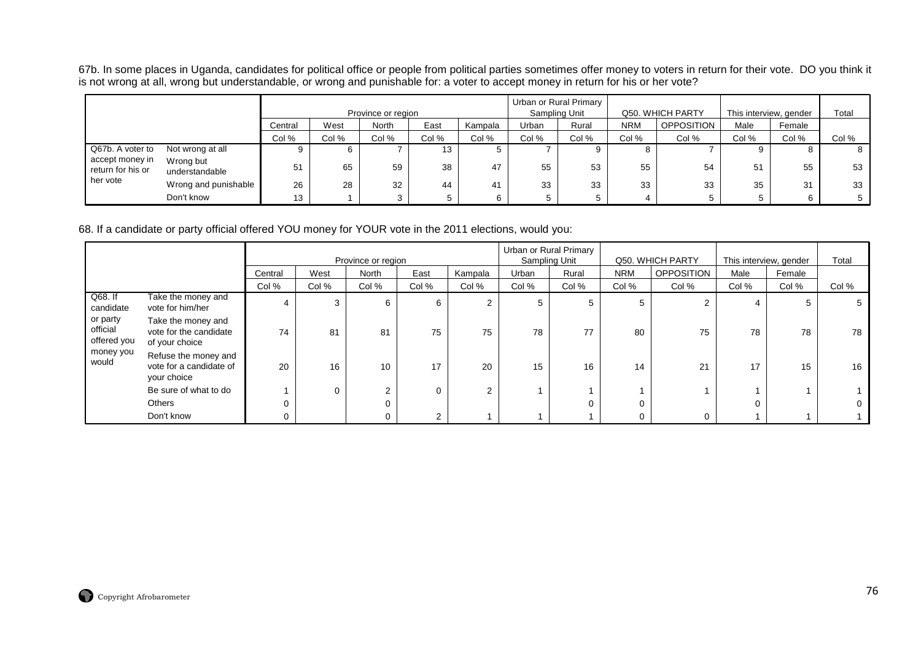67b. In some places in Uganda, candidates for political office or people from political parties sometimes offer money to voters in return for their vote. DO you think it<br>is not wrong at all, wrong but understandable, or w

|                                      |                             |         |       | Province or region |       |         |       | Urban or Rural Primary<br>Sampling Unit |            | Q50. WHICH PARTY | This interview, gender |        | Total |
|--------------------------------------|-----------------------------|---------|-------|--------------------|-------|---------|-------|-----------------------------------------|------------|------------------|------------------------|--------|-------|
|                                      |                             | Central | West  | North              | East  | Kampala | Urban | Rural                                   | <b>NRM</b> | OPPOSITION       | Male                   | Female |       |
|                                      |                             | Col %   | Col % | Col %              | Col % | Col %   | Col % | Col %                                   | Col %      | Col %            | Col %                  | Col %  | Col % |
| Q67b. A voter to                     | Not wrong at all            |         | O     |                    | 13    | G       |       |                                         |            |                  |                        |        | ୪     |
| accept money in<br>return for his or | Wrong but<br>understandable | 51      | 65    | 59                 | 38    | 47      | 55    | 53                                      | 55         | 54               | 51                     | 55     | 53    |
| her vote                             | Wrong and punishable        | 26      | 28    | 32                 | 44    | 41      | 33    | 33                                      | 33         | 33               | 35                     | 31     | 33    |
|                                      | Don't know                  | 13      |       | З                  |       |         |       |                                         |            |                  | G                      |        |       |

68. If a candidate or party official offered YOU money for YOUR vote in the 2011 elections, would you:

|                                     |                                                                |         |       | Province or region |        |         | Sampling Unit | Urban or Rural Primary |            | Q50. WHICH PARTY  | This interview, gender |        | Total       |
|-------------------------------------|----------------------------------------------------------------|---------|-------|--------------------|--------|---------|---------------|------------------------|------------|-------------------|------------------------|--------|-------------|
|                                     |                                                                | Central | West  | North              | East   | Kampala | Urban         | Rural                  | <b>NRM</b> | <b>OPPOSITION</b> | Male                   | Female |             |
|                                     |                                                                | Col %   | Col % | Col %              | Col %  | Col %   | Col %         | Col %                  | Col %      | Col %             | Col %                  | Col %  | Col %       |
| Q68. If<br>candidate                | Take the money and<br>vote for him/her                         | 4       | 3     | 6                  | 6      | 2       | 5             | 5                      |            | 2                 |                        |        | $5^{\circ}$ |
| or party<br>official<br>offered you | Take the money and<br>vote for the candidate<br>of your choice | 74      | 81    | 81                 | 75     | 75      | 78            | 77                     | 80         | 75                | 78                     | 78     | 78          |
| money you<br>would                  | Refuse the money and<br>vote for a candidate of<br>your choice | 20      | 16    | 10                 | 17     | 20      | 15            | 16                     | 14         | 21                | 17                     | 15     | 16          |
|                                     | Be sure of what to do                                          |         | 0     | $\sim$             |        | 2       |               |                        |            |                   |                        |        |             |
|                                     | Others                                                         |         |       | 0                  |        |         |               | 0                      |            |                   |                        |        |             |
|                                     | Don't know                                                     |         |       |                    | $\sim$ |         |               |                        |            | 0                 |                        |        |             |

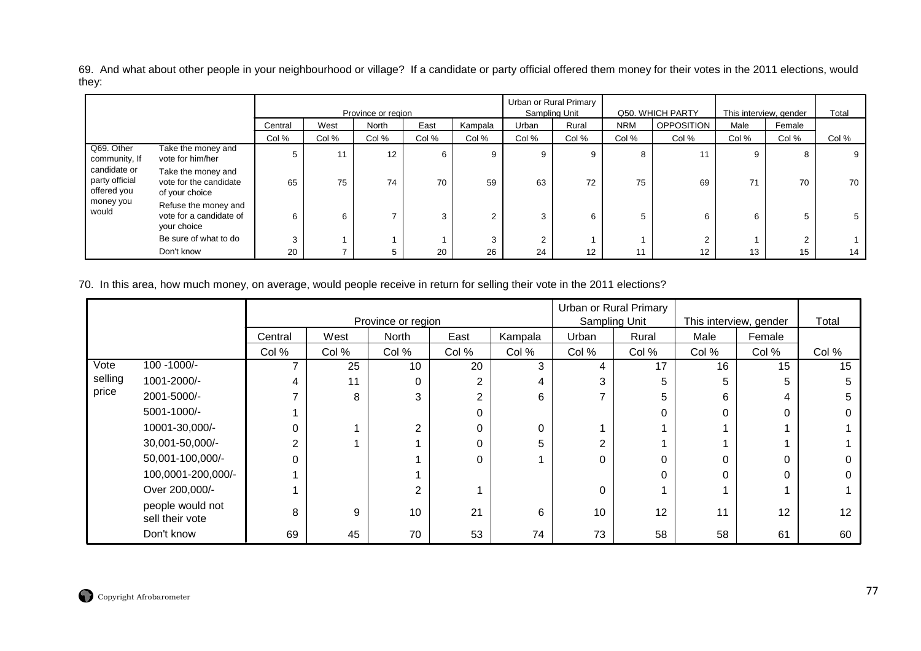69. And what about other people in your neighbourhood or village? If a candidate or party official offered them money for their votes in the 2011 elections, would they:

|                                               |                                                                |         |       | Province or region |       |         | Sampling Unit | Urban or Rural Primary |            | Q50. WHICH PARTY  | This interview, gender |        | Total |
|-----------------------------------------------|----------------------------------------------------------------|---------|-------|--------------------|-------|---------|---------------|------------------------|------------|-------------------|------------------------|--------|-------|
|                                               |                                                                | Central | West  | North              | East  | Kampala | Urban         | Rural                  | <b>NRM</b> | <b>OPPOSITION</b> | Male                   | Female |       |
|                                               |                                                                | Col %   | Col % | Col %              | Col % | Col %   | Col %         | Col %                  | Col %      | Col %             | Col %                  | Col %  | Col % |
| Q69. Other<br>community, If                   | Take the money and<br>vote for him/her                         | 5       | 11    | 12                 | 6     | 9       | 9             | 9                      | 8          | 11                | 9                      |        | 9     |
| candidate or<br>party official<br>offered you | Take the money and<br>vote for the candidate<br>of your choice | 65      | 75    | 74                 | 70    | 59      | 63            | 72                     | 75         | 69                | 71                     | 70     | 70    |
| money you<br>would                            | Refuse the money and<br>vote for a candidate of<br>your choice | 6       | 6     |                    | 3     | $\sim$  | 3             | 6                      | 5          | 6                 | 6                      |        |       |
|                                               | Be sure of what to do                                          | 3       |       |                    |       | 3       | ◠             |                        |            |                   |                        |        |       |
|                                               | Don't know                                                     | 20      |       | 5                  | 20    | 26      | 24            | 12                     | 11         | 12                | 13                     | 15     | 14    |

70. In this area, how much money, on average, would people receive in return for selling their vote in the 2011 elections?

|         |                                     |                |       | Province or region |                |         | Urban or Rural Primary<br>Sampling Unit |       |          | This interview, gender | Total |
|---------|-------------------------------------|----------------|-------|--------------------|----------------|---------|-----------------------------------------|-------|----------|------------------------|-------|
|         |                                     | Central        | West  | <b>North</b>       | East           | Kampala | Urban                                   | Rural | Male     | Female                 |       |
|         |                                     | Col %          | Col % | Col %              | Col %          | Col %   | Col %                                   | Col % | Col %    | Col %                  | Col % |
| Vote    | 100 - 1000/-                        |                | 25    | 10                 | 20             | 3       | 4                                       | 17    | 16       | 15                     | 15    |
| selling | 1001-2000/-                         | 4              | 11    | 0                  | 2              | 4       | 3                                       | 5     | 5        |                        |       |
| price   | 2001-5000/-                         |                | 8     | 3                  | $\overline{2}$ | 6       |                                         | 5.    | 6        | 4                      | 5     |
|         | 5001-1000/-                         |                |       |                    | 0              |         |                                         |       | $\Omega$ | 0                      |       |
|         | 10001-30,000/-                      | 0              |       | 2                  | 0              | 0       |                                         |       |          |                        |       |
|         | 30,001-50,000/-                     | $\overline{2}$ |       |                    | 0              | 5       | ◠                                       |       |          |                        |       |
|         | 50,001-100,000/-                    | 0              |       |                    | 0              |         | 0                                       |       | $\Omega$ | 0                      |       |
|         | 100,0001-200,000/-                  |                |       |                    |                |         |                                         |       | 0        | 0                      |       |
|         | Over 200,000/-                      |                |       | 2                  |                |         | $\Omega$                                |       |          |                        |       |
|         | people would not<br>sell their vote | 8              | 9     | 10                 | 21             | 6       | 10                                      | 12    | 11       | 12                     | 12    |
|         | Don't know                          | 69             | 45    | 70                 | 53             | 74      | 73                                      | 58    | 58       | 61                     | 60    |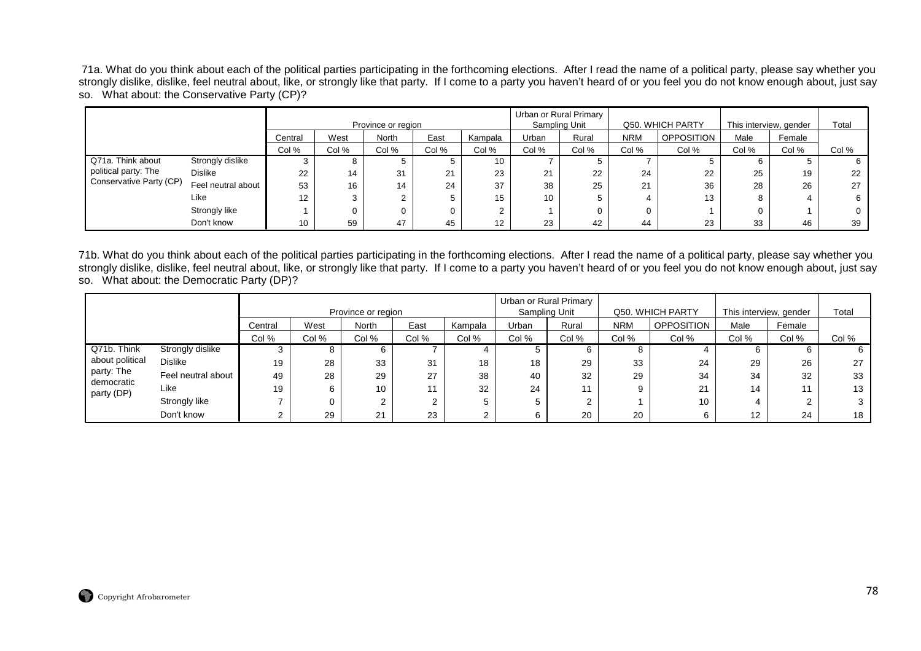71a. What do you think about each of the political parties participating in the forthcoming elections. After I read the name of a political party, please say whether you strongly dislike, dislike, feel neutral about, like, or strongly like that party. If I come to a party you haven't heard of or you feel you do not know enough about, just say so. What about: the Conservative Party (CP)?

|                         |                    |         |       | Province or region |       |         | Sampling Unit | Urban or Rural Primary |            | Q50. WHICH PARTY  | This interview, gender |        | Total |
|-------------------------|--------------------|---------|-------|--------------------|-------|---------|---------------|------------------------|------------|-------------------|------------------------|--------|-------|
|                         |                    | Central | West  | North              | East  | Kampala | Urban         | Rural                  | <b>NRM</b> | <b>OPPOSITION</b> | Male                   | Female |       |
|                         |                    | Col %   | Col % | Col %              | Col % | Col %   | Col %         | Col %                  | Col %      | Col %             | Col %                  | Col %  | Col % |
| Q71a. Think about       | Strongly dislike   |         |       |                    |       | 10      |               |                        |            |                   | 6                      |        |       |
| political party: The    | <b>Dislike</b>     | 22      | 14    | 31                 | 21    | 23      | 21            | 22                     | 24         | 22                | 25                     | 19     | 22    |
| Conservative Party (CP) | Feel neutral about | 53      | 16    | 14                 | 24    | 37      | 38            | 25                     | 21         | 36                | 28                     | 26     | 27    |
|                         | Like               | 12      |       |                    |       | 15      | 10            |                        |            | 13                | 8                      |        | 6     |
|                         | Strongly like      |         |       |                    | 0     | ົ       |               |                        |            |                   | 0                      |        | 0     |
|                         | Don't know         | 10      | 59    | 47                 | 45    | 12      | 23            | 42                     | 44         | 23                | 33                     | 46     | 39    |

71b. What do you think about each of the political parties participating in the forthcoming elections. After I read the name of a political party, please say whether you strongly dislike, dislike, feel neutral about, like, or strongly like that party. If I come to a party you haven't heard of or you feel you do not know enough about, just say so. What about: the Democratic Party (DP)?

|                          |                    |         |       | Province or region |       |         | Urban or Rural Primary | Sampling Unit |       | Q50. WHICH PARTY  | This interview, gender |        | Total |
|--------------------------|--------------------|---------|-------|--------------------|-------|---------|------------------------|---------------|-------|-------------------|------------------------|--------|-------|
|                          |                    | Central | West  | North              | East  | Kampala | Urban                  | Rural         | NRM   | <b>OPPOSITION</b> | Male                   | Female |       |
|                          |                    | Col %   | Col % | Col %              | Col % | Col %   | Col %                  | Col %         | Col % | Col %             | Col %                  | Col %  | Col % |
| Q71b. Think              | Strongly dislike   |         |       | 6                  |       | 4       |                        |               |       |                   |                        |        |       |
| about political          | <b>Dislike</b>     | 19      | 28    | 33                 | 31    | 18      | 18                     | 29            | 33    | 24                | 29                     | 26     | 27    |
| party: The<br>democratic | Feel neutral about | 49      | 28    | 29                 | 27    | 38      | 40                     | 32            | 29    | 34                | 34                     | 32     | 33    |
| party (DP)               | Like               | 19      | 6     | 10                 | 11    | 32      | 24                     |               |       | 21                | 14                     | 11     | 13    |
|                          | Strongly like      |         |       | $\sim$             |       | 5       |                        |               |       | 10                |                        |        |       |
|                          | Don't know         |         | 29    | 21                 | 23    | າ<br>∠  |                        | 20            | 20    | b                 | 12                     | 24     | 18    |

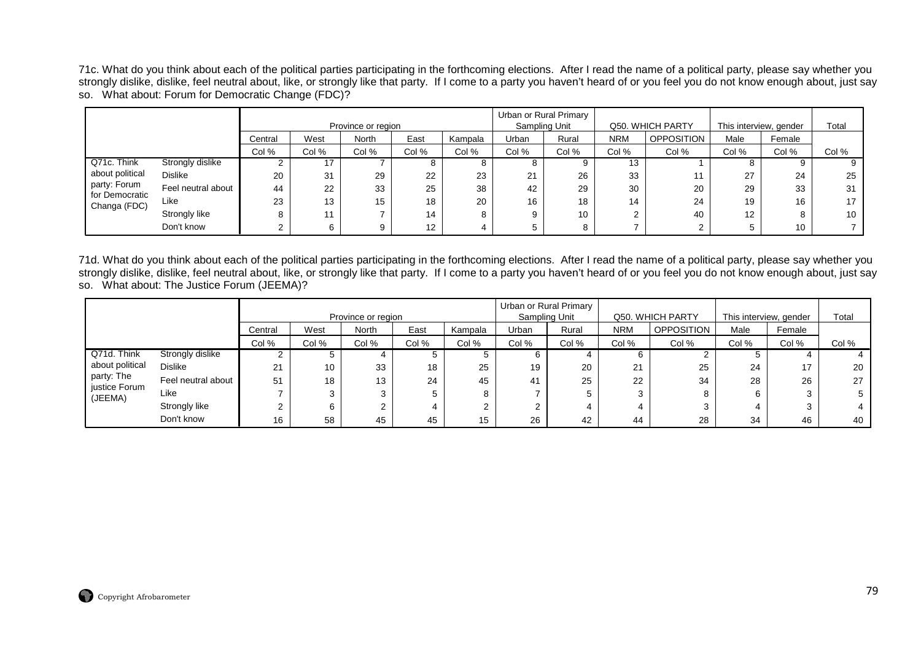71c. What do you think about each of the political parties participating in the forthcoming elections. After I read the name of a political party, please say whether you strongly dislike, dislike, feel neutral about, like, or strongly like that party. If I come to a party you haven't heard of or you feel you do not know enough about, just say so. What about: Forum for Democratic Change (FDC)?

|                                |                    |         |       | Province or region |                   |         |           | Urban or Rural Primary<br>Sampling Unit |            | Q50. WHICH PARTY  | This interview, gender |         | Total |
|--------------------------------|--------------------|---------|-------|--------------------|-------------------|---------|-----------|-----------------------------------------|------------|-------------------|------------------------|---------|-------|
|                                |                    | Central | West  | North              | East              | Kampala | Urban     | Rural                                   | <b>NRM</b> | <b>OPPOSITION</b> | Male                   | Female  |       |
|                                |                    | Col %   | Col % | Col %              | Col %             | Col %   | Col %     | Col %                                   | Col %      | Col %             | Col %                  | Col %   | Col % |
| Q71c. Think                    | Strongly dislike   |         |       |                    |                   | o       |           | 9                                       | 13         |                   |                        |         | 9     |
| about political                | <b>Dislike</b>     | 20      | 31    | 29                 | 22                | 23      | 24<br>∠ । | 26                                      | 33         | 11                | 27                     | 24      | 25    |
| party: Forum<br>for Democratic | Feel neutral about | 44      | 22    | 33                 | 25                | 38      | 42        | 29                                      | 30         | 20                | 29                     | 33      | 31    |
| Changa (FDC)                   | Like               | 23      | 13    | 15                 | 18                | 20      | 16        | 18                                      | 14         | 24                | 19                     | 16      | 17    |
|                                | Strongly like      |         |       |                    | 14                | 8       |           | 10                                      | C          | 40                | 12                     | $\circ$ | 10    |
|                                | Don't know         |         | 6     | 9                  | $12 \overline{ }$ |         |           | 8                                       |            |                   |                        | 10      |       |

71d. What do you think about each of the political parties participating in the forthcoming elections. After I read the name of a political party, please say whether you strongly dislike, dislike, feel neutral about, like, or strongly like that party. If I come to a party you haven't heard of or you feel you do not know enough about, just say so. What about: The Justice Forum (JEEMA)?

|                             |                    |         |       | Province or region |       |         |       | Urban or Rural Primary<br>Sampling Unit |            | Q50. WHICH PARTY  | This interview, gender |              | Total |
|-----------------------------|--------------------|---------|-------|--------------------|-------|---------|-------|-----------------------------------------|------------|-------------------|------------------------|--------------|-------|
|                             |                    |         |       |                    |       |         |       |                                         |            |                   |                        |              |       |
|                             |                    | Central | West  | North              | East  | Kampala | Urban | Rural                                   | <b>NRM</b> | <b>OPPOSITION</b> | Male                   | Female       |       |
|                             |                    | Col %   | Col % | Col %              | Col % | Col %   | Col % | Col %                                   | Col %      | Col %             | Col %                  | Col %        | Col % |
| Q71d. Think                 | Strongly dislike   |         |       |                    |       | 5       | b     |                                         |            |                   |                        |              |       |
| about political             | <b>Dislike</b>     | 21      | 10    | 33                 | 18    | 25      | 19    | 20                                      | 21         | 25                | 24                     | 17           | 20    |
| party: The<br>justice Forum | Feel neutral about | 51      | 18    | 13                 | 24    | 45      | 41    | 25                                      | 22         | 34                | 28                     | 26           | 27    |
| (JEEMA)                     | Like               |         |       | 3                  |       | 8       |       |                                         |            |                   |                        | $\mathbf{r}$ |       |
|                             | Strongly like      |         |       |                    |       | 2       |       |                                         |            |                   |                        | ◠            |       |
|                             | Don't know         | 16      | 58    | 45                 | 45    | 15      | 26    | 42                                      | 44         | 28                | 34                     | 46           | 40    |

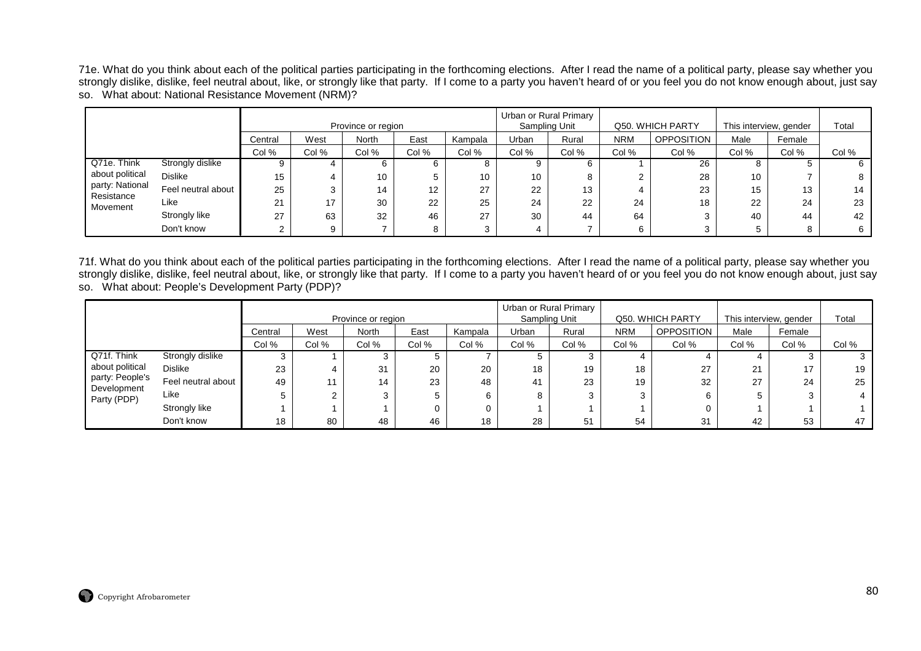71e. What do you think about each of the political parties participating in the forthcoming elections. After I read the name of a political party, please say whether you strongly dislike, dislike, feel neutral about, like, or strongly like that party. If I come to a party you haven't heard of or you feel you do not know enough about, just say so. What about: National Resistance Movement (NRM)?

|                               |                    |         |       | Province or region |       |         |       | Urban or Rural Primary<br>Sampling Unit |            | Q50, WHICH PARTY  | This interview, gender |        | Total |
|-------------------------------|--------------------|---------|-------|--------------------|-------|---------|-------|-----------------------------------------|------------|-------------------|------------------------|--------|-------|
|                               |                    | Central | West  | <b>North</b>       | East  | Kampala | Urban | Rural                                   | <b>NRM</b> | <b>OPPOSITION</b> | Male                   | Female |       |
|                               |                    | Col %   | Col % | Col %              | Col % | Col %   | Col % | Col %                                   | Col %      | Col %             | Col %                  | Col %  | Col % |
| Q71e. Think                   | Strongly dislike   |         |       | 6                  | b     |         |       |                                         |            | 26                | 8                      |        | 6     |
| about political               | <b>Dislike</b>     | 15      |       | 10                 | 5     | 10      | 10    |                                         |            | 28                | 10                     |        | 8     |
| party: National<br>Resistance | Feel neutral about | 25      |       | 14                 | 12    | 27      | 22    | 13                                      |            | 23                | 15                     | 13     | 14    |
| Movement                      | Like               | 21      | 17    | 30                 | 22    | 25      | 24    | 22                                      | 24         | 18                | 22                     | 24     | 23    |
|                               | Strongly like      | 27      | 63    | 32                 | 46    | 27      | 30    | 44                                      | 64         | ີ                 | 40                     | 44     | 42    |
|                               | Don't know         |         | q     |                    |       | 3       |       |                                         |            |                   | 5                      |        | 6     |

71f. What do you think about each of the political parties participating in the forthcoming elections. After I read the name of a political party, please say whether you strongly dislike, dislike, feel neutral about, like, or strongly like that party. If I come to a party you haven't heard of or you feel you do not know enough about, just say so. What about: People's Development Party (PDP)?

|                            |                    |         |       | Province or region |       |         |       | Urban or Rural Primary<br>Sampling Unit |            | Q50. WHICH PARTY  | This interview, gender |        | Total |
|----------------------------|--------------------|---------|-------|--------------------|-------|---------|-------|-----------------------------------------|------------|-------------------|------------------------|--------|-------|
|                            |                    | Central | West  | North              | East  | Kampala | Urban | Rural                                   | <b>NRM</b> | <b>OPPOSITION</b> | Male                   | Female |       |
|                            |                    | Col %   | Col % | Col %              | Col % | Col %   | Col % | Col %                                   | Col %      | Col %             | Col %                  | Col %  | Col % |
| Q71f. Think                | Strongly dislike   |         |       |                    |       |         |       |                                         |            |                   |                        |        |       |
| about political            | <b>Dislike</b>     | 23      |       | 31                 | 20    | 20      | 18    | 19                                      | 18         | 27                | 21                     | 17     | 19    |
| party: People's            | Feel neutral about | 49      |       | 14                 | 23    | 48      | 41    | 23                                      | 19         | 32                | 27                     | 24     | 25    |
| Development<br>Party (PDP) | Like               |         |       |                    |       | 6       | 8     | 3                                       |            | 6                 |                        |        |       |
|                            | Strongly like      |         |       |                    |       | 0       |       |                                         |            |                   |                        |        |       |
|                            | Don't know         | 18      | 80    | 48                 | 46    | 18      | 28    | 51                                      | 54         | 31                | 42                     | 53     | 47    |

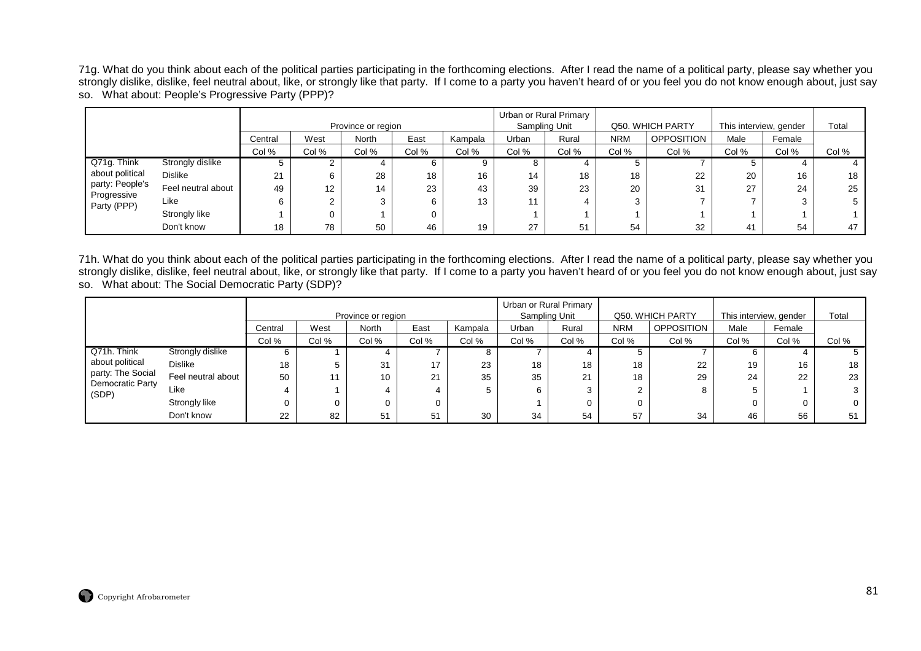71g. What do you think about each of the political parties participating in the forthcoming elections. After I read the name of a political party, please say whether you strongly dislike, dislike, feel neutral about, like, or strongly like that party. If I come to a party you haven't heard of or you feel you do not know enough about, just say so. What about: People's Progressive Party (PPP)?

|                            |                    |         |       | Province or region |       |         |       | Urban or Rural Primary<br>Sampling Unit |            | Q50. WHICH PARTY  | This interview, gender |        | Total |
|----------------------------|--------------------|---------|-------|--------------------|-------|---------|-------|-----------------------------------------|------------|-------------------|------------------------|--------|-------|
|                            |                    | Central | West  | North              | East  | Kampala | Urban | Rural                                   | <b>NRM</b> | <b>OPPOSITION</b> | Male                   | Female |       |
|                            |                    | Col %   | Col % | Col %              | Col % | Col %   | Col % | Col %                                   | Col %      | Col %             | Col %                  | Col %  | Col % |
| Q71g. Think                | Strongly dislike   |         |       |                    |       | 9       |       |                                         |            |                   |                        |        |       |
| about political            | <b>Dislike</b>     | 21      |       | 28                 | 18    | 16      | 14    | 18                                      | 18         | 22                | 20                     | 16     | 18    |
| party: People's            | Feel neutral about | 49      | 12    | 14                 | 23    | 43      | 39    | 23                                      | 20         | 31                | 27                     | 24     | 25    |
| Progressive<br>Party (PPP) | Like               |         |       | 3                  |       | 13      |       | 4                                       |            |                   |                        |        | 5     |
|                            | Strongly like      |         |       |                    |       |         |       |                                         |            |                   |                        |        |       |
|                            | Don't know         | 18      | 78    | 50                 | 46    | 19      | 27    | 51                                      | 54         | 32                | 41                     | 54     | 47    |

71h. What do you think about each of the political parties participating in the forthcoming elections. After I read the name of a political party, please say whether you strongly dislike, dislike, feel neutral about, like, or strongly like that party. If I come to a party you haven't heard of or you feel you do not know enough about, just say so. What about: The Social Democratic Party (SDP)?

|                                       |                    |         |       | Province or region |       |         |       | Urban or Rural Primary<br>Sampling Unit |            | Q50. WHICH PARTY | This interview, gender |        | Total |
|---------------------------------------|--------------------|---------|-------|--------------------|-------|---------|-------|-----------------------------------------|------------|------------------|------------------------|--------|-------|
|                                       |                    | Central | West  | <b>North</b>       | East  | Kampala | Urban | Rural                                   | <b>NRM</b> | OPPOSITION       | Male                   | Female |       |
|                                       |                    | Col %   | Col % | Col %              | Col % | Col %   | Col % | Col %                                   | Col %      | Col %            | Col %                  | Col %  | Col % |
| Q71h. Think                           | Strongly dislike   |         |       |                    |       |         |       |                                         |            |                  |                        |        |       |
| about political                       | <b>Dislike</b>     | 18      |       | 31                 | 17    | 23      | 18    | 18                                      | 18         | 22               | 19                     | 16     | 18    |
| party: The Social<br>Democratic Party | Feel neutral about | 50      |       | 10                 | 21    | 35      | 35    | 21                                      | 18         | 29               | 24                     | 22     | 23    |
| (SDP)                                 | Like               |         |       |                    |       |         | b     | 3                                       |            |                  | 5                      |        |       |
|                                       | Strongly like      |         |       |                    |       |         |       | 0                                       |            |                  | 0                      |        |       |
|                                       | Don't know         | 22      | 82    | -51                | 51    | 30      | 34    | 54                                      | 57         | 34               | 46                     | 56     | 51    |

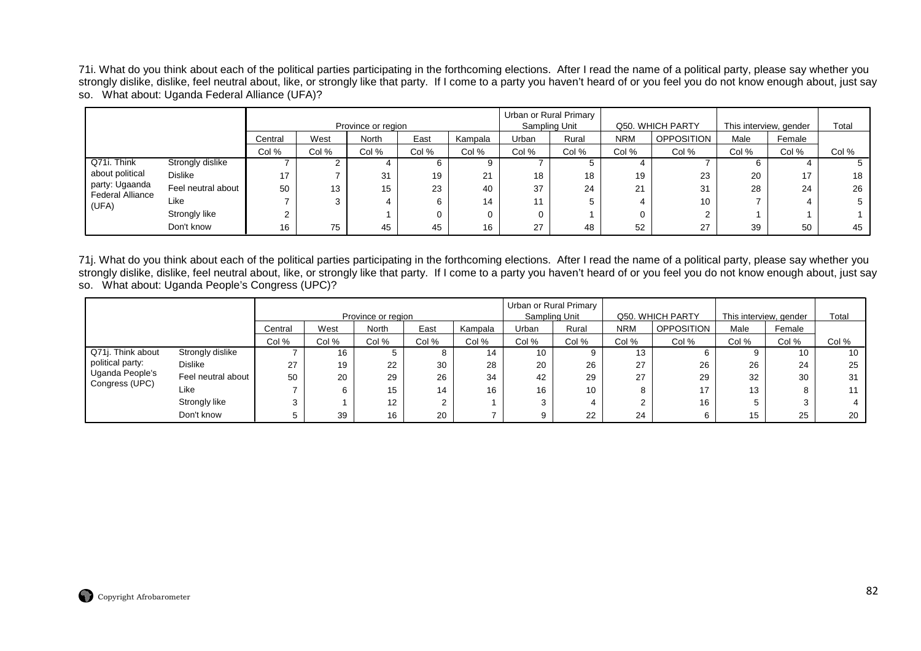71i. What do you think about each of the political parties participating in the forthcoming elections. After I read the name of a political party, please say whether you strongly dislike, dislike, feel neutral about, like, or strongly like that party. If I come to a party you haven't heard of or you feel you do not know enough about, just say so. What about: Uganda Federal Alliance (UFA)?

|                                           |                    |         |       | Province or region |       |         |       | Urban or Rural Primary<br>Sampling Unit |            | Q50. WHICH PARTY  | This interview, gender |        | Total |
|-------------------------------------------|--------------------|---------|-------|--------------------|-------|---------|-------|-----------------------------------------|------------|-------------------|------------------------|--------|-------|
|                                           |                    | Central | West  | <b>North</b>       | East  | Kampala | Urban | Rural                                   | <b>NRM</b> | <b>OPPOSITION</b> | Male                   | Female |       |
|                                           |                    | Col %   | Col % | Col %              | Col % | Col %   | Col % | Col %                                   | Col %      | Col %             | Col %                  | Col %  | Col % |
| Q71i. Think                               | Strongly dislike   |         |       |                    |       | 9       |       |                                         |            |                   |                        |        |       |
| about political                           | <b>Dislike</b>     | 17      |       | 31                 | 19    | 21      | 18    | 18                                      | 19         | 23                | 20                     | 17     | 18    |
| party: Ugaanda<br><b>Federal Alliance</b> | Feel neutral about | 50      | 13    | 15                 | 23    | 40      | 37    | 24                                      | 21         | 31                | 28                     | 24     | 26    |
| (UFA)                                     | Like               |         | 3     |                    | 6     | 14      | 11    |                                         |            | 10                |                        |        |       |
|                                           | Strongly like      |         |       |                    |       | 0       |       |                                         |            |                   |                        |        |       |
|                                           | Don't know         | 16      | 75    | 45                 | 45    | 16      | 27    | 48                                      | 52         | 27                | 39                     | 50     | 45    |

71j. What do you think about each of the political parties participating in the forthcoming elections. After I read the name of a political party, please say whether you strongly dislike, dislike, feel neutral about, like, or strongly like that party. If I come to a party you haven't heard of or you feel you do not know enough about, just say so. What about: Uganda People's Congress (UPC)?

|                                   |                    |         |       |                    |       |         |               | Urban or Rural Primary |            |                    |                        |        |       |
|-----------------------------------|--------------------|---------|-------|--------------------|-------|---------|---------------|------------------------|------------|--------------------|------------------------|--------|-------|
|                                   |                    |         |       | Province or region |       |         | Sampling Unit |                        |            | Q50. WHICH PARTY   | This interview, gender |        | Total |
|                                   |                    | Central | West  | North              | East  | Kampala | Urban         | Rural                  | <b>NRM</b> | <b>OPPOSITION</b>  | Male                   | Female |       |
|                                   |                    | Col %   | Col % | Col %              | Col % | Col %   | Col %         | Col %                  | Col %      | Col %              | Col %                  | Col %  | Col % |
| Q71j. Think about                 | Strongly dislike   |         | 16    |                    | 8     | 14      | 10            |                        | 13         |                    |                        | 10     | 10    |
| political party:                  | <b>Dislike</b>     | 27      | 19    | 22                 | 30    | 28      | 20            | 26                     | 27         | 26                 | 26                     | 24     | 25    |
| Uganda People's<br>Congress (UPC) | Feel neutral about | 50      | 20    | 29                 | 26    | 34      | 42            | 29                     | 27         | 29                 | 32                     | 30     | 31    |
|                                   | Like               |         |       | 15                 | 14    | 16      | 16            | 10                     | ິ          | 17<br>$\mathbf{r}$ | 13                     |        | 11    |
|                                   | Strongly like      | ົ       |       | 12                 | ◠     |         | ົ             |                        |            | 16                 |                        |        |       |
|                                   | Don't know         |         | 39    | 16                 | 20    |         |               | 22                     | 24         |                    | 15                     | 25     | 20    |

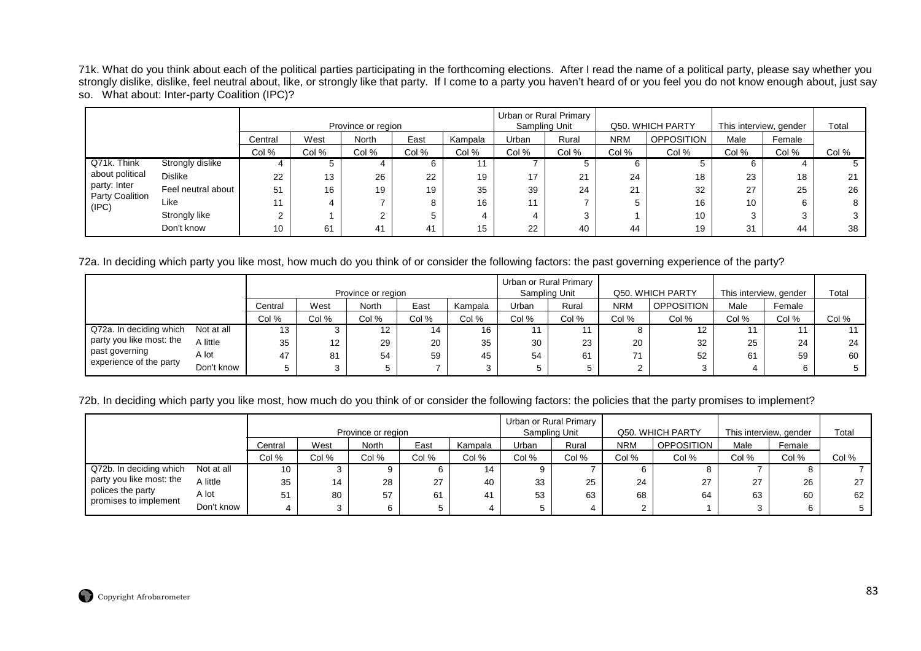71k. What do you think about each of the political parties participating in the forthcoming elections. After I read the name of a political party, please say whether you strongly dislike, dislike, feel neutral about, like, or strongly like that party. If I come to a party you haven't heard of or you feel you do not know enough about, just say so. What about: Inter-party Coalition (IPC)?

|                          |                    |         |       | Province or region |       |         | Sampling Unit | Urban or Rural Primary |            | Q50. WHICH PARTY  | This interview, gender |        | Total |
|--------------------------|--------------------|---------|-------|--------------------|-------|---------|---------------|------------------------|------------|-------------------|------------------------|--------|-------|
|                          |                    | Central | West  | <b>North</b>       | East  | Kampala | Urban         | Rural                  | <b>NRM</b> | <b>OPPOSITION</b> | Male                   | Female |       |
|                          |                    | Col %   | Col % | Col %              | Col % | Col %   | Col %         | Col %                  | Col %      | Col %             | Col %                  | Col %  | Col % |
| Q71k. Think              | Strongly dislike   |         |       |                    |       | 11      |               |                        |            |                   | b                      |        |       |
| about political          | <b>Dislike</b>     | 22      | 13    | 26                 | 22    | 19      | 17            | 21                     | 24         | 18                | 23                     | 18     | 21    |
| party: Inter             | Feel neutral about | 51      | 16    | 19                 | 19    | 35      | 39            | 24                     | 21         | 32                | 27                     | 25     | 26    |
| Party Coalition<br>(IPC) | Like               | 11      |       |                    |       | 16      | 11            |                        |            | 16                | 10                     |        | 8     |
|                          | Strongly like      |         |       |                    |       |         |               | 3                      |            | 10                | 3                      |        |       |
|                          | Don't know         | 10      | 61    | 41                 | 41    | 15      | 22            | 40                     | 44         | 19                | 31                     | 44     | 38    |

72a. In deciding which party you like most, how much do you think of or consider the following factors: the past governing experience of the party?

|                                           |            |         |       |                    |       |         |       | Urban or Rural Primary |            |                   |                        |        |       |
|-------------------------------------------|------------|---------|-------|--------------------|-------|---------|-------|------------------------|------------|-------------------|------------------------|--------|-------|
|                                           |            |         |       | Province or region |       |         |       | Sampling Unit          |            | Q50. WHICH PARTY  | This interview, gender |        | Total |
|                                           |            | Central | West  | North              | East  | Kampala | Urban | Rural                  | <b>NRM</b> | <b>OPPOSITION</b> | Male                   | Female |       |
|                                           |            | Col %   | Col % | Col %              | Col % | Col %   | Col % | Col %                  | Col %      | Col %             | Col %                  | Col %  | Col % |
| Q72a. In deciding which                   | Not at all | 13      |       |                    | 14    | 16      |       |                        |            | 12.               |                        |        |       |
| party you like most: the                  | A little   | 35      | 12    | 29                 | 20    | 35      | 30    | 23                     | 20         | 32                | 25                     | 24     | 24    |
| past governing<br>experience of the party | A lot      | 47      | 81    | 54                 | 59    | 45      | 54    | 61                     | 71         | 52                | 61                     | 59     | 60    |
|                                           | Don't know |         | 3     |                    |       |         |       | 5                      |            |                   |                        |        |       |

72b. In deciding which party you like most, how much do you think of or consider the following factors: the policies that the party promises to implement?

|                          |            |         |       | Province or region |       |         |       | Urban or Rural Primary<br>Sampling Unit |            | Q50, WHICH PARTY  | This interview, gender |        | Total |
|--------------------------|------------|---------|-------|--------------------|-------|---------|-------|-----------------------------------------|------------|-------------------|------------------------|--------|-------|
|                          |            | Central | West  | North              | East  | Kampala | Urban | Rural                                   | <b>NRM</b> | <b>OPPOSITION</b> | Male                   | Female |       |
|                          |            | Col %   | Col % | Col %              | Col % | Col %   | Col % | Col %                                   | Col %      | Col %             | Col %                  | Col %  | Col % |
| Q72b. In deciding which  | Not at all | 10      |       |                    |       | 14      | 9     |                                         |            |                   |                        |        |       |
| party you like most: the | A little   | 35      | 14    | 28                 | 27    | 40      | 33    | 25                                      | 24         | 27                | 27                     | 26     | 27    |
| polices the party        | A lot      | 51      | 80    | 57                 | 61    | 41      | 53    | 63                                      | 68         | 64                | 63                     | 60     | 62    |
| promises to implement    | Don't know |         |       |                    |       |         |       |                                         | ົ          |                   |                        |        |       |

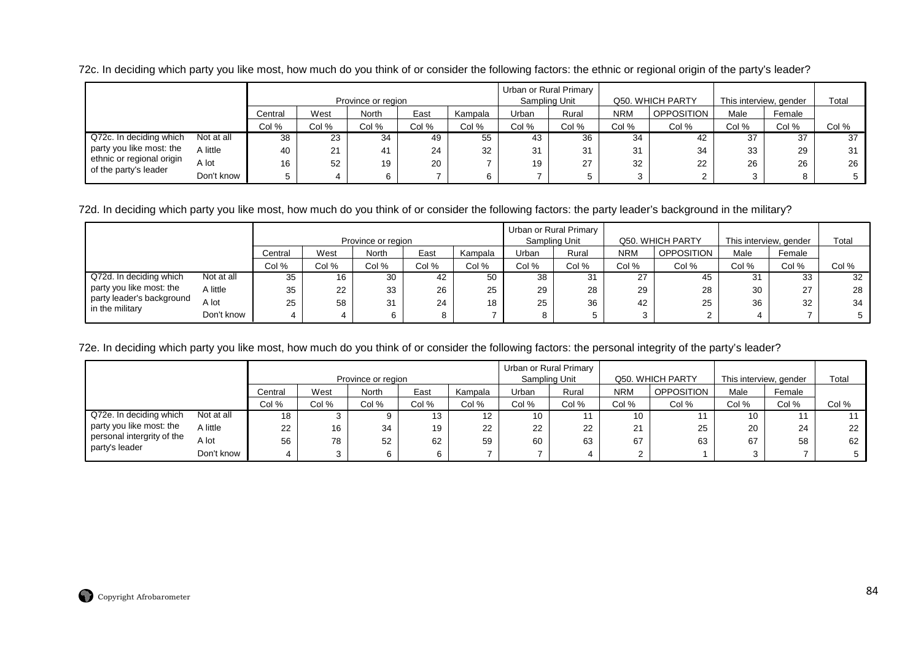72c. In deciding which party you like most, how much do you think of or consider the following factors: the ethnic or regional origin of the party's leader?

|                           |            |         |       | Province or region |       |         | Sampling Unit | Urban or Rural Primary |              | Q50. WHICH PARTY  |       | This interview, gender | Total |
|---------------------------|------------|---------|-------|--------------------|-------|---------|---------------|------------------------|--------------|-------------------|-------|------------------------|-------|
|                           |            | Central | West  | North              | East  | Kampala | Urban         | Rural                  | <b>NRM</b>   | <b>OPPOSITION</b> | Male  | Female                 |       |
|                           |            | Col %   | Col % | Col %              | Col % | Col %   | Col %         | Col %                  | Col %        | Col %             | Col % | Col %                  | Col % |
| Q72c. In deciding which   | Not at all | 38      | 23    | 34                 | 49    | 55      | 43            | 36                     | 34           | -42               | 37    | 37                     | 37    |
| party you like most: the  | A little   | 40      | 21    | 41                 | 24    | 32      | 31            | 31                     | 31           | 34                | 33    | 29                     | 31    |
| ethnic or regional origin | A lot      | 16      | 52    | 19                 | 20    |         | 19            | 27                     | 32           | 22                | 26    | 26                     | 26    |
| of the party's leader     | Don't know |         | 4     |                    |       |         |               | 5                      | <sup>o</sup> |                   |       |                        |       |

72d. In deciding which party you like most, how much do you think of or consider the following factors: the party leader's background in the military?

|                                              |            |         |       | Province or region |       |         |       | Urban or Rural Primary<br>Sampling Unit |            | Q50. WHICH PARTY  | This interview, gender |              | Total |
|----------------------------------------------|------------|---------|-------|--------------------|-------|---------|-------|-----------------------------------------|------------|-------------------|------------------------|--------------|-------|
|                                              |            | Central | West  | North              | East  | Kampala | Urban | Rural                                   | <b>NRM</b> | <b>OPPOSITION</b> | Male                   | Female       |       |
|                                              |            | Col %   | Col % | Col %              | Col % | Col %   | Col % | Col %                                   | Col %      | Col %             | Col %                  | Col %        | Col % |
| Q72d. In deciding which                      | Not at all | 35      | 16    | 30                 | 42    | 50      | 38    | 31                                      | 27         | 45                | 31                     | 33           | 32    |
| party you like most: the                     | A little   | 35      | 22    | 33                 | 26    | 25      | 29    | 28                                      | 29         | 28                | 30                     | $\sim$<br>21 | 28    |
| party leader's background<br>in the military | A lot      | 25      | 58    | 31                 | 24    | 18      | 25    | 36                                      | 42         | 25                | 36                     | 32           | 34    |
|                                              | Don't know |         |       |                    |       |         | 8     |                                         |            |                   |                        |              | 5     |

72e. In deciding which party you like most, how much do you think of or consider the following factors: the personal integrity of the party's leader?

|                            |            |         |       | Province or region |       |         |       | Urban or Rural Primary<br>Sampling Unit |            | Q50. WHICH PARTY  | This interview, gender |        | Total |
|----------------------------|------------|---------|-------|--------------------|-------|---------|-------|-----------------------------------------|------------|-------------------|------------------------|--------|-------|
|                            |            | Central | West  | North              | East  | Kampala | Urban | Rural                                   | <b>NRM</b> | <b>OPPOSITION</b> | Male                   | Female |       |
|                            |            | Col %   | Col % | Col %              | Col % | Col %   | Col % | Col %                                   | Col %      | Col %             | Col %                  | Col %  | Col % |
| Q72e. In deciding which    | Not at all | 18      |       |                    | 13    | 12      | 10    |                                         | 10         |                   | 10                     |        |       |
| party you like most: the   | A little   | 22      | 16    | 34                 | 19    | 22      | 22    | 22                                      | 21         | 25                | 20                     | 24     | 22    |
| personal intergrity of the | A lot      | 56      | 78    | 52                 | 62    | 59      | 60    | 63                                      | 67         | 63                | 67                     | 58     | 62    |
| party's leader             | Don't know |         |       |                    |       |         |       |                                         |            |                   |                        |        |       |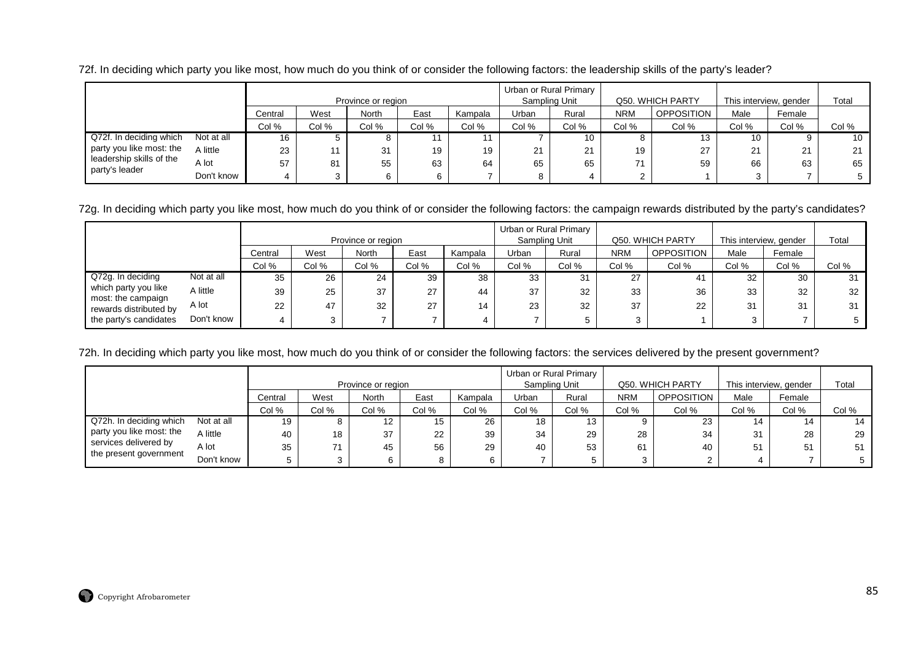72f. In deciding which party you like most, how much do you think of or consider the following factors: the leadership skills of the party's leader?

|                          |            |         |       | Province or region |       |         |       | Urban or Rural Primary<br>Sampling Unit |            | Q50. WHICH PARTY  | This interview, gender |        | Total |
|--------------------------|------------|---------|-------|--------------------|-------|---------|-------|-----------------------------------------|------------|-------------------|------------------------|--------|-------|
|                          |            | Central | West  | North              | East  | Kampala | Urban | Rural                                   | <b>NRM</b> | <b>OPPOSITION</b> | Male                   | Female |       |
|                          |            | Col %   | Col % | Col %              | Col % | Col %   | Col % | Col %                                   | Col %      | Col %             | Col %                  | Col %  | Col % |
| Q72f. In deciding which  | Not at all | 16      |       |                    |       |         |       | 10                                      |            |                   | 10                     |        | 10    |
| party you like most: the | A little   | 23      |       | 31                 | 19    | 19      | 21    | 21                                      | 19         | 27                | 21                     | 21     | 21    |
| leadership skills of the | A lot      | 57      | 81    | 55                 | 63    | 64      | 65    | 65                                      | 74         | 59                | 66                     | 63     | 65    |
| party's leader           | Don't know |         | 3     |                    |       |         |       | 4                                       |            |                   |                        |        |       |

72g. In deciding which party you like most, how much do you think of or consider the following factors: the campaign rewards distributed by the party's candidates?

|                                            |            |         |       |                    |       |         |       | Urban or Rural Primary |            |                   |                        |                |       |
|--------------------------------------------|------------|---------|-------|--------------------|-------|---------|-------|------------------------|------------|-------------------|------------------------|----------------|-------|
|                                            |            |         |       | Province or region |       |         |       | Sampling Unit          |            | Q50. WHICH PARTY  | This interview, gender |                | Total |
|                                            |            | Central | West  | North              | East  | Kampala | Urban | Rural                  | <b>NRM</b> | <b>OPPOSITION</b> | Male                   | Female         |       |
|                                            |            | Col %   | Col % | Col %              | Col % | Col %   | Col % | Col %                  | Col %      | Col %             | Col %                  | Col %          | Col % |
| Q72g. In deciding                          | Not at all | 35      | 26    | 24                 | 39    | 38      | 33    | 31                     | 27         | 41                | 32                     | 30             | 31    |
| which party you like<br>most: the campaign | A little   | 39      | 25    | 37                 | 27    | 44      | 37    | 32                     | 33         | 36                | 33                     | 32             | 32    |
| rewards distributed by                     | A lot      | 22      | 47    | 32                 | 27    | 14      | 23    | 32                     | 37         | 22                | 31                     | 3 <sup>1</sup> | 31    |
| the party's candidates                     | Don't know |         |       |                    |       | 4       |       | 5                      | ົ          |                   |                        |                | 5     |

72h. In deciding which party you like most, how much do you think of or consider the following factors: the services delivered by the present government?

|                          |            |         |       | Province or region |       |         |       | Urban or Rural Primary<br>Sampling Unit |            | Q50. WHICH PARTY | This interview, gender |        | Total |
|--------------------------|------------|---------|-------|--------------------|-------|---------|-------|-----------------------------------------|------------|------------------|------------------------|--------|-------|
|                          |            | Central | West  | North              | East  | Kampala | Urban | Rural                                   | <b>NRM</b> | OPPOSITION       | Male                   | Female |       |
|                          |            | Col %   | Col % | Col %              | Col % | Col %   | Col % | Col %                                   | Col %      | Col %            | Col %                  | Col %  | Col % |
| Q72h. In deciding which  | Not at all | 19      |       | 12                 | 15    | 26      | 18    | 13                                      |            | 23               | 14                     | 14     | 14    |
| party you like most: the | A little   | 40      | 18    | 37                 | 22    | 39      | 34    | 29                                      | 28         | 34               | 31                     | 28     | 29    |
| services delivered by    | A lot      | 35      |       | 45                 | 56    | 29      | 40    | 53                                      | 61         | 40               | 51                     | 5'     | 51.   |
| the present government   | Don't know |         |       |                    |       | 6       |       |                                         |            |                  |                        |        | 5     |

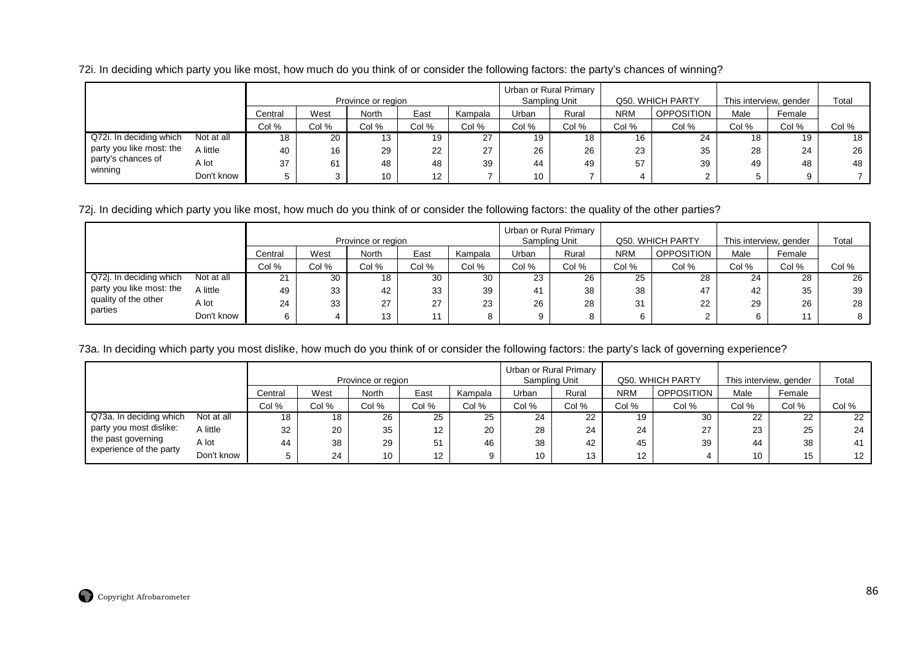72i. In deciding which party you like most, how much do you think of or consider the following factors: the party's chances of winning?

|                          |            |         |       | Province or region |                   |         |       | Urban or Rural Primary<br>Sampling Unit |            | Q50. WHICH PARTY  | This interview, gender |        | Total |
|--------------------------|------------|---------|-------|--------------------|-------------------|---------|-------|-----------------------------------------|------------|-------------------|------------------------|--------|-------|
|                          |            | Central | West  | North              | East              | Kampala | Urban | Rural                                   | <b>NRM</b> | <b>OPPOSITION</b> | Male                   | Female |       |
|                          |            | Col %   | Col % | Col %              | Col %             | Col %   | Col % | Col %                                   | Col %      | Col %             | Col %                  | Col %  | Col % |
| Q72i. In deciding which  | Not at all | 18      | 20    | 13                 | 19                | 27      | 19    | 18                                      | 16         | 24                | 18                     | 19     | 18    |
| party you like most: the | A little   | 40      | 16    | 29                 | 22                | 27      | 26    | 26                                      | 23         | 35                | 28                     | 24     | 26    |
| party's chances of       | A lot      | 37      | 61    | 48                 | 48                | 39      | 44    | 49                                      | 57         | 39                | 49                     | 48     | 48    |
| winning                  | Don't know |         | 3     | 10                 | $12 \overline{ }$ |         | 10    |                                         |            |                   |                        |        |       |

72j. In deciding which party you like most, how much do you think of or consider the following factors: the quality of the other parties?

|                                 |            |         |       |                    |       |         |       | Urban or Rural Primary |            |                   |                        |        |       |
|---------------------------------|------------|---------|-------|--------------------|-------|---------|-------|------------------------|------------|-------------------|------------------------|--------|-------|
|                                 |            |         |       | Province or region |       |         |       | Sampling Unit          |            | Q50. WHICH PARTY  | This interview, gender |        | Total |
|                                 |            | Central | West  | North              | East  | Kampala | Urban | Rural                  | <b>NRM</b> | <b>OPPOSITION</b> | Male                   | Female |       |
|                                 |            | Col %   | Col % | Col %              | Col % | Col %   | Col % | Col %                  | Col %      | Col %             | Col %                  | Col %  | Col % |
| Q72j. In deciding which         | Not at all | 21      | 30    | 18                 | 30    | 30      | 23    | 26                     | 25         | 28                | 24                     | 28     | 26    |
| party you like most: the        | A little   | 49      | 33    | 42                 | 33    | 39      | 41    | 38                     | 38         | 47                | 42                     | 35     | 39    |
| quality of the other<br>parties | A lot      | 24      | 33    | 27                 | 27    | 23      | 26    | 28                     | 31         | 22                | 29                     | 26     | 28    |
|                                 | Don't know |         |       | 13                 | 11    |         | 9     |                        |            |                   | 6                      | 11     |       |

73a. In deciding which party you most dislike, how much do you think of or consider the following factors: the party's lack of governing experience?

|                                               |            |         |       |                    |                   |         |       | Urban or Rural Primary |                 |                   |                        |        |                  |
|-----------------------------------------------|------------|---------|-------|--------------------|-------------------|---------|-------|------------------------|-----------------|-------------------|------------------------|--------|------------------|
|                                               |            |         |       | Province or region |                   |         |       | Sampling Unit          |                 | Q50. WHICH PARTY  | This interview, gender |        | Total            |
|                                               |            | Central | West  | <b>North</b>       | East              | Kampala | Urban | Rural                  | <b>NRM</b>      | <b>OPPOSITION</b> | Male                   | Female |                  |
|                                               |            | Col %   | Col % | Col %              | Col %             | Col %   | Col % | Col %                  | Col %           | Col %             | Col %                  | Col %  | Col %            |
| Q73a. In deciding which                       | Not at all | 18      | 18    | 26                 | 25                | 25      | 24    | 22                     | 19              | 30                | 22                     | 22     | 22               |
| party you most dislike:                       | A little   | 32      | 20    | 35                 | $12 \overline{ }$ | 20      | 28    | 24                     | 24              | 27                | 23                     | 25     | 24               |
| the past governing<br>experience of the party | A lot      | 44      | 38    | 29                 | 51                | 46      | 38    | 42                     | 45              | 39                | 44                     | 38     | 41               |
|                                               | Don't know |         | 24    | 10                 | $12 \overline{ }$ | 9       | 10    | 13                     | 12 <sup>2</sup> |                   | 10                     | 15     | 12 <sup>12</sup> |

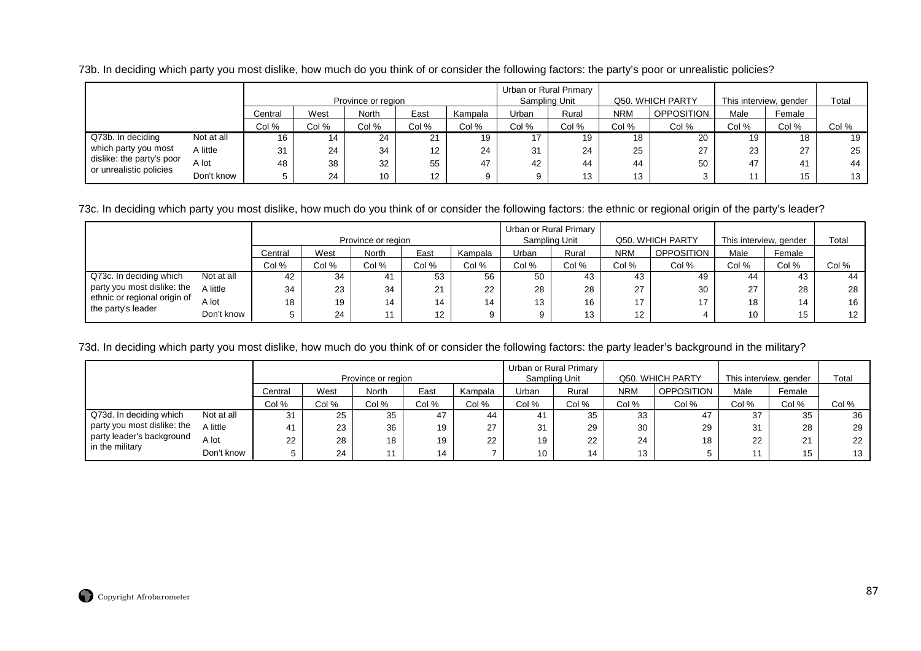73b. In deciding which party you most dislike, how much do you think of or consider the following factors: the party's poor or unrealistic policies?

|                                                      |            |         |       | Province or region |       |         |       | Urban or Rural Primary<br>Sampling Unit |            | Q50. WHICH PARTY  | This interview, gender |        | Total |
|------------------------------------------------------|------------|---------|-------|--------------------|-------|---------|-------|-----------------------------------------|------------|-------------------|------------------------|--------|-------|
|                                                      |            | Central | West  | <b>North</b>       | East  | Kampala | Urban | Rural                                   | <b>NRM</b> | <b>OPPOSITION</b> | Male                   | Female |       |
|                                                      |            | Col %   | Col % | Col %              | Col % | Col %   | Col % | Col %                                   | Col %      | Col %             | Col %                  | Col %  | Col % |
| Q73b. In deciding                                    | Not at all | 16      | 14    | 24                 | 21    | 19      |       | 19                                      | 18         | 20                | 19                     | 18     | 19    |
| which party you most                                 | A little   | 31      | 24    | 34                 | 12    | 24      | 31    | 24                                      | 25         | 27                | 23                     | 27     | 25    |
| dislike: the party's poor<br>or unrealistic policies | A lot      | 48      | 38    | 32                 | 55    | 47      | 42    | 44                                      | 44         | 50                | 47                     | 41     | 44    |
|                                                      | Don't know |         | 24    | 10                 | 12    |         |       | 13                                      | 13         |                   |                        | 15     | 13    |

73c. In deciding which party you most dislike, how much do you think of or consider the following factors: the ethnic or regional origin of the party's leader?

|                                                    |            |         |       |                    |                 |         |       | Urban or Rural Primary |                   |                   |                        |        |       |
|----------------------------------------------------|------------|---------|-------|--------------------|-----------------|---------|-------|------------------------|-------------------|-------------------|------------------------|--------|-------|
|                                                    |            |         |       | Province or region |                 |         |       | Sampling Unit          |                   | Q50, WHICH PARTY  | This interview, gender |        | Total |
|                                                    |            | Central | West  | North              | East            | Kampala | Urban | Rural                  | <b>NRM</b>        | <b>OPPOSITION</b> | Male                   | Female |       |
|                                                    |            | Col %   | Col % | Col %              | Col %           | Col %   | Col % | Col %                  | Col %             | Col %             | Col %                  | Col %  | Col % |
| Q73c. In deciding which                            | Not at all | 42      | 34    | 41                 | 53              | 56      | 50    | 43                     | 43                | 49                | 44                     | 43     | 44    |
| party you most dislike: the                        | A little   | 34      | 23    | 34                 | 21              | 22      | 28    | 28                     | 27                | 30                | 27                     | 28     | 28    |
| ethnic or regional origin of<br>the party's leader | A lot      | 18      | 19    | 14                 | 14              | 14      | 13    | 16                     | 17                | 17                | 18                     | 14     | 16    |
|                                                    | Don't know |         | 24    |                    | 12 <sup>°</sup> |         |       | 13                     | $12 \overline{ }$ |                   | 10                     | 15     | 12    |

73d. In deciding which party you most dislike, how much do you think of or consider the following factors: the party leader's background in the military?

|                             |            |         |       | Province or region |       |         | Sampling Unit | Urban or Rural Primary |            | Q50. WHICH PARTY  | This interview, gender |        | Total |
|-----------------------------|------------|---------|-------|--------------------|-------|---------|---------------|------------------------|------------|-------------------|------------------------|--------|-------|
|                             |            | Central | West  | North              | East  | Kampala | Urban         | Rural                  | <b>NRM</b> | <b>OPPOSITION</b> | Male                   | Female |       |
|                             |            | Col %   | Col % | Col %              | Col % | Col %   | Col %         | Col %                  | Col %      | Col %             | Col %                  | Col %  | Col % |
| Q73d. In deciding which     | Not at all | 31      | 25    | 35                 | 47    | 44      |               | 35                     | 33         | 47                | 37                     | 35     | 36    |
| party you most dislike: the | A little   | 41      | 23    | 36                 | 19    | 27      | 31            | 29                     | 30         | 29                | 31                     | 28     | 29    |
| party leader's background   | A lot      | 22      | 28    | 18                 | 19    | 22      | 19            | 22                     | 24         | 18                | 22                     | 21     | 22    |
| in the military             | Don't know |         | 24    |                    | 14    |         | 10            | 14                     | 13         |                   |                        | 15     | 13    |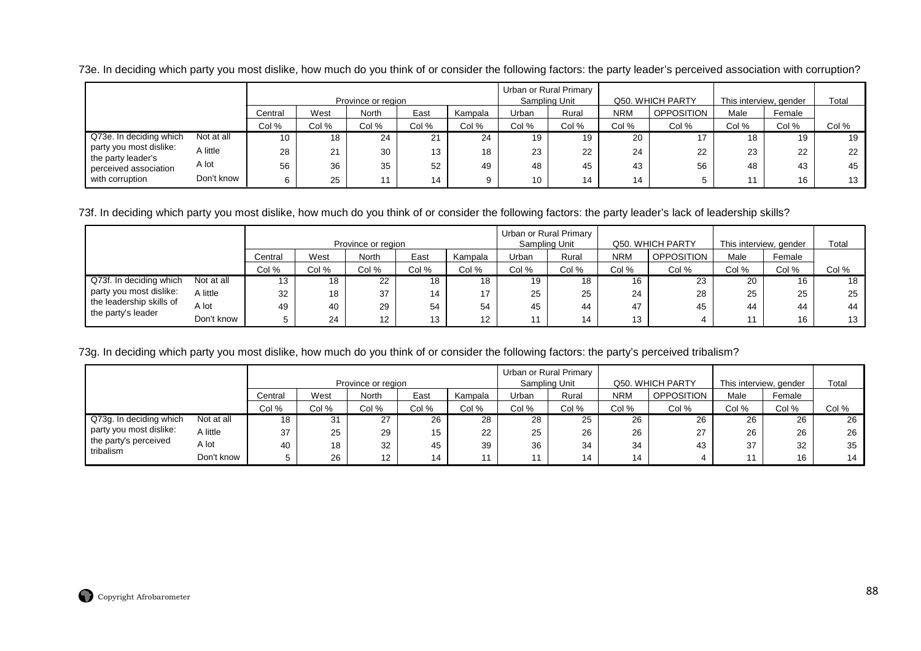73e. In deciding which party you most dislike, how much do you think of or consider the following factors: the party leader's perceived association with corruption?

|                                               |            |                  |       | Province or region |       |         |       | Urban or Rural Primary<br>Sampling Unit |            | Q50. WHICH PARTY  | This interview, gender |        | Total |
|-----------------------------------------------|------------|------------------|-------|--------------------|-------|---------|-------|-----------------------------------------|------------|-------------------|------------------------|--------|-------|
|                                               |            | Central          | West  | <b>North</b>       | East  | Kampala | Urban | Rural                                   | <b>NRM</b> | <b>OPPOSITION</b> | Male                   | Female |       |
|                                               |            | Col %            | Col % | Col %              | Col % | Col %   | Col % | Col %                                   | Col %      | Col %             | Col %                  | Col %  | Col % |
| Q73e. In deciding which                       | Not at all | 10               | 18    | 24                 | 21    | 24      | 19    | 19                                      | 20         |                   | 18                     |        | 19    |
| party you most dislike:<br>the party leader's | A little   | 28               | 21    | 30                 | 13    | 18      | 23    | 22                                      | 24         | 22                | 23                     | 22     | 22    |
| perceived association                         | A lot      | 56               | 36    | 35                 | 52    | 49      | 48    | 45                                      | 43         | 56                | 48                     | 43     | 45    |
| with corruption                               | Don't know | $\mathbf C$<br>O | 25    |                    | 14    | 9       | 10    | 14                                      | 14         |                   |                        | 16     | 13    |

73f. In deciding which party you most dislike, how much do you think of or consider the following factors: the party leader's lack of leadership skills?

|                          |            |         |       |                    |       |         |       | Urban or Rural Primary |            |                   |                        |        |       |
|--------------------------|------------|---------|-------|--------------------|-------|---------|-------|------------------------|------------|-------------------|------------------------|--------|-------|
|                          |            |         |       | Province or region |       |         |       | Sampling Unit          |            | Q50. WHICH PARTY  | This interview, gender |        | Total |
|                          |            | Central | West  | <b>North</b>       | East  | Kampala | Urban | Rural                  | <b>NRM</b> | <b>OPPOSITION</b> | Male                   | Female |       |
|                          |            | Col %   | Col % | Col %              | Col % | Col %   | Col % | Col %                  | Col %      | Col %             | Col %                  | Col %  | Col % |
| Q73f. In deciding which  | Not at all | 13      | 18    | 22                 | 18    | 18      | 19    | 18                     | 16         | 23                | 20                     | 16     | 18    |
| party you most dislike:  | A little   | 32      | 18    | 37                 | 14    | 17      | 25    | 25                     | 24         | 28                | 25                     | 25     | 25    |
| the leadership skills of | A lot      | 49      | 40    | 29                 | 54    | 54      | 45    | 44                     | 47         | 45                | 44                     | 44     | 44    |
| the party's leader       | Don't know |         | 24    | 12 <sup>12</sup>   | 13    | 12      | $-11$ | 14                     | 13         |                   | 11                     | 16     | 13    |

73g. In deciding which party you most dislike, how much do you think of or consider the following factors: the party's perceived tribalism?

|                         |            |         |       | Province or region |       |         | Sampling Unit | Urban or Rural Primary |            | Q50. WHICH PARTY  | This interview, gender |        | Total |
|-------------------------|------------|---------|-------|--------------------|-------|---------|---------------|------------------------|------------|-------------------|------------------------|--------|-------|
|                         |            | Central | West  | <b>North</b>       | East  | Kampala | Urban         | Rural                  | <b>NRM</b> | <b>OPPOSITION</b> | Male                   | Female |       |
|                         |            | Col %   | Col % | Col %              | Col % | Col %   | Col %         | Col %                  | Col %      | Col %             | Col %                  | Col %  | Col % |
| Q73g. In deciding which | Not at all | 18      | 31    | 27                 | 26    | 28      | 28            | 25                     | 26         | 26                | 26                     | 26     | 26    |
| party you most dislike: | A little   | 37      | 25    | 29                 | 15    | 22      | 25            | 26                     | 26         | 27                | 26                     | 26     | 26    |
| the party's perceived   | A lot      | 40      | 18    | 32                 | 45    | 39      | 36            | 34                     | 34         | 43                | 37                     | 32     | 35    |
| tribalism               | Don't know |         | 26    | $12 \overline{ }$  | 14    | 44      |               | 14                     | 14         |                   |                        | 16     | 14    |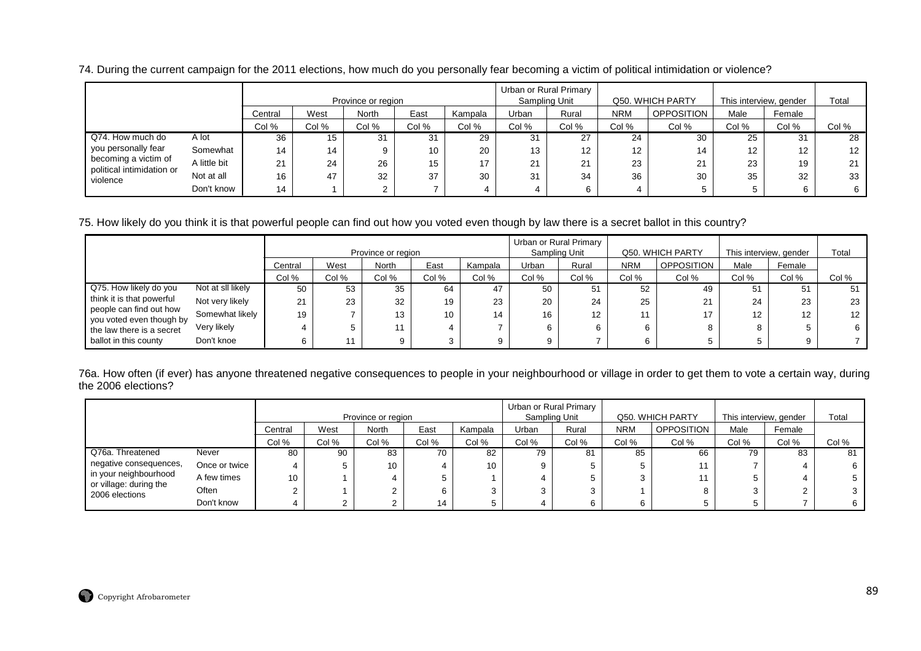|                                                   |              |         |       | Province or region |                 |         |       | Urban or Rural Primary<br>Sampling Unit |                   | Q50. WHICH PARTY  | This interview, gender |        | Total |
|---------------------------------------------------|--------------|---------|-------|--------------------|-----------------|---------|-------|-----------------------------------------|-------------------|-------------------|------------------------|--------|-------|
|                                                   |              | Central | West  | <b>North</b>       | East            | Kampala | Urban | Rural                                   | <b>NRM</b>        | <b>OPPOSITION</b> | Male                   | Female |       |
|                                                   |              | Col %   | Col % | Col %              | Col %           | Col %   | Col % | Col %                                   | Col %             | Col %             | Col %                  | Col %  | Col % |
| Q74. How much do                                  | A lot        | 36      | 15    | 31                 | 31              | 29      | 31    | 27                                      | 24                | 30                | 25                     | 31     | 28    |
| you personally fear                               | Somewhat     | 14      | 14    |                    | 10 <sup>°</sup> | 20      | 13    | 12 <sup>°</sup>                         | $12 \overline{ }$ | 14                | $12 \overline{ }$      | 12     | 12    |
| becoming a victim of<br>political intimidation or | A little bit | 21      | 24    | 26                 | 15              | 17      | 21    | 21                                      | 23                | 21                | 23                     | 19     | 21    |
| violence                                          | Not at all   | 16      | 47    | 32                 | 37              | 30      | 31    | 34                                      | 36                | 30                | 35                     | 32     | 33    |
|                                                   | Don't know   | 14      |       |                    |                 |         |       | 6                                       |                   |                   |                        | 6      |       |

74. During the current campaign for the 2011 elections, how much do you personally fear becoming a victim of political intimidation or violence?

75. How likely do you think it is that powerful people can find out how you voted even though by law there is a secret ballot in this country?

|                                                     |                   |         |       |                    |       |         | Urban or Rural Primary |       |            |                   |                        |        |                  |
|-----------------------------------------------------|-------------------|---------|-------|--------------------|-------|---------|------------------------|-------|------------|-------------------|------------------------|--------|------------------|
|                                                     |                   |         |       | Province or region |       |         | Sampling Unit          |       |            | Q50. WHICH PARTY  | This interview, gender |        | Total            |
|                                                     |                   | Central | West  | North              | East  | Kampala | Urban                  | Rural | <b>NRM</b> | <b>OPPOSITION</b> | Male                   | Female |                  |
|                                                     |                   | Col %   | Col % | Col %              | Col % | Col %   | Col %                  | Col % | Col %      | Col %             | Col %                  | Col %  | Col %            |
| Q75. How likely do you                              | Not at sll likely | 50      | 53    | 35                 | 64    | 47      | 50                     | 51    | 52         | 49                | 51                     | 51     |                  |
| think it is that powerful                           | Not very likely   | 21      | 23    | 32                 | 19    | 23      | 20                     | 24    | 25         | 21                | 24                     | 23     | 23               |
| people can find out how<br>you voted even though by | Somewhat likely   | 19      |       | 13                 | 10    | 14      | 16                     | 12    | 11         | 17                | $12 \overline{ }$      | 12     | 12 <sup>12</sup> |
| the law there is a secret                           | Very likely       |         |       | 11                 |       |         | 6                      |       | 6.         | 8                 | 8                      |        | 6                |
| ballot in this county                               | Don't knoe        |         |       | a                  |       | Q       |                        |       |            |                   |                        |        |                  |

76a. How often (if ever) has anyone threatened negative consequences to people in your neighbourhood or village in order to get them to vote a certain way, during the 2006 elections?

|                                          |               |         |       | Province or region |       |         | Urban or Rural Primary<br>Sampling Unit |       |            | Q50. WHICH PARTY  | This interview, gender |        | Total |
|------------------------------------------|---------------|---------|-------|--------------------|-------|---------|-----------------------------------------|-------|------------|-------------------|------------------------|--------|-------|
|                                          |               | Central | West  | North              | East  | Kampala | Urban                                   | Rural | <b>NRM</b> | <b>OPPOSITION</b> | Male                   | Female |       |
|                                          |               | Col %   | Col % | Col %              | Col % | Col %   | Col %                                   | Col % | Col %      | Col %             | Col %                  | Col %  | Col % |
| Q76a. Threatened                         | Never         | 80      | 90    | 83                 | 70    | 82      | 79                                      | 81    | 85         | 66                | 79                     | 83     | 81    |
| negative consequences,                   | Once or twice | 4       |       | 10                 | 4     | 10      | 9.                                      |       |            |                   |                        |        |       |
| in your neighbourhood                    | A few times   | 10      |       |                    | 5     |         |                                         |       |            |                   | 5.                     |        |       |
| or village: during the<br>2006 elections | Often         |         |       | ◠                  | 6     |         |                                         |       |            |                   | 3                      |        |       |
|                                          | Don't know    |         |       | $\sim$             | 14    |         |                                         |       |            |                   | Ð                      |        |       |

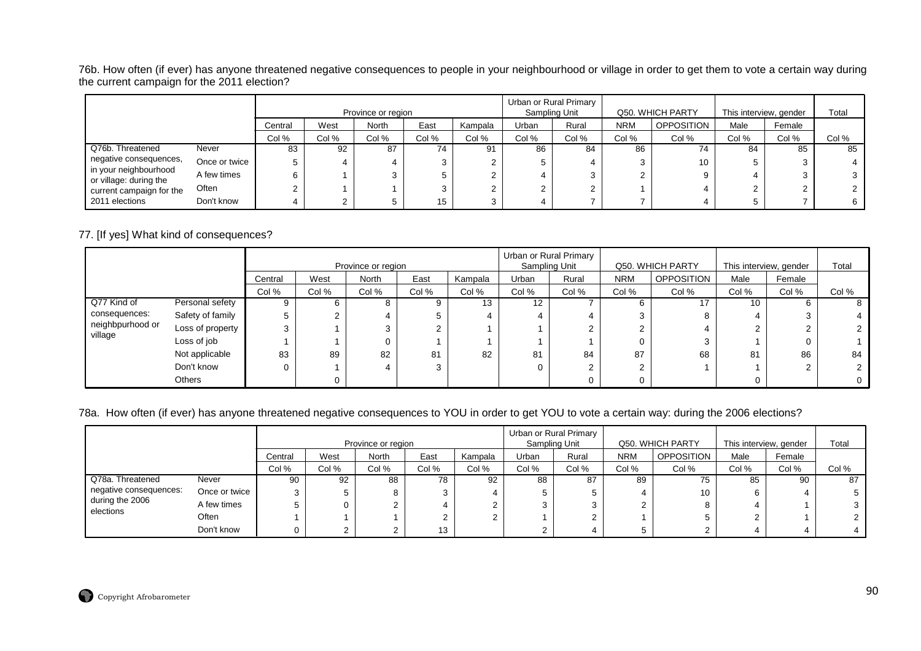76b. How often (if ever) has anyone threatened negative consequences to people in your neighbourhood or village in order to get them to vote a certain way during the current campaign for the 2011 election?

|                                                 |               |         |       | Province or region |       |         |       | Urban or Rural Primary<br>Sampling Unit |            | Q50. WHICH PARTY  | This interview, gender |        | Total |
|-------------------------------------------------|---------------|---------|-------|--------------------|-------|---------|-------|-----------------------------------------|------------|-------------------|------------------------|--------|-------|
|                                                 |               | Central | West  | North              | East  | Kampala | Urban | Rural                                   | <b>NRM</b> | <b>OPPOSITION</b> | Male                   | Female |       |
|                                                 |               | Col %   | Col % | Col %              | Col % | Col %   | Col % | Col %                                   | Col %      | Col %             | Col %                  | Col %  | Col % |
| Q76b. Threatened                                | Never         | 83      | 92    | 87                 | 74    | 91      | 86    | 84                                      | 86         | 74                | 84                     | 85     | 85    |
| negative consequences,                          | Once or twice |         |       |                    |       |         |       |                                         |            | 10                | 5                      |        |       |
| in your neighbourhood<br>or village: during the | A few times   | 6       |       |                    |       |         |       |                                         |            |                   |                        |        |       |
| current campaign for the                        | Often         |         |       |                    |       |         |       |                                         |            |                   |                        |        |       |
| 2011 elections                                  | Don't know    |         |       |                    | 15    |         |       |                                         |            |                   |                        |        |       |

## 77. [If yes] What kind of consequences?

|                  |                  |         |        | Province or region |       |         |                   | Urban or Rural Primary<br>Sampling Unit |            | Q50. WHICH PARTY  | This interview, gender |        | Total |
|------------------|------------------|---------|--------|--------------------|-------|---------|-------------------|-----------------------------------------|------------|-------------------|------------------------|--------|-------|
|                  |                  | Central | West   | <b>North</b>       | East  | Kampala | Urban             | Rural                                   | <b>NRM</b> | <b>OPPOSITION</b> | Male                   | Female |       |
|                  |                  | Col %   | Col %  | Col %              | Col % | Col %   | Col %             | Col %                                   | Col %      | Col %             | Col %                  | Col %  | Col % |
| Q77 Kind of      | Personal sefety  |         | 6      |                    | 9     | 13      | $12 \overline{ }$ |                                         |            | 17                | 10                     |        | õ     |
| consequences:    | Safety of family |         | $\sim$ |                    | 5     |         |                   | 4                                       |            | 8                 | 4                      |        |       |
| neighbpurhood or | Loss of property |         |        |                    | C     |         |                   | ົ                                       |            |                   | ⌒                      |        |       |
| village          | Loss of job      |         |        |                    |       |         |                   |                                         |            |                   |                        |        |       |
|                  | Not applicable   | 83      | 89     | 82                 | 81    | 82      | 81                | 84                                      | 87         | 68                | 81                     | 86     | 84    |
|                  | Don't know       |         |        |                    | 3     |         |                   | 2                                       |            |                   |                        | $\sim$ |       |
|                  | Others           |         |        |                    |       |         |                   | 0                                       |            |                   |                        |        |       |

## 78a. How often (if ever) has anyone threatened negative consequences to YOU in order to get YOU to vote a certain way: during the 2006 elections?

|                              |                                  |       |       |                    |       |         |               | Urban or Rural Primary |            |                  |                        |        |       |
|------------------------------|----------------------------------|-------|-------|--------------------|-------|---------|---------------|------------------------|------------|------------------|------------------------|--------|-------|
|                              |                                  |       |       | Province or region |       |         | Sampling Unit |                        |            | Q50. WHICH PARTY | This interview, gender |        | Total |
|                              | West<br>East<br>North<br>Central |       |       |                    |       | Kampala | Urban         | Rural                  | <b>NRM</b> | OPPOSITION       | Male                   | Female |       |
|                              |                                  | Col % | Col % | Col %              | Col % | Col %   | Col %         | Col %                  | Col %      | Col %            | Col %                  | Col %  | Col % |
| Q78a. Threatened             | Never                            | 90    | 92    | 88                 | 78    | 92      | 88            | 87                     | 89         | 75               | 85                     | 90     | 87    |
| negative consequences:       | Once or twice                    | 3     |       |                    |       |         |               |                        |            | 10               | 6                      |        |       |
| during the 2006<br>elections | A few times                      |       |       |                    |       |         |               |                        |            |                  |                        |        |       |
|                              | Often                            |       |       |                    |       |         |               |                        |            |                  | ົ                      |        |       |
|                              | Don't know                       | 0     |       |                    | 13    |         |               |                        |            |                  |                        |        |       |

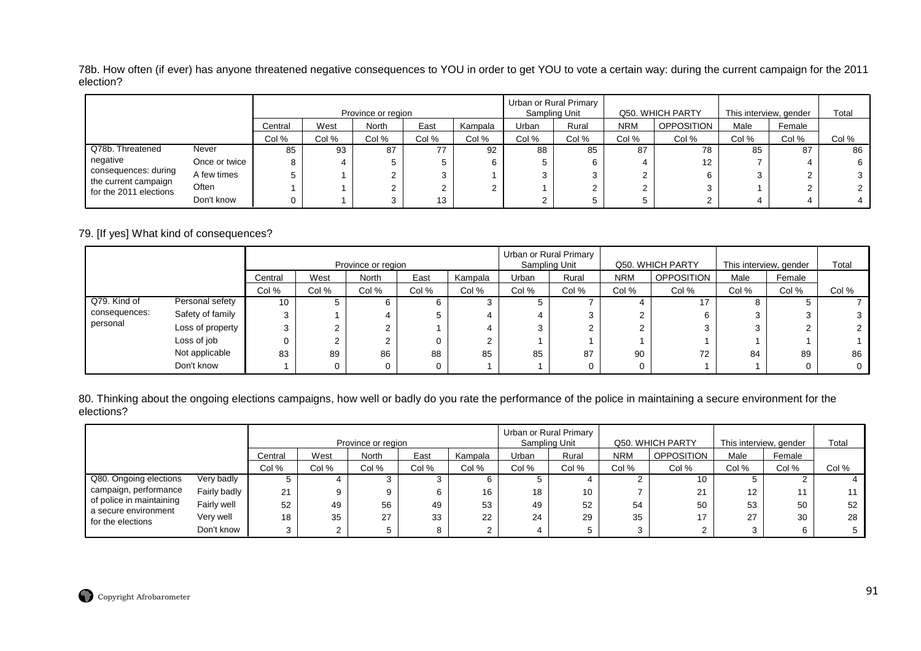78b. How often (if ever) has anyone threatened negative consequences to YOU in order to get YOU to vote a certain way: during the current campaign for the 2011 election?

|                                                |               |         |       | Province or region |       |         |       | Urban or Rural Primary<br>Sampling Unit |            | Q50. WHICH PARTY  | This interview, gender |        | Total |
|------------------------------------------------|---------------|---------|-------|--------------------|-------|---------|-------|-----------------------------------------|------------|-------------------|------------------------|--------|-------|
|                                                |               | Central | West  | North              | East  | Kampala | Urban | Rural                                   | <b>NRM</b> | <b>OPPOSITION</b> | Male                   | Female |       |
|                                                |               | Col %   | Col % | Col %              | Col % | Col %   | Col % | Col %                                   | Col %      | Col %             | Col %                  | Col %  | Col % |
| Q78b. Threatened                               | Never         | 85      | 93    | 87                 | 77    | 92      | 88    | 85                                      | 87         | 78                | 85                     | 87     | 86    |
| negative                                       | Once or twice | 8       |       |                    | Ð     |         |       | 6                                       |            | 12                |                        |        | 6     |
| consequences: during                           | A few times   |         |       |                    | 3     |         |       |                                         |            |                   | 3                      |        |       |
| the current campaign<br>for the 2011 elections | Often         |         |       |                    |       |         |       |                                         |            |                   |                        |        |       |
|                                                | Don't know    |         |       |                    | 13    |         |       |                                         |            |                   |                        |        |       |

79. [If yes] What kind of consequences?

|               |                  |         |        | Province or region |       |         |       | Urban or Rural Primary<br>Sampling Unit |            | Q50. WHICH PARTY  | This interview, gender |        | Total |
|---------------|------------------|---------|--------|--------------------|-------|---------|-------|-----------------------------------------|------------|-------------------|------------------------|--------|-------|
|               |                  | Central | West   | <b>North</b>       | East  | Kampala | Urban | Rural                                   | <b>NRM</b> | <b>OPPOSITION</b> | Male                   | Female |       |
|               |                  | Col %   | Col %  | Col %              | Col % | Col %   | Col % | Col %                                   | Col %      | Col %             | Col %                  | Col %  | Col % |
| Q79. Kind of  | Personal sefety  | 10      |        |                    | 6.    |         |       |                                         |            |                   |                        |        |       |
| consequences: | Safety of family |         |        |                    | 5     |         |       | 3                                       |            | 6                 | ົ                      |        |       |
| personal      | Loss of property |         | $\sim$ |                    |       |         |       | っ                                       |            |                   |                        |        |       |
|               | Loss of job      |         | C      |                    | 0     |         |       |                                         |            |                   |                        |        |       |
|               | Not applicable   | 83      | 89     | 86                 | 88    | 85      | 85    | 87                                      | 90         | 72                | 84                     | 89     | 86    |
|               | Don't know       |         | 0      |                    | 0     |         |       | 0                                       |            |                   |                        |        |       |

80. Thinking about the ongoing elections campaigns, how well or badly do you rate the performance of the police in maintaining a secure environment for the elections?

|                                           |              |         |       | Province or region |       |         | Urban or Rural Primary | Sampling Unit |            | Q50. WHICH PARTY | This interview, gender |        | Total |
|-------------------------------------------|--------------|---------|-------|--------------------|-------|---------|------------------------|---------------|------------|------------------|------------------------|--------|-------|
|                                           |              | Central | West  | <b>North</b>       | East  | Kampala | Urban                  | Rural         | <b>NRM</b> | OPPOSITION       | Male                   | Female |       |
|                                           |              | Col %   | Col % | Col %              | Col % | Col %   | Col %                  | Col %         | Col %      | Col %            | Col %                  | Col %  | Col % |
| Q80. Ongoing elections                    | Very badly   |         |       |                    |       |         |                        |               |            | 10               |                        |        |       |
| campaign, performance                     | Fairly badly | 21      |       |                    | 6     | 16      | 18                     | 10            |            | $\Omega$         | $12 \overline{ }$      |        |       |
| of police in maintaining                  | Fairly well  | 52      | 49    | 56                 | 49    | 53      | 49                     | 52            | 54         | 50               | 53                     | 50     | 52    |
| a secure environment<br>for the elections | Very well    | 18      | 35    | 27                 | 33    | 22      | 24                     | 29            | 35         | 17               | 27                     | 30     | 28    |
|                                           | Don't know   |         |       |                    | 8     |         |                        |               |            |                  |                        |        |       |

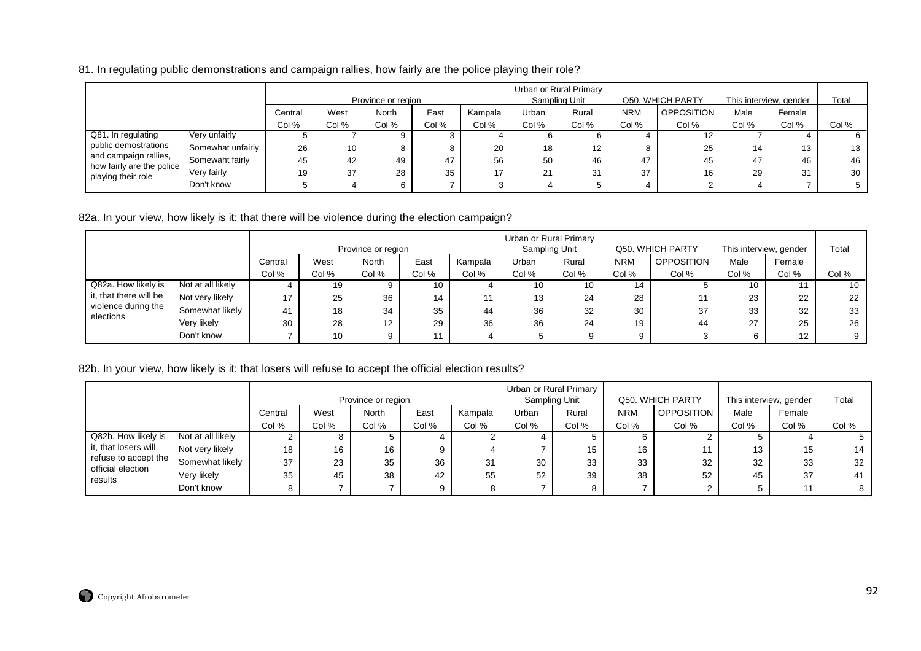## 81. In regulating public demonstrations and campaign rallies, how fairly are the police playing their role?

|                                                 |                   |         |       | Province or region |       |         | Sampling Unit | Urban or Rural Primary |            | Q50. WHICH PARTY | This interview, gender |        | Total |
|-------------------------------------------------|-------------------|---------|-------|--------------------|-------|---------|---------------|------------------------|------------|------------------|------------------------|--------|-------|
|                                                 |                   | Central | West  | <b>North</b>       | East  | Kampala | Urban         | Rural                  | <b>NRM</b> | OPPOSITION       | Male                   | Female |       |
|                                                 |                   | Col %   | Col % | Col %              | Col % | Col %   | Col %         | Col %                  | Col %      | Col %            | Col %                  | Col %  | Col % |
| Q81. In regulating                              | Very unfairly     |         |       | 9                  |       |         | 6             |                        |            | 12               |                        |        |       |
| public demostrations                            | Somewhat unfairly | 26      | 10    | 8                  |       | 20      | 18            | 12                     |            | 25               | 14                     | 13     | 13    |
| and campaign rallies,                           | Somewaht fairly   | 45      | 42    | 49                 | 47    | 56      | 50            | 46                     | 47         | 45               | 47                     | 46     | 46    |
| how fairly are the police<br>playing their role | Very fairly       | 19      | 37    | 28                 | 35    | 47      | 21            | 31                     | 37         | 16               | 29                     | 31     | 30    |
|                                                 | Don't know        |         |       | 6                  |       |         |               |                        |            |                  |                        |        |       |

## 82a. In your view, how likely is it: that there will be violence during the election campaign?

|                        |                   |         |       | Province or region |       |         |       | Urban or Rural Primary<br>Sampling Unit |            | Q50. WHICH PARTY  | This interview, gender |        | Total |
|------------------------|-------------------|---------|-------|--------------------|-------|---------|-------|-----------------------------------------|------------|-------------------|------------------------|--------|-------|
|                        |                   | Central | West  | North              | East  | Kampala | Urban | Rural                                   | <b>NRM</b> | <b>OPPOSITION</b> | Male                   | Female |       |
|                        |                   | Col %   | Col % | Col %              | Col % | Col %   | Col % | Col %                                   | Col %      | Col %             | Col %                  | Col %  | Col % |
| Q82a. How likely is    | Not at all likely |         | 19    |                    | 10    |         | 10    | 10                                      | 14         |                   | 10                     |        | 10    |
| it, that there will be | Not very likely   | 17      | 25    | 36                 | 14    |         | 13    | 24                                      | 28         |                   | 23                     | 22     | 22    |
| violence during the    | Somewhat likely   | 41      | 18    | 34                 | 35    | 44      | 36    | 32                                      | 30         | 37                | 33                     | 32     | 33    |
| elections              | Very likely       | 30      | 28    | 12                 | 29    | 36      | 36    | 24                                      | 19         | 44                | 27                     | 25     | 26    |
|                        | Don't know        |         | 10    |                    |       |         |       | 9.                                      | ດ          |                   | 6                      | 12     | 9     |

## 82b. In your view, how likely is it: that losers will refuse to accept the official election results?

|                                           |                   |         |       | Province or region |       |         | Urban or Rural Primary | Sampling Unit |            | Q50, WHICH PARTY  | This interview, gender |        | Total |
|-------------------------------------------|-------------------|---------|-------|--------------------|-------|---------|------------------------|---------------|------------|-------------------|------------------------|--------|-------|
|                                           |                   | Central | West  | <b>North</b>       | East  | Kampala | Urban                  | Rural         | <b>NRM</b> | <b>OPPOSITION</b> | Male                   | Female |       |
|                                           |                   | Col %   | Col % | Col %              | Col % | Col %   | Col %                  | Col %         | Col %      | Col %             | Col %                  | Col %  | Col % |
| Q82b. How likely is                       | Not at all likely |         |       |                    |       |         |                        |               |            |                   |                        |        |       |
| it, that losers will                      | Not very likely   | 18      | 16    | 16                 | 9     |         |                        | 15            | 16         |                   | 13                     | 15     | 14    |
| refuse to accept the<br>official election | Somewhat likely   | 37      | 23    | 35                 | 36    | 31      | 30                     | 33            | 33         | 32                | 32                     | 33     | 32    |
| results                                   | Very likely       | 35      | 45    | 38                 | 42    | 55      | 52                     | 39            | 38         | 52                | 45                     | 37     | 41    |
|                                           | Don't know        |         |       |                    | 9     |         |                        | 8             |            |                   |                        |        | 8     |

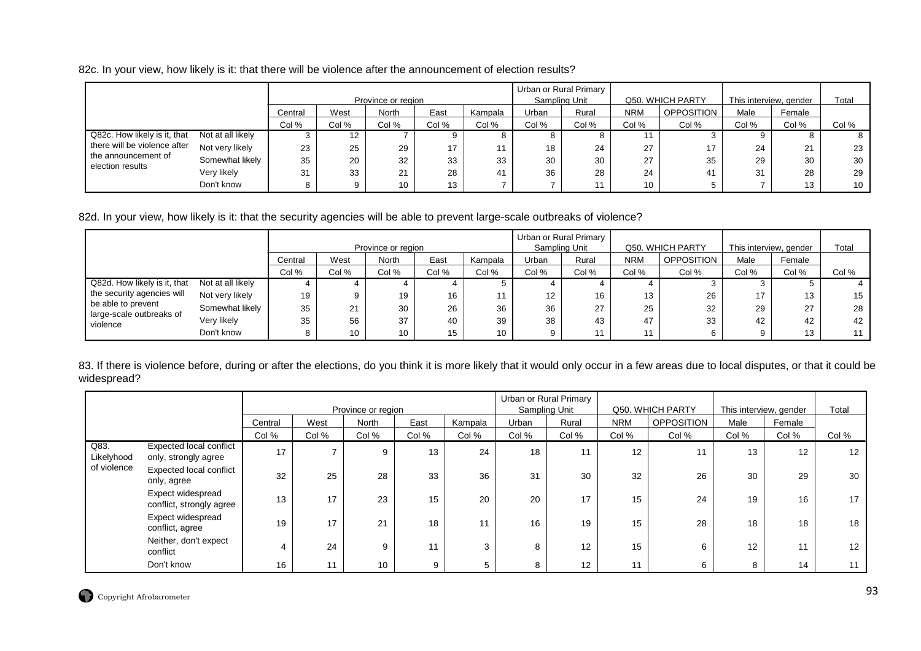82c. In your view, how likely is it: that there will be violence after the announcement of election results?

|                                         |                   |         |       | Province or region |       |         |         | Urban or Rural Primary<br>Sampling Unit |            | Q50. WHICH PARTY |       | This interview, gender | Total           |
|-----------------------------------------|-------------------|---------|-------|--------------------|-------|---------|---------|-----------------------------------------|------------|------------------|-------|------------------------|-----------------|
|                                         |                   | Central | West  | North              | East  | Kampala | Urban   | Rural                                   | <b>NRM</b> | OPPOSITION       | Male  | Female                 |                 |
|                                         |                   | Col %   | Col % | Col %              | Col % | Col %   | Col %   | Col %                                   | Col %      | Col %            | Col % | Col %                  | Col %           |
| Q82c. How likely is it, that            | Not at all likely |         | 12    |                    |       |         | $\circ$ |                                         |            |                  |       |                        | 8               |
| there will be violence after            | Not very likely   | 23      | 25    | 29                 | 17    |         | 18      | 24                                      | 27         | 17               | 24    | $^{\circ}$<br>∠ ।      | 23              |
| the announcement of<br>election results | Somewhat likely   | 35      | 20    | 32                 | 33    | 33      | 30      | 30                                      | 27         | 35               | 29    | 30                     | 30              |
|                                         | Very likely       | 31      | 33    | 21                 | 28    | 41      | 36      | 28                                      | 24         | 41               | 31    | 28                     | 29              |
|                                         | Don't know        |         |       | 10                 | 13    |         |         |                                         | 10         |                  |       | 13                     | 10 <sup>1</sup> |

## 82d. In your view, how likely is it: that the security agencies will be able to prevent large-scale outbreaks of violence?

|                                      |                   |         |       | Province or region |       |                 | Sampling Unit | Urban or Rural Primary |            | Q50, WHICH PARTY | This interview, gender |        | Total |
|--------------------------------------|-------------------|---------|-------|--------------------|-------|-----------------|---------------|------------------------|------------|------------------|------------------------|--------|-------|
|                                      |                   | Central | West  | <b>North</b>       | East  | Kampala         | Urban         | Rural                  | <b>NRM</b> | OPPOSITION       | Male                   | Female |       |
|                                      |                   | Col %   | Col % | Col %              | Col % | Col %           | Col %         | Col %                  | Col %      | Col %            | Col %                  | Col %  | Col % |
| Q82d. How likely is it, that         | Not at all likely |         |       |                    |       |                 |               |                        |            |                  |                        |        |       |
| the security agencies will           | Not very likely   | 19      | 9     | 19                 | 16    |                 | 12            | 16                     | 13         | 26               | 17                     | 13     | 15    |
| be able to prevent                   | Somewhat likely   | 35      | 21    | 30                 | 26    | 36              | 36            | 27                     | 25         | 32               | 29                     | 27     | 28    |
| large-scale outbreaks of<br>violence | Very likely       | 35      | 56    | 37                 | 40    | 39              | 38            | 43                     | 47         | 33               | 42                     | 42     | 42    |
|                                      | Don't know        |         | 10    | 10                 | 15    | 10 <sup>1</sup> |               |                        | 11         |                  |                        | 13     | 11    |

83. If there is violence before, during or after the elections, do you think it is more likely that it would only occur in a few areas due to local disputes, or that it could be widespread?

|                    |                                                 |         |       | Province or region |       |         |       | Urban or Rural Primary<br>Sampling Unit |            | Q50. WHICH PARTY  | This interview, gender |        | Total |
|--------------------|-------------------------------------------------|---------|-------|--------------------|-------|---------|-------|-----------------------------------------|------------|-------------------|------------------------|--------|-------|
|                    |                                                 | Central | West  | North              | East  | Kampala | Urban | Rural                                   | <b>NRM</b> | <b>OPPOSITION</b> | Male                   | Female |       |
|                    |                                                 | Col %   | Col % | Col %              | Col % | Col %   | Col % | Col %                                   | Col %      | Col %             | Col %                  | Col %  | Col % |
| Q83.<br>Likelyhood | Expected local conflict<br>only, strongly agree | 17      |       | 9                  | 13    | 24      | 18    | 11                                      | 12         | 11                | 13                     | 12     | 12    |
| of violence        | <b>Expected local conflict</b><br>only, agree   | 32      | 25    | 28                 | 33    | 36      | 31    | 30                                      | 32         | 26                | 30                     | 29     | 30    |
|                    | Expect widespread<br>conflict, strongly agree   | 13      | 17    | 23                 | 15    | 20      | 20    | 17                                      | 15         | 24                | 19                     | 16     | 17    |
|                    | Expect widespread<br>conflict, agree            | 19      | 17    | 21                 | 18    | 11      | 16    | 19                                      | 15         | 28                | 18                     | 18     | 18    |
|                    | Neither, don't expect<br>conflict               |         | 24    | 9                  | 11    | 3       | 8     | 12                                      | 15         | 6                 | 12                     | 11     | 12    |
|                    | Don't know                                      | 16      | 11    | 10                 | 9     | 5       | 8     | 12                                      | 11         | 6                 | 8                      | 14     |       |

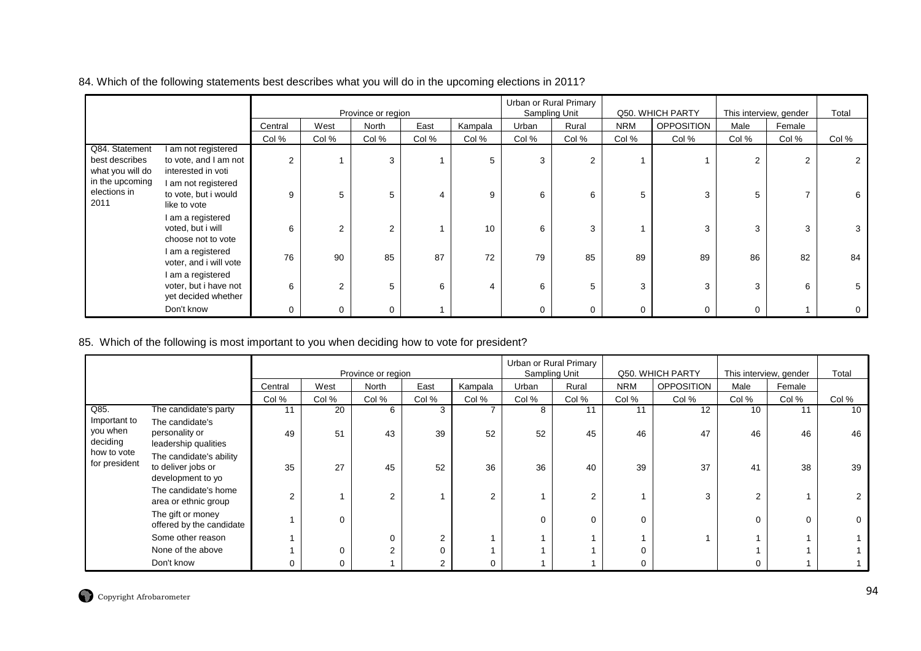|                                                      |                                                                    |                |                | Province or region |       |         |       | Urban or Rural Primary<br>Sampling Unit |            | Q50. WHICH PARTY  | This interview, gender |        | Total |
|------------------------------------------------------|--------------------------------------------------------------------|----------------|----------------|--------------------|-------|---------|-------|-----------------------------------------|------------|-------------------|------------------------|--------|-------|
|                                                      |                                                                    | Central        | West           | North              | East  | Kampala | Urban | Rural                                   | <b>NRM</b> | <b>OPPOSITION</b> | Male                   | Female |       |
|                                                      |                                                                    | Col %          | Col %          | Col %              | Col % | Col %   | Col % | Col %                                   | Col %      | Col %             | Col %                  | Col %  | Col % |
| Q84. Statement<br>best describes<br>what you will do | I am not registered<br>to vote, and I am not<br>interested in voti | $\overline{2}$ |                | 3                  |       | 5       | 3     | 2                                       |            |                   | 2                      | 2      |       |
| in the upcoming<br>elections in<br>2011              | I am not registered<br>to vote, but i would<br>like to vote        | 9              | 5              | 5                  | 4     | 9       | 6     | 6                                       | 5          | 3                 | 5                      |        | 6     |
|                                                      | I am a registered<br>voted, but i will<br>choose not to vote       | 6              | $\overline{2}$ | 2                  |       | 10      | 6     | 3                                       |            | 3                 | 3                      | 3      |       |
|                                                      | I am a registered<br>voter, and i will vote                        | 76             | 90             | 85                 | 87    | 72      | 79    | 85                                      | 89         | 89                | 86                     | 82     | 84    |
|                                                      | I am a registered<br>voter, but i have not<br>yet decided whether  | 6              | $\overline{2}$ | 5                  | 6     | 4       | 6     | 5                                       | 3          | 3                 | 3                      | 6      |       |
|                                                      | Don't know                                                         | 0              | 0              |                    |       |         | 0     | 0                                       | 0          | 0                 | 0                      |        | 0     |

84. Which of the following statements best describes what you will do in the upcoming elections in 2011?

## 85. Which of the following is most important to you when deciding how to vote for president?

|                                      |                                                                    |                |       |                    |                |         |       | Urban or Rural Primary |            |                   |                        |        |       |
|--------------------------------------|--------------------------------------------------------------------|----------------|-------|--------------------|----------------|---------|-------|------------------------|------------|-------------------|------------------------|--------|-------|
|                                      |                                                                    |                |       | Province or region |                |         |       | Sampling Unit          |            | Q50. WHICH PARTY  | This interview, gender |        | Total |
|                                      |                                                                    | Central        | West  | North              | East           | Kampala | Urban | Rural                  | <b>NRM</b> | <b>OPPOSITION</b> | Male                   | Female |       |
|                                      |                                                                    | Col %          | Col % | Col %              | Col %          | Col %   | Col % | Col %                  | Col %      | Col %             | Col %                  | Col %  | Col % |
| Q85.                                 | The candidate's party                                              | 11             | 20    | 6                  | 3              |         | 8     | 11                     | 11         | 12                | 10                     | 11     | 10    |
| Important to<br>you when<br>deciding | The candidate's<br>personality or<br>leadership qualities          | 49             | 51    | 43                 | 39             | 52      | 52    | 45                     | 46         | 47                | 46                     | 46     | 46    |
| how to vote<br>for president         | The candidate's ability<br>to deliver jobs or<br>development to yo | 35             | 27    | 45                 | 52             | 36      | 36    | 40                     | 39         | 37                | 41                     | 38     | 39    |
|                                      | The candidate's home<br>area or ethnic group                       | $\overline{2}$ |       | $\overline{2}$     |                | 2       |       | $\overline{2}$         |            | $\sim$            | $\overline{2}$         |        |       |
|                                      | The gift or money<br>offered by the candidate                      |                | 0     |                    |                |         | 0     | 0                      | U          |                   |                        |        | 0     |
|                                      | Some other reason                                                  |                |       | $\Omega$           | 2              |         |       |                        |            |                   |                        |        |       |
|                                      | None of the above                                                  |                | 0     | 2                  | 0              |         |       |                        |            |                   |                        |        |       |
|                                      | Don't know                                                         |                | 0     |                    | $\overline{2}$ | 0       |       |                        | 0          |                   |                        |        |       |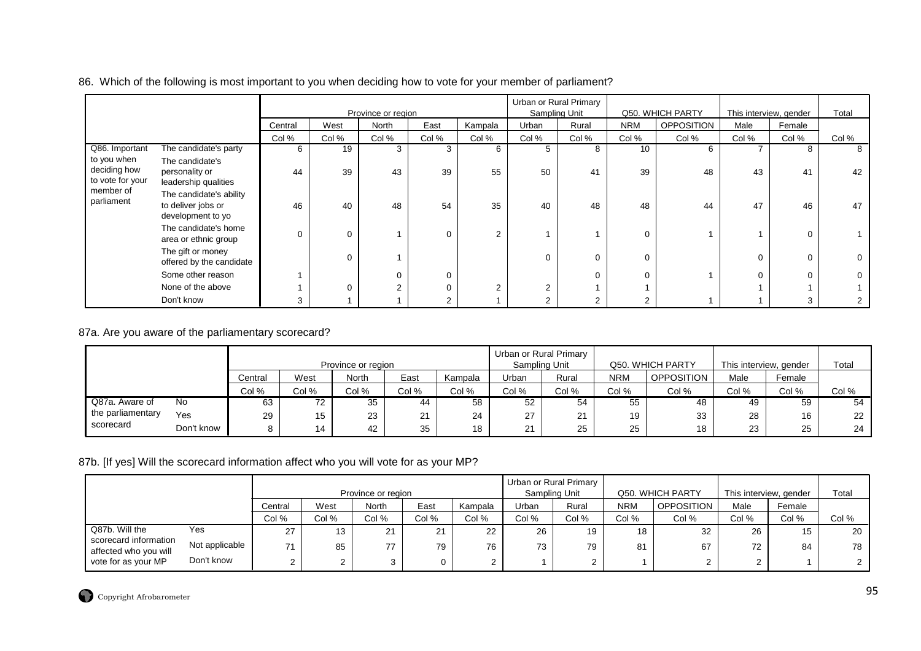| 86. Which of the following is most important to you when deciding how to vote for your member of parliament? |  |  |  |  |  |  |
|--------------------------------------------------------------------------------------------------------------|--|--|--|--|--|--|
|--------------------------------------------------------------------------------------------------------------|--|--|--|--|--|--|

|                                                 |                                                                    |          |          | Province or region |             |         | Urban or Rural Primary<br>Sampling Unit |       |            | Q50. WHICH PARTY  | This interview, gender |        | Total    |
|-------------------------------------------------|--------------------------------------------------------------------|----------|----------|--------------------|-------------|---------|-----------------------------------------|-------|------------|-------------------|------------------------|--------|----------|
|                                                 |                                                                    | Central  | West     | North              | East        | Kampala | Urban                                   | Rural | <b>NRM</b> | <b>OPPOSITION</b> | Male                   | Female |          |
|                                                 |                                                                    | Col %    | Col %    | Col %              | Col %       | Col %   | Col %                                   | Col % | Col %      | Col %             | Col %                  | Col %  | Col %    |
| Q86. Important                                  | The candidate's party                                              | 6        | 19       | 3                  | 3           | 6       | $5^{\circ}$                             | 8     | 10         | 6                 |                        |        | 8        |
| to you when<br>deciding how<br>to vote for your | The candidate's<br>personality or<br>leadership qualities          | 44       | 39       | 43                 | 39          | 55      | 50                                      | 41    | 39         | 48                | 43                     | 41     | 42       |
| member of<br>parliament                         | The candidate's ability<br>to deliver jobs or<br>development to yo | 46       | 40       | 48                 | 54          | 35      | 40                                      | 48    | 48         | 44                | 47                     | 46     | 47       |
|                                                 | The candidate's home<br>area or ethnic group                       | $\Omega$ | $\Omega$ |                    | $\Omega$    | 2       |                                         |       | $\Omega$   |                   |                        |        |          |
|                                                 | The gift or money<br>offered by the candidate                      |          | $\Omega$ |                    |             |         | 0                                       |       | $\Omega$   |                   | 0                      |        | $\Omega$ |
|                                                 | Some other reason                                                  |          |          |                    | $\mathbf 0$ |         |                                         |       | $\Omega$   |                   | 0                      |        |          |
|                                                 | None of the above                                                  |          | $\Omega$ | $\mathfrak{p}$     | $\Omega$    | っ       | 2                                       |       |            |                   |                        |        |          |
|                                                 | Don't know                                                         | 3        |          |                    | ◠           |         | $\overline{2}$                          |       | 2          |                   |                        |        |          |

# 87a. Are you aware of the parliamentary scorecard?

|                   |            |         |       | Province or region |       |         |       | Urban or Rural Primary<br>Sampling Unit |            | Q50, WHICH PARTY  | This interview, gender |        | Total |
|-------------------|------------|---------|-------|--------------------|-------|---------|-------|-----------------------------------------|------------|-------------------|------------------------|--------|-------|
|                   |            | Central | West  | <b>North</b>       | East  | Kampala | Urban | Rural                                   | <b>NRM</b> | <b>OPPOSITION</b> | Male                   | Female |       |
|                   |            | Col %   | Col % | Col %              | Col % | Col %   | Col % | Col %                                   | Col %      | Col %             | Col %                  | Col %  | Col % |
| Q87a. Aware of    | No         | 63      | 72    | 35                 | 44    | 58      | 52    | 54                                      | 55         | 48                | 49                     | 59     | 54    |
| the parliamentary | Yes        | 29      | 15    | 23                 | 21    | 24      | 27    | 21                                      | 19         | 33                | 28                     | 16     | 22    |
| scorecard         | Don't know |         | 14    | 42                 | 35    | 18      | 21    | 25                                      | 25         | 18                | 23                     | 25     | 24    |

# 87b. [If yes] Will the scorecard information affect who you will vote for as your MP?

|                                                |                |         |       | Province or region |       |         |       | Urban or Rural Primary<br>Sampling Unit |            | Q50. WHICH PARTY  | This interview, gender |        | Total |
|------------------------------------------------|----------------|---------|-------|--------------------|-------|---------|-------|-----------------------------------------|------------|-------------------|------------------------|--------|-------|
|                                                |                | Central | West  | North              | East  | Kampala | Urban | Rural                                   | <b>NRM</b> | <b>OPPOSITION</b> | Male                   | Female |       |
|                                                |                | Col %   | Col % | Col %              | Col % | Col %   | Col % | Col %                                   | Col %      | Col %             | Col %                  | Col %  | Col % |
| Q87b. Will the                                 | Yes            | 27      | 13    | 21                 | 21    | 22      | 26    | 19                                      | 18         | 32                | 26                     | 15     | 20    |
| scorecard information<br>affected who you will | Not applicable | 71      | 85    | 77                 | 79    | 76      | 73    | 79                                      | 81         | 67                | 72                     | 84     | 78    |
| vote for as your MP                            | Don't know     |         |       |                    |       |         |       |                                         |            |                   | $\sim$                 |        |       |

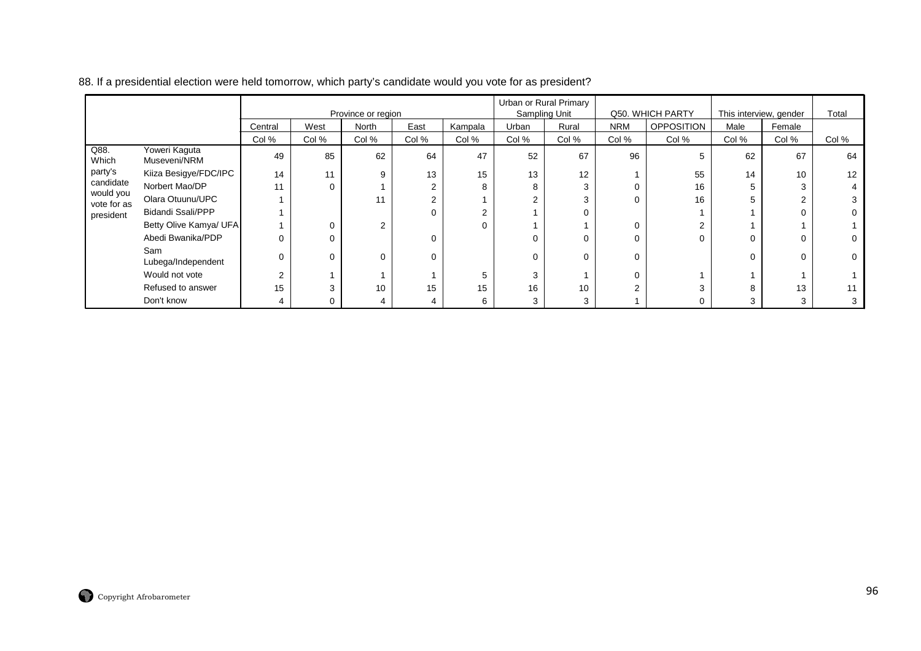|                          |                               |         |       | Province or region |       |         | Sampling Unit | Urban or Rural Primary |            | Q50. WHICH PARTY  | This interview, gender |        | Total |
|--------------------------|-------------------------------|---------|-------|--------------------|-------|---------|---------------|------------------------|------------|-------------------|------------------------|--------|-------|
|                          |                               | Central | West  | North              | East  | Kampala | Urban         | Rural                  | <b>NRM</b> | <b>OPPOSITION</b> | Male                   | Female |       |
|                          |                               | Col %   | Col % | Col %              | Col % | Col %   | Col %         | Col %                  | Col %      | Col %             | Col %                  | Col %  | Col % |
| Q88.<br>Which            | Yoweri Kaguta<br>Museveni/NRM | 49      | 85    | 62                 | 64    | 47      | 52            | 67                     | 96         | 5                 | 62                     | 67     | 64    |
| party's                  | Kiiza Besigye/FDC/IPC         | 14      | 11    | 9                  | 13    | 15      | 13            | 12                     |            | 55                | 14                     | 10     | 12    |
| candidate                | Norbert Mao/DP                | 11      | 0     |                    |       | 8       | 8             | 3                      | n          | 16                | 5                      |        |       |
| would you<br>vote for as | Olara Otuunu/UPC              |         |       | 11                 | ◠     |         | 2             | 3                      | ი          | 16                | 5                      |        |       |
| president                | <b>Bidandi Ssali/PPP</b>      |         |       |                    |       | 2       |               |                        |            |                   |                        |        |       |
|                          | Betty Olive Kamya/ UFA        |         | 0     | 2                  |       | 0       |               |                        | 0          | 2                 |                        |        |       |
|                          | Abedi Bwanika/PDP             |         | 0     |                    |       |         | 0             | 0                      | ŋ          | $\Omega$          | 0                      |        |       |
|                          | Sam<br>Lubega/Independent     |         | 0     | 0                  | 0     |         | 0             | 0                      | ი          |                   | 0                      |        |       |
|                          | Would not vote                | 2       |       |                    |       | 5       | 3             |                        |            |                   |                        |        |       |
|                          | Refused to answer             | 15      | 3     | 10                 | 15    | 15      | 16            | 10                     |            | 3                 | 8                      | 13     |       |
|                          | Don't know                    | 4       | 0     | 4                  |       | 6       | 3             | 3                      |            | 0                 | 3                      |        |       |

#### 88. If a presidential election were held tomorrow, which party's candidate would you vote for as president?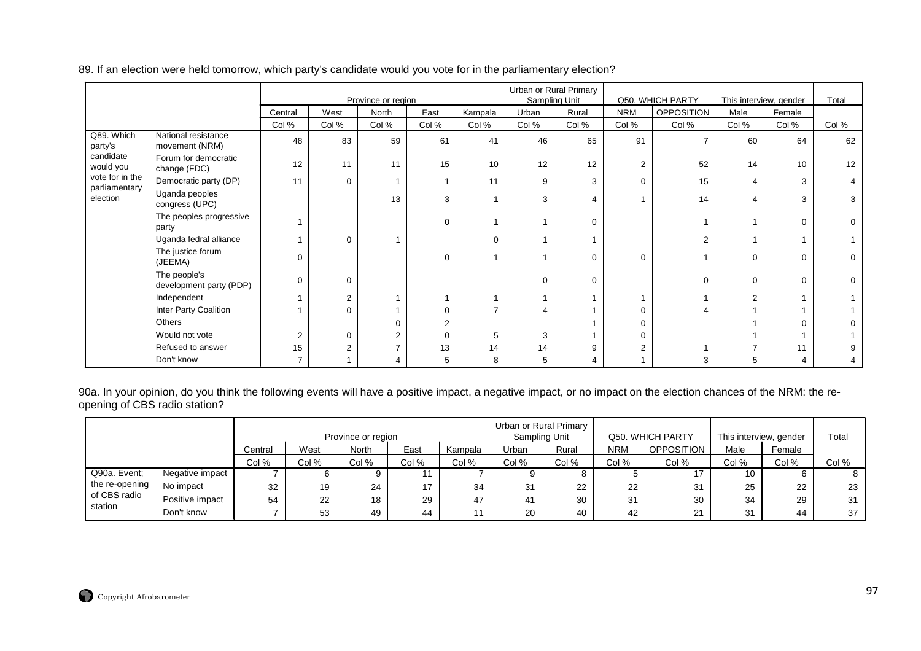|                                  |                                         |         |             | Province or region      |       |                |       | Urban or Rural Primary<br>Sampling Unit |            | Q50. WHICH PARTY | This interview, gender |        | Total       |
|----------------------------------|-----------------------------------------|---------|-------------|-------------------------|-------|----------------|-------|-----------------------------------------|------------|------------------|------------------------|--------|-------------|
|                                  |                                         | Central | West        | North                   | East  | Kampala        | Urban | Rural                                   | <b>NRM</b> | OPPOSITION       | Male                   | Female |             |
|                                  |                                         | Col %   | Col %       | Col %                   | Col % | Col %          | Col % | Col %                                   | Col %      | Col %            | Col %                  | Col %  | Col %       |
| Q89. Which<br>party's            | National resistance<br>movement (NRM)   | 48      | 83          | 59                      | 61    | 41             | 46    | 65                                      | 91         |                  | 60                     | 64     | 62          |
| candidate<br>would you           | Forum for democratic<br>change (FDC)    | 12      | 11          | 11                      | 15    | 10             | 12    | 12                                      | 2          | 52               | 14                     | 10     | 12          |
| vote for in the<br>parliamentary | Democratic party (DP)                   | 11      | $\Omega$    | $\overline{\mathbf{A}}$ |       | 11             | 9     | 3                                       | $\Omega$   | 15               | $\overline{4}$         | 3      |             |
| election                         | Uganda peoples<br>congress (UPC)        |         |             | 13                      | 3     |                | 3     | 4                                       |            | 14               | $\overline{4}$         | 3      | 3           |
|                                  | The peoples progressive<br>party        |         |             |                         | 0     |                |       | $\Omega$                                |            |                  |                        | ∩      | $\mathbf 0$ |
|                                  | Uganda fedral alliance                  |         | $\mathbf 0$ |                         |       | $\mathbf 0$    |       |                                         |            | $\overline{2}$   |                        |        |             |
|                                  | The justice forum<br>(JEEMA)            | 0       |             |                         | 0     |                |       | 0                                       | $\Omega$   |                  | $\Omega$               | ∩      | $\mathbf 0$ |
|                                  | The people's<br>development party (PDP) | 0       | $\Omega$    |                         |       |                | 0     | 0                                       |            | $\Omega$         | $\Omega$               |        | $\mathbf 0$ |
|                                  | Independent                             |         | 2           |                         |       |                |       |                                         |            |                  | $\overline{2}$         |        |             |
|                                  | Inter Party Coalition                   |         | $\Omega$    |                         |       | $\overline{7}$ |       |                                         | 0          |                  |                        |        |             |
|                                  | Others                                  |         |             | $\Omega$                | 2     |                |       |                                         | 0          |                  |                        |        | 0           |
|                                  | Would not vote                          | 2       | $\Omega$    | 2                       | 0     | 5              | 3     |                                         | 0          |                  |                        |        |             |
|                                  | Refused to answer                       | 15      |             | $\overline{ }$          | 13    | 14             | 14    | 9                                       | 2          |                  |                        | 11     |             |
|                                  | Don't know                              |         |             | 4                       | 5     | 8              | 5     |                                         |            | 3                | 5                      |        | 4           |

89. If an election were held tomorrow, which party's candidate would you vote for in the parliamentary election?

90a. In your opinion, do you think the following events will have a positive impact, a negative impact, or no impact on the election chances of the NRM: the reopening of CBS radio station?

|                         |                                           |         |      |                    |      |         |       | Urban or Rural Primary |       |                   |                        |        |       |
|-------------------------|-------------------------------------------|---------|------|--------------------|------|---------|-------|------------------------|-------|-------------------|------------------------|--------|-------|
|                         |                                           |         |      | Province or region |      |         |       | Sampling Unit          |       | Q50, WHICH PARTY  | This interview, gender |        | Total |
|                         |                                           | Central | West | North              | East | Kampala | Urban | Rural                  | NRM   | <b>OPPOSITION</b> | Male                   | Female |       |
|                         | Col %<br>Col %<br>Col %<br>Col %<br>Col % |         |      |                    |      |         | Col % | Col %                  | Col % | Col %             | Col %                  | Col %  | Col % |
| Q90a. Event;            | Negative impact                           |         |      | 9                  |      |         |       |                        |       |                   | 10                     |        | 8     |
| the re-opening          | No impact                                 | 32      | 19   | 24                 | 17   | 34      | 31    | 22                     | 22    | 31                | 25                     | 22     | 23    |
| of CBS radio<br>station | Positive impact                           | 54      | 22   | 18                 | 29   | 47      | 41    | 30                     | 31    | 30                | 34                     | 29     | 31    |
|                         | Don't know                                |         | 53   | 49                 | 44   |         | 20    | 40                     | 42    | 21                | 31                     | 44     | 37    |

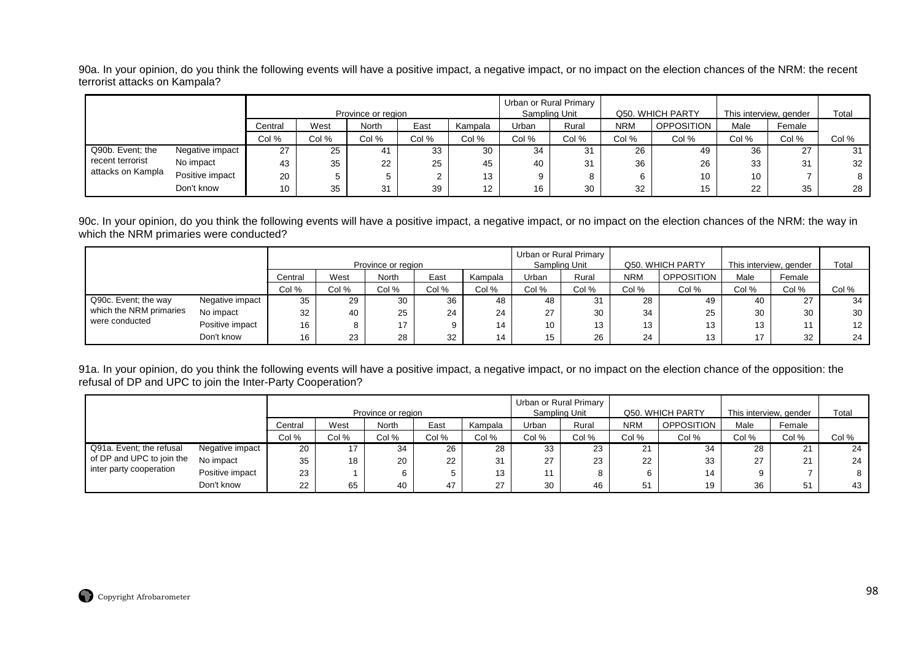90a. In your opinion, do you think the following events will have a positive impact, a negative impact, or no impact on the election chances of the NRM: the recent terrorist attacks on Kampala?

|                                           |                                             |    |    | Province or region |    |                   |       | Urban or Rural Primary<br>Sampling Unit |            | Q50. WHICH PARTY  | This interview, gender |        | Total |
|-------------------------------------------|---------------------------------------------|----|----|--------------------|----|-------------------|-------|-----------------------------------------|------------|-------------------|------------------------|--------|-------|
|                                           | West<br>North<br>East<br>Central<br>Kampala |    |    |                    |    |                   |       |                                         | <b>NRM</b> | <b>OPPOSITION</b> | Male                   | Female |       |
| Col %<br>Col %<br>Col %<br>Col %<br>Col % |                                             |    |    |                    |    |                   | Col % | Col %                                   | Col %      | Col %             | Col %                  | Col %  | Col % |
| Q90b. Event; the                          | Negative impact                             | 27 | 25 | -41                | 33 | 30                | 34    | 31                                      | 26         | 49                | 36                     | 27     | 31    |
| recent terrorist                          | No impact                                   | 43 | 35 | 22                 | 25 | 45                | 40    | 31                                      | 36         | 26                | 33                     | 31     | 32    |
| attacks on Kampla                         | Positive impact                             | 20 | 5  |                    |    | 13                |       | 8                                       |            | 10                | 10                     |        |       |
|                                           | Don't know                                  | 10 | 35 | 31                 | 39 | $12 \overline{ }$ | 16    | 30                                      | 32         | 15                | 22                     | 35     | 28    |

90c. In your opinion, do you think the following events will have a positive impact, a negative impact, or no impact on the election chances of the NRM: the way in which the NRM primaries were conducted?

|                         |                 |                                           |           |                    |      |         |               | Urban or Rural Primary |            |                  |                        |                       |                 |
|-------------------------|-----------------|-------------------------------------------|-----------|--------------------|------|---------|---------------|------------------------|------------|------------------|------------------------|-----------------------|-----------------|
|                         |                 |                                           |           | Province or region |      |         | Sampling Unit |                        |            | Q50. WHICH PARTY | This interview, gender |                       | Total           |
|                         |                 | Central                                   | West      | North              | East | Kampala | Urban         | Rural                  | <b>NRM</b> | OPPOSITION       | Male                   | Female                |                 |
|                         |                 | Col %<br>Col %<br>Col %<br>Col %<br>Col % |           |                    |      |         |               |                        | Col %      | Col %            | Col %                  | Col %                 | Col %           |
| Q90c. Event; the way    | Negative impact | 35                                        | 29        | 30                 | 36   | 48      | 48            | 31                     | 28         | 49               | 40                     | ר ה<br>$\mathcal{L}I$ | 34              |
| which the NRM primaries | No impact       | 32                                        | 40        | 25                 | 24   | 24      | 27            | 30                     | 34         | 25               | 30                     | 30                    | 30              |
| were conducted          | Positive impact | 16                                        |           | 17                 | Ω    | 14      | 10            | 13                     | 13         | 13               | 13                     |                       | 12 <sup>7</sup> |
|                         | Don't know      | 16                                        | ົດລ<br>دے | 28                 | 32   | 14      | 15            | 26                     | 24         | 13               | 17                     | 32                    | 24              |

91a. In your opinion, do you think the following events will have a positive impact, a negative impact, or no impact on the election chance of the opposition: the refusal of DP and UPC to join the Inter-Party Cooperation?

|                           |                 |         |       |                    |       |         | Urban or Rural Primary |       |            |                   |                        |        |       |
|---------------------------|-----------------|---------|-------|--------------------|-------|---------|------------------------|-------|------------|-------------------|------------------------|--------|-------|
|                           |                 |         |       | Province or region |       |         | Sampling Unit          |       |            | Q50. WHICH PARTY  | This interview, gender |        | Total |
|                           |                 | Central | West  | <b>North</b>       | East  | Kampala | Urban                  | Rural | <b>NRM</b> | <b>OPPOSITION</b> | Male                   | Female |       |
|                           |                 | Col %   | Col % | Col %              | Col % | Col %   | Col %                  | Col % | Col %      | Col %             | Col %                  | Col %  | Col % |
| Q91a. Event; the refusal  | Negative impact | 20      |       | 34                 | 26    | 28      | 33                     | 23    | 21         | 34                | 28                     | 21     | 24    |
| of DP and UPC to join the | No impact       | 35      | 18    | 20                 | 22    | 31      | 27                     | 23    | 22         | 33                | 27                     | 21     | 24    |
| inter party cooperation   | Positive impact | 23      |       | 6                  |       | 13      | 11                     |       | 6          | 14                |                        |        | 8     |
|                           | Don't know      | 22      | 65    | 40                 | 47    | 27      | 30                     | 46    | 51         | 19                | 36                     | 51     | 43    |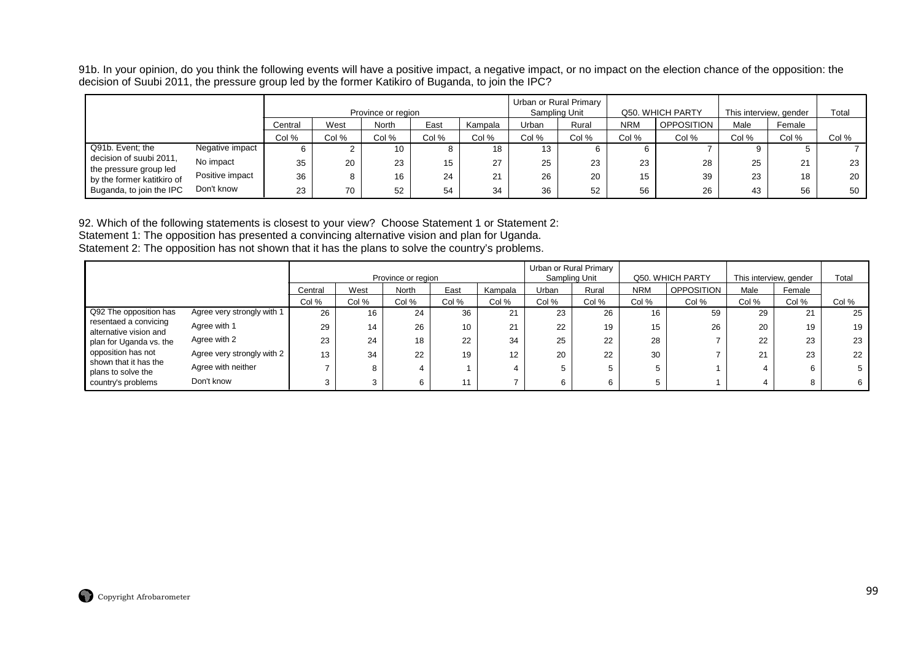91b. In your opinion, do you think the following events will have a positive impact, a negative impact, or no impact on the election chance of the opposition: the decision of Suubi 2011, the pressure group led by the former Katikiro of Buganda, to join the IPC?

|                                                   |                                             |    |    | Province or region |    |    | Sampling Unit | Urban or Rural Primary |            | Q50. WHICH PARTY  | This interview, gender |          | Total |
|---------------------------------------------------|---------------------------------------------|----|----|--------------------|----|----|---------------|------------------------|------------|-------------------|------------------------|----------|-------|
|                                                   | East<br>West<br>North<br>Kampala<br>Central |    |    |                    |    |    |               | Rural                  | <b>NRM</b> | <b>OPPOSITION</b> | Male                   | Female   |       |
| Col %<br>Col %<br>Col %<br>Col %<br>Col %         |                                             |    |    |                    |    |    | Col %         | Col %                  | Col %      | Col %             | Col %                  | Col %    | Col % |
| Q91b. Event; the                                  | Negative impact                             | b  |    | 10                 |    | 18 | 13            |                        | 6.         |                   |                        |          |       |
| decision of suubi 2011,<br>the pressure group led | No impact                                   | 35 | 20 | 23                 | 15 | 27 | 25            | 23                     | 23         | 28                | 25                     | $\Omega$ | 23    |
| by the former katitkiro of                        | Positive impact                             | 36 |    | 16                 | 24 | 21 | 26            | 20                     | 15         | 39                | 23                     | 18       | 20    |
| Buganda, to join the IPC                          | Don't know                                  | 23 | 70 | 52                 | 54 | 34 | 36            | 52                     | 56         | 26                | 43                     | 56       | 50    |

92. Which of the following statements is closest to your view? Choose Statement 1 or Statement 2:

Statement 1: The opposition has presented a convincing alternative vision and plan for Uganda. Statement 2: The opposition has not shown that it has the plans to solve the country's problems.

|                                                 |                            |         |       | Province or region |       |         |       | Urban or Rural Primary<br>Sampling Unit |            | Q50. WHICH PARTY  | This interview, gender |        | Total |
|-------------------------------------------------|----------------------------|---------|-------|--------------------|-------|---------|-------|-----------------------------------------|------------|-------------------|------------------------|--------|-------|
|                                                 |                            | Central | West  | <b>North</b>       | East  | Kampala | Urban | Rural                                   | <b>NRM</b> | <b>OPPOSITION</b> | Male                   | Female |       |
|                                                 |                            | Col %   | Col % | Col %              | Col % | Col %   | Col % | Col %                                   | Col %      | Col %             | Col %                  | Col %  | Col % |
| Q92 The opposition has                          | Agree very strongly with 1 | 26      | 16    | 24                 | 36    | 21      | 23    | 26                                      | 16         | 59                | 29                     | ົາ4    | 25    |
| resentaed a convicing<br>alternative vision and | Agree with 1               | 29      | 14    | 26                 | 10    | 21      | 22    | 19                                      | 15         | 26                | 20                     | 19     | 19    |
| plan for Uganda vs. the                         | Agree with 2               | 23      | 24    | 18                 | 22    | 34      | 25    | 22                                      | 28         |                   | 22                     | 23     | 23    |
| opposition has not<br>shown that it has the     | Agree very strongly with 2 | 13      | 34    | 22                 | 19    | 12      | 20    | 22                                      | 30         |                   | $^{\circ}$<br>∠ ।      | 23     | 22    |
| plans to solve the                              | Agree with neither         |         |       |                    |       |         |       |                                         |            |                   |                        | 6      | 5     |
| country's problems                              | Don't know                 |         |       | 6                  | 11    |         |       | 6                                       |            |                   |                        |        | 6     |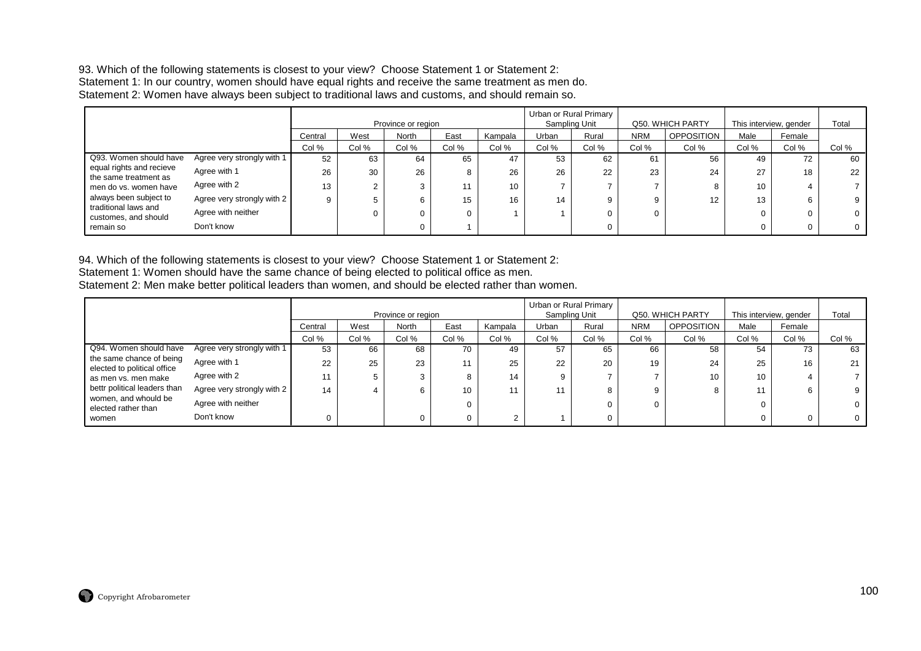#### 93. Which of the following statements is closest to your view? Choose Statement 1 or Statement 2: Statement 1: In our country, women should have equal rights and receive the same treatment as men do. Statement 2: Women have always been subject to traditional laws and customs, and should remain so.

|                                                   |                            |         |       | Province or region |       |         |       | Urban or Rural Primary<br>Sampling Unit |            | Q50. WHICH PARTY  | This interview, gender |          | Total |
|---------------------------------------------------|----------------------------|---------|-------|--------------------|-------|---------|-------|-----------------------------------------|------------|-------------------|------------------------|----------|-------|
|                                                   |                            | Central | West  | North              | East  | Kampala | Urban | Rural                                   | <b>NRM</b> | <b>OPPOSITION</b> | Male                   | Female   |       |
|                                                   |                            | Col %   | Col % | Col %              | Col % | Col %   | Col % | Col %                                   | Col %      | Col %             | Col %                  | Col %    | Col % |
| Q93. Women should have                            | Agree very strongly with 1 | 52      | 63    | 64                 | 65    | 47      | 53    | 62                                      | 61         | 56                | 49                     | 72       | 60    |
| equal rights and recieve<br>the same treatment as | Agree with 1               | 26      | 30    | 26                 |       | 26      | 26    | 22                                      | 23         | 24                | 27                     | 18       | 22    |
| men do vs. women have                             | Agree with 2               | 13      |       | 3                  | 44    | 10      |       |                                         |            |                   | 10                     |          |       |
| always been subject to                            | Agree very strongly with 2 | 9       |       | 6                  | 15    | 16      | 14    | 9                                       | 9          | 12                | 13                     | 6        | 9     |
| traditional laws and<br>customes, and should      | Agree with neither         |         |       |                    |       |         |       | 0                                       |            |                   |                        | $\Omega$ | 0     |
| remain so                                         | Don't know                 |         |       |                    |       |         |       | 0                                       |            |                   |                        | $\Omega$ | 0     |

94. Which of the following statements is closest to your view? Choose Statement 1 or Statement 2: Statement 1: Women should have the same chance of being elected to political office as men. Statement 2: Men make better political leaders than women, and should be elected rather than women.

|                                                         |                            |         |       | Province or region |       |         | Sampling Unit | Urban or Rural Primary |            | Q50. WHICH PARTY  |       | This interview, gender | Total |
|---------------------------------------------------------|----------------------------|---------|-------|--------------------|-------|---------|---------------|------------------------|------------|-------------------|-------|------------------------|-------|
|                                                         |                            | Central | West  | North              | East  | Kampala | Urban         | Rural                  | <b>NRM</b> | <b>OPPOSITION</b> | Male  | Female                 |       |
|                                                         |                            | Col %   | Col % | Col %              | Col % | Col %   | Col %         | Col %                  | Col %      | Col %             | Col % | Col %                  | Col % |
| Q94. Women should have                                  | Agree very strongly with 1 | 53      | 66    | 68                 | 70    | 49      | 57            | 65                     | 66         | 58                | 54    | 73                     | 63    |
| the same chance of being<br>elected to political office | Agree with 1               | 22      | 25    | 23                 |       | 25      | 22            | 20                     | 19         | 24                | 25    | 16                     | 21    |
| as men vs. men make                                     | Agree with 2               |         |       |                    |       | 14      | 9.            |                        |            | 10                | 10    |                        |       |
| bettr political leaders than                            | Agree very strongly with 2 | 14      |       | 6                  | 10    |         |               | 8                      |            | 8                 |       | 6                      |       |
| women, and whould be<br>elected rather than             | Agree with neither         |         |       |                    |       |         |               |                        |            |                   | 0     |                        |       |
| women                                                   | Don't know                 |         |       |                    |       |         |               |                        |            |                   |       | n.                     |       |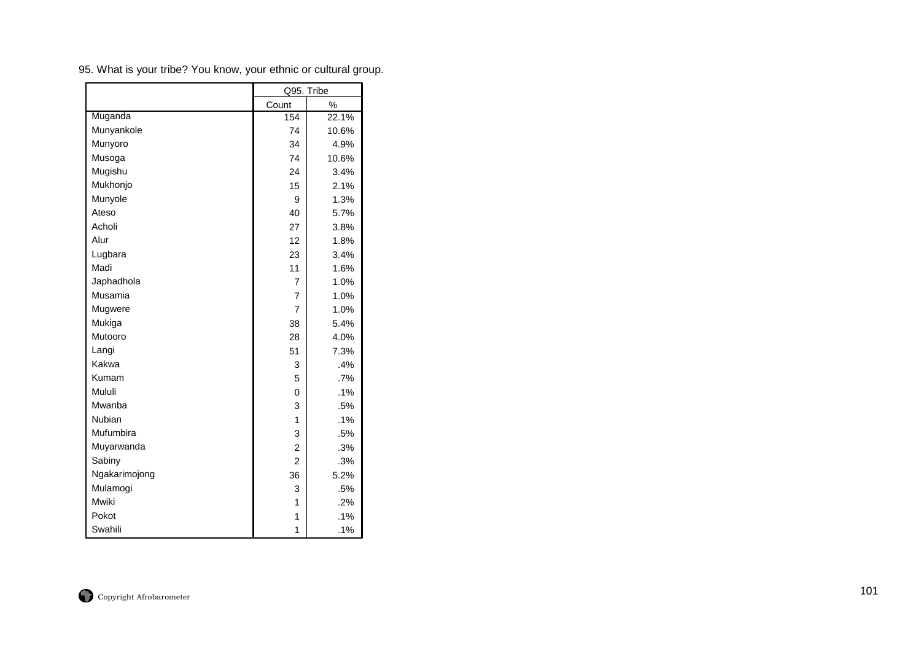|               | Q95. Tribe     |       |
|---------------|----------------|-------|
|               | Count          | %     |
| Muganda       | 154            | 22.1% |
| Munyankole    | 74             | 10.6% |
| Munyoro       | 34             | 4.9%  |
| Musoga        | 74             | 10.6% |
| Mugishu       | 24             | 3.4%  |
| Mukhonjo      | 15             | 2.1%  |
| Munyole       | 9              | 1.3%  |
| Ateso         | 40             | 5.7%  |
| Acholi        | 27             | 3.8%  |
| Alur          | 12             | 1.8%  |
| Lugbara       | 23             | 3.4%  |
| Madi          | 11             | 1.6%  |
| Japhadhola    | 7              | 1.0%  |
| Musamia       | 7              | 1.0%  |
| Mugwere       | $\overline{7}$ | 1.0%  |
| Mukiga        | 38             | 5.4%  |
| Mutooro       | 28             | 4.0%  |
| Langi         | 51             | 7.3%  |
| Kakwa         | 3              | .4%   |
| Kumam         | 5              | .7%   |
| Mululi        | 0              | .1%   |
| Mwanba        | 3              | .5%   |
| Nubian        | 1              | .1%   |
| Mufumbira     | 3              | .5%   |
| Muyarwanda    | $\overline{2}$ | .3%   |
| Sabiny        | $\overline{2}$ | .3%   |
| Ngakarimojong | 36             | 5.2%  |
| Mulamogi      | 3              | .5%   |
| Mwiki         | 1              | .2%   |
| Pokot         | 1              | .1%   |
| Swahili       | 1              | .1%   |

95. What is your tribe? You know, your ethnic or cultural group.

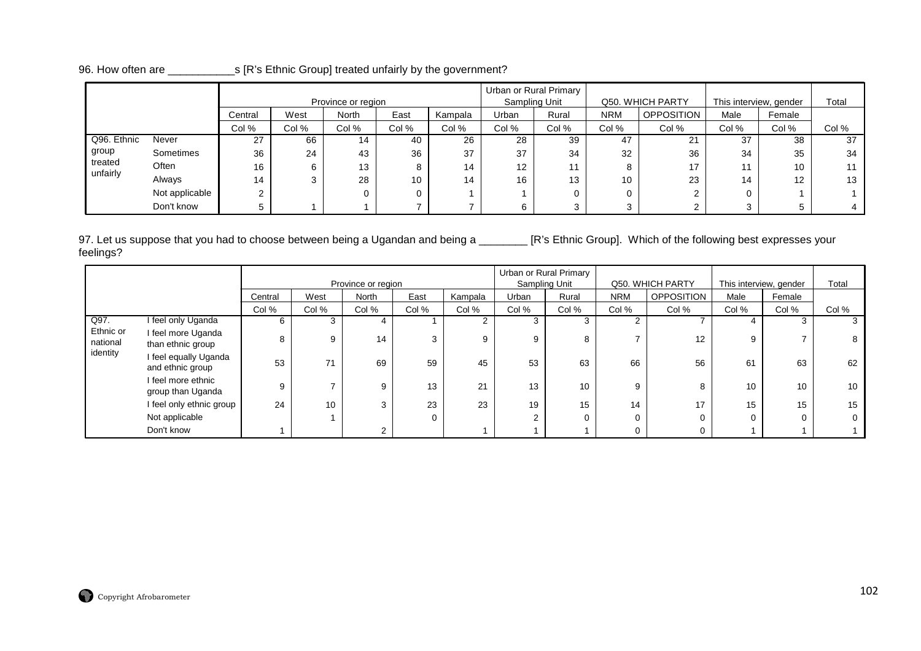|                     |                                                     |         |       | Province or region |       |         |                   | Urban or Rural Primary<br>Sampling Unit |            | Q50. WHICH PARTY  | This interview, gender |        | Total |
|---------------------|-----------------------------------------------------|---------|-------|--------------------|-------|---------|-------------------|-----------------------------------------|------------|-------------------|------------------------|--------|-------|
|                     |                                                     | Central | West  | <b>North</b>       | East  | Kampala | Urban             | Rural                                   | <b>NRM</b> | <b>OPPOSITION</b> | Male                   | Female |       |
|                     |                                                     | Col %   | Col % | Col %              | Col % | Col %   | Col %             | Col %                                   | Col %      | Col %             | Col %                  | Col %  | Col % |
| Q96. Ethnic         | Never                                               | 14      | 40    | 26                 | 28    | 39      | 47                | 21                                      | 37         | 38                | 37                     |        |       |
| group               | 27<br>66<br>37<br>36<br>Sometimes<br>36<br>24<br>43 |         |       |                    |       |         |                   | 34                                      | 32         | 36                | 34                     | 35     | 34    |
| treated<br>unfairly | Often<br>16<br>13<br>8<br>6                         |         |       |                    |       | 14      | $12 \overline{ }$ |                                         | 8          | 17                | 11                     | 10     |       |
|                     | Always                                              | 14      | 3     | 28                 | 10    | 14      | 16                | 13                                      | 10         | 23                | 14                     | 12     | 13    |
|                     | Not applicable                                      | $\sim$  |       |                    | 0     |         |                   |                                         |            |                   | 0                      |        |       |
|                     | Don't know                                          |         |       |                    |       |         | 6                 |                                         | 3          |                   |                        |        |       |

# 96. How often are \_\_\_\_\_\_\_\_\_\_\_s [R's Ethnic Group] treated unfairly by the government?

97. Let us suppose that you had to choose between being a Ugandan and being a \_\_\_\_\_\_\_\_ [R's Ethnic Group]. Which of the following best expresses your feelings?

|                       |                                           |         |       | Province or region |          |         |       | Urban or Rural Primary<br>Sampling Unit |            | Q50. WHICH PARTY  | This interview, gender |        | Total |
|-----------------------|-------------------------------------------|---------|-------|--------------------|----------|---------|-------|-----------------------------------------|------------|-------------------|------------------------|--------|-------|
|                       |                                           | Central | West  | North              | East     | Kampala | Urban | Rural                                   | <b>NRM</b> | <b>OPPOSITION</b> | Male                   | Female |       |
|                       |                                           | Col %   | Col % | Col %              | Col %    | Col %   | Col % | Col %                                   | Col %      | Col %             | Col %                  | Col %  | Col % |
| Q97.                  | I feel only Uganda                        | 6       | 3     | 4                  |          | 2       |       | 3                                       | $\sim$     |                   |                        |        | 3     |
| Ethnic or<br>national | I feel more Uganda<br>than ethnic group   | 8       | 9     | 14                 | 3        | 9       | 9     | 8                                       |            | 12                | 9                      |        | 8     |
| identity              | I feel equally Uganda<br>and ethnic group | 53      | 71    | 69                 | 59       | 45      | 53    | 63                                      | 66         | 56                | 61                     | 63     | 62    |
|                       | I feel more ethnic<br>group than Uganda   | 9       |       | 9                  | 13       | 21      | 13    | 10                                      | 9          | 8                 | 10                     | 10     | 10    |
|                       | I feel only ethnic group                  | 24      | 10    | 3                  | 23       | 23      | 19    | 15                                      | 14         | 17                | 15                     | 15     | 15    |
|                       | Not applicable                            |         |       |                    | $\Omega$ |         |       | 0                                       | $\Omega$   |                   | 0                      |        | 0     |
|                       | Don't know                                |         |       | $\sim$             |          |         |       |                                         | 0          | ∩                 |                        |        |       |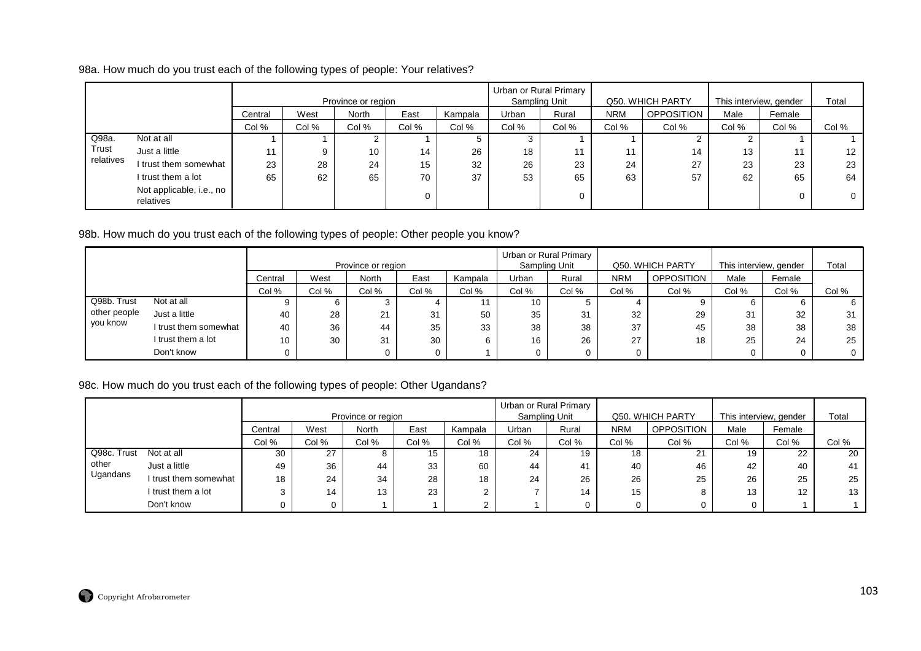98a. How much do you trust each of the following types of people: Your relatives?

|           |                                       |         |       | Province or region |       |         |       | Urban or Rural Primary<br>Sampling Unit |            | Q50. WHICH PARTY  | This interview, gender |        | Total        |
|-----------|---------------------------------------|---------|-------|--------------------|-------|---------|-------|-----------------------------------------|------------|-------------------|------------------------|--------|--------------|
|           |                                       | Central | West  | North              | East  | Kampala | Urban | Rural                                   | <b>NRM</b> | <b>OPPOSITION</b> | Male                   | Female |              |
|           |                                       | Col %   | Col % | Col %              | Col % | Col %   | Col % | Col %                                   | Col %      | Col %             | Col %                  | Col %  | Col %        |
| Q98a.     | Not at all                            |         |       |                    |       |         |       |                                         |            |                   |                        |        |              |
| Trust     | Just a little                         | 11      | റ     | 10                 | 14    | 26      | 18    | 11                                      | 11         | 14                | 13                     | 11     | 12           |
| relatives | I trust them somewhat                 | 23      | 28    | 24                 | 15    | 32      | 26    | 23                                      | 24         | 27                | 23                     | 23     | 23           |
|           | I trust them a lot                    | 65      | 62    | 65                 | 70    | 37      | 53    | 65                                      | 63         | 57                | 62                     | 65     | 64           |
|           | Not applicable, i.e., no<br>relatives |         |       |                    |       |         |       | 0                                       |            |                   |                        | 0      | $\mathbf{0}$ |

98b. How much do you trust each of the following types of people: Other people you know?

|              |                       |                 |       | Province or region |       |         |                 | Urban or Rural Primary<br>Sampling Unit |            | Q50. WHICH PARTY  | This interview, gender |        | Total        |
|--------------|-----------------------|-----------------|-------|--------------------|-------|---------|-----------------|-----------------------------------------|------------|-------------------|------------------------|--------|--------------|
|              |                       | Central         | West  | North              | East  | Kampala | Urban           | Rural                                   | <b>NRM</b> | <b>OPPOSITION</b> | Male                   | Female |              |
|              |                       | Col %           | Col % | Col %              | Col % | Col %   | Col %           | Col %                                   | Col %      | Col %             | Col %                  | Col %  | Col %        |
| Q98b. Trust  | Not at all            |                 |       |                    |       |         | 10 <sup>1</sup> |                                         |            |                   | b                      |        | 6            |
| other people | Just a little         | 40              | 28    | 21                 | 31    | 50      | 35              | 31                                      | 32         | 29                | 31                     | 32     | 31           |
| you know     | I trust them somewhat | 40              | 36    | 44                 | 35    | 33      | 38              | 38                                      | 37         | 45                | 38                     | 38     | 38           |
|              | I trust them a lot    | 10 <sup>1</sup> | 30    | 31                 | 30    |         | 16              | 26                                      | 27         | 18                | 25                     | 24     | 25           |
|              | Don't know            |                 |       |                    | 0     |         |                 |                                         |            |                   | 0                      |        | $\mathbf{0}$ |

# 98c. How much do you trust each of the following types of people: Other Ugandans?

|             |                                         |       |       |                    |       |         |       | Urban or Rural Primary |            |                   |                        |        |       |
|-------------|-----------------------------------------|-------|-------|--------------------|-------|---------|-------|------------------------|------------|-------------------|------------------------|--------|-------|
|             |                                         |       |       | Province or region |       |         |       | Sampling Unit          |            | Q50. WHICH PARTY  | This interview, gender |        | Total |
|             | <b>North</b><br>East<br>West<br>Central |       |       |                    |       | Kampala | Urban | Rural                  | <b>NRM</b> | <b>OPPOSITION</b> | Male                   | Female |       |
|             |                                         | Col % | Col % | Col %              | Col % | Col %   | Col % | Col %                  | Col %      | Col %             | Col %                  | Col %  | Col % |
| Q98c. Trust | Not at all                              | 30    | 27    | ŏ                  | 15    | 18      | 24    | 19                     | 18         | $\Omega$          | 19                     | 22     | 20    |
| other       | Just a little                           | 49    | 36    | 44                 | 33    | 60      | 44    | 41                     | 40         | 46                | 42                     | 40     | 41    |
| Ugandans    | I trust them somewhat                   | 18    | 24    | 34                 | 28    | 18      | 24    | 26                     | 26         | 25                | 26                     | 25     | 25    |
|             | I trust them a lot                      |       | 14    | 13                 | 23    | ◠<br>ے  |       | 14                     | 15         |                   | 13                     | 12     | 13    |
|             | Don't know                              |       |       |                    |       | $\sim$  |       |                        |            |                   |                        |        |       |

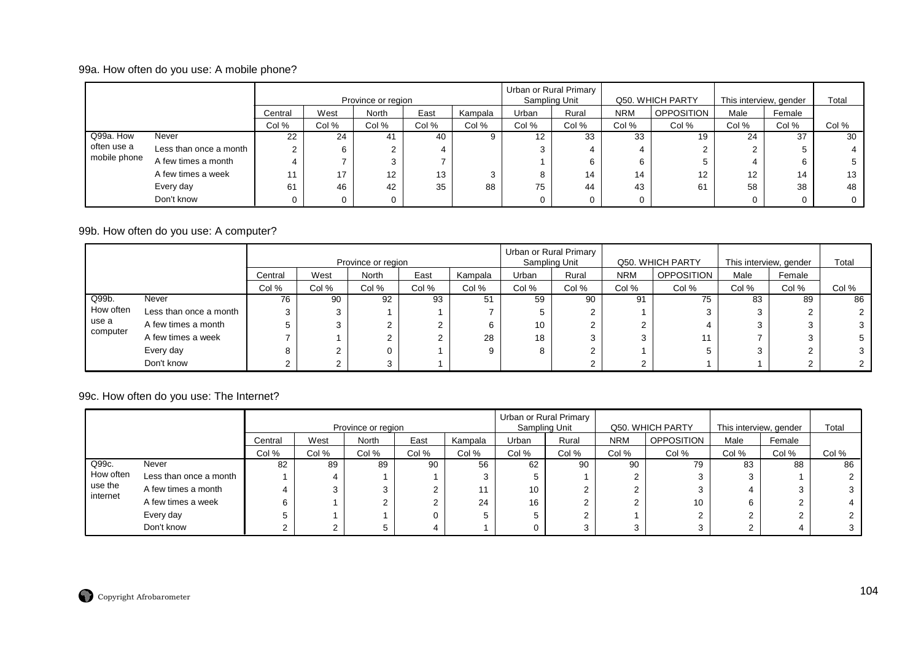## 99a. How often do you use: A mobile phone?

|              |                        |         |       | Province or region |       |         | Sampling Unit | Urban or Rural Primary |            | Q50. WHICH PARTY  | This interview, gender |        | Total |
|--------------|------------------------|---------|-------|--------------------|-------|---------|---------------|------------------------|------------|-------------------|------------------------|--------|-------|
|              |                        | Central | West  | North              | East  | Kampala | Urban         | Rural                  | <b>NRM</b> | <b>OPPOSITION</b> | Male                   | Female |       |
|              |                        | Col %   | Col % | Col %              | Col % | Col %   | Col %         | Col %                  | Col %      | Col %             | Col %                  | Col %  | Col % |
| Q99a. How    | Never                  | 22      | 24    |                    | 40    |         | 12            | 33                     | 33         | 19                | 24                     | 37     | 30    |
| often use a  | Less than once a month |         |       |                    | 4     |         | ົ             |                        |            |                   | $\overline{2}$         |        |       |
| mobile phone | A few times a month    |         |       |                    |       |         |               |                        |            |                   | 4                      |        |       |
|              | A few times a week     |         | 17    | 12                 | 13    | ົ       | Ō             | 14                     | 14         | 12                | $12 \overline{ }$      | 14     | 13    |
|              | Every day              | 61      | 46    | 42                 | 35    | 88      | 75            | 44                     | 43         | 61                | 58                     | 38     | 48    |
|              | Don't know             |         |       |                    |       |         |               |                        |            |                   | 0                      |        |       |

## 99b. How often do you use: A computer?

|           |                        |         |        | Province or region |       |         |       | Urban or Rural Primary<br>Sampling Unit |            | Q50. WHICH PARTY  | This interview, gender |        | Total |
|-----------|------------------------|---------|--------|--------------------|-------|---------|-------|-----------------------------------------|------------|-------------------|------------------------|--------|-------|
|           |                        | Central | West   | <b>North</b>       | East  | Kampala | Urban | Rural                                   | <b>NRM</b> | <b>OPPOSITION</b> | Male                   | Female |       |
|           |                        | Col %   | Col %  | Col %              | Col % | Col %   | Col % | Col %                                   | Col %      | Col %             | Col %                  | Col %  | Col % |
| Q99b.     | Never                  | 76      | 90     | 92                 | 93    | 51      | 59    | 90                                      | 91         | 75                | 83                     | 89     | 86    |
| How often | Less than once a month |         | 3      |                    |       |         | G     |                                         |            |                   |                        |        |       |
| use a     | A few times a month    |         | 3      |                    |       |         | 10    |                                         |            |                   | ົ                      |        |       |
| computer  | A few times a week     |         |        |                    | ⌒     | 28      | 18    |                                         | ◠          |                   |                        |        | 5     |
|           | Every day              |         | ◠<br>∠ |                    |       | റ       | 8     |                                         |            |                   |                        |        | 3     |
|           | Don't know             |         | ົ      |                    |       |         |       |                                         |            |                   |                        |        |       |

## 99c. How often do you use: The Internet?

|           |                        |         |       | Province or region |       |         | Urban or Rural Primary | Sampling Unit |            | Q50. WHICH PARTY  | This interview, gender |        | Total |
|-----------|------------------------|---------|-------|--------------------|-------|---------|------------------------|---------------|------------|-------------------|------------------------|--------|-------|
|           |                        | Central | West  | <b>North</b>       | East  | Kampala | Urban                  | Rural         | <b>NRM</b> | <b>OPPOSITION</b> | Male                   | Female |       |
|           |                        | Col %   | Col % | Col %              | Col % | Col %   | Col %                  | Col %         | Col %      | Col %             | Col %                  | Col %  | Col % |
| Q99c.     | Never                  | 82      | 89    | 89                 | 90    | 56      | 62                     | 90            | 90         | 79                | 83                     | 88     | 86    |
| How often | Less than once a month |         | 4     |                    |       |         |                        |               |            |                   | 3                      |        |       |
| use the   | A few times a month    |         |       |                    |       | 11      | 10                     |               |            |                   |                        |        | 3     |
| internet  | A few times a week     |         |       |                    |       | 24      | 16                     | ∠             |            | 10                | 6                      |        |       |
|           | Every day              |         |       |                    |       |         |                        |               |            |                   |                        |        |       |
|           | Don't know             |         |       |                    |       |         |                        |               |            |                   |                        |        |       |

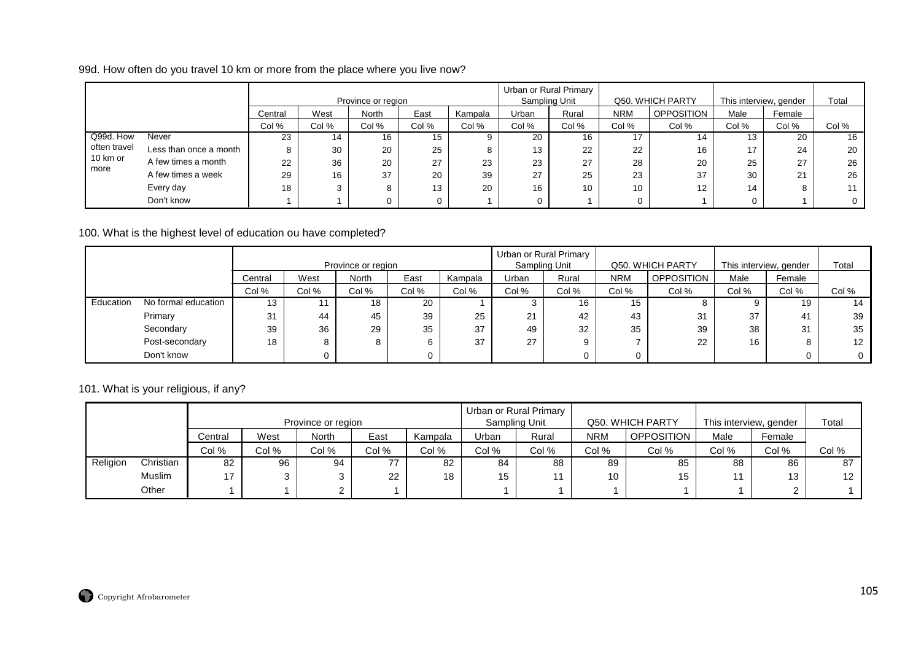99d. How often do you travel 10 km or more from the place where you live now?

|              |                        |         |       | Province or region |       |         |       | Urban or Rural Primary<br>Sampling Unit |            | Q50. WHICH PARTY |       | This interview, gender | Total |
|--------------|------------------------|---------|-------|--------------------|-------|---------|-------|-----------------------------------------|------------|------------------|-------|------------------------|-------|
|              |                        | Central | West  | <b>North</b>       | East  | Kampala | Urban | Rural                                   | <b>NRM</b> | OPPOSITION       | Male  | Female                 |       |
|              |                        | Col %   | Col % | Col %              | Col % | Col %   | Col % | Col %                                   | Col %      | Col %            | Col % | Col %                  | Col % |
| Q99d. How    | Never                  | 23      | 14    | 16                 | 15    |         | 20    | 16                                      |            | 14               | 13    | 20                     | 16    |
| often travel | Less than once a month | 8       | 30    | 20                 | 25    |         | 13    | 22                                      | 22         | 16               | 17    | 24                     | 20    |
| 10 km or     | A few times a month    | 22      | 36    | 20                 | 27    | 23      | 23    | 27                                      | 28         | 20               | 25    | 27                     | 26    |
| more         | A few times a week     | 29      | 16    | 37                 | 20    | 39      | 27    | 25                                      | 23         | 37               | 30    | 21                     | 26    |
|              | Every day              | 18      |       |                    | 13    | 20      | 16    | 10                                      | 10         | 12               | 14    |                        | 11    |
|              | Don't know             |         |       |                    |       |         | 0.    |                                         |            |                  |       |                        |       |

100. What is the highest level of education ou have completed?

|           |                                 |         |                                  | Province or region |      |         | Urban or Rural Primary | Sampling Unit |            | Q50. WHICH PARTY  | This interview, gender |                | Total       |
|-----------|---------------------------------|---------|----------------------------------|--------------------|------|---------|------------------------|---------------|------------|-------------------|------------------------|----------------|-------------|
|           |                                 | Central | West                             | <b>North</b>       | East | Kampala | Urban                  | Rural         | <b>NRM</b> | <b>OPPOSITION</b> | Male                   | Female         |             |
|           |                                 | Col %   | Col %<br>Col %<br>Col %<br>Col % |                    |      |         | Col %                  | Col %         | Col %      | Col %             | Col %                  | Col %          | Col %       |
| Education | No formal education<br>13<br>18 |         |                                  |                    | 20   |         |                        | 16            | 15         |                   |                        | 19             | 14          |
|           | Primary                         | 31      | 44                               | 45                 | 39   | 25      | 21                     | 42            | 43         | 31                | 37                     | 4 <sup>1</sup> | 39          |
|           | Secondary                       | 39      | 36                               | 29                 | 35   | 37      | 49                     | 32            | 35         | 39                | 38                     | 31             | 35          |
|           | Post-secondary                  | 18      | 8                                |                    | b    | 37      | 27                     | 9             |            | 22                | 16                     |                | 12          |
|           | Don't know                      |         |                                  |                    |      |         |                        |               | $\Omega$   |                   |                        |                | $\mathbf 0$ |

101. What is your religious, if any?

|          |               |         |       | Province or region |       |         | Urban or Rural Primary | Sampling Unit |            | Q50. WHICH PARTY  | This interview, gender |        | Total           |
|----------|---------------|---------|-------|--------------------|-------|---------|------------------------|---------------|------------|-------------------|------------------------|--------|-----------------|
|          |               | Central | West  | North              | East  | Kampala | Urban                  | Rural         | <b>NRM</b> | <b>OPPOSITION</b> | Male                   | Female |                 |
|          |               | Col %   | Col % | Col %              | Col % | Col %   | Col %                  | Col %         | Col %      | Col %             | Col %                  | Col %  | Col %           |
| Religion | Christian     | 82      | 96    | 94                 | 77    | 82      | 84                     | 88            | 89         | 85                | 88                     | 86     | 87              |
|          | <b>Muslim</b> | 17      |       |                    | 22    | 18      | 15                     |               | 10         | 15                |                        | 13     | 12 <sup>°</sup> |
|          | Other         |         |       |                    |       |         |                        |               |            |                   |                        | C      |                 |

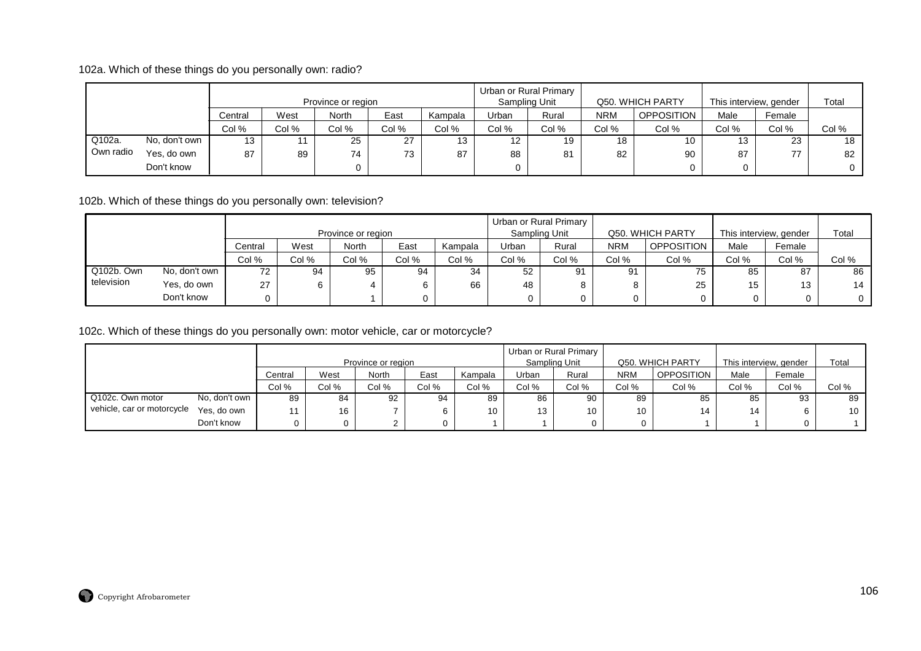102a. Which of these things do you personally own: radio?

|           |               |         |       | Province or region |       |         |       | Urban or Rural Primary<br>Sampling Unit |            | Q50. WHICH PARTY |       | This interview, gender | Total          |
|-----------|---------------|---------|-------|--------------------|-------|---------|-------|-----------------------------------------|------------|------------------|-------|------------------------|----------------|
|           |               | Central | West  | <b>North</b>       | East  | Kampala | Urban | Rural                                   | <b>NRM</b> | OPPOSITION       | Male  | Female                 |                |
|           |               | Col %   | Col % | Col %              | Col % | Col %   | Col % | Col %                                   | Col %      | Col %            | Col % | Col %                  | Col %          |
| Q102a.    | No, don't own | 13      | 11    | 25                 | 27    | 13      | 12    | 19                                      | 18         | 10               | 13    | 23                     | 18             |
| Own radio | Yes, do own   | 87      | 89    | 74                 | 73    | 87      | 88    | 81                                      | 82         | 90               | 87    | 77                     | 82             |
|           | Don't know    |         |       |                    |       |         |       |                                         |            |                  |       |                        | 0 <sup>1</sup> |

102b. Which of these things do you personally own: television?

|            |               |         |       | Province or region |       |         |       | Urban or Rural Primary<br>Sampling Unit |            | Q50. WHICH PARTY | This interview, gender |           | Total        |
|------------|---------------|---------|-------|--------------------|-------|---------|-------|-----------------------------------------|------------|------------------|------------------------|-----------|--------------|
|            |               | Central | West  | North              | East  | Kampala | Urban | Rural                                   | <b>NRM</b> | OPPOSITION       | Male                   | Female    |              |
|            |               | Col %   | Col % | Col %              | Col % | Col %   | Col % | Col %                                   | Col %      | Col %            | Col %                  | Col %     | Col %        |
| Q102b, Own | No, don't own | 72      | 94    | 95                 | 94    | 34      | 52    | 91                                      | 91         | 75               | 85                     | 87        | 86           |
| television | Yes, do own   | 27      | 6     |                    |       | 66      | 48    |                                         | O          | 25               | 15                     | 12<br>כ ו | 14           |
|            | Don't know    |         |       |                    |       |         |       |                                         |            |                  |                        |           | $\mathbf{0}$ |

102c. Which of these things do you personally own: motor vehicle, car or motorcycle?

|                            |               |         | Province or region |       |       | Urban or Rural Primary<br>Sampling Unit |       | Q50. WHICH PARTY |            | This interview, gender |       | Total  |       |
|----------------------------|---------------|---------|--------------------|-------|-------|-----------------------------------------|-------|------------------|------------|------------------------|-------|--------|-------|
|                            |               | Central | West               | North | East  | Kampala                                 | Urban | Rural            | <b>NRM</b> | <b>OPPOSITION</b>      | Male  | Female |       |
|                            |               | Col %   | Col %              | Col % | Col % | Col %                                   | Col % | Col %            | Col %      | Col %                  | Col % | Col %  | Col % |
| Q102c. Own motor           | No, don't own | 89      | 84                 | 92    | 94    | 89                                      | 86    | 90               | 89         | 85                     | 85    | 93     | 89    |
| vehicle, car or motorcycle | Yes, do own   | 11      | 16                 |       |       | 10                                      | 13    | 10               | 10         | 14                     | 14    |        | 10    |
|                            | Don't know    | 0       |                    |       |       |                                         |       |                  |            |                        |       |        |       |

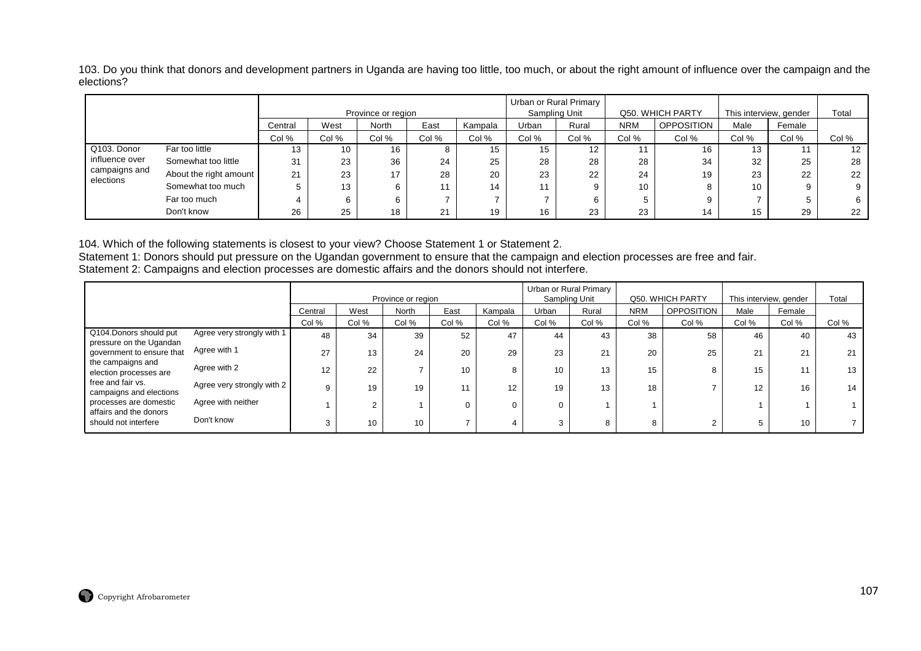103. Do you think that donors and development partners in Uganda are having too little, too much, or about the right amount of influence over the campaign and the elections?

|                                                             |                        |         |       | Province or region |       |         | Urban or Rural Primary<br>Sampling Unit |       | Q50. WHICH PARTY |            | This interview, gender |        | Total |
|-------------------------------------------------------------|------------------------|---------|-------|--------------------|-------|---------|-----------------------------------------|-------|------------------|------------|------------------------|--------|-------|
|                                                             |                        | Central | West  | North              | East  | Kampala | Urban                                   | Rural | <b>NRM</b>       | OPPOSITION | Male                   | Female |       |
|                                                             |                        | Col %   | Col % | Col %              | Col % | Col %   | Col %                                   | Col % | Col %            | Col %      | Col %                  | Col %  | Col % |
| Q103. Donor<br>influence over<br>campaigns and<br>elections | Far too little         | 13      | 10    | 16                 | ŏ     | 15      | 15                                      | 12    |                  | 16         | 13                     |        | 12    |
|                                                             | Somewhat too little    | 31      | 23    | 36                 | 24    | 25      | 28                                      | 28    | 28               | 34         | 32                     | 25     | 28    |
|                                                             | About the right amount | 21      | 23    | 17                 | 28    | 20      | 23                                      | 22    | 24               | 19         | 23                     | 22     | 22    |
|                                                             | Somewhat too much      | 5       | 13    | 6                  |       | 14      | 11                                      |       | 10               |            | 10                     |        |       |
|                                                             | Far too much           |         |       |                    |       |         |                                         |       |                  |            |                        |        | 6.    |
|                                                             | Don't know             | 26      | 25    | 18                 | 21    | 19      | 16                                      | 23    | 23               | 14         | 15                     | 29     | 22    |

104. Which of the following statements is closest to your view? Choose Statement 1 or Statement 2.

Statement 1: Donors should put pressure on the Ugandan government to ensure that the campaign and election processes are free and fair.<br>Statement 2: Campaigns and election processes are domestic affairs and the donors shou

|                                                                                                                                                                                                                                                           |                            |         | Province or region |       |       | Urban or Rural Primary<br>Sampling Unit |       | Q50. WHICH PARTY |            | This interview, gender |       | Total  |       |
|-----------------------------------------------------------------------------------------------------------------------------------------------------------------------------------------------------------------------------------------------------------|----------------------------|---------|--------------------|-------|-------|-----------------------------------------|-------|------------------|------------|------------------------|-------|--------|-------|
|                                                                                                                                                                                                                                                           |                            | Central | West               | North | East  | Kampala                                 | Urban | Rural            | <b>NRM</b> | <b>OPPOSITION</b>      | Male  | Female |       |
|                                                                                                                                                                                                                                                           |                            | Col %   | Col %              | Col % | Col % | Col %                                   | Col % | Col %            | Col %      | Col %                  | Col % | Col %  | Col % |
| Q104.Donors should put<br>pressure on the Ugandan<br>government to ensure that<br>the campaigns and<br>election processes are<br>free and fair vs.<br>campaigns and elections<br>processes are domestic<br>affairs and the donors<br>should not interfere | Agree very strongly with 1 | 48      | 34                 | 39    | 52    | 47                                      | 44    | 43               | 38         | 58                     | 46    | 40     | 43    |
|                                                                                                                                                                                                                                                           | Agree with 1               | 27      | 13                 | 24    | 20    | 29                                      | 23    | 21               | 20         | 25                     | 21    | 21     | 21    |
|                                                                                                                                                                                                                                                           | Agree with 2               | 12      | 22                 |       | 10    |                                         | 10    | 13               | 15         | 8                      | 15    | 11     | 13    |
|                                                                                                                                                                                                                                                           | Agree very strongly with 2 | 9       | 19                 | 19    | 11    | 12                                      | 19    | 13               | 18         |                        | 12    | 16     | 14    |
|                                                                                                                                                                                                                                                           | Agree with neither         |         | C                  |       |       |                                         | 0     |                  |            |                        |       |        |       |
|                                                                                                                                                                                                                                                           | Don't know                 | 3       | 10                 | 10    |       |                                         | 3     | 8                | 8          |                        |       | 10     |       |